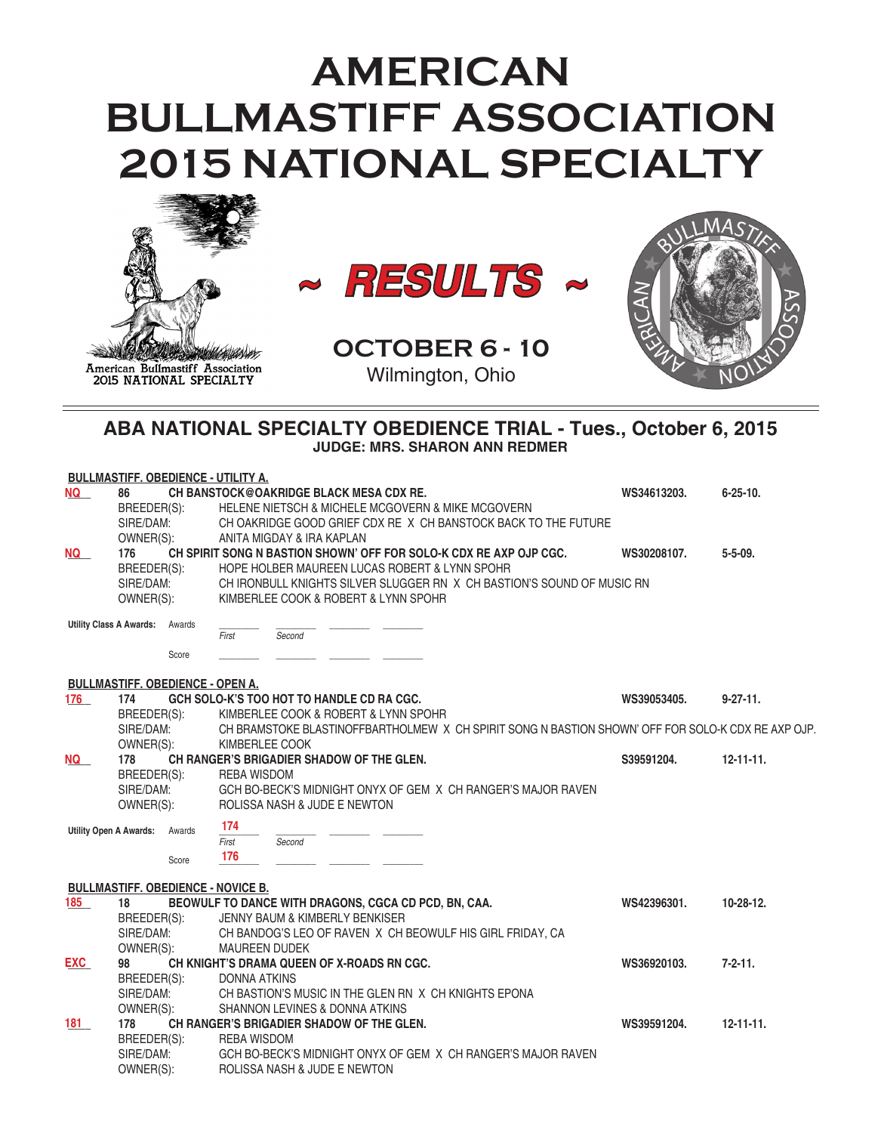# **AMERICAN BULLMASTIFF ASSOCIATION 2015 NATIONAL SPECIALTY**





**OCTOBER 6 - 10** Wilmington, Ohio



# **ABA NATIONAL SPECIALTY OBEDIENCE TRIAL - Tues., October 6, 2015 JUDGE: MRS. SHARON ANN REDMER**

|                               | <b>BULLMASTIFF. OBEDIENCE - UTILITY A.</b> |        |                     |                                           |                                            |                                                                                                    |             |                  |
|-------------------------------|--------------------------------------------|--------|---------------------|-------------------------------------------|--------------------------------------------|----------------------------------------------------------------------------------------------------|-------------|------------------|
| NQ                            | 86                                         |        |                     |                                           | CH BANSTOCK@OAKRIDGE BLACK MESA CDX RE.    |                                                                                                    | WS34613203. | $6 - 25 - 10$ .  |
|                               | BREEDER(S):                                |        |                     |                                           |                                            | HELENE NIETSCH & MICHELE MCGOVERN & MIKE MCGOVERN                                                  |             |                  |
|                               | SIRE/DAM:                                  |        |                     |                                           |                                            | CH OAKRIDGE GOOD GRIEF CDX RE X CH BANSTOCK BACK TO THE FUTURE                                     |             |                  |
|                               | OWNER(S):                                  |        |                     | ANITA MIGDAY & IRA KAPLAN                 |                                            |                                                                                                    |             |                  |
| <b>NQ</b>                     | 176                                        |        |                     |                                           |                                            | CH SPIRIT SONG N BASTION SHOWN' OFF FOR SOLO-K CDX RE AXP OJP CGC.                                 | WS30208107. | $5 - 5 - 09$ .   |
|                               | BREEDER(S):                                |        |                     |                                           |                                            | HOPE HOLBER MAUREEN LUCAS ROBERT & LYNN SPOHR                                                      |             |                  |
|                               | SIRE/DAM:                                  |        |                     |                                           |                                            | CH IRONBULL KNIGHTS SILVER SLUGGER RN X CH BASTION'S SOUND OF MUSIC RN                             |             |                  |
|                               | OWNER(S):                                  |        |                     |                                           | KIMBERLEE COOK & ROBERT & LYNN SPOHR       |                                                                                                    |             |                  |
|                               | <b>Utility Class A Awards:</b>             | Awards |                     |                                           |                                            |                                                                                                    |             |                  |
|                               |                                            |        | First               | Second                                    |                                            |                                                                                                    |             |                  |
|                               |                                            | Score  |                     |                                           |                                            |                                                                                                    |             |                  |
|                               | <b>BULLMASTIFF. OBEDIENCE - OPEN A.</b>    |        |                     |                                           |                                            |                                                                                                    |             |                  |
| 176                           | 174                                        |        |                     | GCH SOLO-K'S TOO HOT TO HANDLE CD RA CGC. |                                            |                                                                                                    | WS39053405. | $9 - 27 - 11$ .  |
|                               | BREEDER(S):                                |        |                     |                                           | KIMBERLEE COOK & ROBERT & LYNN SPOHR       |                                                                                                    |             |                  |
|                               | SIRE/DAM:                                  |        |                     |                                           |                                            | CH BRAMSTOKE BLASTINOFFBARTHOLMEW X CH SPIRIT SONG N BASTION SHOWN' OFF FOR SOLO-K CDX RE AXP OJP. |             |                  |
|                               | OWNER(S):                                  |        |                     | KIMBERLEE COOK                            |                                            |                                                                                                    |             |                  |
| <b>NQ</b>                     | 178                                        |        |                     |                                           | CH RANGER'S BRIGADIER SHADOW OF THE GLEN.  |                                                                                                    | S39591204.  | $12 - 11 - 11$ . |
|                               | BREEDER(S):                                |        | <b>REBA WISDOM</b>  |                                           |                                            |                                                                                                    |             |                  |
|                               | SIRE/DAM:                                  |        |                     |                                           |                                            | GCH BO-BECK'S MIDNIGHT ONYX OF GEM X CH RANGER'S MAJOR RAVEN                                       |             |                  |
|                               | OWNER(S):                                  |        |                     | ROLISSA NASH & JUDE E NEWTON              |                                            |                                                                                                    |             |                  |
|                               |                                            |        | 174                 |                                           |                                            |                                                                                                    |             |                  |
| <b>Utility Open A Awards:</b> |                                            | Awards | First               | Second                                    |                                            |                                                                                                    |             |                  |
|                               |                                            |        | 176                 |                                           |                                            |                                                                                                    |             |                  |
|                               |                                            | Score  |                     |                                           |                                            |                                                                                                    |             |                  |
|                               | <b>BULLMASTIFF. OBEDIENCE - NOVICE B.</b>  |        |                     |                                           |                                            |                                                                                                    |             |                  |
| 185                           | 18                                         |        |                     |                                           |                                            | BEOWULF TO DANCE WITH DRAGONS, CGCA CD PCD, BN, CAA.                                               | WS42396301. | 10-28-12.        |
|                               | BREEDER(S):                                |        |                     | JENNY BAUM & KIMBERLY BENKISER            |                                            |                                                                                                    |             |                  |
|                               | SIRE/DAM:                                  |        |                     |                                           |                                            | CH BANDOG'S LEO OF RAVEN X CH BEOWULF HIS GIRL FRIDAY, CA                                          |             |                  |
|                               | OWNER(S):                                  |        |                     | <b>MAUREEN DUDEK</b>                      |                                            |                                                                                                    |             |                  |
| <b>EXC</b>                    | 98                                         |        |                     |                                           | CH KNIGHT'S DRAMA QUEEN OF X-ROADS RN CGC. |                                                                                                    | WS36920103. | $7 - 2 - 11$ .   |
|                               | BREEDER(S):                                |        | <b>DONNA ATKINS</b> |                                           |                                            |                                                                                                    |             |                  |
|                               | SIRE/DAM:                                  |        |                     |                                           |                                            | CH BASTION'S MUSIC IN THE GLEN RN X CH KNIGHTS EPONA                                               |             |                  |
|                               | OWNER(S):                                  |        |                     | SHANNON LEVINES & DONNA ATKINS            |                                            |                                                                                                    |             |                  |
| 181                           | 178                                        |        |                     |                                           | CH RANGER'S BRIGADIER SHADOW OF THE GLEN.  |                                                                                                    | WS39591204. | $12 - 11 - 11$ . |
|                               | BREEDER(S):                                |        | <b>REBA WISDOM</b>  |                                           |                                            |                                                                                                    |             |                  |
|                               | SIRE/DAM:                                  |        |                     |                                           |                                            | GCH BO-BECK'S MIDNIGHT ONYX OF GEM X CH RANGER'S MAJOR RAVEN                                       |             |                  |
|                               | OWNER(S):                                  |        |                     | ROLISSA NASH & JUDE E NEWTON              |                                            |                                                                                                    |             |                  |
|                               |                                            |        |                     |                                           |                                            |                                                                                                    |             |                  |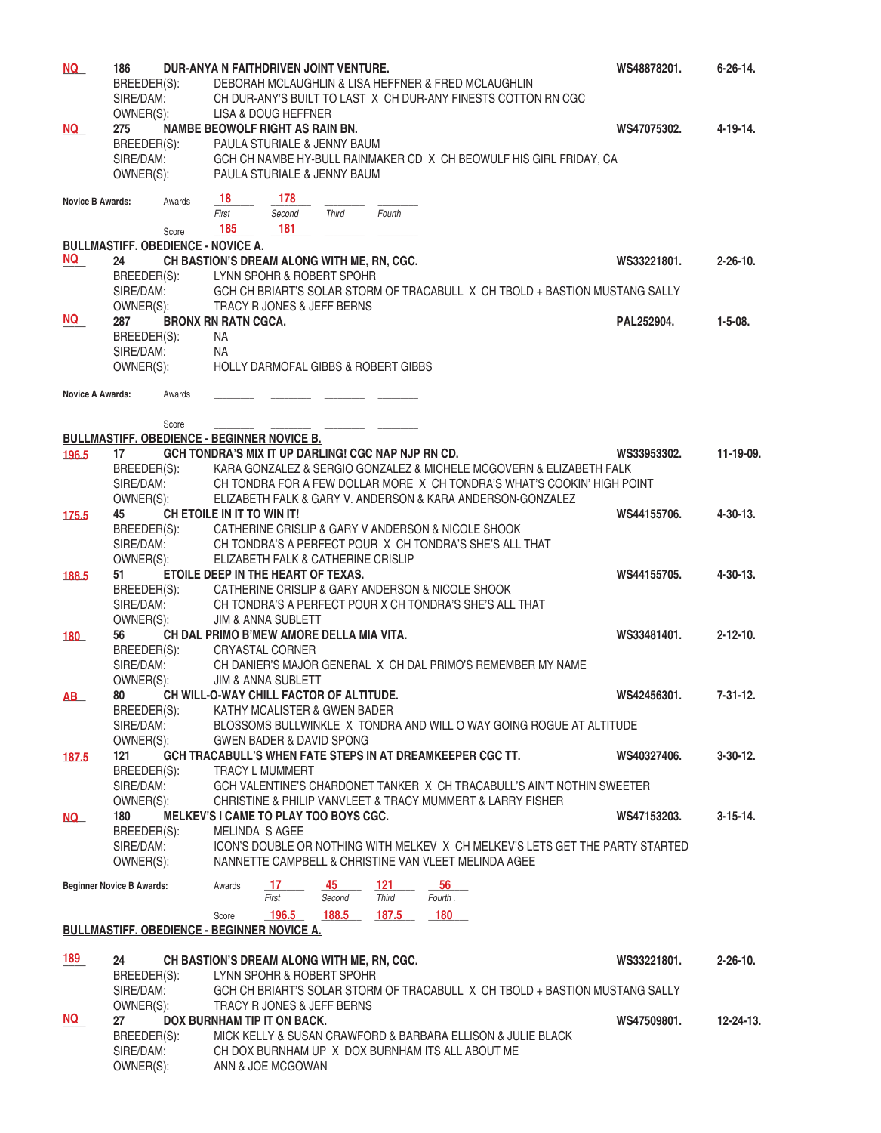| <u>NQ</u>               | 186                              |        |                                           | DUR-ANYA N FAITHDRIVEN JOINT VENTURE.              |              |                                                    |                                                                               | WS48878201. | $6 - 26 - 14.$   |
|-------------------------|----------------------------------|--------|-------------------------------------------|----------------------------------------------------|--------------|----------------------------------------------------|-------------------------------------------------------------------------------|-------------|------------------|
|                         | BREEDER(S):                      |        |                                           |                                                    |              |                                                    | DEBORAH MCLAUGHLIN & LISA HEFFNER & FRED MCLAUGHLIN                           |             |                  |
|                         | SIRE/DAM:                        |        |                                           |                                                    |              |                                                    | CH DUR-ANY'S BUILT TO LAST X CH DUR-ANY FINESTS COTTON RN CGC                 |             |                  |
|                         | OWNER(S):                        |        |                                           | LISA & DOUG HEFFNER                                |              |                                                    |                                                                               |             |                  |
| NQ                      | 275                              |        |                                           | NAMBE BEOWOLF RIGHT AS RAIN BN.                    |              |                                                    |                                                                               | WS47075302. | 4-19-14.         |
|                         |                                  |        |                                           | PAULA STURIALE & JENNY BAUM                        |              |                                                    |                                                                               |             |                  |
|                         | BREEDER(S):                      |        |                                           |                                                    |              |                                                    |                                                                               |             |                  |
|                         | SIRE/DAM:                        |        |                                           |                                                    |              |                                                    | GCH CH NAMBE HY-BULL RAINMAKER CD X CH BEOWULF HIS GIRL FRIDAY, CA            |             |                  |
|                         | OWNER(S):                        |        |                                           | PAULA STURIALE & JENNY BAUM                        |              |                                                    |                                                                               |             |                  |
|                         |                                  |        |                                           |                                                    |              |                                                    |                                                                               |             |                  |
| <b>Novice B Awards:</b> |                                  | Awards | -18                                       | 178                                                |              |                                                    |                                                                               |             |                  |
|                         |                                  |        | First                                     | Second                                             | <b>Third</b> | Fourth                                             |                                                                               |             |                  |
|                         |                                  | Score  | 185                                       | 181                                                |              |                                                    |                                                                               |             |                  |
|                         |                                  |        | <b>BULLMASTIFF. OBEDIENCE - NOVICE A.</b> |                                                    |              |                                                    |                                                                               |             |                  |
| NQ                      | 24                               |        |                                           | CH BASTION'S DREAM ALONG WITH ME, RN, CGC.         |              |                                                    |                                                                               | WS33221801. | $2 - 26 - 10$ .  |
|                         | BREEDER(S):                      |        |                                           | LYNN SPOHR & ROBERT SPOHR                          |              |                                                    |                                                                               |             |                  |
|                         | SIRE/DAM:                        |        |                                           |                                                    |              |                                                    | GCH CH BRIART'S SOLAR STORM OF TRACABULL X CH TBOLD + BASTION MUSTANG SALLY   |             |                  |
|                         |                                  |        |                                           |                                                    |              |                                                    |                                                                               |             |                  |
|                         | OWNER(S):                        |        |                                           | TRACY R JONES & JEFF BERNS                         |              |                                                    |                                                                               |             |                  |
| NQ .                    | 287                              |        | <b>BRONX RN RATN CGCA.</b>                |                                                    |              |                                                    |                                                                               | PAL252904.  | $1 - 5 - 08$ .   |
|                         | BREEDER(S):                      |        | NA.                                       |                                                    |              |                                                    |                                                                               |             |                  |
|                         | SIRE/DAM:                        |        | ΝA                                        |                                                    |              |                                                    |                                                                               |             |                  |
|                         | OWNER(S):                        |        |                                           |                                                    |              | <b>HOLLY DARMOFAL GIBBS &amp; ROBERT GIBBS</b>     |                                                                               |             |                  |
|                         |                                  |        |                                           |                                                    |              |                                                    |                                                                               |             |                  |
| <b>Novice A Awards:</b> |                                  | Awards |                                           |                                                    |              |                                                    |                                                                               |             |                  |
|                         |                                  |        |                                           |                                                    |              |                                                    |                                                                               |             |                  |
|                         |                                  | Score  |                                           |                                                    |              |                                                    |                                                                               |             |                  |
|                         |                                  |        |                                           | <b>BULLMASTIFF. OBEDIENCE - BEGINNER NOVICE B.</b> |              |                                                    |                                                                               |             |                  |
|                         |                                  |        |                                           |                                                    |              | GCH TONDRA'S MIX IT UP DARLING! CGC NAP NJP RN CD. |                                                                               | WS33953302. | 11-19-09.        |
| 196.5                   | 17                               |        |                                           |                                                    |              |                                                    |                                                                               |             |                  |
|                         | BREEDER(S):                      |        |                                           |                                                    |              |                                                    | KARA GONZALEZ & SERGIO GONZALEZ & MICHELE MCGOVERN & ELIZABETH FALK           |             |                  |
|                         | SIRE/DAM:                        |        |                                           |                                                    |              |                                                    | CH TONDRA FOR A FEW DOLLAR MORE X CH TONDRA'S WHAT'S COOKIN' HIGH POINT       |             |                  |
|                         | OWNER(S):                        |        |                                           |                                                    |              |                                                    | ELIZABETH FALK & GARY V. ANDERSON & KARA ANDERSON-GONZALEZ                    |             |                  |
| 175.5                   | 45                               |        | CH ETOILE IN IT TO WIN IT!                |                                                    |              |                                                    |                                                                               | WS44155706. | 4-30-13.         |
|                         | BREEDER(S):                      |        |                                           |                                                    |              |                                                    | CATHERINE CRISLIP & GARY V ANDERSON & NICOLE SHOOK                            |             |                  |
|                         | SIRE/DAM:                        |        |                                           |                                                    |              |                                                    | CH TONDRA'S A PERFECT POUR X CH TONDRA'S SHE'S ALL THAT                       |             |                  |
|                         | OWNER(S):                        |        |                                           | ELIZABETH FALK & CATHERINE CRISLIP                 |              |                                                    |                                                                               |             |                  |
|                         |                                  |        |                                           |                                                    |              |                                                    |                                                                               |             |                  |
| 188.5                   | 51                               |        |                                           | ETOILE DEEP IN THE HEART OF TEXAS.                 |              |                                                    |                                                                               | WS44155705. | 4-30-13.         |
|                         | BREEDER(S):                      |        |                                           |                                                    |              |                                                    | CATHERINE CRISLIP & GARY ANDERSON & NICOLE SHOOK                              |             |                  |
|                         | SIRE/DAM:                        |        |                                           |                                                    |              |                                                    | CH TONDRA'S A PERFECT POUR X CH TONDRA'S SHE'S ALL THAT                       |             |                  |
|                         | OWNER(S):                        |        |                                           | <b>JIM &amp; ANNA SUBLETT</b>                      |              |                                                    |                                                                               |             |                  |
| 180                     | 56                               |        |                                           | CH DAL PRIMO B'MEW AMORE DELLA MIA VITA.           |              |                                                    |                                                                               | WS33481401. | $2 - 12 - 10$ .  |
|                         | BREEDER(S):                      |        |                                           | <b>CRYASTAL CORNER</b>                             |              |                                                    |                                                                               |             |                  |
|                         | SIRE/DAM:                        |        |                                           |                                                    |              |                                                    | CH DANIER'S MAJOR GENERAL X CH DAL PRIMO'S REMEMBER MY NAME                   |             |                  |
|                         | OWNER(S):                        |        |                                           | JIM & ANNA SUBLETT                                 |              |                                                    |                                                                               |             |                  |
|                         |                                  |        |                                           |                                                    |              |                                                    |                                                                               |             |                  |
| AB <sub>L</sub>         | 80                               |        |                                           | CH WILL-O-WAY CHILL FACTOR OF ALTITUDE.            |              |                                                    |                                                                               | WS42456301. | $7 - 31 - 12.$   |
|                         | BREEDER(S):                      |        |                                           | KATHY MCALISTER & GWEN BADER                       |              |                                                    |                                                                               |             |                  |
|                         | SIRE/DAM:                        |        |                                           |                                                    |              |                                                    | BLOSSOMS BULLWINKLE X TONDRA AND WILL O WAY GOING ROGUE AT ALTITUDE           |             |                  |
|                         | OWNER(S):                        |        |                                           | <b>GWEN BADER &amp; DAVID SPONG</b>                |              |                                                    |                                                                               |             |                  |
| 187.5                   | 121                              |        |                                           |                                                    |              |                                                    | GCH TRACABULL'S WHEN FATE STEPS IN AT DREAMKEEPER CGC TT.                     | WS40327406. | $3 - 30 - 12$ .  |
|                         | BREEDER(S):                      |        |                                           | <b>TRACY L MUMMERT</b>                             |              |                                                    |                                                                               |             |                  |
|                         | SIRE/DAM:                        |        |                                           |                                                    |              |                                                    | GCH VALENTINE'S CHARDONET TANKER X CH TRACABULL'S AIN'T NOTHIN SWEETER        |             |                  |
|                         | OWNER(S):                        |        |                                           |                                                    |              |                                                    | CHRISTINE & PHILIP VANVLEET & TRACY MUMMERT & LARRY FISHER                    |             |                  |
|                         |                                  |        |                                           | MELKEV'S I CAME TO PLAY TOO BOYS CGC.              |              |                                                    |                                                                               |             |                  |
| NQ <sub>_</sub>         | 180                              |        |                                           |                                                    |              |                                                    |                                                                               | WS47153203. | $3-15-14.$       |
|                         | BREEDER(S):                      |        | MELINDA S AGEE                            |                                                    |              |                                                    |                                                                               |             |                  |
|                         | SIRE/DAM:                        |        |                                           |                                                    |              |                                                    | ICON'S DOUBLE OR NOTHING WITH MELKEV X CH MELKEV'S LETS GET THE PARTY STARTED |             |                  |
|                         | OWNER(S):                        |        |                                           |                                                    |              |                                                    | NANNETTE CAMPBELL & CHRISTINE VAN VLEET MELINDA AGEE                          |             |                  |
|                         |                                  |        |                                           |                                                    |              |                                                    |                                                                               |             |                  |
|                         | <b>Beginner Novice B Awards:</b> |        | Awards                                    | -17                                                | 45           | 121                                                | 56                                                                            |             |                  |
|                         |                                  |        |                                           | First                                              | Second       | Third                                              | Fourth.                                                                       |             |                  |
|                         |                                  |        | Score                                     | 196.5                                              | 188.5        | 187.5                                              | 180                                                                           |             |                  |
|                         |                                  |        |                                           | <b>BULLMASTIFF. OBEDIENCE - BEGINNER NOVICE A.</b> |              |                                                    |                                                                               |             |                  |
|                         |                                  |        |                                           |                                                    |              |                                                    |                                                                               |             |                  |
| 189                     | 24                               |        |                                           | CH BASTION'S DREAM ALONG WITH ME, RN, CGC.         |              |                                                    |                                                                               | WS33221801. | $2 - 26 - 10$ .  |
|                         | BREEDER(S):                      |        |                                           | LYNN SPOHR & ROBERT SPOHR                          |              |                                                    |                                                                               |             |                  |
|                         | SIRE/DAM:                        |        |                                           |                                                    |              |                                                    | GCH CH BRIART'S SOLAR STORM OF TRACABULL X CH TBOLD + BASTION MUSTANG SALLY   |             |                  |
|                         | OWNER(S):                        |        |                                           | TRACY R JONES & JEFF BERNS                         |              |                                                    |                                                                               |             |                  |
| NQ                      |                                  |        |                                           |                                                    |              |                                                    |                                                                               |             |                  |
|                         | 27                               |        |                                           | DOX BURNHAM TIP IT ON BACK.                        |              |                                                    |                                                                               | WS47509801. | $12 - 24 - 13$ . |
|                         | BREEDER(S):                      |        |                                           |                                                    |              |                                                    | MICK KELLY & SUSAN CRAWFORD & BARBARA ELLISON & JULIE BLACK                   |             |                  |
|                         | SIRE/DAM:                        |        |                                           |                                                    |              |                                                    | CH DOX BURNHAM UP X DOX BURNHAM ITS ALL ABOUT ME                              |             |                  |
|                         | OWNER(S):                        |        |                                           | ANN & JOE MCGOWAN                                  |              |                                                    |                                                                               |             |                  |
|                         |                                  |        |                                           |                                                    |              |                                                    |                                                                               |             |                  |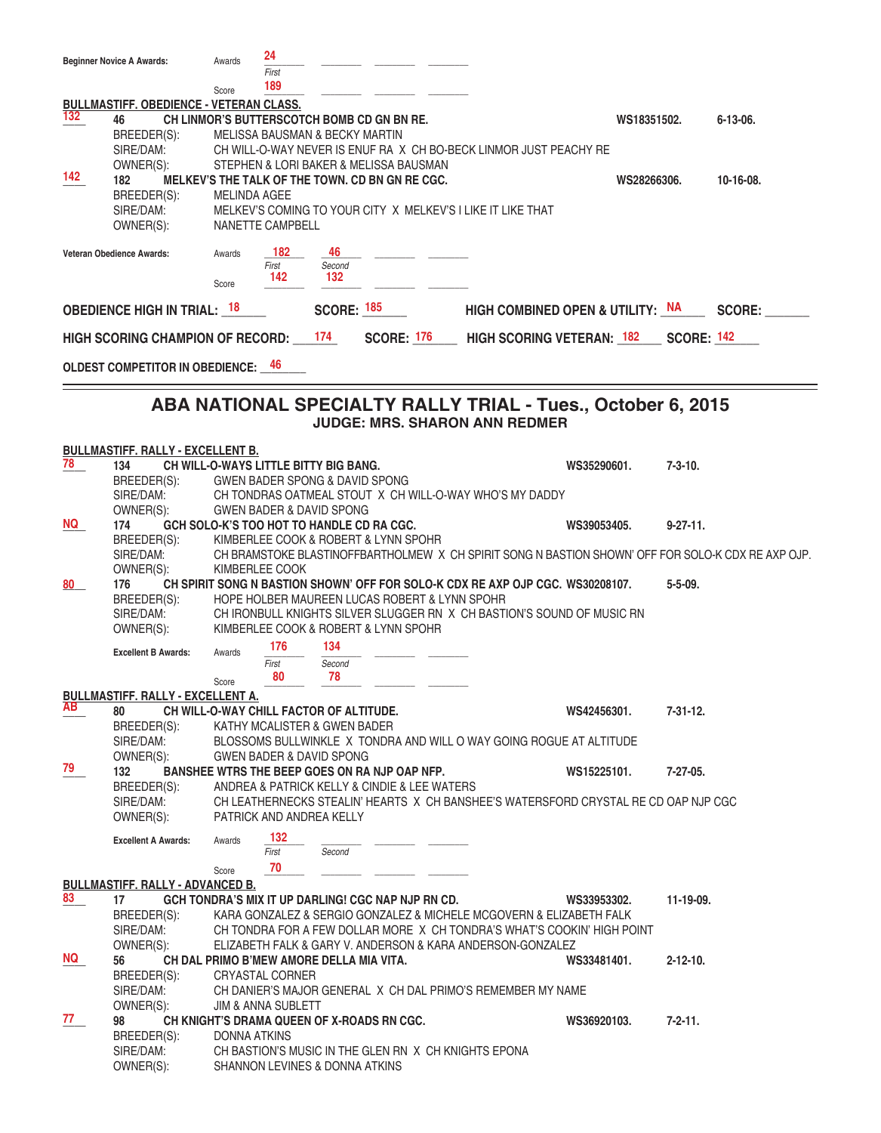|           | <b>Beginner Novice A Awards:</b>               | Awards                        | 24                      |                                              |                                                    |                                                                                                    |                                  |                   |               |
|-----------|------------------------------------------------|-------------------------------|-------------------------|----------------------------------------------|----------------------------------------------------|----------------------------------------------------------------------------------------------------|----------------------------------|-------------------|---------------|
|           |                                                |                               | First                   |                                              |                                                    |                                                                                                    |                                  |                   |               |
|           |                                                | Score                         | 189                     |                                              |                                                    |                                                                                                    |                                  |                   |               |
|           | <b>BULLMASTIFF. OBEDIENCE - VETERAN CLASS.</b> |                               |                         |                                              |                                                    |                                                                                                    |                                  |                   |               |
| 132       | 46                                             |                               |                         |                                              | CH LINMOR'S BUTTERSCOTCH BOMB CD GN BN RE.         |                                                                                                    |                                  | WS18351502.       | $6-13-06.$    |
|           | BREEDER(S):                                    |                               |                         | <b>MELISSA BAUSMAN &amp; BECKY MARTIN</b>    |                                                    |                                                                                                    |                                  |                   |               |
|           | SIRE/DAM:                                      |                               |                         |                                              |                                                    | CH WILL-O-WAY NEVER IS ENUF RA X CH BO-BECK LINMOR JUST PEACHY RE                                  |                                  |                   |               |
|           | OWNER(S):                                      |                               |                         |                                              | STEPHEN & LORI BAKER & MELISSA BAUSMAN             |                                                                                                    |                                  |                   |               |
| 142       | 182                                            |                               |                         |                                              | MELKEV'S THE TALK OF THE TOWN. CD BN GN RE CGC.    |                                                                                                    |                                  | WS28266306.       | 10-16-08.     |
|           | BREEDER(S):                                    | <b>MELINDA AGEE</b>           |                         |                                              |                                                    |                                                                                                    |                                  |                   |               |
|           | SIRE/DAM:                                      |                               |                         |                                              |                                                    | MELKEV'S COMING TO YOUR CITY X MELKEV'S I LIKE IT LIKE THAT                                        |                                  |                   |               |
|           | OWNER(S):                                      |                               | <b>NANETTE CAMPBELL</b> |                                              |                                                    |                                                                                                    |                                  |                   |               |
|           |                                                |                               |                         |                                              |                                                    |                                                                                                    |                                  |                   |               |
|           | Veteran Obedience Awards:                      | Awards                        | 182                     | 46                                           |                                                    |                                                                                                    |                                  |                   |               |
|           |                                                |                               | First                   | Second                                       |                                                    |                                                                                                    |                                  |                   |               |
|           |                                                | Score                         | 142                     | 132                                          |                                                    |                                                                                                    |                                  |                   |               |
|           |                                                |                               |                         |                                              |                                                    |                                                                                                    |                                  |                   |               |
|           | <b>OBEDIENCE HIGH IN TRIAL: 18</b>             |                               |                         | <b>SCORE: 185</b>                            |                                                    |                                                                                                    | HIGH COMBINED OPEN & UTILITY: NA |                   | <b>SCORE:</b> |
|           |                                                |                               |                         |                                              |                                                    |                                                                                                    |                                  |                   |               |
|           | HIGH SCORING CHAMPION OF RECORD:               |                               |                         | 174                                          | <b>SCORE: 176</b>                                  |                                                                                                    | <b>HIGH SCORING VETERAN: 182</b> | <b>SCORE: 142</b> |               |
|           |                                                |                               |                         |                                              |                                                    |                                                                                                    |                                  |                   |               |
|           | <b>OLDEST COMPETITOR IN OBEDIENCE:</b> 46      |                               |                         |                                              |                                                    |                                                                                                    |                                  |                   |               |
|           |                                                |                               |                         |                                              |                                                    |                                                                                                    |                                  |                   |               |
|           |                                                |                               |                         |                                              |                                                    |                                                                                                    |                                  |                   |               |
|           |                                                |                               |                         |                                              |                                                    | ABA NATIONAL SPECIALTY RALLY TRIAL - Tues., October 6, 2015                                        |                                  |                   |               |
|           |                                                |                               |                         |                                              |                                                    | <b>JUDGE: MRS. SHARON ANN REDMER</b>                                                               |                                  |                   |               |
|           | <b>BULLMASTIFF, RALLY - EXCELLENT B.</b>       |                               |                         |                                              |                                                    |                                                                                                    |                                  |                   |               |
| 78        |                                                |                               |                         | <b>CH WILL-O-WAYS LITTLE BITTY BIG BANG.</b> |                                                    |                                                                                                    |                                  | $7 - 3 - 10.$     |               |
|           | 134                                            |                               |                         |                                              |                                                    |                                                                                                    | WS35290601.                      |                   |               |
|           | BREEDER(S):                                    |                               |                         |                                              | GWEN BADER SPONG & DAVID SPONG                     |                                                                                                    |                                  |                   |               |
|           | SIRE/DAM:                                      |                               |                         |                                              |                                                    | CH TONDRAS OATMEAL STOUT X CH WILL-O-WAY WHO'S MY DADDY                                            |                                  |                   |               |
|           | OWNER(S):                                      |                               |                         | <b>GWEN BADER &amp; DAVID SPONG</b>          |                                                    |                                                                                                    |                                  |                   |               |
| NQ I      | 174                                            |                               |                         |                                              | GCH SOLO-K'S TOO HOT TO HANDLE CD RA CGC.          |                                                                                                    | WS39053405.                      | $9 - 27 - 11$ .   |               |
|           | BREEDER(S):                                    |                               |                         |                                              | KIMBERLEE COOK & ROBERT & LYNN SPOHR               |                                                                                                    |                                  |                   |               |
|           | SIRE/DAM:                                      |                               |                         |                                              |                                                    | CH BRAMSTOKE BLASTINOFFBARTHOLMEW X CH SPIRIT SONG N BASTION SHOWN' OFF FOR SOLO-K CDX RE AXP OJP. |                                  |                   |               |
|           | OWNER(S):                                      |                               | KIMBERLEE COOK          |                                              |                                                    |                                                                                                    |                                  |                   |               |
| 80        | 176                                            |                               |                         |                                              |                                                    | CH SPIRIT SONG N BASTION SHOWN' OFF FOR SOLO-K CDX RE AXP OJP CGC. WS30208107.                     |                                  | $5 - 5 - 09$ .    |               |
|           | BREEDER(S):                                    |                               |                         |                                              |                                                    | HOPE HOLBER MAUREEN LUCAS ROBERT & LYNN SPOHR                                                      |                                  |                   |               |
|           | SIRE/DAM:                                      |                               |                         |                                              |                                                    | CH IRONBULL KNIGHTS SILVER SLUGGER RN X CH BASTION'S SOUND OF MUSIC RN                             |                                  |                   |               |
|           | OWNER(S):                                      |                               |                         |                                              | KIMBERLEE COOK & ROBERT & LYNN SPOHR               |                                                                                                    |                                  |                   |               |
|           | <b>Excellent B Awards:</b>                     | Awards                        | 176                     | 134                                          |                                                    |                                                                                                    |                                  |                   |               |
|           |                                                |                               | First                   | Second                                       |                                                    |                                                                                                    |                                  |                   |               |
|           |                                                |                               | 80                      | 78                                           |                                                    |                                                                                                    |                                  |                   |               |
|           | <b>BULLMASTIFF, RALLY - EXCELLENT A.</b>       | Score                         |                         |                                              |                                                    |                                                                                                    |                                  |                   |               |
| <b>AB</b> | 80                                             |                               |                         | CH WILL-O-WAY CHILL FACTOR OF ALTITUDE.      |                                                    |                                                                                                    | WS42456301.                      | $7 - 31 - 12$ .   |               |
|           |                                                |                               |                         | KATHY MCALISTER & GWEN BADER                 |                                                    |                                                                                                    |                                  |                   |               |
|           | BREEDER(S):                                    |                               |                         |                                              |                                                    |                                                                                                    |                                  |                   |               |
|           | SIRE/DAM:                                      |                               |                         |                                              |                                                    | BLOSSOMS BULLWINKLE X TONDRA AND WILL O WAY GOING ROGUE AT ALTITUDE                                |                                  |                   |               |
| 79        | OWNER(S):                                      |                               |                         | <b>GWEN BADER &amp; DAVID SPONG</b>          |                                                    |                                                                                                    |                                  |                   |               |
|           | 132                                            |                               |                         |                                              | BANSHEE WTRS THE BEEP GOES ON RA NJP OAP NFP.      |                                                                                                    | WS15225101.                      | $7 - 27 - 05$ .   |               |
|           | BREEDER(S):                                    |                               |                         |                                              | ANDREA & PATRICK KELLY & CINDIE & LEE WATERS       |                                                                                                    |                                  |                   |               |
|           | SIRE/DAM:                                      |                               |                         |                                              |                                                    | CH LEATHERNECKS STEALIN' HEARTS X CH BANSHEE'S WATERSFORD CRYSTAL RE CD OAP NJP CGC                |                                  |                   |               |
|           | OWNER(S):                                      |                               |                         | PATRICK AND ANDREA KELLY                     |                                                    |                                                                                                    |                                  |                   |               |
|           | <b>Excellent A Awards:</b>                     | Awards                        | 132                     |                                              |                                                    |                                                                                                    |                                  |                   |               |
|           |                                                |                               | First                   | Second                                       |                                                    |                                                                                                    |                                  |                   |               |
|           |                                                | Score                         | 70                      |                                              |                                                    |                                                                                                    |                                  |                   |               |
|           | <b>BULLMASTIFF. RALLY - ADVANCED B.</b>        |                               |                         |                                              |                                                    |                                                                                                    |                                  |                   |               |
| 83        | 17                                             |                               |                         |                                              | GCH TONDRA'S MIX IT UP DARLING! CGC NAP NJP RN CD. |                                                                                                    | WS33953302.                      | 11-19-09.         |               |
|           | BREEDER(S):                                    |                               |                         |                                              |                                                    | KARA GONZALEZ & SERGIO GONZALEZ & MICHELE MCGOVERN & ELIZABETH FALK                                |                                  |                   |               |
|           | SIRE/DAM:                                      |                               |                         |                                              |                                                    | CH TONDRA FOR A FEW DOLLAR MORE X CH TONDRA'S WHAT'S COOKIN' HIGH POINT                            |                                  |                   |               |
|           |                                                |                               |                         |                                              |                                                    |                                                                                                    |                                  |                   |               |
| <b>NQ</b> | OWNER(S):                                      |                               |                         |                                              |                                                    | ELIZABETH FALK & GARY V. ANDERSON & KARA ANDERSON-GONZALEZ                                         |                                  |                   |               |
|           | 56                                             |                               |                         | CH DAL PRIMO B'MEW AMORE DELLA MIA VITA.     |                                                    |                                                                                                    | WS33481401.                      | $2 - 12 - 10$ .   |               |
|           | BREEDER(S):                                    | <b>CRYASTAL CORNER</b>        |                         |                                              |                                                    |                                                                                                    |                                  |                   |               |
|           | SIRE/DAM:                                      |                               |                         |                                              |                                                    | CH DANIER'S MAJOR GENERAL X CH DAL PRIMO'S REMEMBER MY NAME                                        |                                  |                   |               |
|           | OWNER(S):                                      | <b>JIM &amp; ANNA SUBLETT</b> |                         |                                              |                                                    |                                                                                                    |                                  |                   |               |
| 77        | 98                                             |                               |                         |                                              | CH KNIGHT'S DRAMA QUEEN OF X-ROADS RN CGC.         |                                                                                                    | WS36920103.                      | $7 - 2 - 11$ .    |               |
|           | BREEDER(S):                                    | DONNA ATKINS                  |                         |                                              |                                                    |                                                                                                    |                                  |                   |               |
|           | SIRE/DAM:                                      |                               |                         |                                              |                                                    | CH BASTION'S MUSIC IN THE GLEN RN X CH KNIGHTS EPONA                                               |                                  |                   |               |
|           | OWNER(S):                                      |                               |                         | SHANNON LEVINES & DONNA ATKINS               |                                                    |                                                                                                    |                                  |                   |               |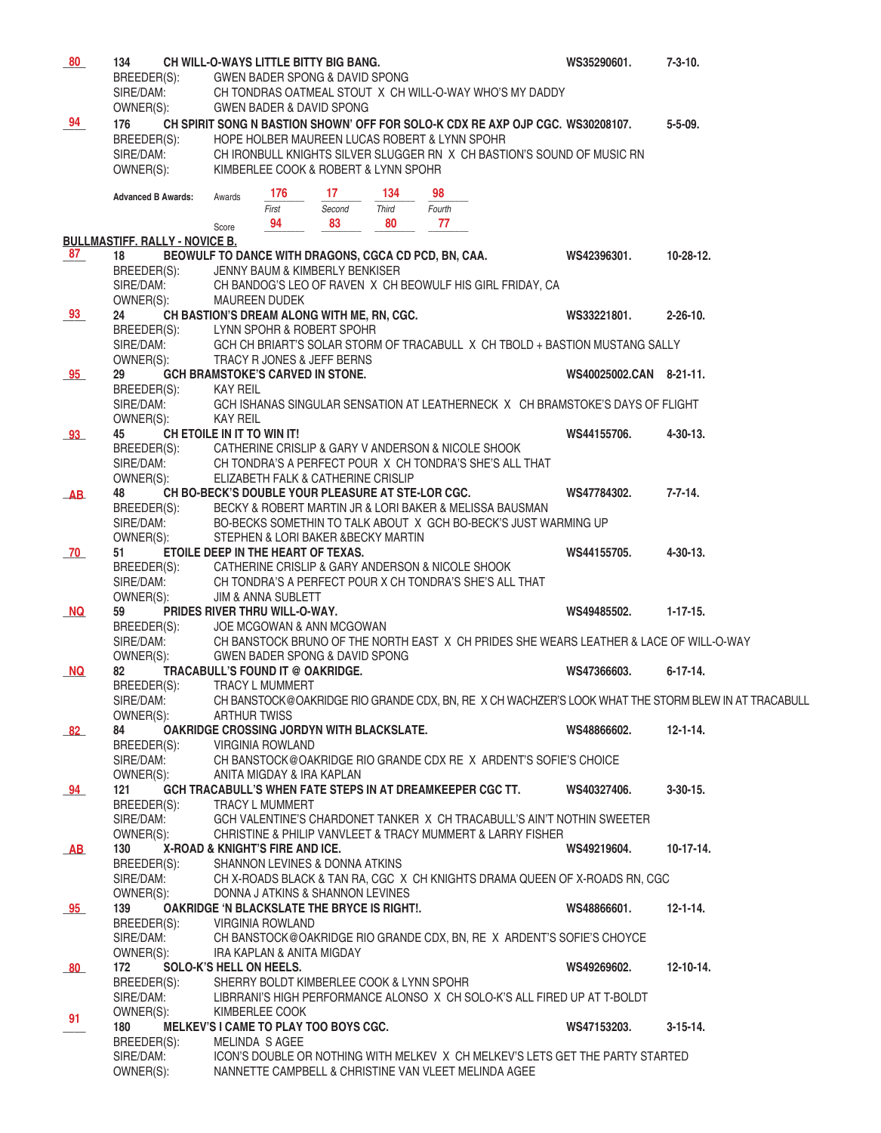| 80                                | 134                                         |                                                                | <b>CH WILL-O-WAYS LITTLE BITTY BIG BANG.</b>                              |       |                                                                                        | WS35290601.             | $7 - 3 - 10.$                                                                                       |
|-----------------------------------|---------------------------------------------|----------------------------------------------------------------|---------------------------------------------------------------------------|-------|----------------------------------------------------------------------------------------|-------------------------|-----------------------------------------------------------------------------------------------------|
|                                   | BREEDER(S):                                 |                                                                | <b>GWEN BADER SPONG &amp; DAVID SPONG</b>                                 |       |                                                                                        |                         |                                                                                                     |
|                                   | SIRE/DAM:<br>OWNER(S):                      |                                                                | <b>GWEN BADER &amp; DAVID SPONG</b>                                       |       | CH TONDRAS OATMEAL STOUT X CH WILL-O-WAY WHO'S MY DADDY                                |                         |                                                                                                     |
| 94                                | 176                                         |                                                                |                                                                           |       | CH SPIRIT SONG N BASTION SHOWN' OFF FOR SOLO-K CDX RE AXP OJP CGC. WS30208107.         |                         | $5 - 5 - 09$ .                                                                                      |
|                                   | BREEDER(S):                                 |                                                                |                                                                           |       | HOPE HOLBER MAUREEN LUCAS ROBERT & LYNN SPOHR                                          |                         |                                                                                                     |
|                                   | SIRE/DAM:                                   |                                                                |                                                                           |       | CH IRONBULL KNIGHTS SILVER SLUGGER RN X CH BASTION'S SOUND OF MUSIC RN                 |                         |                                                                                                     |
|                                   | OWNER(S):                                   |                                                                | KIMBERLEE COOK & ROBERT & LYNN SPOHR                                      |       |                                                                                        |                         |                                                                                                     |
|                                   | <b>Advanced B Awards:</b>                   | 176<br>Awards                                                  | 17                                                                        | 134   | 98                                                                                     |                         |                                                                                                     |
|                                   |                                             | First                                                          | Second                                                                    | Third | Fourth                                                                                 |                         |                                                                                                     |
|                                   |                                             | 94<br>Score                                                    | 83                                                                        | 80    | 77                                                                                     |                         |                                                                                                     |
| 87                                | <b>BULLMASTIFF. RALLY - NOVICE B.</b><br>18 |                                                                | BEOWULF TO DANCE WITH DRAGONS, CGCA CD PCD, BN, CAA.                      |       |                                                                                        | WS42396301.             | 10-28-12.                                                                                           |
|                                   | BREEDER(S):                                 |                                                                | JENNY BAUM & KIMBERLY BENKISER                                            |       |                                                                                        |                         |                                                                                                     |
|                                   | SIRE/DAM:                                   |                                                                |                                                                           |       | CH BANDOG'S LEO OF RAVEN X CH BEOWULF HIS GIRL FRIDAY, CA                              |                         |                                                                                                     |
|                                   | OWNER(S):                                   | <b>MAUREEN DUDEK</b>                                           |                                                                           |       |                                                                                        |                         |                                                                                                     |
| 93                                | 24<br>BREEDER(S):                           |                                                                | CH BASTION'S DREAM ALONG WITH ME, RN, CGC.<br>LYNN SPOHR & ROBERT SPOHR   |       |                                                                                        | WS33221801.             | $2 - 26 - 10$ .                                                                                     |
|                                   | SIRE/DAM:                                   |                                                                |                                                                           |       | GCH CH BRIART'S SOLAR STORM OF TRACABULL X CH TBOLD + BASTION MUSTANG SALLY            |                         |                                                                                                     |
|                                   | OWNER(S):                                   |                                                                | TRACY R JONES & JEFF BERNS                                                |       |                                                                                        |                         |                                                                                                     |
| 95                                | 29                                          |                                                                | <b>GCH BRAMSTOKE'S CARVED IN STONE.</b>                                   |       |                                                                                        | WS40025002.CAN 8-21-11. |                                                                                                     |
|                                   | BREEDER(S):<br>SIRE/DAM:                    | KAY REIL                                                       |                                                                           |       | GCH ISHANAS SINGULAR SENSATION AT LEATHERNECK X CH BRAMSTOKE'S DAYS OF FLIGHT          |                         |                                                                                                     |
|                                   | OWNER(S):                                   | <b>KAY REIL</b>                                                |                                                                           |       |                                                                                        |                         |                                                                                                     |
| 93 <sub>1</sub>                   | 45                                          | CH ETOILE IN IT TO WIN IT!                                     |                                                                           |       |                                                                                        | WS44155706.             | $4 - 30 - 13$ .                                                                                     |
|                                   | BREEDER(S):                                 |                                                                |                                                                           |       | CATHERINE CRISLIP & GARY V ANDERSON & NICOLE SHOOK                                     |                         |                                                                                                     |
|                                   | SIRE/DAM:<br>OWNER(S):                      |                                                                | ELIZABETH FALK & CATHERINE CRISLIP                                        |       | CH TONDRA'S A PERFECT POUR X CH TONDRA'S SHE'S ALL THAT                                |                         |                                                                                                     |
| $\overline{\mathbf{A}}\mathbf{B}$ | 48                                          |                                                                | CH BO-BECK'S DOUBLE YOUR PLEASURE AT STE-LOR CGC.                         |       |                                                                                        | WS47784302.             | $7 - 7 - 14.$                                                                                       |
|                                   | BREEDER(S):                                 |                                                                |                                                                           |       | BECKY & ROBERT MARTIN JR & LORI BAKER & MELISSA BAUSMAN                                |                         |                                                                                                     |
|                                   | SIRE/DAM:                                   |                                                                |                                                                           |       | BO-BECKS SOMETHIN TO TALK ABOUT X GCH BO-BECK'S JUST WARMING UP                        |                         |                                                                                                     |
| 70                                | OWNER(S):<br>51                             |                                                                | STEPHEN & LORI BAKER & BECKY MARTIN<br>ETOILE DEEP IN THE HEART OF TEXAS. |       |                                                                                        | WS44155705.             | $4 - 30 - 13$ .                                                                                     |
|                                   | BREEDER(S):                                 |                                                                |                                                                           |       | CATHERINE CRISLIP & GARY ANDERSON & NICOLE SHOOK                                       |                         |                                                                                                     |
|                                   | SIRE/DAM:                                   |                                                                |                                                                           |       | CH TONDRA'S A PERFECT POUR X CH TONDRA'S SHE'S ALL THAT                                |                         |                                                                                                     |
| NQ                                | OWNER(S):<br>59                             | <b>JIM &amp; ANNA SUBLETT</b><br>PRIDES RIVER THRU WILL-O-WAY. |                                                                           |       |                                                                                        | WS49485502.             | $1 - 17 - 15.$                                                                                      |
|                                   | BREEDER(S):                                 |                                                                | JOE MCGOWAN & ANN MCGOWAN                                                 |       |                                                                                        |                         |                                                                                                     |
|                                   | SIRE/DAM:                                   |                                                                |                                                                           |       | CH BANSTOCK BRUNO OF THE NORTH EAST X CH PRIDES SHE WEARS LEATHER & LACE OF WILL-O-WAY |                         |                                                                                                     |
|                                   | OWNER(S):                                   |                                                                | <b>GWEN BADER SPONG &amp; DAVID SPONG</b>                                 |       |                                                                                        |                         |                                                                                                     |
| NQ.                               | 82<br>BREEDER(S):                           | TRACY L MUMMERT                                                | TRACABULL'S FOUND IT @ OAKRIDGE.                                          |       |                                                                                        | WS47366603.             | $6 - 17 - 14.$                                                                                      |
|                                   | SIRE/DAM:                                   |                                                                |                                                                           |       |                                                                                        |                         | CH BANSTOCK@OAKRIDGE RIO GRANDE CDX, BN, RE X CH WACHZER'S LOOK WHAT THE STORM BLEW IN AT TRACABULL |
|                                   | OWNER(S):                                   | <b>ARTHUR TWISS</b>                                            |                                                                           |       |                                                                                        |                         |                                                                                                     |
| 82                                | 84<br>BREEDER(S):                           |                                                                | OAKRIDGE CROSSING JORDYN WITH BLACKSLATE.                                 |       |                                                                                        | WS48866602.             | $12 - 1 - 14.$                                                                                      |
|                                   | SIRE/DAM:                                   | <b>VIRGINIA ROWLAND</b>                                        |                                                                           |       | CH BANSTOCK@OAKRIDGE RIO GRANDE CDX RE X ARDENT'S SOFIE'S CHOICE                       |                         |                                                                                                     |
|                                   | OWNER(S):                                   |                                                                | ANITA MIGDAY & IRA KAPLAN                                                 |       |                                                                                        |                         |                                                                                                     |
| 94                                | 121                                         |                                                                |                                                                           |       | GCH TRACABULL'S WHEN FATE STEPS IN AT DREAMKEEPER CGC TT.                              | WS40327406.             | $3-30-15$ .                                                                                         |
|                                   | BREEDER(S):<br>SIRE/DAM:                    | <b>TRACY L MUMMERT</b>                                         |                                                                           |       | GCH VALENTINE'S CHARDONET TANKER X CH TRACABULL'S AIN'T NOTHIN SWEETER                 |                         |                                                                                                     |
|                                   | OWNER(S):                                   |                                                                |                                                                           |       | CHRISTINE & PHILIP VANVLEET & TRACY MUMMERT & LARRY FISHER                             |                         |                                                                                                     |
| AB                                | 130                                         | X-ROAD & KNIGHT'S FIRE AND ICE.                                |                                                                           |       |                                                                                        | WS49219604.             | $10-17-14.$                                                                                         |
|                                   | BREEDER(S):                                 |                                                                | SHANNON LEVINES & DONNA ATKINS                                            |       |                                                                                        |                         |                                                                                                     |
|                                   | SIRE/DAM:<br>OWNER(S):                      |                                                                | DONNA J ATKINS & SHANNON LEVINES                                          |       | CH X-ROADS BLACK & TAN RA, CGC X CH KNIGHTS DRAMA QUEEN OF X-ROADS RN, CGC             |                         |                                                                                                     |
| 95                                | 139                                         |                                                                | <b>OAKRIDGE 'N BLACKSLATE THE BRYCE IS RIGHT!.</b>                        |       |                                                                                        | WS48866601.             | $12 - 1 - 14.$                                                                                      |
|                                   | BREEDER(S):                                 | <b>VIRGINIA ROWLAND</b>                                        |                                                                           |       |                                                                                        |                         |                                                                                                     |
|                                   | SIRE/DAM:                                   |                                                                |                                                                           |       | CH BANSTOCK@OAKRIDGE RIO GRANDE CDX, BN, RE X ARDENT'S SOFIE'S CHOYCE                  |                         |                                                                                                     |
| 80                                | OWNER(S):<br>172                            | SOLO-K'S HELL ON HEELS.                                        | IRA KAPLAN & ANITA MIGDAY                                                 |       |                                                                                        | WS49269602.             | $12 - 10 - 14.$                                                                                     |
|                                   | BREEDER(S):                                 |                                                                | SHERRY BOLDT KIMBERLEE COOK & LYNN SPOHR                                  |       |                                                                                        |                         |                                                                                                     |
|                                   | SIRE/DAM:                                   |                                                                |                                                                           |       | LIBRRANI'S HIGH PERFORMANCE ALONSO X CH SOLO-K'S ALL FIRED UP AT T-BOLDT               |                         |                                                                                                     |
| 91                                | OWNER(S):<br>180                            | KIMBERLEE COOK                                                 | MELKEV'S I CAME TO PLAY TOO BOYS CGC.                                     |       |                                                                                        | WS47153203.             | $3-15-14.$                                                                                          |
|                                   | BREEDER(S):                                 | MELINDA S AGEE                                                 |                                                                           |       |                                                                                        |                         |                                                                                                     |
|                                   | SIRE/DAM:                                   |                                                                |                                                                           |       | ICON'S DOUBLE OR NOTHING WITH MELKEV X CH MELKEV'S LETS GET THE PARTY STARTED          |                         |                                                                                                     |
|                                   | OWNER(S):                                   |                                                                |                                                                           |       | NANNETTE CAMPBELL & CHRISTINE VAN VLEET MELINDA AGEE                                   |                         |                                                                                                     |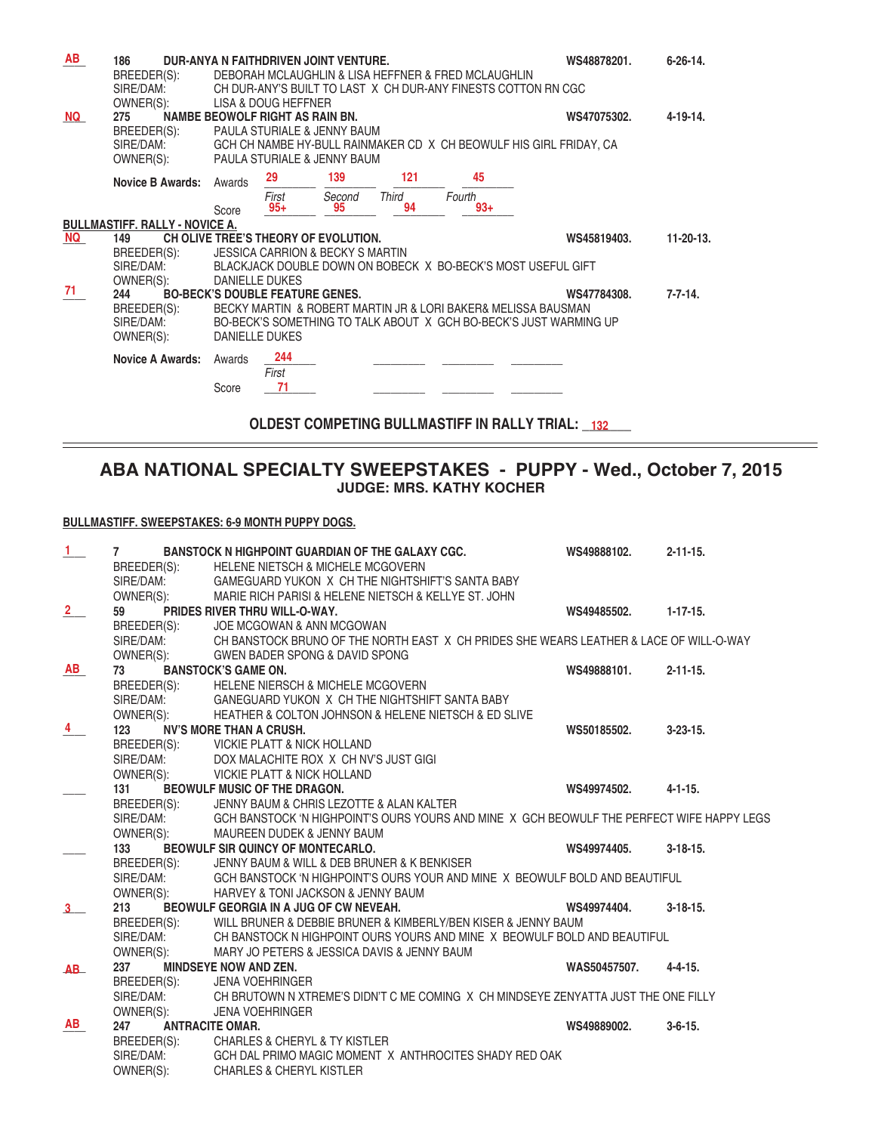| AB        | 186                                   |                             |                                        | DUR-ANYA N FAITHDRIVEN JOINT VENTURE.       |              |                                                               | WS48878201.                                                        | $6 - 26 - 14$ . |
|-----------|---------------------------------------|-----------------------------|----------------------------------------|---------------------------------------------|--------------|---------------------------------------------------------------|--------------------------------------------------------------------|-----------------|
|           | BREEDER(S):                           |                             |                                        |                                             |              | DEBORAH MCLAUGHLIN & LISA HEFFNER & FRED MCLAUGHLIN           |                                                                    |                 |
|           | SIRE/DAM:                             |                             |                                        |                                             |              | CH DUR-ANY'S BUILT TO LAST X CH DUR-ANY FINESTS COTTON RN CGC |                                                                    |                 |
|           | OWNER(S):                             |                             | LISA & DOUG HEFFNER                    |                                             |              |                                                               |                                                                    |                 |
| <b>NQ</b> | 275                                   |                             | NAMBE BEOWOLF RIGHT AS RAIN BN.        |                                             |              |                                                               | WS47075302.                                                        | $4 - 19 - 14.$  |
|           | BREEDER(S):                           |                             |                                        | PAULA STURIALE & JENNY BAUM                 |              |                                                               |                                                                    |                 |
|           | SIRE/DAM:                             |                             |                                        |                                             |              |                                                               | GCH CH NAMBE HY-BULL RAINMAKER CD X CH BEOWULF HIS GIRL FRIDAY, CA |                 |
|           | OWNER(S):                             | PAULA STURIALE & JENNY BAUM |                                        |                                             |              |                                                               |                                                                    |                 |
|           | <b>Novice B Awards:</b>               | Awards                      | 29                                     | 139                                         | 121          | 45                                                            |                                                                    |                 |
|           |                                       |                             | First                                  | Second                                      | <b>Third</b> | Fourth                                                        |                                                                    |                 |
|           |                                       | Score                       | $95+$                                  | 95                                          | 94           | $93+$                                                         |                                                                    |                 |
|           | <b>BULLMASTIFF, RALLY - NOVICE A.</b> |                             |                                        |                                             |              |                                                               |                                                                    |                 |
| NQ        | 149                                   |                             |                                        | CH OLIVE TREE'S THEORY OF EVOLUTION.        |              |                                                               | WS45819403.                                                        | 11-20-13.       |
|           | BREEDER(S):                           |                             |                                        | <b>JESSICA CARRION &amp; BECKY S MARTIN</b> |              |                                                               |                                                                    |                 |
|           | SIRE/DAM:                             |                             |                                        |                                             |              |                                                               | BLACKJACK DOUBLE DOWN ON BOBECK X BO-BECK'S MOST USEFUL GIFT       |                 |
|           | OWNER(S):                             | <b>DANIELLE DUKES</b>       |                                        |                                             |              |                                                               |                                                                    |                 |
| 71        | 244                                   |                             | <b>BO-BECK'S DOUBLE FEATURE GENES.</b> |                                             |              |                                                               | WS47784308.                                                        | $7 - 7 - 14.$   |
|           | BREEDER(S):                           |                             |                                        |                                             |              | BECKY MARTIN & ROBERT MARTIN JR & LORI BAKER& MELISSA BAUSMAN |                                                                    |                 |
|           | SIRE/DAM:                             |                             |                                        |                                             |              |                                                               | BO-BECK'S SOMETHING TO TALK ABOUT X GCH BO-BECK'S JUST WARMING UP  |                 |
|           | OWNER(S):                             | DANIELLE DUKES              |                                        |                                             |              |                                                               |                                                                    |                 |
|           | Novice A Awards:                      | Awards                      | 244                                    |                                             |              |                                                               |                                                                    |                 |
|           |                                       |                             | First                                  |                                             |              |                                                               |                                                                    |                 |
|           |                                       | Score                       | 71                                     |                                             |              |                                                               |                                                                    |                 |
|           |                                       |                             |                                        |                                             |              |                                                               |                                                                    |                 |
|           |                                       |                             |                                        |                                             |              |                                                               |                                                                    |                 |

OLDEST COMPETING BULLMASTIFF IN RALLY TRIAL: \_132 \_\_

**ABA NATIONAL SPECIALTY SWEEPSTAKES - PUPPY - Wed., October 7, 2015 JUDGE: MRS. KATHY KOCHER**

 $\overline{\phantom{0}}$ 

#### **BULLMASTIFF. SWEEPSTAKES: 6-9 MONTH PUPPY DOGS.**

| $\mathbf{1}$  | $\overline{7}$ | BANSTOCK N HIGHPOINT GUARDIAN OF THE GALAXY CGC.                                                    | WS49888102.  | $2 - 11 - 15$ . |
|---------------|----------------|-----------------------------------------------------------------------------------------------------|--------------|-----------------|
|               | BREEDER(S):    | <b>HELENE NIETSCH &amp; MICHELE MCGOVERN</b>                                                        |              |                 |
|               | SIRE/DAM:      | GAMEGUARD YUKON X CH THE NIGHTSHIFT'S SANTA BABY                                                    |              |                 |
|               | OWNER(S):      | MARIE RICH PARISI & HELENE NIETSCH & KELLYE ST. JOHN                                                |              |                 |
| $\frac{2}{2}$ | 59             | PRIDES RIVER THRU WILL-O-WAY.                                                                       | WS49485502.  | $1 - 17 - 15.$  |
|               | BREEDER(S):    | JOE MCGOWAN & ANN MCGOWAN                                                                           |              |                 |
|               |                | SIRE/DAM: CH BANSTOCK BRUNO OF THE NORTH EAST X CH PRIDES SHE WEARS LEATHER & LACE OF WILL-O-WAY    |              |                 |
|               | OWNER(S):      | <b>GWEN BADER SPONG &amp; DAVID SPONG</b>                                                           |              |                 |
| <b>AB</b>     | 73             | <b>BANSTOCK'S GAME ON.</b>                                                                          | WS49888101.  | $2 - 11 - 15$ . |
|               | BREEDER(S):    | <b>HELENE NIERSCH &amp; MICHELE MCGOVERN</b>                                                        |              |                 |
|               | SIRE/DAM:      | GANEGUARD YUKON X CH THE NIGHTSHIFT SANTA BABY                                                      |              |                 |
|               | OWNER(S):      | HEATHER & COLTON JOHNSON & HELENE NIETSCH & ED SLIVE                                                |              |                 |
|               | 123            | <b>NV'S MORE THAN A CRUSH.</b>                                                                      | WS50185502.  | $3 - 23 - 15$ . |
|               |                | BREEDER(S): VICKIE PLATT & NICK HOLLAND                                                             |              |                 |
|               | SIRE/DAM:      | DOX MALACHITE ROX X CH NV'S JUST GIGI                                                               |              |                 |
|               | OWNER(S):      | VICKIE PLATT & NICK HOLLAND                                                                         |              |                 |
|               | 131            | BEOWULF MUSIC OF THE DRAGON.                                                                        | WS49974502.  | $4 - 1 - 15.$   |
|               | BREEDER(S):    | JENNY BAUM & CHRIS LEZOTTE & ALAN KALTER                                                            |              |                 |
|               |                | SIRE/DAM: GCH BANSTOCK 'N HIGHPOINT'S OURS YOURS AND MINE X GCH BEOWULF THE PERFECT WIFE HAPPY LEGS |              |                 |
|               | OWNER(S):      | MAUREEN DUDEK & JENNY BAUM                                                                          |              |                 |
|               | 133            | BEOWULF SIR QUINCY OF MONTECARLO.                                                                   | WS49974405.  | $3 - 18 - 15$ . |
|               | BREEDER(S):    | JENNY BAUM & WILL & DEB BRUNER & K BENKISER                                                         |              |                 |
|               |                | SIRE/DAM: GCH BANSTOCK 'N HIGHPOINT'S OURS YOUR AND MINE X BEOWULF BOLD AND BEAUTIFUL               |              |                 |
|               | OWNER(S):      | HARVEY & TONI JACKSON & JENNY BAUM                                                                  |              |                 |
| $3 -$         | 213            | BEOWULF GEORGIA IN A JUG OF CW NEVEAH.                                                              | WS49974404.  | $3 - 18 - 15$ . |
|               |                | BREEDER(S): WILL BRUNER & DEBBIE BRUNER & KIMBERLY/BEN KISER & JENNY BAUM                           |              |                 |
|               |                | SIRE/DAM: CH BANSTOCK N HIGHPOINT OURS YOURS AND MINE X BEOWULF BOLD AND BEAUTIFUL                  |              |                 |
|               | OWNER(S):      | MARY JO PETERS & JESSICA DAVIS & JENNY BAUM                                                         |              |                 |
| AB            | 237            | <b>MINDSEYE NOW AND ZEN.</b>                                                                        | WAS50457507. | $4 - 4 - 15$ .  |
|               | BREEDER(S):    | <b>JENA VOEHRINGER</b>                                                                              |              |                 |
|               | SIRE/DAM:      | CH BRUTOWN N XTREME'S DIDN'T C ME COMING X CH MINDSEYE ZENYATTA JUST THE ONE FILLY                  |              |                 |
| AB            | OWNER(S):      | <b>JENA VOEHRINGER</b>                                                                              |              |                 |
|               | 247            | <b>ANTRACITE OMAR.</b>                                                                              | WS49889002.  | $3 - 6 - 15$ .  |
|               | BREEDER(S):    | <b>CHARLES &amp; CHERYL &amp; TY KISTLER</b>                                                        |              |                 |
|               | SIRE/DAM:      | GCH DAL PRIMO MAGIC MOMENT X ANTHROCITES SHADY RED OAK                                              |              |                 |
|               | OWNER(S):      | <b>CHARLES &amp; CHERYL KISTLER</b>                                                                 |              |                 |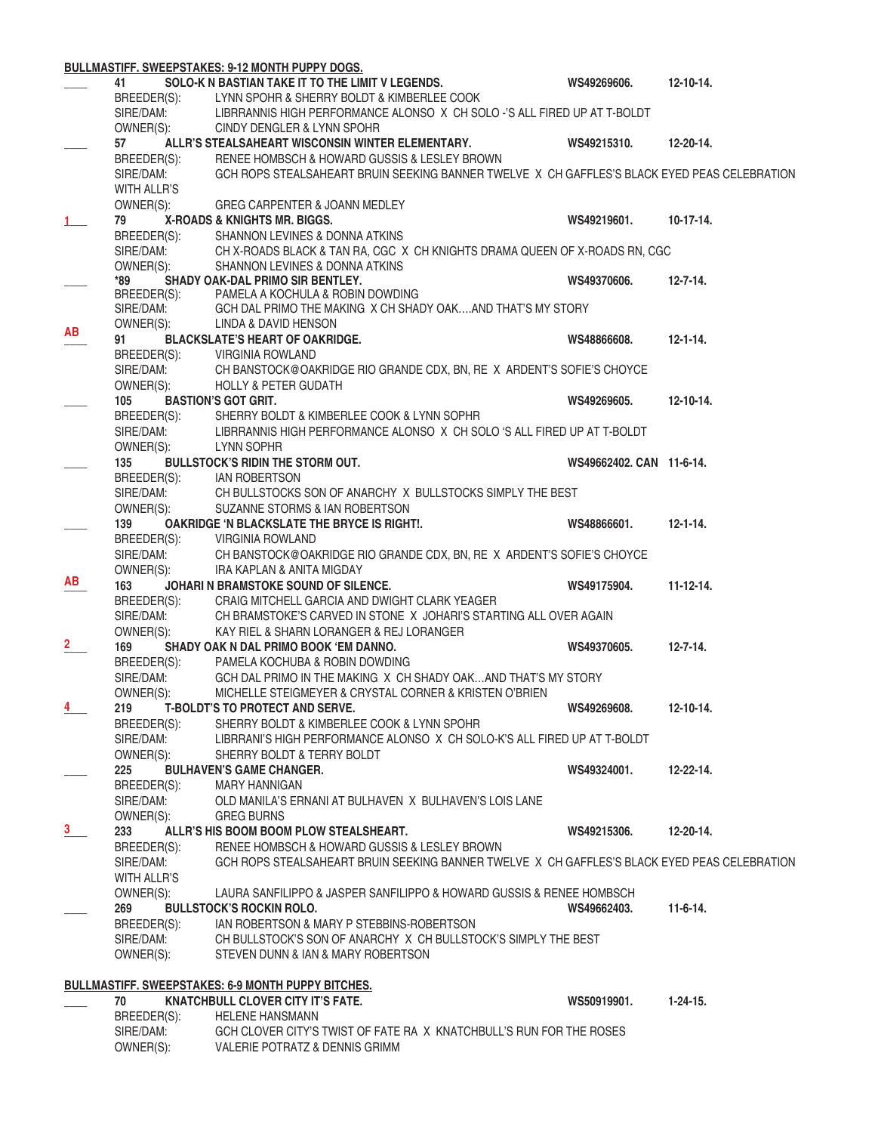|                |                           | <b>BULLMASTIFF. SWEEPSTAKES: 9-12 MONTH PUPPY DOGS.</b>                                                               |                          |                  |
|----------------|---------------------------|-----------------------------------------------------------------------------------------------------------------------|--------------------------|------------------|
|                | 41                        | SOLO-K N BASTIAN TAKE IT TO THE LIMIT V LEGENDS.                                                                      | WS49269606.              | $12 - 10 - 14.$  |
|                | BREEDER(S):               | LYNN SPOHR & SHERRY BOLDT & KIMBERLEE COOK                                                                            |                          |                  |
|                | SIRE/DAM:                 | LIBRRANNIS HIGH PERFORMANCE ALONSO X CH SOLO -'S ALL FIRED UP AT T-BOLDT                                              |                          |                  |
|                | OWNER(S):                 | CINDY DENGLER & LYNN SPOHR                                                                                            |                          |                  |
|                | 57                        | ALLR'S STEALSAHEART WISCONSIN WINTER ELEMENTARY.                                                                      | WS49215310.              | $12 - 20 - 14.$  |
|                | BREEDER(S):               | RENEE HOMBSCH & HOWARD GUSSIS & LESLEY BROWN                                                                          |                          |                  |
|                | SIRE/DAM:                 | GCH ROPS STEALSAHEART BRUIN SEEKING BANNER TWELVE X CH GAFFLES'S BLACK EYED PEAS CELEBRATION                          |                          |                  |
|                | WITH ALLR'S               |                                                                                                                       |                          |                  |
|                | OWNER(S):                 | GREG CARPENTER & JOANN MEDLEY                                                                                         |                          |                  |
| 1              | 79                        | X-ROADS & KNIGHTS MR. BIGGS.                                                                                          | WS49219601.              | $10-17-14.$      |
|                | BREEDER(S):               | SHANNON LEVINES & DONNA ATKINS                                                                                        |                          |                  |
|                | SIRE/DAM:                 | CH X-ROADS BLACK & TAN RA, CGC X CH KNIGHTS DRAMA QUEEN OF X-ROADS RN, CGC                                            |                          |                  |
|                | OWNER(S):                 | SHANNON LEVINES & DONNA ATKINS                                                                                        |                          |                  |
|                | *89                       | SHADY OAK-DAL PRIMO SIR BENTLEY.                                                                                      | WS49370606.              | $12 - 7 - 14.$   |
|                | BREEDER(S):               | PAMELA A KOCHULA & ROBIN DOWDING                                                                                      |                          |                  |
|                | SIRE/DAM:                 | GCH DAL PRIMO THE MAKING X CH SHADY OAKAND THAT'S MY STORY                                                            |                          |                  |
| <b>AB</b>      | OWNER(S):                 | LINDA & DAVID HENSON                                                                                                  | WS48866608.              |                  |
|                | 91                        | <b>BLACKSLATE'S HEART OF OAKRIDGE.</b>                                                                                |                          | $12 - 1 - 14$ .  |
|                | BREEDER(S):               | <b>VIRGINIA ROWLAND</b>                                                                                               |                          |                  |
|                | SIRE/DAM:<br>OWNER(S):    | CH BANSTOCK@OAKRIDGE RIO GRANDE CDX, BN, RE X ARDENT'S SOFIE'S CHOYCE                                                 |                          |                  |
|                | 105                       | <b>HOLLY &amp; PETER GUDATH</b>                                                                                       |                          | $12 - 10 - 14.$  |
|                |                           | <b>BASTION'S GOT GRIT.</b>                                                                                            | WS49269605.              |                  |
|                | BREEDER(S):<br>SIRE/DAM:  | SHERRY BOLDT & KIMBERLEE COOK & LYNN SOPHR<br>LIBRRANNIS HIGH PERFORMANCE ALONSO X CH SOLO 'S ALL FIRED UP AT T-BOLDT |                          |                  |
|                |                           |                                                                                                                       |                          |                  |
|                | OWNER(S):<br>135          | LYNN SOPHR<br><b>BULLSTOCK'S RIDIN THE STORM OUT.</b>                                                                 | WS49662402, CAN 11-6-14. |                  |
|                |                           |                                                                                                                       |                          |                  |
|                | BREEDER(S): IAN ROBERTSON | CH BULLSTOCKS SON OF ANARCHY X BULLSTOCKS SIMPLY THE BEST                                                             |                          |                  |
|                | SIRE/DAM:<br>OWNER(S):    | SUZANNE STORMS & IAN ROBERTSON                                                                                        |                          |                  |
|                | 139                       | OAKRIDGE 'N BLACKSLATE THE BRYCE IS RIGHT!.                                                                           | WS48866601.              | $12 - 1 - 14.$   |
|                | BREEDER(S):               | <b>VIRGINIA ROWLAND</b>                                                                                               |                          |                  |
|                | SIRE/DAM:                 | CH BANSTOCK@OAKRIDGE RIO GRANDE CDX, BN, RE X ARDENT'S SOFIE'S CHOYCE                                                 |                          |                  |
|                | OWNER(S):                 | IRA KAPLAN & ANITA MIGDAY                                                                                             |                          |                  |
| AВ             | 163                       | JOHARI N BRAMSTOKE SOUND OF SILENCE.                                                                                  | WS49175904.              | $11 - 12 - 14.$  |
|                | BREEDER(S):               | CRAIG MITCHELL GARCIA AND DWIGHT CLARK YEAGER                                                                         |                          |                  |
|                | SIRE/DAM:                 | CH BRAMSTOKE'S CARVED IN STONE X JOHARI'S STARTING ALL OVER AGAIN                                                     |                          |                  |
|                | OWNER(S):                 | KAY RIEL & SHARN LORANGER & REJ LORANGER                                                                              |                          |                  |
| $\overline{2}$ | 169                       | SHADY OAK N DAL PRIMO BOOK 'EM DANNO.                                                                                 | WS49370605.              | $12 - 7 - 14.$   |
|                | BREEDER(S):               | PAMELA KOCHUBA & ROBIN DOWDING                                                                                        |                          |                  |
|                | SIRE/DAM:                 | GCH DAL PRIMO IN THE MAKING X CH SHADY OAKAND THAT'S MY STORY                                                         |                          |                  |
|                | OWNER(S):                 | MICHELLE STEIGMEYER & CRYSTAL CORNER & KRISTEN O'BRIEN                                                                |                          |                  |
| $\frac{4}{1}$  | 219                       | <b>T-BOLDT'S TO PROTECT AND SERVE.</b>                                                                                | WS49269608.              | $12 - 10 - 14.$  |
|                | BREEDER(S):               | SHERRY BOLDT & KIMBERLEE COOK & LYNN SPOHR                                                                            |                          |                  |
|                | SIRE/DAM:                 | LIBRRANI'S HIGH PERFORMANCE ALONSO X CH SOLO-K'S ALL FIRED UP AT T-BOLDT                                              |                          |                  |
|                | OWNER(S):                 | SHERRY BOLDT & TERRY BOLDT                                                                                            |                          |                  |
|                | 225                       | <b>BULHAVEN'S GAME CHANGER.</b>                                                                                       | WS49324001.              | $12 - 22 - 14$ . |
|                | BREEDER(S):               | <b>MARY HANNIGAN</b>                                                                                                  |                          |                  |
|                | SIRE/DAM:                 | OLD MANILA'S ERNANI AT BULHAVEN X BULHAVEN'S LOIS LANE                                                                |                          |                  |
|                | OWNER(S):                 | <b>GREG BURNS</b>                                                                                                     |                          |                  |
| $\mathbf{3}$   | 233                       | ALLR'S HIS BOOM BOOM PLOW STEALSHEART.                                                                                | WS49215306.              | $12 - 20 - 14.$  |
|                | BREEDER(S):               | RENEE HOMBSCH & HOWARD GUSSIS & LESLEY BROWN                                                                          |                          |                  |
|                | SIRE/DAM:                 | GCH ROPS STEALSAHEART BRUIN SEEKING BANNER TWELVE X CH GAFFLES'S BLACK EYED PEAS CELEBRATION                          |                          |                  |
|                | WITH ALLR'S               |                                                                                                                       |                          |                  |
|                | OWNER(S):                 | LAURA SANFILIPPO & JASPER SANFILIPPO & HOWARD GUSSIS & RENEE HOMBSCH                                                  |                          |                  |
|                | 269                       | <b>BULLSTOCK'S ROCKIN ROLO.</b>                                                                                       | WS49662403.              | $11-6-14.$       |
|                | BREEDER(S):               | IAN ROBERTSON & MARY P STEBBINS-ROBERTSON                                                                             |                          |                  |
|                | SIRE/DAM:                 | CH BULLSTOCK'S SON OF ANARCHY X CH BULLSTOCK'S SIMPLY THE BEST                                                        |                          |                  |
|                | OWNER(S):                 | STEVEN DUNN & IAN & MARY ROBERTSON                                                                                    |                          |                  |
|                |                           |                                                                                                                       |                          |                  |
|                |                           | <b>BULLMASTIFF. SWEEPSTAKES: 6-9 MONTH PUPPY BITCHES.</b>                                                             |                          |                  |
|                | 70                        | <b>KNATCHBULL CLOVER CITY IT'S FATE.</b>                                                                              | WS50919901.              | $1 - 24 - 15.$   |
|                | BREEDER(S):               | <b>HELENE HANSMANN</b>                                                                                                |                          |                  |
|                | SIRE/DAM:                 | GCH CLOVER CITY'S TWIST OF FATE RA X KNATCHBULL'S RUN FOR THE ROSES                                                   |                          |                  |
|                | OWNER(S):                 | VALERIE POTRATZ & DENNIS GRIMM                                                                                        |                          |                  |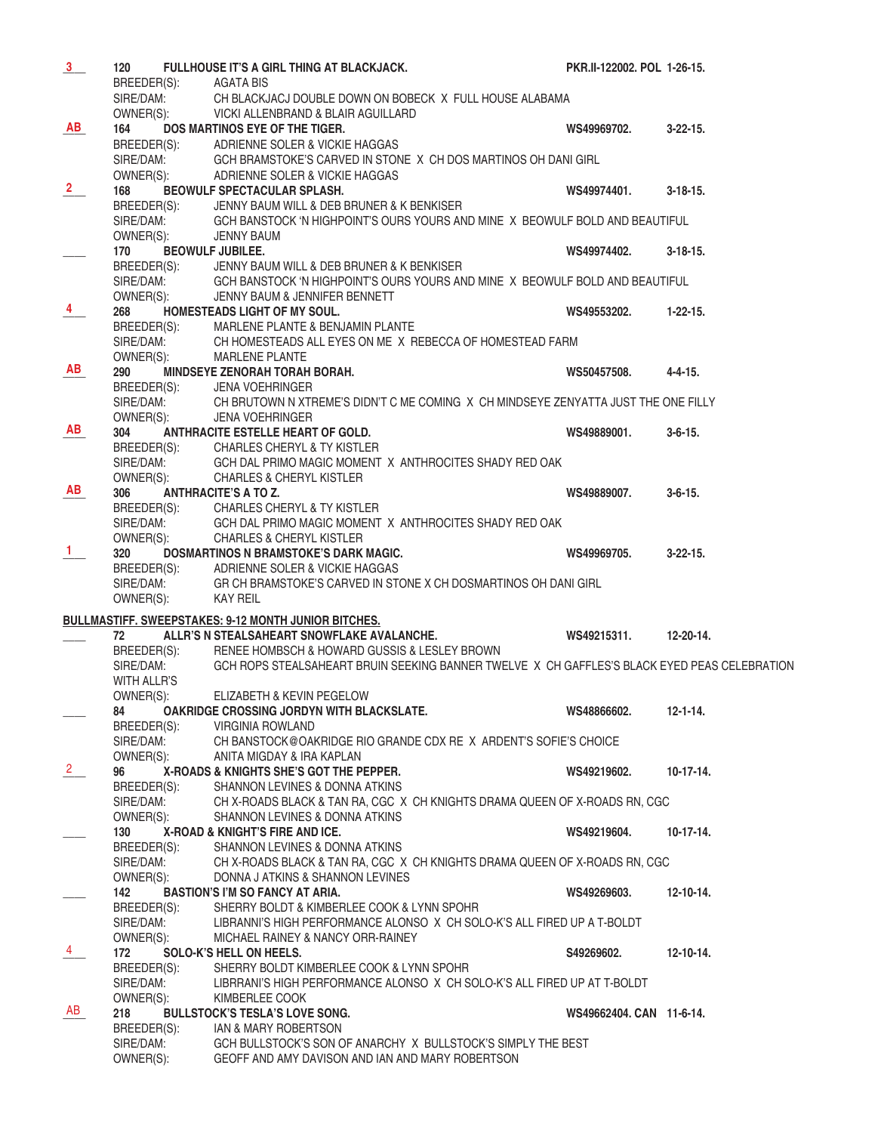| 3                    | 120                                   | FULLHOUSE IT'S A GIRL THING AT BLACKJACK.                                                                                                                                                            | PKR.II-122002. POL 1-26-15. |                 |
|----------------------|---------------------------------------|------------------------------------------------------------------------------------------------------------------------------------------------------------------------------------------------------|-----------------------------|-----------------|
|                      | BREEDER(S): AGATA BIS                 |                                                                                                                                                                                                      |                             |                 |
|                      | SIRE/DAM:                             | CH BLACKJACJ DOUBLE DOWN ON BOBECK X FULL HOUSE ALABAMA                                                                                                                                              |                             |                 |
|                      | OWNER(S):                             | VICKI ALLENBRAND & BLAIR AGUILLARD                                                                                                                                                                   |                             |                 |
| <b>AB</b>            | 164                                   | DOS MARTINOS EYE OF THE TIGER.                                                                                                                                                                       | WS49969702.                 | $3-22-15$ .     |
|                      |                                       |                                                                                                                                                                                                      |                             |                 |
|                      |                                       | BREEDER(S): ADRIENNE SOLER & VICKIE HAGGAS<br>SIRE/DAM: GCH BRAMSTOKE'S CARVED IN STON<br>OWNER(S): ADRIENNE SOLER & VICKIE HAGGAS<br>GCH BRAMSTOKE'S CARVED IN STONE X CH DOS MARTINOS OH DANI GIRL |                             |                 |
|                      |                                       |                                                                                                                                                                                                      |                             |                 |
| $\frac{2}{ }$        | 168                                   | BEOWULF SPECTACULAR SPLASH.                                                                                                                                                                          | WS49974401.                 | $3 - 18 - 15$ . |
|                      |                                       | JENNY BAUM WILL & DEB BRUNER & K BENKISER                                                                                                                                                            |                             |                 |
|                      | BREEDER(S):<br>SIRE/DAM:              | GCH BANSTOCK 'N HIGHPOINT'S OURS YOURS AND MINE X BEOWULF BOLD AND BEAUTIFUL                                                                                                                         |                             |                 |
|                      | OWNER(S):                             | <b>JENNY BAUM</b>                                                                                                                                                                                    |                             |                 |
|                      | 170                                   | <b>BEOWULF JUBILEE.</b>                                                                                                                                                                              | WS49974402.                 | $3 - 18 - 15$ . |
|                      | BREEDER(S):                           | JENNY BAUM WILL & DEB BRUNER & K BENKISER                                                                                                                                                            |                             |                 |
|                      |                                       | SIRE/DAM: GCH BANSTOCK 'N HIGHPOINT'S OURS YOURS AND MINE X BEOWULF BOLD AND BEAUTIFUL                                                                                                               |                             |                 |
|                      | OWNER(S):                             | JENNY BAUM & JENNIFER BENNETT                                                                                                                                                                        |                             |                 |
| $\frac{4}{\sqrt{2}}$ | 268                                   | HOMESTEADS LIGHT OF MY SOUL.                                                                                                                                                                         | WS49553202.                 | $1 - 22 - 15$ . |
|                      |                                       |                                                                                                                                                                                                      |                             |                 |
|                      |                                       | BREEDER(S): MARLENE PLANTE & BENJAMIN PLANTE<br>SIRE/DAM: CH HOMESTEADS ALL EYES ON ME X REBECCA OF HOMESTEAD FARM                                                                                   |                             |                 |
|                      | OWNER(S):                             | <b>MARLENE PLANTE</b>                                                                                                                                                                                |                             |                 |
| AB                   | 290                                   | MINDSEYE ZENORAH TORAH BORAH.                                                                                                                                                                        | WS50457508.                 | $4 - 4 - 15$ .  |
|                      |                                       | <b>JENA VOEHRINGER</b>                                                                                                                                                                               |                             |                 |
|                      |                                       | CH BRUTOWN N XTREME'S DIDN'T C ME COMING X CH MINDSEYE ZENYATTA JUST THE ONE FILLY                                                                                                                   |                             |                 |
|                      | breeder(s):<br>Sire/Dam:<br>Owner(s): | <b>JENA VOEHRINGER</b>                                                                                                                                                                               |                             |                 |
| AB                   | 304                                   | ANTHRACITE ESTELLE HEART OF GOLD.                                                                                                                                                                    | WS49889001.                 | $3 - 6 - 15$ .  |
|                      |                                       |                                                                                                                                                                                                      |                             |                 |
|                      |                                       | GCH DAL PRIMO MAGIC MOMENT X ANTHROCITES SHADY RED OAK                                                                                                                                               |                             |                 |
|                      |                                       | BREEDER(S): CHARLES CHERYL & TY KISTLER<br>SIRE/DAM: GCH DAL PRIMO MAGIC MOMENT<br>OWNER(S): CHARLES & CHERYL KISTLER                                                                                |                             |                 |
| AB                   | 306                                   | <b>ANTHRACITE'S A TO Z.</b>                                                                                                                                                                          | WS49889007.                 | $3 - 6 - 15$ .  |
|                      |                                       | BREEDER(S): CHARLES CHERYL & TY KISTLER                                                                                                                                                              |                             |                 |
|                      | SIRE/DAM:                             | GCH DAL PRIMO MAGIC MOMENT X ANTHROCITES SHADY RED OAK                                                                                                                                               |                             |                 |
|                      | OWNER(S):                             | <b>CHARLES &amp; CHERYL KISTLER</b>                                                                                                                                                                  |                             |                 |
| $\mathbf{1}$         | 320                                   | DOSMARTINOS N BRAMSTOKE'S DARK MAGIC.                                                                                                                                                                | WS49969705.                 | $3-22-15$ .     |
|                      |                                       | BREEDER(S): ADRIENNE SOLER & VICKIE HAGGAS                                                                                                                                                           |                             |                 |
|                      | SIRE/DAM:                             | GR CH BRAMSTOKE'S CARVED IN STONE X CH DOSMARTINOS OH DANI GIRL                                                                                                                                      |                             |                 |
|                      | OWNER(S):                             | KAY REIL                                                                                                                                                                                             |                             |                 |
|                      |                                       |                                                                                                                                                                                                      |                             |                 |
|                      |                                       | <b>BULLMASTIFF. SWEEPSTAKES: 9-12 MONTH JUNIOR BITCHES.</b>                                                                                                                                          |                             |                 |
|                      | 72                                    | ALLR'S N STEALSAHEART SNOWFLAKE AVALANCHE.                                                                                                                                                           | WS49215311.                 | 12-20-14.       |
|                      | BREEDER(S):                           | RENEE HOMBSCH & HOWARD GUSSIS & LESLEY BROWN                                                                                                                                                         |                             |                 |
|                      | SIRE/DAM:                             | GCH ROPS STEALSAHEART BRUIN SEEKING BANNER TWELVE X CH GAFFLES'S BLACK EYED PEAS CELEBRATION                                                                                                         |                             |                 |
|                      | <b>WITH ALLR'S</b>                    |                                                                                                                                                                                                      |                             |                 |
|                      | OWNER(S):                             | ELIZABETH & KEVIN PEGELOW                                                                                                                                                                            |                             |                 |
|                      | 84                                    | OAKRIDGE CROSSING JORDYN WITH BLACKSLATE.                                                                                                                                                            | WS48866602.                 | $12 - 1 - 14$ . |
|                      | BREEDER(S):                           | <b>VIRGINIA ROWLAND</b>                                                                                                                                                                              |                             |                 |
|                      | SIRE/DAM:                             | CH BANSTOCK@OAKRIDGE RIO GRANDE CDX RE X ARDENT'S SOFIE'S CHOICE                                                                                                                                     |                             |                 |
|                      | OWNER(S):                             | ANITA MIGDAY & IRA KAPLAN                                                                                                                                                                            |                             |                 |
| $\mathbf{2}$         | 96                                    | X-ROADS & KNIGHTS SHE'S GOT THE PEPPER.                                                                                                                                                              | WS49219602.                 | $10-17-14.$     |
|                      | BREEDER(S):                           | SHANNON LEVINES & DONNA ATKINS                                                                                                                                                                       |                             |                 |
|                      | SIRE/DAM:                             | CH X-ROADS BLACK & TAN RA, CGC X CH KNIGHTS DRAMA QUEEN OF X-ROADS RN, CGC                                                                                                                           |                             |                 |
|                      | OWNER(S):                             | SHANNON LEVINES & DONNA ATKINS                                                                                                                                                                       |                             |                 |
|                      | 130                                   | X-ROAD & KNIGHT'S FIRE AND ICE.                                                                                                                                                                      | WS49219604.                 | $10-17-14.$     |
|                      | BREEDER(S):                           | SHANNON LEVINES & DONNA ATKINS                                                                                                                                                                       |                             |                 |
|                      | SIRE/DAM:                             | CH X-ROADS BLACK & TAN RA, CGC X CH KNIGHTS DRAMA QUEEN OF X-ROADS RN, CGC                                                                                                                           |                             |                 |
|                      | OWNER(S):                             | DONNA J ATKINS & SHANNON LEVINES                                                                                                                                                                     |                             |                 |
|                      | 142                                   | <b>BASTION'S I'M SO FANCY AT ARIA.</b>                                                                                                                                                               | WS49269603.                 | $12 - 10 - 14.$ |
|                      |                                       |                                                                                                                                                                                                      |                             |                 |
|                      | BREEDER(S):                           | SHERRY BOLDT & KIMBERLEE COOK & LYNN SPOHR                                                                                                                                                           |                             |                 |
|                      | SIRE/DAM:                             | LIBRANNI'S HIGH PERFORMANCE ALONSO X CH SOLO-K'S ALL FIRED UP A T-BOLDT                                                                                                                              |                             |                 |
|                      | OWNER(S):                             | MICHAEL RAINEY & NANCY ORR-RAINEY                                                                                                                                                                    |                             |                 |
| 4                    | 172                                   | SOLO-K'S HELL ON HEELS.                                                                                                                                                                              | S49269602.                  | $12 - 10 - 14.$ |
|                      | BREEDER(S):                           | SHERRY BOLDT KIMBERLEE COOK & LYNN SPOHR                                                                                                                                                             |                             |                 |
|                      | SIRE/DAM:                             | LIBRRANI'S HIGH PERFORMANCE ALONSO X CH SOLO-K'S ALL FIRED UP AT T-BOLDT                                                                                                                             |                             |                 |
|                      | OWNER(S):                             | KIMBERLEE COOK                                                                                                                                                                                       |                             |                 |
| AB                   | 218                                   | <b>BULLSTOCK'S TESLA'S LOVE SONG.</b>                                                                                                                                                                | WS49662404. CAN 11-6-14.    |                 |
|                      | BREEDER(S):                           | IAN & MARY ROBERTSON                                                                                                                                                                                 |                             |                 |
|                      | SIRE/DAM:<br>OWNER(S):                | GCH BULLSTOCK'S SON OF ANARCHY X BULLSTOCK'S SIMPLY THE BEST<br>GEOFF AND AMY DAVISON AND IAN AND MARY ROBERTSON                                                                                     |                             |                 |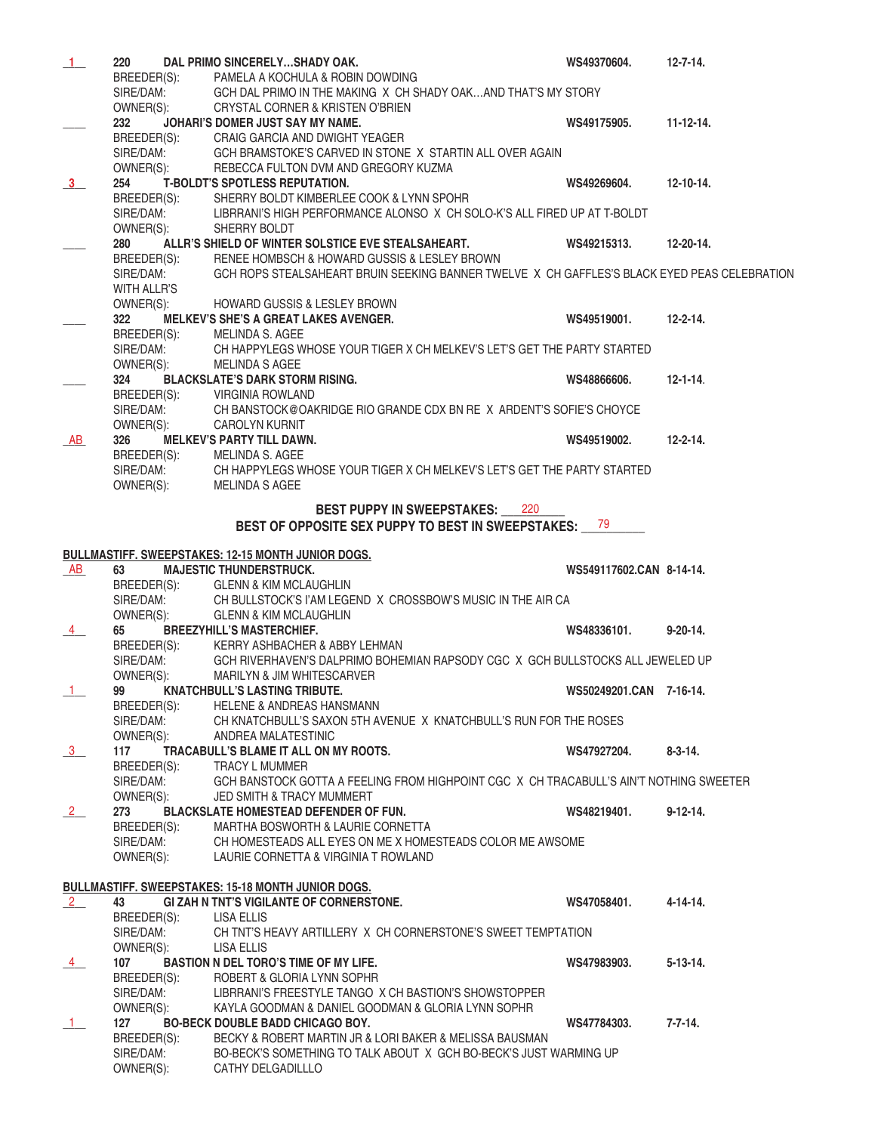| $1 -$         | 220         | DAL PRIMO SINCERELYSHADY OAK.                                                                | WS49370604.              | $12 - 7 - 14.$  |
|---------------|-------------|----------------------------------------------------------------------------------------------|--------------------------|-----------------|
|               |             | BREEDER(S): PAMELA A KOCHULA & ROBIN DOWDING                                                 |                          |                 |
|               | SIRE/DAM:   | GCH DAL PRIMO IN THE MAKING X CH SHADY OAKAND THAT'S MY STORY                                |                          |                 |
|               | OWNER(S):   | CRYSTAL CORNER & KRISTEN O'BRIEN                                                             |                          |                 |
|               | 232         | JOHARI'S DOMER JUST SAY MY NAME.                                                             | WS49175905.              | $11 - 12 - 14.$ |
|               | BREEDER(S): | CRAIG GARCIA AND DWIGHT YEAGER                                                               |                          |                 |
|               | SIRE/DAM:   |                                                                                              |                          |                 |
|               |             | GCH BRAMSTOKE'S CARVED IN STONE X STARTIN ALL OVER AGAIN                                     |                          |                 |
|               | OWNER(S):   | REBECCA FULTON DVM AND GREGORY KUZMA                                                         |                          |                 |
| 3             | 254         | <b>T-BOLDT'S SPOTLESS REPUTATION.</b>                                                        | WS49269604.              | $12 - 10 - 14.$ |
|               | BREEDER(S): | SHERRY BOLDT KIMBERLEE COOK & LYNN SPOHR                                                     |                          |                 |
|               | SIRE/DAM:   | LIBRRANI'S HIGH PERFORMANCE ALONSO X CH SOLO-K'S ALL FIRED UP AT T-BOLDT                     |                          |                 |
|               | OWNER(S):   | SHERRY BOLDT                                                                                 |                          |                 |
|               | 280         | ALLR'S SHIELD OF WINTER SOLSTICE EVE STEALSAHEART.                                           | WS49215313.              | 12-20-14.       |
|               | BREEDER(S): | RENEE HOMBSCH & HOWARD GUSSIS & LESLEY BROWN                                                 |                          |                 |
|               | SIRE/DAM:   | GCH ROPS STEALSAHEART BRUIN SEEKING BANNER TWELVE X CH GAFFLES'S BLACK EYED PEAS CELEBRATION |                          |                 |
|               | WITH ALLR'S |                                                                                              |                          |                 |
|               | OWNER(S):   | <b>HOWARD GUSSIS &amp; LESLEY BROWN</b>                                                      |                          |                 |
|               | 322         | MELKEV'S SHE'S A GREAT LAKES AVENGER.                                                        | WS49519001.              | $12 - 2 - 14.$  |
|               |             |                                                                                              |                          |                 |
|               | BREEDER(S): | MELINDA S. AGEE                                                                              |                          |                 |
|               | SIRE/DAM:   | CH HAPPYLEGS WHOSE YOUR TIGER X CH MELKEV'S LET'S GET THE PARTY STARTED                      |                          |                 |
|               | OWNER(S):   | MELINDA S AGEE                                                                               |                          |                 |
|               | 324         | <b>BLACKSLATE'S DARK STORM RISING.</b>                                                       | WS48866606.              | $12 - 1 - 14.$  |
|               | BREEDER(S): | <b>VIRGINIA ROWLAND</b>                                                                      |                          |                 |
|               | SIRE/DAM:   | CH BANSTOCK@OAKRIDGE RIO GRANDE CDX BN RE X ARDENT'S SOFIE'S CHOYCE                          |                          |                 |
|               | OWNER(S):   | <b>CAROLYN KURNIT</b>                                                                        |                          |                 |
| AB            | 326         | <b>MELKEV'S PARTY TILL DAWN.</b>                                                             | WS49519002.              | $12 - 2 - 14.$  |
|               | BREEDER(S): | MELINDA S. AGEE                                                                              |                          |                 |
|               | SIRE/DAM:   | CH HAPPYLEGS WHOSE YOUR TIGER X CH MELKEV'S LET'S GET THE PARTY STARTED                      |                          |                 |
|               | OWNER(S):   | MELINDA S AGEE                                                                               |                          |                 |
|               |             |                                                                                              |                          |                 |
|               |             | <b>BEST PUPPY IN SWEEPSTAKES: 220</b>                                                        |                          |                 |
|               |             | BEST OF OPPOSITE SEX PUPPY TO BEST IN SWEEPSTAKES: 79                                        |                          |                 |
|               |             |                                                                                              |                          |                 |
|               |             | <b>BULLMASTIFF. SWEEPSTAKES: 12-15 MONTH JUNIOR DOGS.</b>                                    |                          |                 |
| AB            | 63          | <b>MAJESTIC THUNDERSTRUCK.</b>                                                               | WS549117602.CAN 8-14-14. |                 |
|               | BREEDER(S): | <b>GLENN &amp; KIM MCLAUGHLIN</b>                                                            |                          |                 |
|               | SIRE/DAM:   | CH BULLSTOCK'S I'AM LEGEND X CROSSBOW'S MUSIC IN THE AIR CA                                  |                          |                 |
|               | OWNER(S):   | <b>GLENN &amp; KIM MCLAUGHLIN</b>                                                            |                          |                 |
|               | 65          |                                                                                              |                          | $9 - 20 - 14$ . |
| 4             |             | <b>BREEZYHILL'S MASTERCHIEF.</b>                                                             | WS48336101.              |                 |
|               | BREEDER(S): | KERRY ASHBACHER & ABBY LEHMAN                                                                |                          |                 |
|               | SIRE/DAM:   | GCH RIVERHAVEN'S DALPRIMO BOHEMIAN RAPSODY CGC X GCH BULLSTOCKS ALL JEWELED UP               |                          |                 |
|               | OWNER(S):   | <b>MARILYN &amp; JIM WHITESCARVER</b>                                                        |                          |                 |
| 1             | 99          | <b>KNATCHBULL'S LASTING TRIBUTE.</b>                                                         | WS50249201.CAN 7-16-14.  |                 |
|               | BREEDER(S): | <b>HELENE &amp; ANDREAS HANSMANN</b>                                                         |                          |                 |
|               | SIRE/DAM:   | CH KNATCHBULL'S SAXON 5TH AVENUE X KNATCHBULL'S RUN FOR THE ROSES                            |                          |                 |
|               | OWNER(S):   | ANDREA MALATESTINIC                                                                          |                          |                 |
| $\frac{3}{2}$ | 117         | TRACABULL'S BLAME IT ALL ON MY ROOTS.                                                        | WS47927204.              | $8 - 3 - 14$ .  |
|               | BREEDER(S): | TRACY L MUMMER                                                                               |                          |                 |
|               | SIRE/DAM:   | GCH BANSTOCK GOTTA A FEELING FROM HIGHPOINT CGC X CH TRACABULL'S AIN'T NOTHING SWEETER       |                          |                 |
|               | OWNER(S):   | JED SMITH & TRACY MUMMERT                                                                    |                          |                 |
| 2             | 273         | <b>BLACKSLATE HOMESTEAD DEFENDER OF FUN.</b>                                                 | WS48219401.              | $9 - 12 - 14$ . |
|               | BREEDER(S): | MARTHA BOSWORTH & LAURIE CORNETTA                                                            |                          |                 |
|               |             |                                                                                              |                          |                 |
|               | SIRE/DAM:   | CH HOMESTEADS ALL EYES ON ME X HOMESTEADS COLOR ME AWSOME                                    |                          |                 |
|               | OWNER(S):   | LAURIE CORNETTA & VIRGINIA T ROWLAND                                                         |                          |                 |
|               |             |                                                                                              |                          |                 |
|               |             | <b>BULLMASTIFF. SWEEPSTAKES: 15-18 MONTH JUNIOR DOGS.</b>                                    |                          |                 |
| 2             | 43          | GI ZAH N TNT'S VIGILANTE OF CORNERSTONE.                                                     | WS47058401.              | $4 - 14 - 14.$  |
|               | BREEDER(S): | LISA ELLIS                                                                                   |                          |                 |
|               | SIRE/DAM:   | CH TNT'S HEAVY ARTILLERY X CH CORNERSTONE'S SWEET TEMPTATION                                 |                          |                 |
|               | OWNER(S):   | LISA ELLIS                                                                                   |                          |                 |
| $\sqrt{4}$    | 107         | <b>BASTION N DEL TORO'S TIME OF MY LIFE.</b>                                                 | WS47983903.              | $5 - 13 - 14$ . |
|               | BREEDER(S): | ROBERT & GLORIA LYNN SOPHR                                                                   |                          |                 |
|               | SIRE/DAM:   | LIBRRANI'S FREESTYLE TANGO X CH BASTION'S SHOWSTOPPER                                        |                          |                 |
|               | OWNER(S):   | KAYLA GOODMAN & DANIEL GOODMAN & GLORIA LYNN SOPHR                                           |                          |                 |
| $-1$          | 127         | <b>BO-BECK DOUBLE BADD CHICAGO BOY.</b>                                                      | WS47784303.              | $7 - 7 - 14.$   |
|               | BREEDER(S): | BECKY & ROBERT MARTIN JR & LORI BAKER & MELISSA BAUSMAN                                      |                          |                 |
|               |             |                                                                                              |                          |                 |
|               | SIRE/DAM:   | BO-BECK'S SOMETHING TO TALK ABOUT X GCH BO-BECK'S JUST WARMING UP                            |                          |                 |
|               | OWNER(S):   | CATHY DELGADILLLO                                                                            |                          |                 |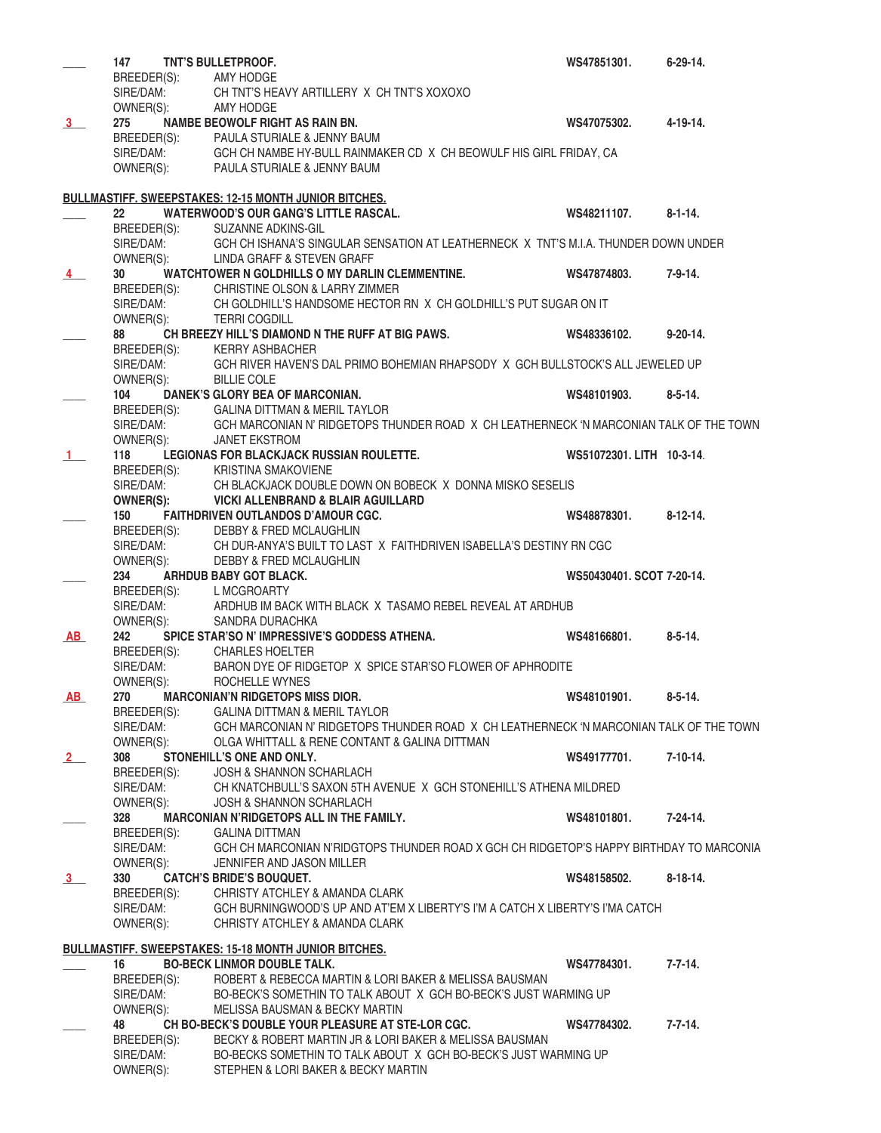|                | 147                            | TNT'S BULLETPROOF.                                                                                                      | WS47851301.               | $6 - 29 - 14.$  |
|----------------|--------------------------------|-------------------------------------------------------------------------------------------------------------------------|---------------------------|-----------------|
|                |                                | BREEDER(S): AMY HODGE                                                                                                   |                           |                 |
|                |                                | SIRE/DAM: CH TNT'S HEAVY ARTILLERY X CH TNT'S XOXOXO                                                                    |                           |                 |
|                | OWNER(S):                      | <b>AMY HODGE</b>                                                                                                        |                           |                 |
| 3 <sup>1</sup> | 275                            | NAMBE BEOWOLF RIGHT AS RAIN BN.                                                                                         | WS47075302.               | $4 - 19 - 14$ . |
|                |                                | BREEDER(S): PAULA STURIALE & JENNY BAUM<br>SIRE/DAM: GCH CH NAMBE HY-BULL RAINMAKER CD X CH BEOWULF HIS GIRL FRIDAY, CA |                           |                 |
|                |                                |                                                                                                                         |                           |                 |
|                |                                | OWNER(S): PAULA STURIALE & JENNY BAUM                                                                                   |                           |                 |
|                |                                |                                                                                                                         |                           |                 |
|                |                                | <b>BULLMASTIFF. SWEEPSTAKES: 12-15 MONTH JUNIOR BITCHES.</b>                                                            |                           |                 |
|                | 22                             | <b>WATERWOOD'S OUR GANG'S LITTLE RASCAL.</b>                                                                            | WS48211107.               | $8 - 1 - 14.$   |
|                |                                | BREEDER(S): SUZANNE ADKINS-GIL                                                                                          |                           |                 |
|                |                                | SIRE/DAM: GCH CH ISHANA'S SINGULAR SENSATION AT LEATHERNECK X TNT'S M.I.A. THUNDER DOWN UNDER                           |                           |                 |
|                | OWNER(S):                      | LINDA GRAFF & STEVEN GRAFF                                                                                              |                           |                 |
| $\overline{4}$ | 30 <sup>°</sup>                | WATCHTOWER N GOLDHILLS O MY DARLIN CLEMMENTINE.                                                                         | WS47874803.               | $7 - 9 - 14.$   |
|                |                                | BREEDER(S): CHRISTINE OLSON & LARRY ZIMMER                                                                              |                           |                 |
|                |                                | SIRE/DAM: CH GOLDHILL'S HANDSOME HECTOR RN X CH GOLDHILL'S PUT SUGAR ON IT                                              |                           |                 |
|                | OWNER(S):                      | <b>TERRI COGDILL</b>                                                                                                    |                           |                 |
|                | 88                             | CH BREEZY HILL'S DIAMOND N THE RUFF AT BIG PAWS.                                                                        | WS48336102.               | $9 - 20 - 14$ . |
|                | BREEDER(S):<br><b>CIDE/DAM</b> | <b>KERRY ASHBACHER</b>                                                                                                  |                           |                 |
|                | SIRE/DAM:                      | GCH RIVER HAVEN'S DAL PRIMO BOHEMIAN RHAPSODY X GCH BULLSTOCK'S ALL JEWELED UP                                          |                           |                 |
|                | OWNER(S):                      | <b>BILLIE COLE</b>                                                                                                      |                           |                 |
|                | 104                            | DANEK'S GLORY BEA OF MARCONIAN.                                                                                         | WS48101903.               | $8 - 5 - 14.$   |
|                |                                | BREEDER(S): GALINA DITTMAN & MERIL TAYLOR                                                                               |                           |                 |
|                | SIRE/DAM:                      | GCH MARCONIAN N' RIDGETOPS THUNDER ROAD X CH LEATHERNECK 'N MARCONIAN TALK OF THE TOWN                                  |                           |                 |
|                | OWNER(S):                      | <b>JANET EKSTROM</b>                                                                                                    |                           |                 |
| $\mathbf{1}$   | 118                            | LEGIONAS FOR BLACKJACK RUSSIAN ROULETTE.                                                                                | WS51072301. LITH 10-3-14. |                 |
|                | BREEDER(S):                    | <b>KRISTINA SMAKOVIENE</b>                                                                                              |                           |                 |
|                | SIRE/DAM:                      | CH BLACKJACK DOUBLE DOWN ON BOBECK X DONNA MISKO SESELIS                                                                |                           |                 |
|                | OWNER(S):                      | <b>VICKI ALLENBRAND &amp; BLAIR AGUILLARD</b>                                                                           |                           |                 |
|                | 150                            | <b>FAITHDRIVEN OUTLANDOS D'AMOUR CGC.</b>                                                                               | WS48878301.               | $8-12-14.$      |
|                | SIRE/DAM:                      | BREEDER(S): DEBBY & FRED MCLAUGHLIN<br>CH DUR-ANYA'S BUILT TO LAST X FAITHDRIVEN ISABELLA'S DESTINY RN CGC              |                           |                 |
|                | OWNER(S):                      | DEBBY & FRED MCLAUGHLIN                                                                                                 |                           |                 |
|                |                                |                                                                                                                         |                           |                 |
|                |                                |                                                                                                                         |                           |                 |
|                | 234                            | ARHDUB BABY GOT BLACK.                                                                                                  | WS50430401, SCOT 7-20-14. |                 |
|                |                                | BREEDER(S): L MCGROARTY                                                                                                 |                           |                 |
|                | SIRE/DAM:                      | ARDHUB IM BACK WITH BLACK X TASAMO REBEL REVEAL AT ARDHUB                                                               |                           |                 |
|                | OWNER(S):                      | SANDRA DURACHKA                                                                                                         |                           |                 |
| <b>AB</b>      | 242                            | SPICE STAR'SO N' IMPRESSIVE'S GODDESS ATHENA.                                                                           | WS48166801.               | $8 - 5 - 14$ .  |
|                | BREEDER(S):                    | <b>CHARLES HOELTER</b>                                                                                                  |                           |                 |
|                | SIRE/DAM:                      | BARON DYE OF RIDGETOP X SPICE STAR'SO FLOWER OF APHRODITE                                                               |                           |                 |
|                | OWNER(S):                      | ROCHELLE WYNES                                                                                                          |                           |                 |
| AB             | 270                            | <b>MARCONIAN'N RIDGETOPS MISS DIOR.</b>                                                                                 | WS48101901.               | $8 - 5 - 14$ .  |
|                | BREEDER(S):                    | <b>GALINA DITTMAN &amp; MERIL TAYLOR</b>                                                                                |                           |                 |
|                | SIRE/DAM:                      | GCH MARCONIAN N' RIDGETOPS THUNDER ROAD X CH LEATHERNECK 'N MARCONIAN TALK OF THE TOWN                                  |                           |                 |
|                | OWNER(S):<br>308               | OLGA WHITTALL & RENE CONTANT & GALINA DITTMAN<br>STONEHILL'S ONE AND ONLY.                                              | WS49177701.               | $7-10-14.$      |
| 2              | BREEDER(S):                    | JOSH & SHANNON SCHARLACH                                                                                                |                           |                 |
|                | SIRE/DAM:                      | CH KNATCHBULL'S SAXON 5TH AVENUE X GCH STONEHILL'S ATHENA MILDRED                                                       |                           |                 |
|                | OWNER(S):                      | <b>JOSH &amp; SHANNON SCHARLACH</b>                                                                                     |                           |                 |
|                | 328                            | MARCONIAN N'RIDGETOPS ALL IN THE FAMILY.                                                                                | WS48101801.               | 7-24-14.        |
|                | BREEDER(S):                    | <b>GALINA DITTMAN</b>                                                                                                   |                           |                 |
|                | SIRE/DAM:                      | GCH CH MARCONIAN N'RIDGTOPS THUNDER ROAD X GCH CH RIDGETOP'S HAPPY BIRTHDAY TO MARCONIA                                 |                           |                 |
|                | OWNER(S):                      | JENNIFER AND JASON MILLER                                                                                               |                           |                 |
| 3              | 330                            | <b>CATCH'S BRIDE'S BOUQUET.</b>                                                                                         | WS48158502.               | $8-18-14.$      |
|                | BREEDER(S):                    | CHRISTY ATCHLEY & AMANDA CLARK                                                                                          |                           |                 |
|                | SIRE/DAM:                      | GCH BURNINGWOOD'S UP AND AT'EM X LIBERTY'S I'M A CATCH X LIBERTY'S I'MA CATCH                                           |                           |                 |
|                | OWNER(S):                      | CHRISTY ATCHLEY & AMANDA CLARK                                                                                          |                           |                 |
|                |                                |                                                                                                                         |                           |                 |
|                |                                | <b>BULLMASTIFF. SWEEPSTAKES: 15-18 MONTH JUNIOR BITCHES.</b>                                                            |                           |                 |
|                | 16                             | <b>BO-BECK LINMOR DOUBLE TALK.</b>                                                                                      | WS47784301.               | $7 - 7 - 14.$   |
|                | BREEDER(S):                    | ROBERT & REBECCA MARTIN & LORI BAKER & MELISSA BAUSMAN                                                                  |                           |                 |
|                | SIRE/DAM:                      | BO-BECK'S SOMETHIN TO TALK ABOUT X GCH BO-BECK'S JUST WARMING UP                                                        |                           |                 |
|                | OWNER(S):                      | MELISSA BAUSMAN & BECKY MARTIN                                                                                          |                           |                 |
|                | 48                             | CH BO-BECK'S DOUBLE YOUR PLEASURE AT STE-LOR CGC.                                                                       | WS47784302.               | $7 - 7 - 14.$   |
|                | BREEDER(S):                    | BECKY & ROBERT MARTIN JR & LORI BAKER & MELISSA BAUSMAN                                                                 |                           |                 |
|                | SIRE/DAM:<br>OWNER(S):         | BO-BECKS SOMETHIN TO TALK ABOUT X GCH BO-BECK'S JUST WARMING UP<br>STEPHEN & LORI BAKER & BECKY MARTIN                  |                           |                 |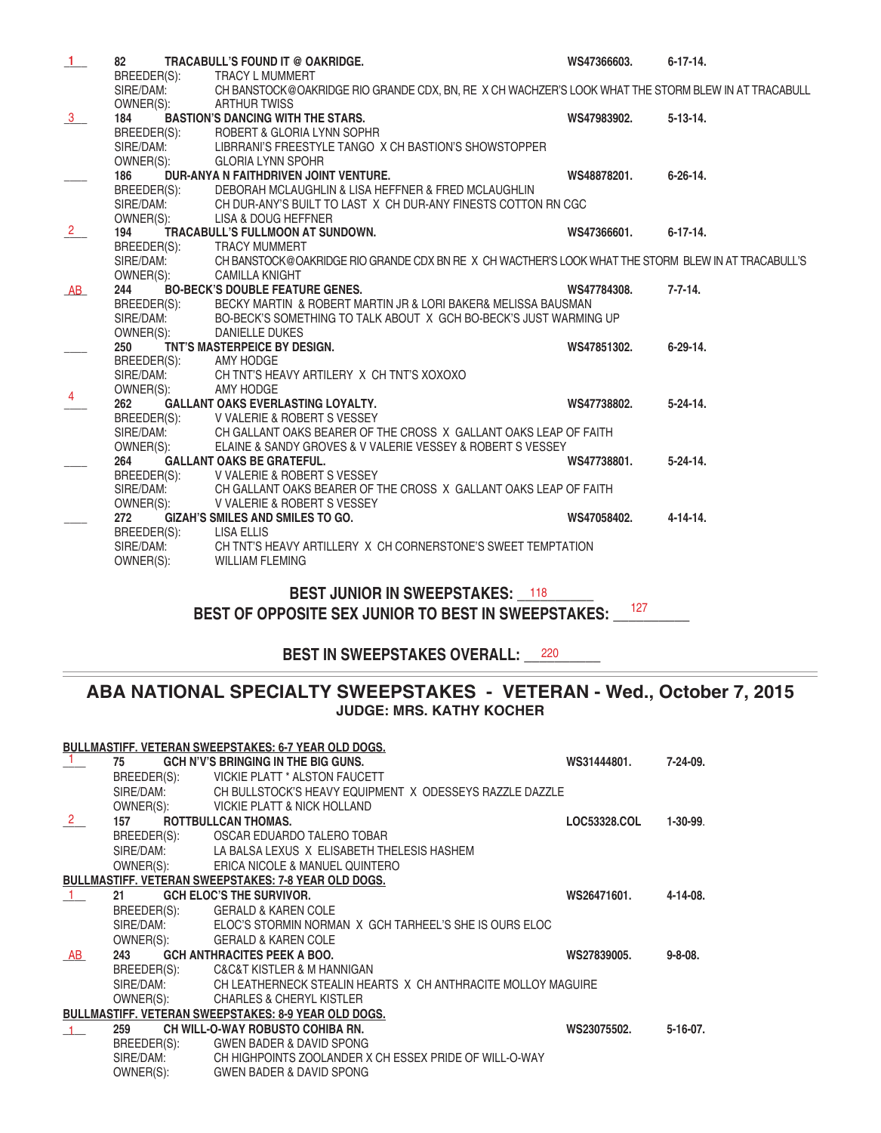| 1              | 82          | TRACABULL'S FOUND IT @ OAKRIDGE.                                                                    | WS47366603. | $6 - 17 - 14$ . |
|----------------|-------------|-----------------------------------------------------------------------------------------------------|-------------|-----------------|
|                |             | BREEDER(S): TRACY L MUMMERT                                                                         |             |                 |
|                | SIRE/DAM:   | CH BANSTOCK@OAKRIDGE RIO GRANDE CDX, BN, RE X CH WACHZER'S LOOK WHAT THE STORM BLEW IN AT TRACABULL |             |                 |
|                | OWNER(S):   | <b>ARTHUR TWISS</b>                                                                                 |             |                 |
| $\frac{3}{2}$  | 184         | <b>BASTION'S DANCING WITH THE STARS.</b>                                                            | WS47983902. | $5-13-14.$      |
|                | BREEDER(S): | ROBERT & GLORIA LYNN SOPHR                                                                          |             |                 |
|                | SIRE/DAM:   | LIBRRANI'S FREESTYLE TANGO X CH BASTION'S SHOWSTOPPER                                               |             |                 |
|                | OWNER(S):   | <b>GLORIA LYNN SPOHR</b>                                                                            |             |                 |
|                | 186         | DUR-ANYA N FAITHDRIVEN JOINT VENTURE.                                                               | WS48878201. | $6 - 26 - 14$ . |
|                | BREEDER(S): | DEBORAH MCLAUGHLIN & LISA HEFFNER & FRED MCLAUGHLIN                                                 |             |                 |
|                | SIRE/DAM:   | CH DUR-ANY'S BUILT TO LAST X CH DUR-ANY FINESTS COTTON RN CGC                                       |             |                 |
|                | OWNER(S):   | LISA & DOUG HEFFNER                                                                                 |             |                 |
| $\frac{2}{2}$  | 194         | <b>TRACABULL'S FULLMOON AT SUNDOWN.</b>                                                             | WS47366601. | $6 - 17 - 14$ . |
|                | BREEDER(S): | <b>TRACY MUMMERT</b>                                                                                |             |                 |
|                | SIRE/DAM:   | CH BANSTOCK@OAKRIDGE RIO GRANDE CDX BN RE X CH WACTHER'S LOOK WHAT THE STORM BLEW IN AT TRACABULL'S |             |                 |
|                | OWNER(S):   | <b>CAMILLA KNIGHT</b>                                                                               |             |                 |
| AB             | 244         | <b>BO-BECK'S DOUBLE FEATURE GENES.</b>                                                              | WS47784308. | $7 - 7 - 14.$   |
|                | BREEDER(S): | BECKY MARTIN & ROBERT MARTIN JR & LORI BAKER& MELISSA BAUSMAN                                       |             |                 |
|                | SIRE/DAM:   | BO-BECK'S SOMETHING TO TALK ABOUT X GCH BO-BECK'S JUST WARMING UP                                   |             |                 |
|                | OWNER(S):   | DANIELLE DUKES                                                                                      |             |                 |
|                | 250         | TNT'S MASTERPEICE BY DESIGN.                                                                        | WS47851302. | $6 - 29 - 14$ . |
|                | BREEDER(S): | AMY HODGE                                                                                           |             |                 |
|                |             | SIRE/DAM: CH TNT'S HEAVY ARTILERY X CH TNT'S XOXOXO                                                 |             |                 |
| $\overline{4}$ | OWNER(S):   | AMY HODGE                                                                                           |             |                 |
|                | 262         | <b>GALLANT OAKS EVERLASTING LOYALTY.</b>                                                            | WS47738802. | $5 - 24 - 14$ . |
|                | BREEDER(S): | V VALERIE & ROBERT S VESSEY                                                                         |             |                 |
|                |             | SIRE/DAM: CH GALLANT OAKS BEARER OF THE CROSS X GALLANT OAKS LEAP OF FAITH                          |             |                 |
|                | OWNER(S):   | ELAINE & SANDY GROVES & V VALERIE VESSEY & ROBERT S VESSEY                                          |             |                 |
|                | 264         | <b>GALLANT OAKS BE GRATEFUL.</b>                                                                    | WS47738801. | $5 - 24 - 14$ . |
|                |             | BREEDER(S): V VALERIE & ROBERT S VESSEY                                                             |             |                 |
|                | SIRE/DAM:   | CH GALLANT OAKS BEARER OF THE CROSS X GALLANT OAKS LEAP OF FAITH                                    |             |                 |
|                |             | OWNER(S): V VALERIE & ROBERT S VESSEY                                                               |             |                 |
|                | 272         | <b>GIZAH'S SMILES AND SMILES TO GO.</b>                                                             | WS47058402. | $4 - 14 - 14$ . |
|                | BREEDER(S): | LISA ELLIS                                                                                          |             |                 |
|                | SIRE/DAM:   | CH TNT'S HEAVY ARTILLERY X CH CORNERSTONE'S SWEET TEMPTATION                                        |             |                 |
|                | OWNER(S):   | <b>WILLIAM FLEMING</b>                                                                              |             |                 |
|                |             |                                                                                                     |             |                 |

# **BEST JUNIOR IN SWEEPSTAKES:** 118 BEST OF OPPOSITE SEX JUNIOR TO BEST IN SWEEPSTAKES: \_\_<sup>127</sup>\_\_\_\_\_

### **BEST IN SWEEPSTAKES OVERALL:** 220

## **ABA NATIONAL SPECIALTY SWEEPSTAKES - VETERAN - Wed., October 7, 2015 JUDGE: MRS. KATHY KOCHER**

|               |             | <b>BULLMASTIFF. VETERAN SWEEPSTAKES: 6-7 YEAR OLD DOGS.</b>  |              |                 |
|---------------|-------------|--------------------------------------------------------------|--------------|-----------------|
|               | 75          | GCH N'V'S BRINGING IN THE BIG GUNS.                          | WS31444801.  | $7 - 24 - 09$ . |
|               | BREEDER(S): | VICKIE PLATT * ALSTON FAUCETT                                |              |                 |
|               | SIRE/DAM:   | CH BULLSTOCK'S HEAVY EQUIPMENT X ODESSEYS RAZZLE DAZZLE      |              |                 |
|               | OWNER(S):   | VICKIE PLATT & NICK HOLLAND                                  |              |                 |
| $\frac{2}{ }$ | 157 —       | ROTTBULLCAN THOMAS.                                          | LOC53328.COL | $1-30-99.$      |
|               |             | BREEDER(S): OSCAR EDUARDO TALERO TOBAR                       |              |                 |
|               |             | SIRE/DAM: LA BALSA LEXUS X ELISABETH THELESIS HASHEM         |              |                 |
|               |             | OWNER(S): ERICA NICOLE & MANUEL QUINTERO                     |              |                 |
|               |             | <b>BULLMASTIFF, VETERAN SWEEPSTAKES: 7-8 YEAR OLD DOGS.</b>  |              |                 |
|               | 21          | <b>GCH ELOC'S THE SURVIVOR.</b>                              | WS26471601.  | 4-14-08.        |
|               | BREEDER(S): | <b>GERALD &amp; KAREN COLE</b>                               |              |                 |
|               | SIRE/DAM:   | ELOC'S STORMIN NORMAN X GCH TARHEEL'S SHE IS OURS ELOC       |              |                 |
|               | OWNER(S):   | GERALD & KAREN COLE                                          |              |                 |
| <b>AB</b>     | 243         | <b>GCH ANTHRACITES PEEK A BOO.</b>                           | WS27839005.  | $9 - 8 - 08$ .  |
|               |             | BREEDER(S): C&C&T KISTLER & M HANNIGAN                       |              |                 |
|               | SIRE/DAM:   | CH LEATHERNECK STEALIN HEARTS X CH ANTHRACITE MOLLOY MAGUIRE |              |                 |
|               | OWNER(S):   | <b>CHARLES &amp; CHERYL KISTLER</b>                          |              |                 |
|               |             | <b>BULLMASTIFF. VETERAN SWEEPSTAKES: 8-9 YEAR OLD DOGS.</b>  |              |                 |
|               | 259         | <b>CH WILL-O-WAY ROBUSTO COHIBA RN.</b>                      | WS23075502.  | $5-16-07$ .     |
|               | BREEDER(S): | <b>GWEN BADER &amp; DAVID SPONG</b>                          |              |                 |
|               | SIRE/DAM:   | CH HIGHPOINTS ZOOLANDER X CH ESSEX PRIDE OF WILL-O-WAY       |              |                 |
|               | OWNER(S):   | GWEN BADER & DAVID SPONG                                     |              |                 |
|               |             |                                                              |              |                 |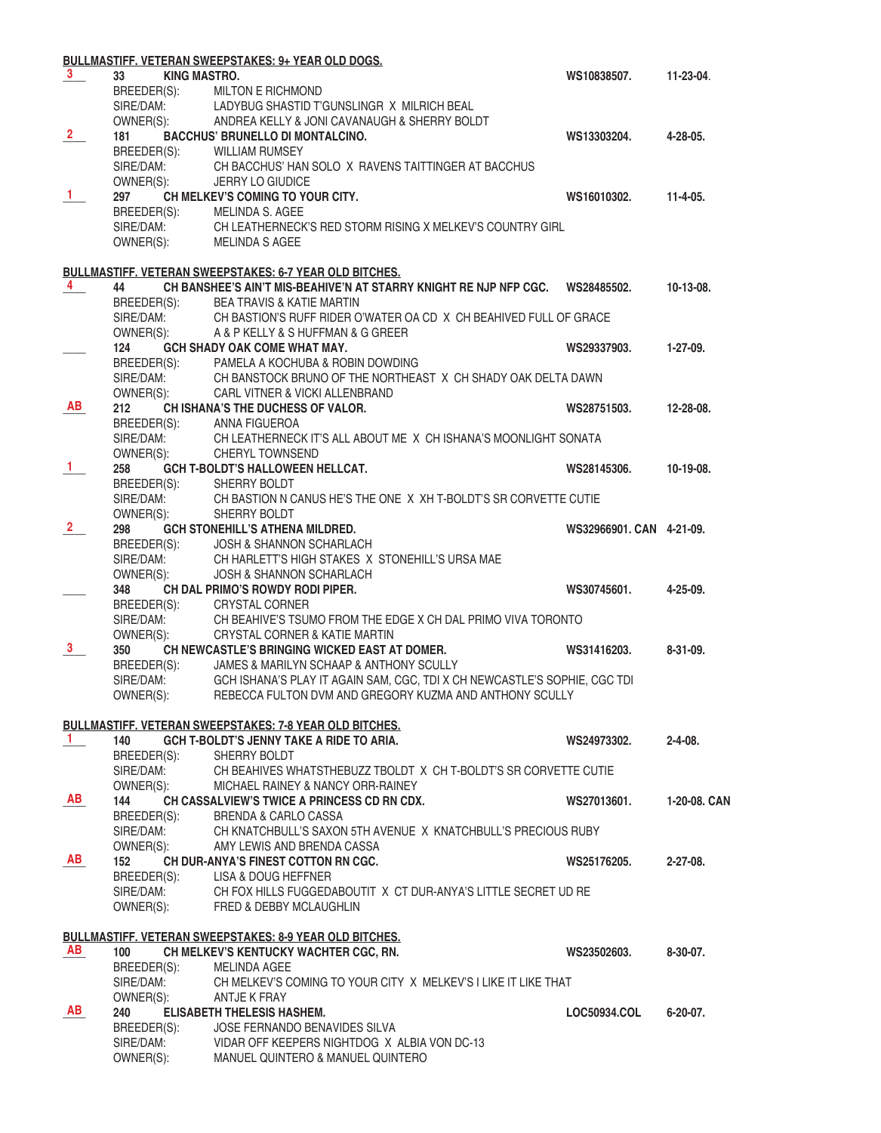|                |                           | BULLMASTIFF. VETERAN SWEEPSTAKES: 9+ YEAR OLD DOGS.                                                         |                          |                 |
|----------------|---------------------------|-------------------------------------------------------------------------------------------------------------|--------------------------|-----------------|
| $3^{\circ}$    | <b>KING MASTRO.</b><br>33 |                                                                                                             | WS10838507.              | 11-23-04.       |
|                | BREEDER(S):               | <b>MILTON E RICHMOND</b>                                                                                    |                          |                 |
|                |                           | SIRE/DAM: LADYBUG SHASTID T'GUNSLINGR X MILRICH BEAL                                                        |                          |                 |
|                |                           | OWNER(S): ANDREA KELLY & JONI CAVANAUGH & SHERRY BOLDT                                                      |                          |                 |
| $\overline{2}$ | 181                       | <b>BACCHUS' BRUNELLO DI MONTALCINO.</b>                                                                     | WS13303204.              | 4-28-05.        |
|                |                           | BREEDER(S): WILLIAM RUMSEY                                                                                  |                          |                 |
|                | SIRE/DAM:                 | CH BACCHUS' HAN SOLO X RAVENS TAITTINGER AT BACCHUS                                                         |                          |                 |
|                | OWNER(S):                 | <b>JERRY LO GIUDICE</b>                                                                                     |                          |                 |
| $\frac{1}{ }$  | 297                       | CH MELKEV'S COMING TO YOUR CITY.                                                                            | WS16010302.              | $11 - 4 - 05$ . |
|                | BREEDER(S):               | MELINDA S. AGEE                                                                                             |                          |                 |
|                |                           | SIRE/DAM: CH LEATHERNECK'S RED STORM RISING X MELKEV'S COUNTRY GIRL                                         |                          |                 |
|                | OWNER(S):                 | MELINDA S AGEE                                                                                              |                          |                 |
|                |                           |                                                                                                             |                          |                 |
|                |                           | <b>BULLMASTIFF. VETERAN SWEEPSTAKES: 6-7 YEAR OLD BITCHES.</b>                                              |                          |                 |
| $\overline{4}$ | 44                        | CH BANSHEE'S AIN'T MIS-BEAHIVE'N AT STARRY KNIGHT RE NJP NFP CGC.  WS28485502.                              |                          | 10-13-08.       |
|                | BREEDER(S):               | <b>BEA TRAVIS &amp; KATIE MARTIN</b>                                                                        |                          |                 |
|                | SIRE/DAM:                 | CH BASTION'S RUFF RIDER O'WATER OA CD X CH BEAHIVED FULL OF GRACE                                           |                          |                 |
|                | OWNER(S):                 | A & P KELLY & S HUFFMAN & G GREER                                                                           |                          |                 |
|                | 124                       | <b>GCH SHADY OAK COME WHAT MAY.</b>                                                                         | WS29337903.              | $1-27-09.$      |
|                |                           | BREEDER(S): PAMELA A KOCHUBA & ROBIN DOWDING                                                                |                          |                 |
|                |                           | SIRE/DAM: CH BANSTOCK BRUNO OF THE NORTHEAST X CH SHADY OAK DELTA DAWN                                      |                          |                 |
|                |                           | OWNER(S): CARL VITNER & VICKI ALLENBRAND                                                                    |                          |                 |
| AB             | 212                       | <b>CHISHANA'S THE DUCHESS OF VALOR.</b>                                                                     | WS28751503.              | 12-28-08.       |
|                |                           | BREEDER(S): ANNA FIGUEROA                                                                                   |                          |                 |
|                | SIRE/DAM:                 | CH LEATHERNECK IT'S ALL ABOUT ME X CH ISHANA'S MOONLIGHT SONATA                                             |                          |                 |
|                | OWNER(S):                 | CHERYL TOWNSEND                                                                                             |                          |                 |
| $\mathbf{1}$   | 258                       | <b>GCH T-BOLDT'S HALLOWEEN HELLCAT.</b>                                                                     | WS28145306.              | 10-19-08.       |
|                | BREEDER(S):               | SHERRY BOLDT                                                                                                |                          |                 |
|                | SIRE/DAM:                 | CH BASTION N CANUS HE'S THE ONE X XH T-BOLDT'S SR CORVETTE CUTIE                                            |                          |                 |
|                | OWNER(S):                 | SHERRY BOLDT                                                                                                |                          |                 |
| $\overline{2}$ | 298                       | <b>GCH STONEHILL'S ATHENA MILDRED.</b>                                                                      | WS32966901. CAN 4-21-09. |                 |
|                | BREEDER(S):               | <b>JOSH &amp; SHANNON SCHARLACH</b>                                                                         |                          |                 |
|                | SIRE/DAM:                 | CH HARLETT'S HIGH STAKES X STONEHILL'S URSA MAE                                                             |                          |                 |
|                | OWNER(S):                 | <b>JOSH &amp; SHANNON SCHARLACH</b>                                                                         |                          |                 |
|                | 348                       | CH DAL PRIMO'S ROWDY RODI PIPER.                                                                            | WS30745601.              | $4 - 25 - 09$ . |
|                |                           | BREEDER(S): CRYSTAL CORNER                                                                                  |                          |                 |
|                | SIRE/DAM:                 | CH BEAHIVE'S TSUMO FROM THE EDGE X CH DAL PRIMO VIVA TORONTO                                                |                          |                 |
|                | OWNER(S):                 | <b>CRYSTAL CORNER &amp; KATIE MARTIN</b>                                                                    |                          |                 |
| 3 <sup>1</sup> | 350                       | CH NEWCASTLE'S BRINGING WICKED EAST AT DOMER.                                                               | WS31416203.              | $8 - 31 - 09$ . |
|                | BREEDER(S):               | JAMES & MARILYN SCHAAP & ANTHONY SCULLY                                                                     |                          |                 |
|                |                           | SIRE/DAM: GCH ISHANA'S PLAY IT AGAIN SAM, CGC, TDI X CH NEWCASTLE'S SOPHIE, CGC TDI                         |                          |                 |
|                | OWNER(S):                 | REBECCA FULTON DVM AND GREGORY KUZMA AND ANTHONY SCULLY                                                     |                          |                 |
|                |                           |                                                                                                             |                          |                 |
|                |                           | <b>BULLMASTIFF. VETERAN SWEEPSTAKES: 7-8 YEAR OLD BITCHES.</b>                                              |                          |                 |
| $\mathbf{1}$   | 140                       | GCH T-BOLDT'S JENNY TAKE A RIDE TO ARIA.                                                                    | WS24973302.              | $2 - 4 - 08$ .  |
|                |                           | BREEDER(S): SHERRY BOLDT                                                                                    |                          |                 |
|                |                           | SIRE/DAM: CH BEAHIVES WHATSTHEBUZZ TBOLDT X CH T-BOLDT'S SR CORVETTE CUTIE                                  |                          |                 |
|                |                           | OWNER(S): MICHAEL RAINEY & NANCY ORR-RAINEY                                                                 |                          |                 |
| AB             | 144                       | CH CASSALVIEW'S TWICE A PRINCESS CD RN CDX.                                                                 | WS27013601.              | 1-20-08, CAN    |
|                |                           | BREEDER(S): BRENDA & CARLO CASSA                                                                            |                          |                 |
|                |                           | SIRE/DAM: CH KNATCHBULL'S SAXON 5TH AVENUE X KNATCHBULL'S PRECIOUS RUBY                                     |                          |                 |
|                |                           | OWNER(S): AMY LEWIS AND BRENDA CASSA                                                                        |                          |                 |
| AB             | 152                       | CH DUR-ANYA'S FINEST COTTON RN CGC.                                                                         | WS25176205.              | $2 - 27 - 08$ . |
|                |                           |                                                                                                             |                          |                 |
|                |                           | BREEDER(S): LISA & DOUG HEFFNER<br>SIRE/DAM: CH FOX HILLS FUGGEDABOUTIT X CT DUR-ANYA'S LITTLE SECRET UD RE |                          |                 |
|                |                           | OWNER(S): FRED & DEBBY MCLAUGHLIN                                                                           |                          |                 |
|                |                           |                                                                                                             |                          |                 |
|                |                           | <b>BULLMASTIFF. VETERAN SWEEPSTAKES: 8-9 YEAR OLD BITCHES.</b>                                              |                          |                 |
| AB.            | 100                       | CH MELKEV'S KENTUCKY WACHTER CGC, RN.                                                                       | WS23502603.              | $8-30-07$ .     |
|                |                           | BREEDER(S): MELINDA AGEE                                                                                    |                          |                 |
|                |                           | SIRE/DAM: CH MELKEV'S COMING TO YOUR CITY X MELKEV'S I LIKE IT LIKE THAT                                    |                          |                 |
|                | OWNER(S): ANTJE K FRAY    |                                                                                                             |                          |                 |
| AB             |                           |                                                                                                             |                          |                 |
|                | 240                       | <b>ELISABETH THELESIS HASHEM.</b>                                                                           | <b>LOC50934.COL</b>      | 6-20-07.        |
|                | BREEDER(S):               | JOSE FERNANDO BENAVIDES SILVA<br>SIRE/DAM: VIDAR OFF KEEPERS NIGHTDOG X ALBIA VON DC-13                     |                          |                 |
|                |                           | MANUEL QUINTERO & MANUEL QUINTERO                                                                           |                          |                 |
|                | OWNER(S):                 |                                                                                                             |                          |                 |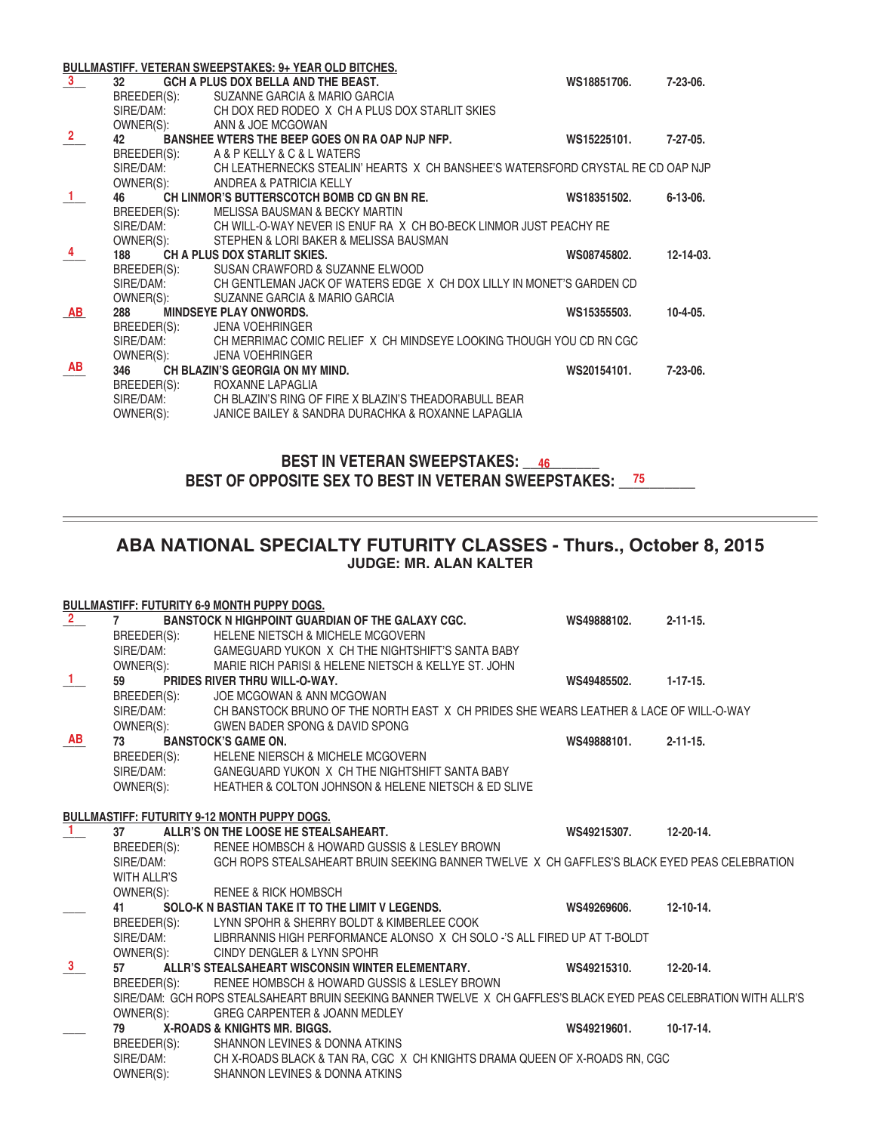|                         |                          | BULLMASTIFF. VETERAN SWEEPSTAKES: 9+ YEAR OLD BITCHES.                                    |             |                 |
|-------------------------|--------------------------|-------------------------------------------------------------------------------------------|-------------|-----------------|
| $\overline{\mathbf{3}}$ | 32 <sub>2</sub>          | GCH A PLUS DOX BELLA AND THE BEAST.                                                       | WS18851706. | 7-23-06.        |
|                         | BREEDER(S):              | SUZANNE GARCIA & MARIO GARCIA                                                             |             |                 |
|                         | SIRE/DAM:                | CH DOX RED RODEO X CH A PLUS DOX STARLIT SKIES                                            |             |                 |
|                         | OWNER(S):                | ANN & JOE MCGOWAN                                                                         |             |                 |
| $\overline{\mathbf{2}}$ | 42 —                     | BANSHEE WTERS THE BEEP GOES ON RA OAP NJP NFP.                                            | WS15225101. | $7-27-05$ .     |
|                         | BREEDER(S):              | A & P KELLY & C & L WATERS                                                                |             |                 |
|                         |                          | SIRE/DAM: CH LEATHERNECKS STEALIN' HEARTS X CH BANSHEE'S WATERSFORD CRYSTAL RE CD OAP NJP |             |                 |
|                         | OWNER(S):                | ANDREA & PATRICIA KELLY                                                                   |             |                 |
| $\mathbf{1}$            | 46 — 1                   | CH LINMOR'S BUTTERSCOTCH BOMB CD GN BN RE.                                                | WS18351502. | $6 - 13 - 06$ . |
|                         | BREEDER(S):              | MELISSA BAUSMAN & BECKY MARTIN                                                            |             |                 |
|                         |                          | SIRE/DAM: CH WILL-O-WAY NEVER IS ENUF RA X CH BO-BECK LINMOR JUST PEACHY RE               |             |                 |
|                         | OWNER(S):                | STEPHEN & LORI BAKER & MELISSA BAUSMAN                                                    |             |                 |
| $\overline{4}$          | 188                      | CH A PLUS DOX STARLIT SKIES.                                                              | WS08745802. | 12-14-03.       |
|                         |                          | BREEDER(S): SUSAN CRAWFORD & SUZANNE ELWOOD                                               |             |                 |
|                         |                          | SIRE/DAM: CH GENTLEMAN JACK OF WATERS EDGE X CH DOX LILLY IN MONET'S GARDEN CD            |             |                 |
|                         | OWNER(S):                | SUZANNE GARCIA & MARIO GARCIA                                                             |             |                 |
| AB                      | 288                      | <b>MINDSEYE PLAY ONWORDS.</b>                                                             | WS15355503. | $10 - 4 - 05.$  |
|                         | BREEDER(S):              | <b>JENA VOEHRINGER</b>                                                                    |             |                 |
|                         | SIRE/DAM:                | CH MERRIMAC COMIC RELIEF  X  CH MINDSEYE LOOKING THOUGH YOU CD RN CGC                     |             |                 |
| AB                      | OWNER(S):<br>346         | <b>JENA VOEHRINGER</b>                                                                    |             |                 |
|                         |                          | CH BLAZIN'S GEORGIA ON MY MIND.                                                           | WS20154101. | $7-23-06.$      |
|                         | BREEDER(S):<br>SIRE/DAM: | ROXANNE LAPAGLIA<br>CH BLAZIN'S RING OF FIRE X BLAZIN'S THEADORABULL BEAR                 |             |                 |
|                         |                          |                                                                                           |             |                 |
|                         | OWNER(S):                | JANICE BAILEY & SANDRA DURACHKA & ROXANNE LAPAGLIA                                        |             |                 |

**BEST IN VETERAN SWEEPSTAKES: \_\_\_\_\_\_\_\_\_\_ 46** BEST OF OPPOSITE SEX TO BEST IN VETERAN SWEEPSTAKES: \_\_\_<sup>75</sup>\_\_\_\_\_\_\_

# **ABA NATIONAL SPECIALTY FUTURITY CLASSES - Thurs., October 8, 2015 JUDGE: MR. ALAN KALTER**

|                         |                    | <b>BULLMASTIFF: FUTURITY 6-9 MONTH PUPPY DOGS.</b>                                                                 |             |                 |
|-------------------------|--------------------|--------------------------------------------------------------------------------------------------------------------|-------------|-----------------|
| $\overline{\mathbf{2}}$ | $\overline{7}$     | <b>BANSTOCK N HIGHPOINT GUARDIAN OF THE GALAXY CGC.</b>                                                            | WS49888102. | $2 - 11 - 15$ . |
|                         | BREEDER(S):        | <b>HELENE NIETSCH &amp; MICHELE MCGOVERN</b>                                                                       |             |                 |
|                         | SIRE/DAM:          | GAMEGUARD YUKON X CH THE NIGHTSHIFT'S SANTA BABY                                                                   |             |                 |
|                         | OWNER(S):          | MARIE RICH PARISI & HELENE NIETSCH & KELLYE ST. JOHN                                                               |             |                 |
| $\frac{1}{1}$           | 59                 | PRIDES RIVER THRU WILL-O-WAY.                                                                                      | WS49485502. | $1 - 17 - 15.$  |
|                         |                    | BREEDER(S): JOE MCGOWAN & ANN MCGOWAN                                                                              |             |                 |
|                         |                    | SIRE/DAM: CH BANSTOCK BRUNO OF THE NORTH EAST X CH PRIDES SHE WEARS LEATHER & LACE OF WILL-O-WAY                   |             |                 |
|                         |                    | OWNER(S): GWEN BADER SPONG & DAVID SPONG                                                                           |             |                 |
| AB                      | 73                 | <b>BANSTOCK'S GAME ON.</b>                                                                                         | WS49888101. | $2 - 11 - 15$ . |
|                         | BREEDER(S):        | <b>HELENE NIERSCH &amp; MICHELE MCGOVERN</b>                                                                       |             |                 |
|                         | SIRE/DAM:          | GANEGUARD YUKON X CH THE NIGHTSHIFT SANTA BABY                                                                     |             |                 |
|                         | OWNER(S):          | HEATHER & COLTON JOHNSON & HELENE NIETSCH & ED SLIVE                                                               |             |                 |
|                         |                    |                                                                                                                    |             |                 |
|                         |                    | <b>BULLMASTIFF: FUTURITY 9-12 MONTH PUPPY DOGS.</b>                                                                |             |                 |
| $\blacksquare$          | 37                 | ALLR'S ON THE LOOSE HE STEALSAHEART.                                                                               | WS49215307. | 12-20-14.       |
|                         | BREEDER(S):        | RENEE HOMBSCH & HOWARD GUSSIS & LESLEY BROWN                                                                       |             |                 |
|                         | SIRE/DAM:          | GCH ROPS STEALSAHEART BRUIN SEEKING BANNER TWELVE X CH GAFFLES'S BLACK EYED PEAS CELEBRATION                       |             |                 |
|                         | <b>WITH ALLR'S</b> |                                                                                                                    |             |                 |
|                         | OWNER(S):          | <b>RENEE &amp; RICK HOMBSCH</b>                                                                                    |             |                 |
|                         | 41                 | SOLO-K N BASTIAN TAKE IT TO THE LIMIT V LEGENDS.                                                                   | WS49269606. | $12 - 10 - 14.$ |
|                         | BREEDER(S):        | LYNN SPOHR & SHERRY BOLDT & KIMBERLEE COOK                                                                         |             |                 |
|                         | SIRE/DAM:          | LIBRRANNIS HIGH PERFORMANCE ALONSO X CH SOLO -'S ALL FIRED UP AT T-BOLDT                                           |             |                 |
|                         | OWNER(S):          | CINDY DENGLER & LYNN SPOHR                                                                                         |             |                 |
| $\frac{3}{2}$           | 57                 | ALLR'S STEALSAHEART WISCONSIN WINTER ELEMENTARY.                                                                   | WS49215310. | 12-20-14.       |
|                         | BREEDER(S):        | RENEE HOMBSCH & HOWARD GUSSIS & LESLEY BROWN                                                                       |             |                 |
|                         |                    | SIRE/DAM: GCH ROPS STEALSAHEART BRUIN SEEKING BANNER TWELVE X CH GAFFLES'S BLACK EYED PEAS CELEBRATION WITH ALLR'S |             |                 |
|                         | OWNER(S):          | <b>GREG CARPENTER &amp; JOANN MEDLEY</b>                                                                           |             |                 |
|                         | 79                 | X-ROADS & KNIGHTS MR. BIGGS.                                                                                       | WS49219601. | $10-17-14.$     |
|                         | BREEDER(S):        | SHANNON LEVINES & DONNA ATKINS                                                                                     |             |                 |
|                         | SIRE/DAM:          | CH X-ROADS BLACK & TAN RA, CGC X CH KNIGHTS DRAMA QUEEN OF X-ROADS RN, CGC                                         |             |                 |
|                         | OWNER(S):          | SHANNON LEVINES & DONNA ATKINS                                                                                     |             |                 |
|                         |                    |                                                                                                                    |             |                 |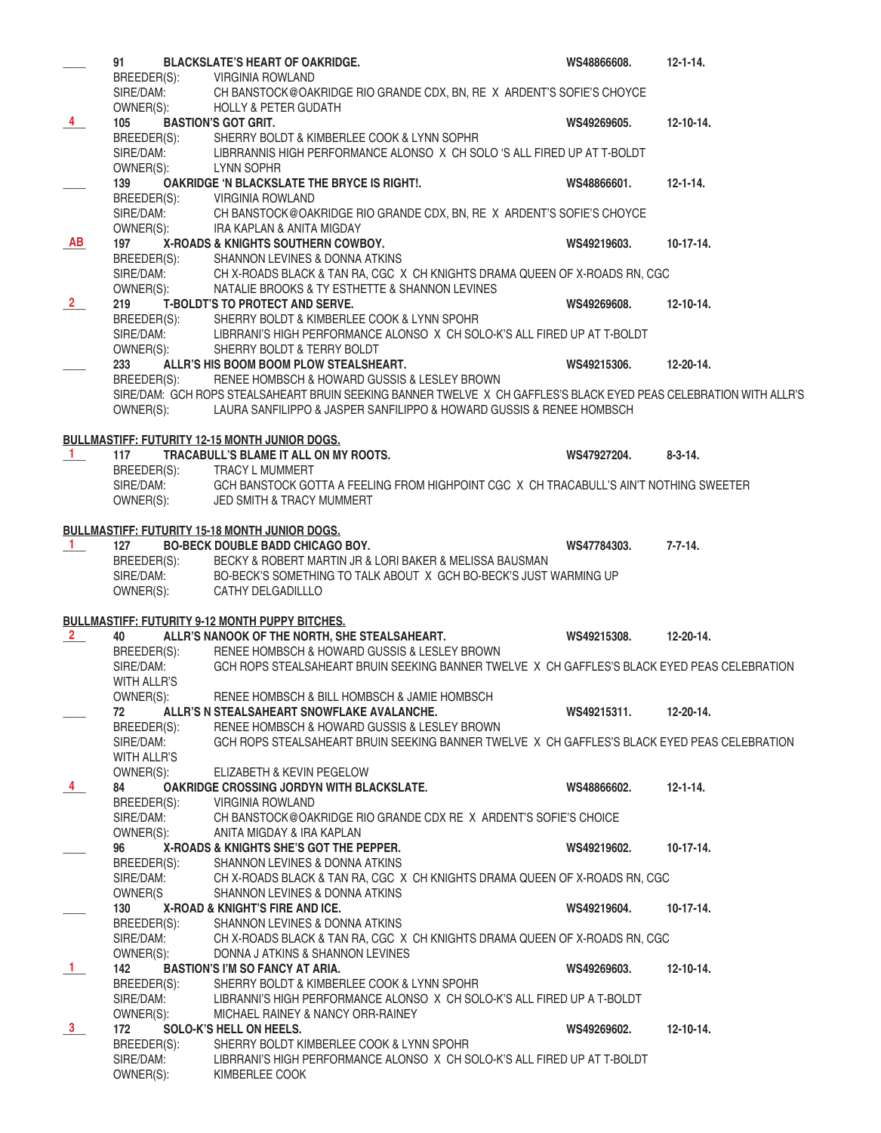|                | 91                       | <b>BLACKSLATE'S HEART OF OAKRIDGE.</b>                                                                                                                              | WS48866608. | $12 - 1 - 14$ .  |
|----------------|--------------------------|---------------------------------------------------------------------------------------------------------------------------------------------------------------------|-------------|------------------|
|                |                          | BREEDER(S): VIRGINIA ROWLAND                                                                                                                                        |             |                  |
|                |                          | SIRE/DAM: CH BANSTOCK@OAKRIDGE RIO GRANDE CDX, BN, RE X ARDENT'S SOFIE'S CHOYCE                                                                                     |             |                  |
|                | OWNER(S):                | <b>HOLLY &amp; PETER GUDATH</b>                                                                                                                                     |             |                  |
| $\frac{4}{ }$  | 105                      | <b>BASTION'S GOT GRIT.</b>                                                                                                                                          | WS49269605. | $12 - 10 - 14$ . |
|                |                          |                                                                                                                                                                     |             |                  |
|                |                          | BREEDER(S): SHERRY BOLDT & KIMBERLEE COOK & LYNN SOPHR<br>SIRE/DAM: LIBRRANNIS HIGH PERFORMANCE ALONSO X CH SOLO 'S ALL FIRED UP AT T-BOLDT<br>OWNER(S): LYNN SOPHR |             |                  |
|                |                          |                                                                                                                                                                     |             |                  |
|                | 139                      | OAKRIDGE 'N BLACKSLATE THE BRYCE IS RIGHT!.                                                                                                                         | WS48866601. | $12 - 1 - 14.$   |
|                |                          | BREEDER(S): VIRGINIA ROWLAND<br>CH BANSTOCK@OAKRIDGE RIO GRANDE CDX, BN, RE X ARDENT'S SOFIE'S CHOYCE                                                               |             |                  |
|                | SIRE/DAM:<br>OWNER(S):   | <b>IRA KAPLAN &amp; ANITA MIGDAY</b>                                                                                                                                |             |                  |
| <b>AB</b>      | 197                      | X-ROADS & KNIGHTS SOUTHERN COWBOY.                                                                                                                                  | WS49219603. | $10-17-14.$      |
|                | BREEDER(S):              | SHANNON LEVINES & DONNA ATKINS                                                                                                                                      |             |                  |
|                |                          | SIRE/DAM: CHX-ROADS BLACK & TAN RA, CGC X CHKNIGHTS DRAMA QUEEN OF X-ROADS RN, CGC                                                                                  |             |                  |
|                | OWNER(S):                | NATALIE BROOKS & TY ESTHETTE & SHANNON LEVINES                                                                                                                      |             |                  |
| $\frac{2}{ }$  | 219                      | <b>T-BOLDT'S TO PROTECT AND SERVE.</b>                                                                                                                              | WS49269608. | $12 - 10 - 14.$  |
|                | BREEDER(S):              | SHERRY BOLDT & KIMBERLEE COOK & LYNN SPOHR                                                                                                                          |             |                  |
|                |                          | SIRE/DAM: LIBRRANI'S HIGH PERFORMANCE ALONSO X CH SOLO-K'S ALL FIRED UP AT T-BOLDT                                                                                  |             |                  |
|                | OWNER(S):                | SHERRY BOLDT & TERRY BOLDT                                                                                                                                          |             |                  |
|                | 233                      | ALLR'S HIS BOOM BOOM PLOW STEALSHEART.                                                                                                                              | WS49215306. | $12 - 20 - 14.$  |
|                | BREEDER(S):              | RENEE HOMBSCH & HOWARD GUSSIS & LESLEY BROWN                                                                                                                        |             |                  |
|                |                          | SIRE/DAM: GCH ROPS STEALSAHEART BRUIN SEEKING BANNER TWELVE X CH GAFFLES'S BLACK EYED PEAS CELEBRATION WITH ALLR'S                                                  |             |                  |
|                | OWNER(S):                | LAURA SANFILIPPO & JASPER SANFILIPPO & HOWARD GUSSIS & RENEE HOMBSCH                                                                                                |             |                  |
|                |                          |                                                                                                                                                                     |             |                  |
| $\blacksquare$ | 117                      | <b>BULLMASTIFF: FUTURITY 12-15 MONTH JUNIOR DOGS.</b><br>TRACABULL'S BLAME IT ALL ON MY ROOTS.                                                                      | WS47927204. | $8 - 3 - 14.$    |
|                |                          | BREEDER(S): TRACY L MUMMERT                                                                                                                                         |             |                  |
|                | SIRE/DAM:                | GCH BANSTOCK GOTTA A FEELING FROM HIGHPOINT CGC X CH TRACABULL'S AIN'T NOTHING SWEETER                                                                              |             |                  |
|                | OWNER(S):                | JED SMITH & TRACY MUMMERT                                                                                                                                           |             |                  |
|                |                          |                                                                                                                                                                     |             |                  |
|                |                          | <b>BULLMASTIFF: FUTURITY 15-18 MONTH JUNIOR DOGS.</b>                                                                                                               |             |                  |
| $\blacksquare$ | 127                      | <b>BO-BECK DOUBLE BADD CHICAGO BOY.</b>                                                                                                                             | WS47784303. | $7 - 7 - 14.$    |
|                | BREEDER(S):              | BECKY & ROBERT MARTIN JR & LORI BAKER & MELISSA BAUSMAN                                                                                                             |             |                  |
|                | SIRE/DAM:                | BO-BECK'S SOMETHING TO TALK ABOUT X GCH BO-BECK'S JUST WARMING UP                                                                                                   |             |                  |
|                | OWNER(S):                | CATHY DELGADILLLO                                                                                                                                                   |             |                  |
|                |                          | <b>BULLMASTIFF: FUTURITY 9-12 MONTH PUPPY BITCHES.</b>                                                                                                              |             |                  |
| $\frac{2}{ }$  | 40                       | ALLR'S NANOOK OF THE NORTH, SHE STEALSAHEART.                                                                                                                       | WS49215308. | 12-20-14.        |
|                | BREEDER(S):              | RENEE HOMBSCH & HOWARD GUSSIS & LESLEY BROWN                                                                                                                        |             |                  |
|                | SIRE/DAM:                | GCH ROPS STEALSAHEART BRUIN SEEKING BANNER TWELVE X CH GAFFLES'S BLACK EYED PEAS CELEBRATION                                                                        |             |                  |
|                | WITH ALLR'S              |                                                                                                                                                                     |             |                  |
|                | OWNER(S):                | RENEE HOMBSCH & BILL HOMBSCH & JAMIE HOMBSCH                                                                                                                        |             |                  |
|                | 72                       | ALLR'S N STEALSAHEART SNOWFLAKE AVALANCHE.                                                                                                                          | WS49215311. | 12-20-14.        |
|                | BREEDER(S):              | RENEE HOMBSCH & HOWARD GUSSIS & LESLEY BROWN                                                                                                                        |             |                  |
|                | SIRE/DAM:                | GCH ROPS STEALSAHEART BRUIN SEEKING BANNER TWELVE X CH GAFFLES'S BLACK EYED PEAS CELEBRATION                                                                        |             |                  |
|                | WITH ALLR'S              |                                                                                                                                                                     |             |                  |
|                | OWNER(S):                | ELIZABETH & KEVIN PEGELOW                                                                                                                                           |             |                  |
| $\overline{4}$ | 84                       | <b>OAKRIDGE CROSSING JORDYN WITH BLACKSLATE.</b>                                                                                                                    | WS48866602. | $12 - 1 - 14.$   |
|                | BREEDER(S):<br>SIRE/DAM: | <b>VIRGINIA ROWLAND</b><br>CH BANSTOCK@OAKRIDGE RIO GRANDE CDX RE X ARDENT'S SOFIE'S CHOICE                                                                         |             |                  |
|                | OWNER(S):                | ANITA MIGDAY & IRA KAPLAN                                                                                                                                           |             |                  |
|                | 96                       | X-ROADS & KNIGHTS SHE'S GOT THE PEPPER.                                                                                                                             | WS49219602. | $10-17-14.$      |
|                | BREEDER(S):              | SHANNON LEVINES & DONNA ATKINS                                                                                                                                      |             |                  |
|                | SIRE/DAM:                | CH X-ROADS BLACK & TAN RA, CGC X CH KNIGHTS DRAMA QUEEN OF X-ROADS RN, CGC                                                                                          |             |                  |
|                | OWNER(S                  | SHANNON LEVINES & DONNA ATKINS                                                                                                                                      |             |                  |
|                | 130                      | X-ROAD & KNIGHT'S FIRE AND ICE.                                                                                                                                     | WS49219604. | $10-17-14.$      |
|                | BREEDER(S):              | SHANNON LEVINES & DONNA ATKINS                                                                                                                                      |             |                  |
|                | SIRE/DAM:                | CH X-ROADS BLACK & TAN RA, CGC X CH KNIGHTS DRAMA QUEEN OF X-ROADS RN, CGC                                                                                          |             |                  |
|                | OWNER(S):                | DONNA J ATKINS & SHANNON LEVINES                                                                                                                                    |             |                  |
| $\mathbf{1}$   | 142                      | <b>BASTION'S I'M SO FANCY AT ARIA.</b>                                                                                                                              | WS49269603. | $12 - 10 - 14.$  |
|                | BREEDER(S):              | SHERRY BOLDT & KIMBERLEE COOK & LYNN SPOHR                                                                                                                          |             |                  |
|                | SIRE/DAM:                | LIBRANNI'S HIGH PERFORMANCE ALONSO X CH SOLO-K'S ALL FIRED UP A T-BOLDT                                                                                             |             |                  |
|                | OWNER(S):                | MICHAEL RAINEY & NANCY ORR-RAINEY                                                                                                                                   |             |                  |
| $\frac{3}{2}$  | 172                      | SOLO-K'S HELL ON HEELS.                                                                                                                                             | WS49269602. | $12 - 10 - 14.$  |
|                | BREEDER(S):<br>SIRE/DAM: | SHERRY BOLDT KIMBERLEE COOK & LYNN SPOHR<br>LIBRRANI'S HIGH PERFORMANCE ALONSO X CH SOLO-K'S ALL FIRED UP AT T-BOLDT                                                |             |                  |
|                | OWNER(S):                | KIMBERLEE COOK                                                                                                                                                      |             |                  |
|                |                          |                                                                                                                                                                     |             |                  |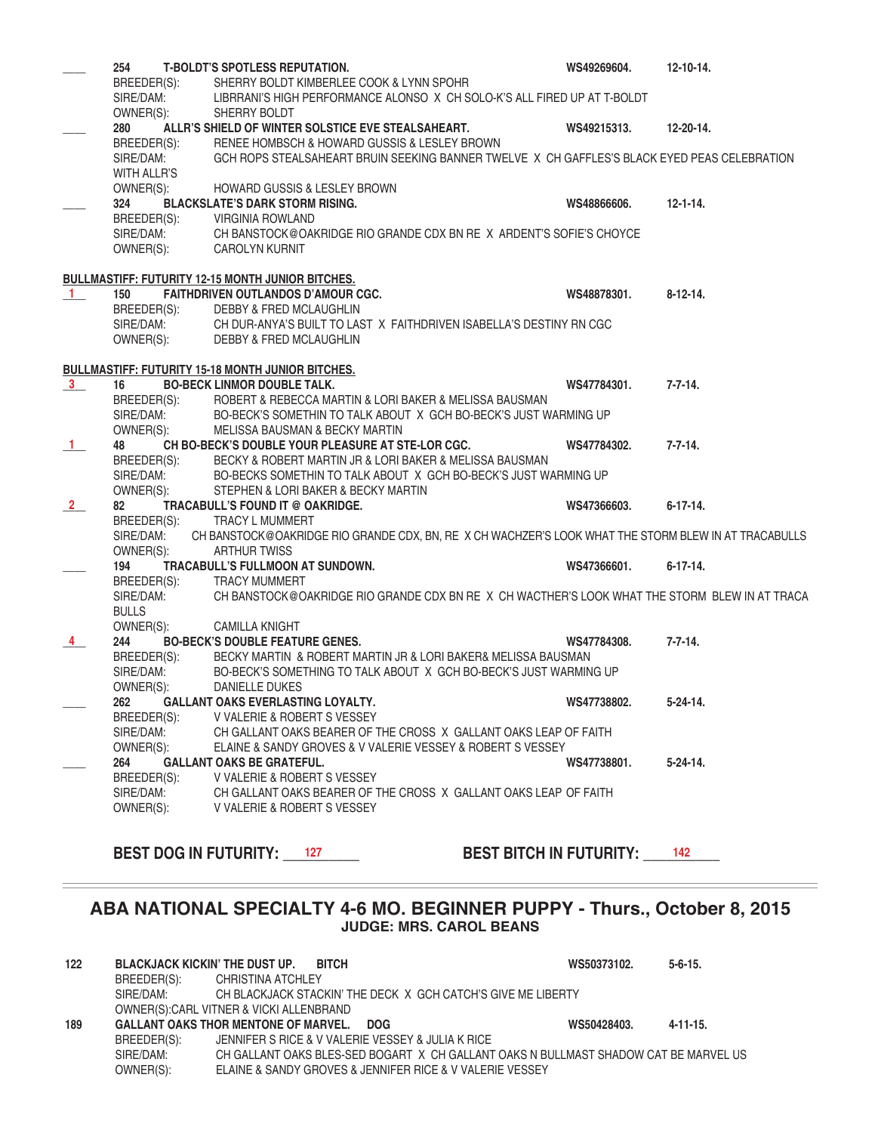|                | 254                | <b>T-BOLDT'S SPOTLESS REPUTATION.</b>                                                                | WS49269604. | $12 - 10 - 14.$ |
|----------------|--------------------|------------------------------------------------------------------------------------------------------|-------------|-----------------|
|                | BREEDER(S):        | SHERRY BOLDT KIMBERLEE COOK & LYNN SPOHR                                                             |             |                 |
|                | SIRE/DAM:          | LIBRRANI'S HIGH PERFORMANCE ALONSO X CH SOLO-K'S ALL FIRED UP AT T-BOLDT                             |             |                 |
|                | OWNER(S):          | SHERRY BOLDT                                                                                         |             |                 |
|                | 280                | ALLR'S SHIELD OF WINTER SOLSTICE EVE STEALSAHEART.                                                   | WS49215313. | 12-20-14.       |
|                | BREEDER(S):        | RENEE HOMBSCH & HOWARD GUSSIS & LESLEY BROWN                                                         |             |                 |
|                | SIRE/DAM:          | GCH ROPS STEALSAHEART BRUIN SEEKING BANNER TWELVE X CH GAFFLES'S BLACK EYED PEAS CELEBRATION         |             |                 |
|                | <b>WITH ALLR'S</b> |                                                                                                      |             |                 |
|                |                    |                                                                                                      |             |                 |
|                | OWNER(S):          | <b>HOWARD GUSSIS &amp; LESLEY BROWN</b>                                                              |             |                 |
|                | 324                | <b>BLACKSLATE'S DARK STORM RISING.</b>                                                               | WS48866606. | $12 - 1 - 14.$  |
|                | BREEDER(S):        | VIRGINIA ROWLAND                                                                                     |             |                 |
|                | SIRE/DAM:          | CH BANSTOCK@OAKRIDGE RIO GRANDE CDX BN RE X ARDENT'S SOFIE'S CHOYCE                                  |             |                 |
|                | OWNER(S):          | <b>CAROLYN KURNIT</b>                                                                                |             |                 |
|                |                    |                                                                                                      |             |                 |
|                |                    | <b>BULLMASTIFF: FUTURITY 12-15 MONTH JUNIOR BITCHES.</b>                                             |             |                 |
| $\mathbf{1}$   | 150                | <b>FAITHDRIVEN OUTLANDOS D'AMOUR CGC.</b>                                                            | WS48878301. | $8-12-14.$      |
|                | BREEDER(S):        | DEBBY & FRED MCLAUGHLIN                                                                              |             |                 |
|                | SIRE/DAM:          | CH DUR-ANYA'S BUILT TO LAST X FAITHDRIVEN ISABELLA'S DESTINY RN CGC                                  |             |                 |
|                | OWNER(S):          | <b>DEBBY &amp; FRED MCLAUGHLIN</b>                                                                   |             |                 |
|                |                    |                                                                                                      |             |                 |
|                |                    | <b>BULLMASTIFF: FUTURITY 15-18 MONTH JUNIOR BITCHES.</b>                                             |             |                 |
| 3 <sup>1</sup> | 16                 | <b>BO-BECK LINMOR DOUBLE TALK.</b>                                                                   | WS47784301. | $7 - 7 - 14.$   |
|                | BREEDER(S):        | ROBERT & REBECCA MARTIN & LORI BAKER & MELISSA BAUSMAN                                               |             |                 |
|                | SIRE/DAM:          | BO-BECK'S SOMETHIN TO TALK ABOUT X GCH BO-BECK'S JUST WARMING UP                                     |             |                 |
|                | OWNER(S):          | <b>MELISSA BAUSMAN &amp; BECKY MARTIN</b>                                                            |             |                 |
| $\mathbf{1}$   | 48                 | CH BO-BECK'S DOUBLE YOUR PLEASURE AT STE-LOR CGC.                                                    | WS47784302. | $7 - 7 - 14.$   |
|                | BREEDER(S):        | BECKY & ROBERT MARTIN JR & LORI BAKER & MELISSA BAUSMAN                                              |             |                 |
|                | SIRE/DAM:          | BO-BECKS SOMETHIN TO TALK ABOUT X GCH BO-BECK'S JUST WARMING UP                                      |             |                 |
|                | OWNER(S):          | STEPHEN & LORI BAKER & BECKY MARTIN                                                                  |             |                 |
| $\frac{2}{ }$  | 82                 | TRACABULL'S FOUND IT @ OAKRIDGE.                                                                     | WS47366603. | $6 - 17 - 14.$  |
|                | BREEDER(S):        | <b>TRACY L MUMMERT</b>                                                                               |             |                 |
|                | SIRE/DAM:          | CH BANSTOCK@OAKRIDGE RIO GRANDE CDX, BN, RE X CH WACHZER'S LOOK WHAT THE STORM BLEW IN AT TRACABULLS |             |                 |
|                | OWNER(S):          | <b>ARTHUR TWISS</b>                                                                                  |             |                 |
|                | 194                | TRACABULL'S FULLMOON AT SUNDOWN.                                                                     | WS47366601. | $6 - 17 - 14.$  |
|                |                    | <b>TRACY MUMMERT</b>                                                                                 |             |                 |
|                | BREEDER(S):        | CH BANSTOCK@OAKRIDGE RIO GRANDE CDX BN RE X CH WACTHER'S LOOK WHAT THE STORM BLEW IN AT TRACA        |             |                 |
|                | SIRE/DAM:          |                                                                                                      |             |                 |
|                | <b>BULLS</b>       |                                                                                                      |             |                 |
|                | OWNER(S):          | <b>CAMILLA KNIGHT</b>                                                                                |             |                 |
| $\overline{4}$ | 244                | <b>BO-BECK'S DOUBLE FEATURE GENES.</b>                                                               | WS47784308. | $7 - 7 - 14.$   |
|                | BREEDER(S):        | BECKY MARTIN & ROBERT MARTIN JR & LORI BAKER& MELISSA BAUSMAN                                        |             |                 |
|                | SIRE/DAM:          | BO-BECK'S SOMETHING TO TALK ABOUT X GCH BO-BECK'S JUST WARMING UP                                    |             |                 |
|                | OWNER(S):          | <b>DANIELLE DUKES</b>                                                                                |             |                 |
|                | 262                | <b>GALLANT OAKS EVERLASTING LOYALTY.</b>                                                             | WS47738802. | $5-24-14.$      |
|                | BREEDER(S):        | V VALERIE & ROBERT S VESSEY                                                                          |             |                 |
|                | SIRE/DAM:          | CH GALLANT OAKS BEARER OF THE CROSS X GALLANT OAKS LEAP OF FAITH                                     |             |                 |
|                | OWNER(S):          | ELAINE & SANDY GROVES & V VALERIE VESSEY & ROBERT S VESSEY                                           |             |                 |
|                | 264                | <b>GALLANT OAKS BE GRATEFUL.</b>                                                                     | WS47738801. | $5 - 24 - 14$ . |
|                | BREEDER(S):        | V VALERIE & ROBERT S VESSEY                                                                          |             |                 |
|                |                    | SIRE/DAM: CH GALLANT OAKS BEARER OF THE CROSS X GALLANT OAKS LEAP OF FAITH                           |             |                 |
|                |                    | OWNER(S): V VALERIE & ROBERT S VESSEY                                                                |             |                 |
|                |                    |                                                                                                      |             |                 |
|                |                    |                                                                                                      |             |                 |
|                |                    | <b>BEST DOG IN FUTURITY: 127</b><br><b>BEST BITCH IN FUTURITY: 142</b>                               |             |                 |
|                |                    |                                                                                                      |             |                 |
|                |                    |                                                                                                      |             |                 |
|                |                    |                                                                                                      |             |                 |
|                |                    | ABA NATIONAL SPECIALTY 4-6 MO. BEGINNER PUPPY - Thurs., October 8, 2015                              |             |                 |

#### **122 BLACKJACK KICKIN' THE DUST UP. BITCH WS50373102. 5-6-15.** BREEDER(S): CHRISTINA ATCHLEY<br>SIRE/DAM: CH BLACKJACK STAC CH BLACKJACK STACKIN' THE DECK X GCH CATCH'S GIVE ME LIBERTY OWNER(S):CARL VITNER & VICKI ALLENBRAND **189 GALLANT OAKS THOR MENTONE OF MARVEL. DOG WS50428403. 4-11-15.** BREEDER(S): JENNIFER S RICE & V VALERIE VESSEY & JULIA K RICE SIRE/DAM: CH GALLANT OAKS BLES-SED BOGART X CH GALLANT OAKS N BULLMAST SHADOW CAT BE MARVEL US<br>OWNER(S): ELAINE & SANDY GROVES & JENNIFER RICE & V VALERIE VESSEY ELAINE & SANDY GROVES & JENNIFER RICE & V VALERIE VESSEY

**JUDGE: MRS. CAROL BEANS**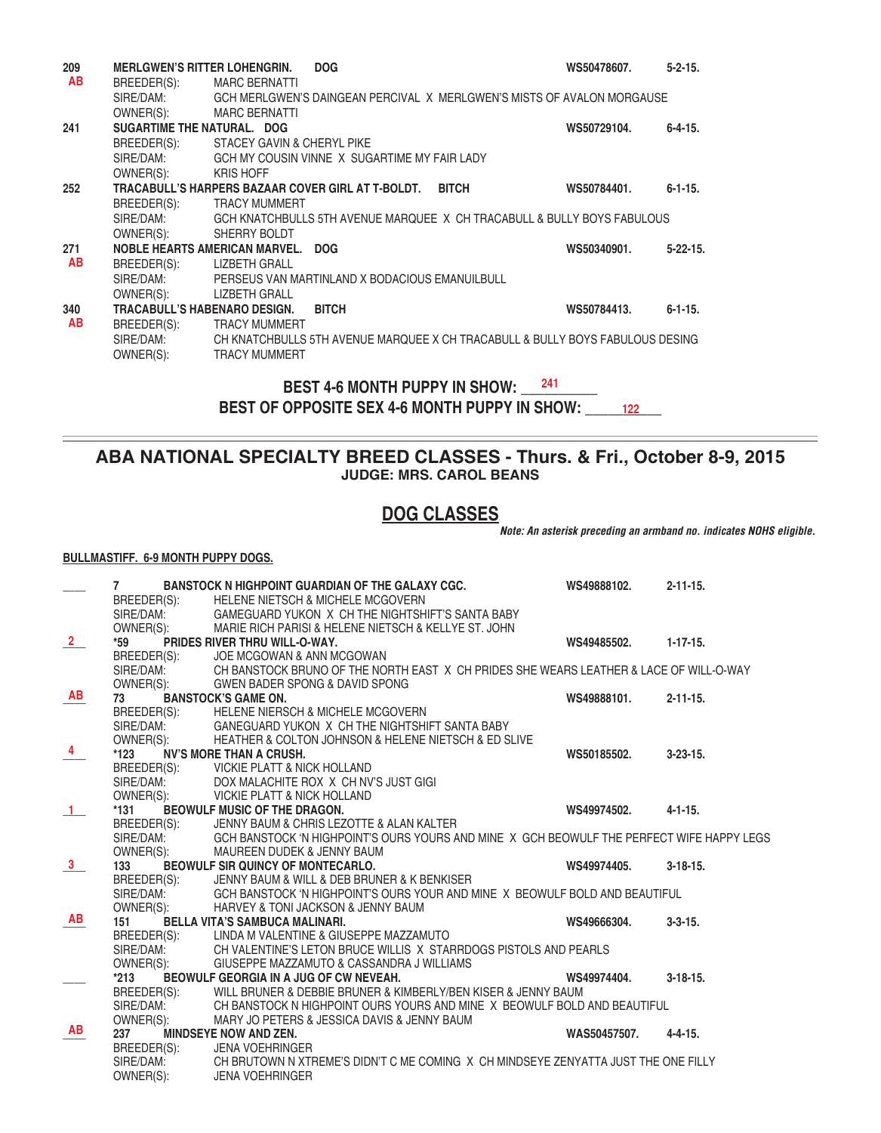| 209 | <b>MERLGWEN'S RITTER LOHENGRIN.</b> | <b>DOG</b>                                                                    | WS50478607. | $5 - 2 - 15$ .  |
|-----|-------------------------------------|-------------------------------------------------------------------------------|-------------|-----------------|
| AB  | BREEDER(S):                         | <b>MARC BERNATTI</b>                                                          |             |                 |
|     | SIRE/DAM:                           | GCH MERLGWEN'S DAINGEAN PERCIVAL X MERLGWEN'S MISTS OF AVALON MORGAUSE        |             |                 |
|     | OWNER(S): MARC BERNATTI             |                                                                               |             |                 |
| 241 | SUGARTIME THE NATURAL. DOG          |                                                                               | WS50729104. | $6 - 4 - 15$ .  |
|     | BREEDER(S):                         | STACEY GAVIN & CHERYL PIKE                                                    |             |                 |
|     | SIRE/DAM:                           | GCH MY COUSIN VINNE X SUGARTIME MY FAIR LADY                                  |             |                 |
|     | OWNER(S):                           | <b>KRIS HOFF</b>                                                              |             |                 |
| 252 |                                     | TRACABULL'S HARPERS BAZAAR COVER GIRL AT T-BOLDT. BITCH                       | WS50784401. | $6 - 1 - 15.$   |
|     | BREEDER(S):                         | <b>TRACY MUMMERT</b>                                                          |             |                 |
|     | SIRE/DAM:                           | GCH KNATCHBULLS 5TH AVENUE MARQUEE X CH TRACABULL & BULLY BOYS FABULOUS       |             |                 |
|     | OWNER(S):                           | SHERRY BOLDT                                                                  |             |                 |
| 271 |                                     | NOBLE HEARTS AMERICAN MARVEL. DOG                                             | WS50340901. | $5 - 22 - 15$ . |
| AB  | BREEDER(S):                         | LIZBETH GRALL                                                                 |             |                 |
|     | SIRE/DAM:                           | PERSEUS VAN MARTINLAND X BODACIOUS EMANUILBULL                                |             |                 |
|     | OWNER(S):                           | LIZBETH GRALL                                                                 |             |                 |
| 340 | <b>TRACABULL'S HABENARO DESIGN.</b> | <b>BITCH</b>                                                                  | WS50784413. | $6 - 1 - 15$ .  |
| AB  | BREEDER(S):                         | <b>TRACY MUMMERT</b>                                                          |             |                 |
|     | SIRE/DAM:                           | CH KNATCHBULLS 5TH AVENUE MARQUEE X CH TRACABULL & BULLY BOYS FABULOUS DESING |             |                 |
|     | OWNER(S):                           | <b>TRACY MUMMERT</b>                                                          |             |                 |
|     |                                     |                                                                               |             |                 |

**BEST 4-6 MONTH PUPPY IN SHOW: 241** BEST 4-6 MONTH PUPPY IN SHOW: \_\_\_<sup>241</sup><br>BEST OF OPPOSITE SEX 4-6 MONTH PUPPY IN SHOW: \_\_\_\_\_<sub>\_122</sub> \_\_\_

# **ABA NATIONAL SPECIALTY BREED CLASSES - Thurs. & Fri., October 8-9, 2015 JUDGE: MRS. CAROL BEANS**

# **DOG CLASSES**

*Note: An asterisk preceding an armband no. indicates NOHS eligible.*

#### **BULLMASTIFF. 6-9 MONTH PUPPY DOGS.**

|                | $\overline{7}$ | <b>BANSTOCK N HIGHPOINT GUARDIAN OF THE GALAXY CGC.</b>                                   | WS49888102.  | $2 - 11 - 15$ . |
|----------------|----------------|-------------------------------------------------------------------------------------------|--------------|-----------------|
|                | BREEDER(S):    | <b>HELENE NIETSCH &amp; MICHELE MCGOVERN</b>                                              |              |                 |
|                | SIRE/DAM:      | GAMEGUARD YUKON X CH THE NIGHTSHIFT'S SANTA BABY                                          |              |                 |
|                | OWNER(S):      | MARIE RICH PARISI & HELENE NIETSCH & KELLYE ST. JOHN                                      |              |                 |
| $\overline{2}$ | *59            | PRIDES RIVER THRU WILL-O-WAY.                                                             | WS49485502.  | $1 - 17 - 15.$  |
|                | BREEDER(S):    | JOE MCGOWAN & ANN MCGOWAN                                                                 |              |                 |
|                | SIRE/DAM:      | CH BANSTOCK BRUNO OF THE NORTH EAST X CH PRIDES SHE WEARS LEATHER & LACE OF WILL-O-WAY    |              |                 |
|                | OWNER(S):      | <b>GWEN BADER SPONG &amp; DAVID SPONG</b>                                                 |              |                 |
| AB             | 73             | <b>BANSTOCK'S GAME ON.</b>                                                                | WS49888101.  | $2 - 11 - 15$ . |
|                | BREEDER(S):    | <b>HELENE NIERSCH &amp; MICHELE MCGOVERN</b>                                              |              |                 |
|                | SIRE/DAM:      | GANEGUARD YUKON X CH THE NIGHTSHIFT SANTA BABY                                            |              |                 |
|                | OWNER(S):      | HEATHER & COLTON JOHNSON & HELENE NIETSCH & ED SLIVE                                      |              |                 |
| $\overline{4}$ | $*123$         | <b>NV'S MORE THAN A CRUSH.</b>                                                            | WS50185502.  | $3 - 23 - 15$ . |
|                | BREEDER(S):    | <b>VICKIE PLATT &amp; NICK HOLLAND</b>                                                    |              |                 |
|                | SIRE/DAM:      | DOX MALACHITE ROX X CH NV'S JUST GIGI                                                     |              |                 |
|                | OWNER(S):      | VICKIE PLATT & NICK HOLLAND                                                               |              |                 |
| $\blacksquare$ | *131           | <b>BEOWULF MUSIC OF THE DRAGON.</b>                                                       | WS49974502.  | $4 - 1 - 15.$   |
|                | BREEDER(S):    | JENNY BAUM & CHRIS LEZOTTE & ALAN KALTER                                                  |              |                 |
|                | SIRE/DAM:      | GCH BANSTOCK 'N HIGHPOINT'S OURS YOURS AND MINE X GCH BEOWULF THE PERFECT WIFE HAPPY LEGS |              |                 |
|                | OWNER(S):      | <b>MAUREEN DUDEK &amp; JENNY BAUM</b>                                                     |              |                 |
| $\mathbf{3}$   | 133            | BEOWULF SIR QUINCY OF MONTECARLO.                                                         | WS49974405.  | $3 - 18 - 15$ . |
|                | BREEDER(S):    | JENNY BAUM & WILL & DEB BRUNER & K BENKISER                                               |              |                 |
|                | SIRE/DAM:      | GCH BANSTOCK 'N HIGHPOINT'S OURS YOUR AND MINE X BEOWULF BOLD AND BEAUTIFUL               |              |                 |
|                | OWNER(S):      | HARVEY & TONI JACKSON & JENNY BAUM                                                        |              |                 |
| AB             | 151            | <b>BELLA VITA'S SAMBUCA MALINARI.</b>                                                     | WS49666304.  | $3 - 3 - 15$ .  |
|                |                | BREEDER(S): LINDA M VALENTINE & GIUSEPPE MAZZAMUTO                                        |              |                 |
|                | SIRE/DAM:      | CH VALENTINE'S LETON BRUCE WILLIS X STARRDOGS PISTOLS AND PEARLS                          |              |                 |
|                | OWNER(S):      | GIUSEPPE MAZZAMUTO & CASSANDRA J WILLIAMS                                                 |              |                 |
|                | *213           | BEOWULF GEORGIA IN A JUG OF CW NEVEAH.                                                    | WS49974404.  | $3 - 18 - 15$ . |
|                | BREEDER(S):    | WILL BRUNER & DEBBIE BRUNER & KIMBERLY/BEN KISER & JENNY BAUM                             |              |                 |
|                | SIRE/DAM:      | CH BANSTOCK N HIGHPOINT OURS YOURS AND MINE X BEOWULF BOLD AND BEAUTIFUL                  |              |                 |
|                | OWNER(S):      | MARY JO PETERS & JESSICA DAVIS & JENNY BAUM                                               |              |                 |
| AB             | 237            | MINDSEYE NOW AND ZEN.                                                                     | WAS50457507. | $4 - 4 - 15$ .  |
|                | BREEDER(S):    | <b>JENA VOEHRINGER</b>                                                                    |              |                 |
|                | SIRE/DAM:      | CH BRUTOWN N XTREME'S DIDN'T C ME COMING X CH MINDSEYE ZENYATTA JUST THE ONE FILLY        |              |                 |
|                | OWNER(S):      | <b>JENA VOEHRINGER</b>                                                                    |              |                 |
|                |                |                                                                                           |              |                 |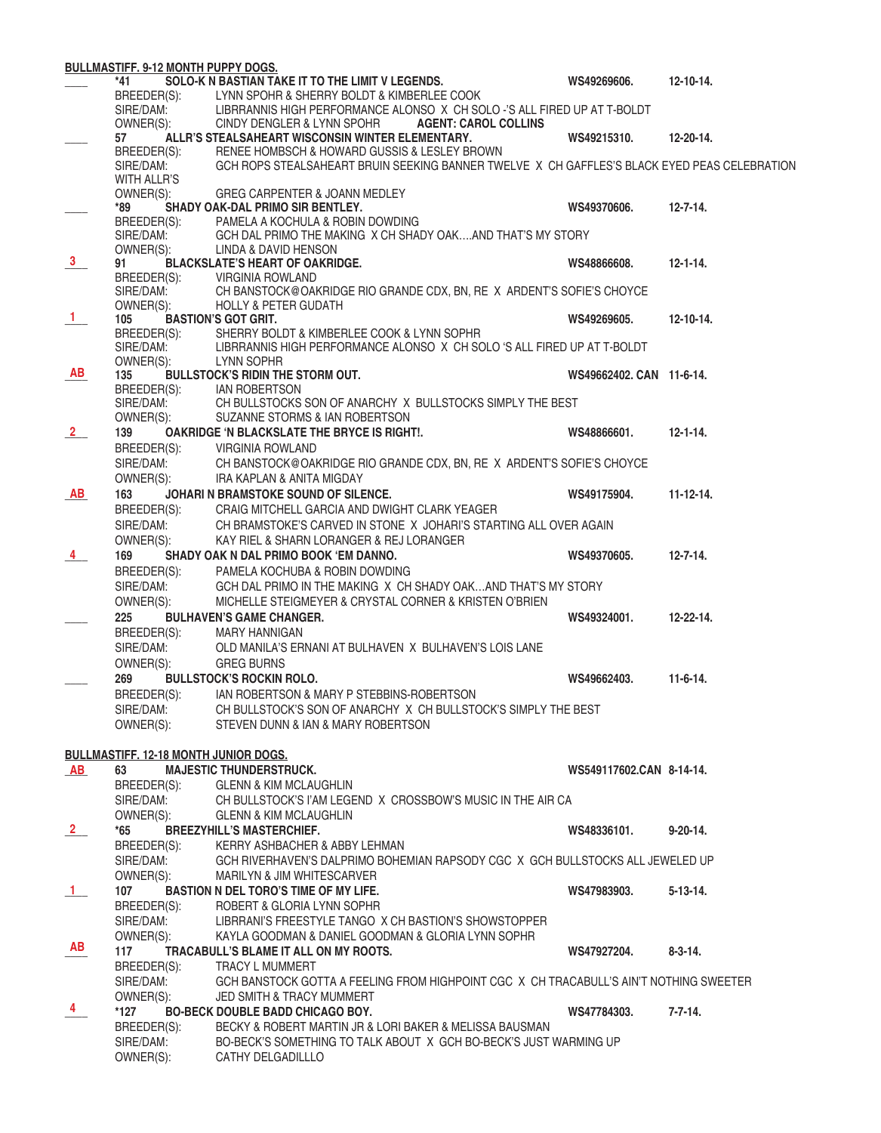|                      | <b>BULLMASTIFF. 9-12 MONTH PUPPY DOGS.</b> |                                                                                              |                          |                  |
|----------------------|--------------------------------------------|----------------------------------------------------------------------------------------------|--------------------------|------------------|
|                      | *41                                        | SOLO-K N BASTIAN TAKE IT TO THE LIMIT V LEGENDS.                                             | WS49269606.              | $12 - 10 - 14.$  |
|                      | BREEDER(S):                                | LYNN SPOHR & SHERRY BOLDT & KIMBERLEE COOK                                                   |                          |                  |
|                      | SIRE/DAM:                                  | LIBRRANNIS HIGH PERFORMANCE ALONSO X CH SOLO -'S ALL FIRED UP AT T-BOLDT                     |                          |                  |
|                      | OWNER(S):                                  | <b>AGENT: CAROL COLLINS</b><br>CINDY DENGLER & LYNN SPOHR                                    |                          |                  |
|                      | 57                                         | ALLR'S STEALSAHEART WISCONSIN WINTER ELEMENTARY.                                             | WS49215310.              | 12-20-14.        |
|                      | BREEDER(S):                                | RENEE HOMBSCH & HOWARD GUSSIS & LESLEY BROWN                                                 |                          |                  |
|                      | SIRE/DAM:                                  | GCH ROPS STEALSAHEART BRUIN SEEKING BANNER TWELVE X CH GAFFLES'S BLACK EYED PEAS CELEBRATION |                          |                  |
|                      | <b>WITH ALLR'S</b>                         |                                                                                              |                          |                  |
|                      | OWNER(S):                                  | GREG CARPENTER & JOANN MEDLEY                                                                |                          |                  |
|                      | *89                                        | SHADY OAK-DAL PRIMO SIR BENTLEY.                                                             | WS49370606.              | $12 - 7 - 14.$   |
|                      | BREEDER(S):                                | PAMELA A KOCHULA & ROBIN DOWDING                                                             |                          |                  |
|                      | SIRE/DAM:                                  | GCH DAL PRIMO THE MAKING X CH SHADY OAKAND THAT'S MY STORY                                   |                          |                  |
|                      | OWNER(S):                                  | LINDA & DAVID HENSON                                                                         |                          |                  |
| 3 <sup>7</sup>       | 91                                         | <b>BLACKSLATE'S HEART OF OAKRIDGE.</b>                                                       | WS48866608.              | $12 - 1 - 14$ .  |
|                      |                                            | BREEDER(S): VIRGINIA ROWLAND                                                                 |                          |                  |
|                      | SIRE/DAM:                                  | CH BANSTOCK@OAKRIDGE RIO GRANDE CDX, BN, RE X ARDENT'S SOFIE'S CHOYCE                        |                          |                  |
|                      | OWNER(S):                                  | <b>HOLLY &amp; PETER GUDATH</b>                                                              |                          |                  |
| $\frac{1}{\sqrt{2}}$ | 105                                        | <b>BASTION'S GOT GRIT.</b>                                                                   | WS49269605.              | $12 - 10 - 14.$  |
|                      | BREEDER(S):                                | SHERRY BOLDT & KIMBERLEE COOK & LYNN SOPHR                                                   |                          |                  |
|                      | SIRE/DAM:                                  | LIBRRANNIS HIGH PERFORMANCE ALONSO X CH SOLO 'S ALL FIRED UP AT T-BOLDT                      |                          |                  |
|                      | OWNER(S):                                  | LYNN SOPHR                                                                                   |                          |                  |
| <b>AB</b>            | 135                                        | <b>BULLSTOCK'S RIDIN THE STORM OUT.</b>                                                      | WS49662402. CAN 11-6-14. |                  |
|                      | BREEDER(S):                                | <b>IAN ROBERTSON</b>                                                                         |                          |                  |
|                      | $SIRE/DAM$ :                               | CH BULLSTOCKS SON OF ANARCHY X BULLSTOCKS SIMPLY THE BEST                                    |                          |                  |
|                      | OWNER(S):                                  | SUZANNE STORMS & IAN ROBERTSON                                                               |                          |                  |
| $\frac{2}{2}$        | 139                                        | <b>OAKRIDGE 'N BLACKSLATE THE BRYCE IS RIGHT!.</b>                                           | WS48866601.              | $12 - 1 - 14$ .  |
|                      |                                            | <b>VIRGINIA ROWLAND</b>                                                                      |                          |                  |
|                      | BREEDER(S):                                |                                                                                              |                          |                  |
|                      | SIRE/DAM:                                  | CH BANSTOCK@OAKRIDGE RIO GRANDE CDX, BN, RE X ARDENT'S SOFIE'S CHOYCE                        |                          |                  |
|                      | OWNER(S):                                  | IRA KAPLAN & ANITA MIGDAY                                                                    |                          |                  |
| AB                   | 163                                        | JOHARI N BRAMSTOKE SOUND OF SILENCE.                                                         | WS49175904.              | $11 - 12 - 14.$  |
|                      | BREEDER(S):                                | CRAIG MITCHELL GARCIA AND DWIGHT CLARK YEAGER                                                |                          |                  |
|                      | SIRE/DAM:                                  | CH BRAMSTOKE'S CARVED IN STONE X JOHARI'S STARTING ALL OVER AGAIN                            |                          |                  |
|                      | OWNER(S):                                  | KAY RIEL & SHARN LORANGER & REJ LORANGER                                                     |                          |                  |
| 4                    | 169                                        | SHADY OAK N DAL PRIMO BOOK 'EM DANNO.                                                        | WS49370605.              | $12 - 7 - 14.$   |
|                      | BREEDER(S):                                | PAMELA KOCHUBA & ROBIN DOWDING                                                               |                          |                  |
|                      |                                            |                                                                                              |                          |                  |
|                      | SIRE/DAM:                                  | GCH DAL PRIMO IN THE MAKING X CH SHADY OAKAND THAT'S MY STORY                                |                          |                  |
|                      | OWNER(S):                                  | MICHELLE STEIGMEYER & CRYSTAL CORNER & KRISTEN O'BRIEN                                       |                          |                  |
|                      | 225                                        | <b>BULHAVEN'S GAME CHANGER.</b>                                                              | WS49324001.              | $12 - 22 - 14$ . |
|                      | BREEDER(S):                                | <b>MARY HANNIGAN</b>                                                                         |                          |                  |
|                      | SIRE/DAM:                                  | OLD MANILA'S ERNANI AT BULHAVEN X BULHAVEN'S LOIS LANE                                       |                          |                  |
|                      | OWNER(S):                                  | <b>GREG BURNS</b>                                                                            |                          |                  |
|                      | 269                                        | <b>BULLSTOCK'S ROCKIN ROLO.</b>                                                              | WS49662403.              | $11-6-14.$       |
|                      | BREEDER(S):                                | IAN ROBERTSON & MARY P STEBBINS-ROBERTSON                                                    |                          |                  |
|                      | SIRE/DAM:                                  | CH BULLSTOCK'S SON OF ANARCHY X CH BULLSTOCK'S SIMPLY THE BEST                               |                          |                  |
|                      | OWNER(S):                                  | STEVEN DUNN & IAN & MARY ROBERTSON                                                           |                          |                  |
|                      |                                            |                                                                                              |                          |                  |
|                      |                                            |                                                                                              |                          |                  |
|                      | BULLMASTIFF. 12-18 MONTH JUNIOR DOGS.      |                                                                                              |                          |                  |
| AB                   | 63                                         | <b>MAJESTIC THUNDERSTRUCK.</b>                                                               | WS549117602.CAN 8-14-14. |                  |
|                      | BREEDER(S):                                | <b>GLENN &amp; KIM MCLAUGHLIN</b>                                                            |                          |                  |
|                      | SIRE/DAM:                                  | CH BULLSTOCK'S I'AM LEGEND X CROSSBOW'S MUSIC IN THE AIR CA                                  |                          |                  |
|                      | OWNER(S):                                  | <b>GLENN &amp; KIM MCLAUGHLIN</b>                                                            |                          |                  |
| $\frac{2}{ }$        | $*65$                                      | <b>BREEZYHILL'S MASTERCHIEF.</b>                                                             | WS48336101.              | $9-20-14.$       |
|                      | BREEDER(S):                                | KERRY ASHBACHER & ABBY LEHMAN                                                                |                          |                  |
|                      | SIRE/DAM:                                  | GCH RIVERHAVEN'S DALPRIMO BOHEMIAN RAPSODY CGC X GCH BULLSTOCKS ALL JEWELED UP               |                          |                  |
|                      | OWNER(S):                                  | <b>MARILYN &amp; JIM WHITESCARVER</b>                                                        |                          |                  |
| $\mathbf{1}$         | 107                                        | <b>BASTION N DEL TORO'S TIME OF MY LIFE.</b>                                                 | WS47983903.              | $5 - 13 - 14$ .  |
|                      | BREEDER(S):                                | ROBERT & GLORIA LYNN SOPHR                                                                   |                          |                  |
|                      |                                            |                                                                                              |                          |                  |
|                      | SIRE/DAM:                                  | LIBRRANI'S FREESTYLE TANGO X CH BASTION'S SHOWSTOPPER                                        |                          |                  |
|                      | OWNER(S):                                  | KAYLA GOODMAN & DANIEL GOODMAN & GLORIA LYNN SOPHR                                           |                          |                  |
| AB                   | 117                                        | TRACABULL'S BLAME IT ALL ON MY ROOTS.                                                        | WS47927204.              | $8 - 3 - 14$ .   |
|                      | BREEDER(S):                                | <b>TRACY L MUMMERT</b>                                                                       |                          |                  |
|                      | SIRE/DAM:                                  | GCH BANSTOCK GOTTA A FEELING FROM HIGHPOINT CGC X CH TRACABULL'S AIN'T NOTHING SWEETER       |                          |                  |
|                      | OWNER(S):                                  | <b>JED SMITH &amp; TRACY MUMMERT</b>                                                         |                          |                  |
| 4                    | *127                                       | <b>BO-BECK DOUBLE BADD CHICAGO BOY.</b>                                                      | WS47784303.              | $7 - 7 - 14.$    |
|                      | BREEDER(S):                                | BECKY & ROBERT MARTIN JR & LORI BAKER & MELISSA BAUSMAN                                      |                          |                  |
|                      | SIRE/DAM:                                  | BO-BECK'S SOMETHING TO TALK ABOUT X GCH BO-BECK'S JUST WARMING UP                            |                          |                  |
|                      | OWNER(S):                                  | CATHY DELGADILLLO                                                                            |                          |                  |
|                      |                                            |                                                                                              |                          |                  |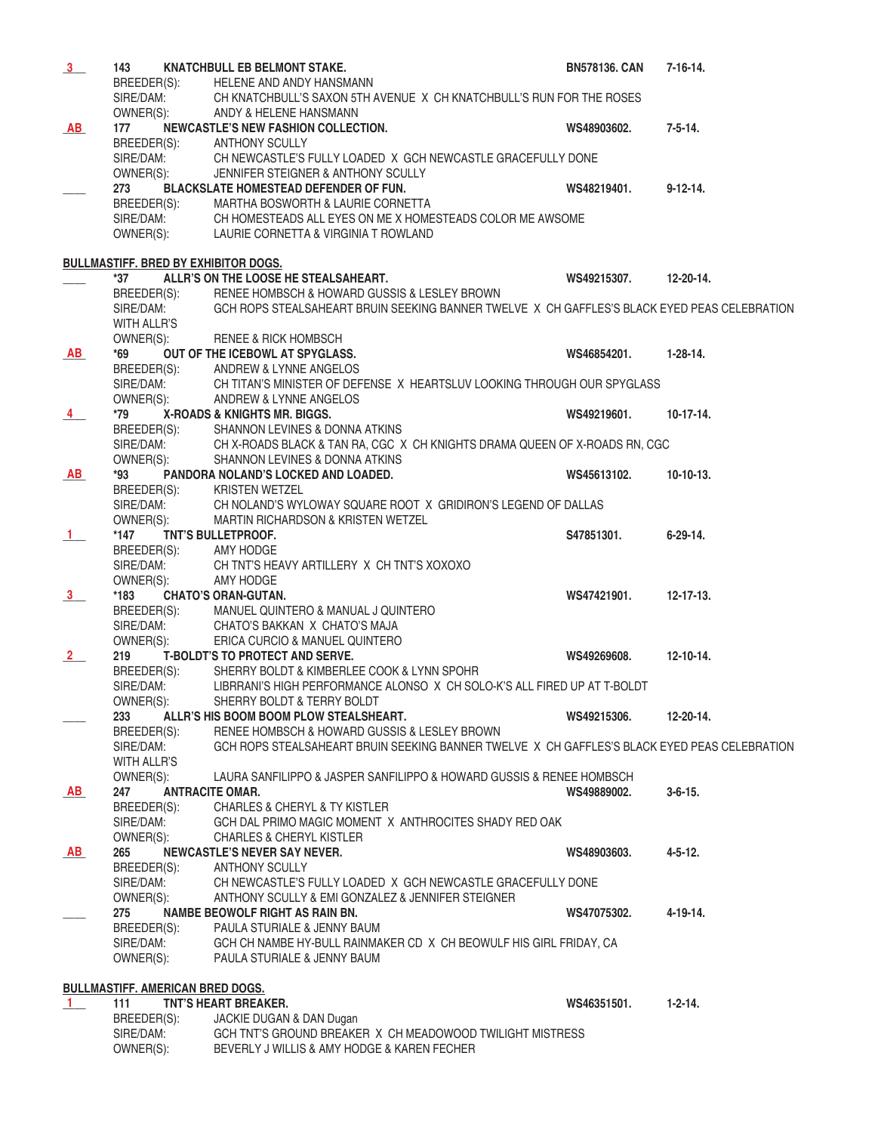| 3              | 143                                      | KNATCHBULL EB BELMONT STAKE.                                                                 | <b>BN578136, CAN</b> | $7 - 16 - 14.$   |  |  |  |
|----------------|------------------------------------------|----------------------------------------------------------------------------------------------|----------------------|------------------|--|--|--|
|                | BREEDER(S):                              | HELENE AND ANDY HANSMANN                                                                     |                      |                  |  |  |  |
|                | SIRE/DAM:                                | CH KNATCHBULL'S SAXON 5TH AVENUE X CH KNATCHBULL'S RUN FOR THE ROSES                         |                      |                  |  |  |  |
|                | OWNER(S):                                | ANDY & HELENE HANSMANN                                                                       |                      |                  |  |  |  |
| AB             | 177                                      | NEWCASTLE'S NEW FASHION COLLECTION.                                                          | WS48903602.          | $7 - 5 - 14$ .   |  |  |  |
|                |                                          | BREEDER(S): ANTHONY SCULLY                                                                   |                      |                  |  |  |  |
|                | SIRE/DAM:                                | CH NEWCASTLE'S FULLY LOADED X GCH NEWCASTLE GRACEFULLY DONE                                  |                      |                  |  |  |  |
|                | OWNER(S):                                | JENNIFER STEIGNER & ANTHONY SCULLY                                                           |                      |                  |  |  |  |
|                | 273                                      |                                                                                              |                      | $9-12-14.$       |  |  |  |
|                |                                          | <b>BLACKSLATE HOMESTEAD DEFENDER OF FUN.</b>                                                 | WS48219401.          |                  |  |  |  |
|                | BREEDER(S):<br>SIRE/DAM:                 | MARTHA BOSWORTH & LAURIE CORNETTA                                                            |                      |                  |  |  |  |
|                |                                          | CH HOMESTEADS ALL EYES ON ME X HOMESTEADS COLOR ME AWSOME                                    |                      |                  |  |  |  |
|                | OWNER(S):                                | LAURIE CORNETTA & VIRGINIA T ROWLAND                                                         |                      |                  |  |  |  |
|                |                                          |                                                                                              |                      |                  |  |  |  |
|                |                                          | <b>BULLMASTIFF. BRED BY EXHIBITOR DOGS.</b>                                                  |                      |                  |  |  |  |
|                | *37                                      | ALLR'S ON THE LOOSE HE STEALSAHEART.                                                         | WS49215307.          | 12-20-14.        |  |  |  |
|                | BREEDER(S):                              | RENEE HOMBSCH & HOWARD GUSSIS & LESLEY BROWN                                                 |                      |                  |  |  |  |
|                | SIRE/DAM:                                | GCH ROPS STEALSAHEART BRUIN SEEKING BANNER TWELVE X CH GAFFLES'S BLACK EYED PEAS CELEBRATION |                      |                  |  |  |  |
|                | WITH ALLR'S                              |                                                                                              |                      |                  |  |  |  |
|                | OWNER(S):                                | <b>RENEE &amp; RICK HOMBSCH</b>                                                              |                      |                  |  |  |  |
| AB             | *69                                      | OUT OF THE ICEBOWL AT SPYGLASS.                                                              | WS46854201.          | $1-28-14.$       |  |  |  |
|                |                                          | BREEDER(S): ANDREW & LYNNE ANGELOS                                                           |                      |                  |  |  |  |
|                | SIRE/DAM:                                | CH TITAN'S MINISTER OF DEFENSE X HEARTSLUV LOOKING THROUGH OUR SPYGLASS                      |                      |                  |  |  |  |
|                | OWNER(S):                                | ANDREW & LYNNE ANGELOS                                                                       |                      |                  |  |  |  |
|                | *79                                      | X-ROADS & KNIGHTS MR. BIGGS.                                                                 | WS49219601.          | $10-17-14.$      |  |  |  |
| $\frac{4}{ }$  |                                          |                                                                                              |                      |                  |  |  |  |
|                | BREEDER(S):                              | SHANNON LEVINES & DONNA ATKINS                                                               |                      |                  |  |  |  |
|                | SIRE/DAM:                                | CH X-ROADS BLACK & TAN RA, CGC X CH KNIGHTS DRAMA QUEEN OF X-ROADS RN, CGC                   |                      |                  |  |  |  |
|                | OWNER(S):                                | SHANNON LEVINES & DONNA ATKINS                                                               |                      |                  |  |  |  |
| AB             | *93                                      | PANDORA NOLAND'S LOCKED AND LOADED.                                                          | WS45613102.          | $10-10-13.$      |  |  |  |
|                | breeder(s):<br>Sire/Dam:<br>Owner(s):    | <b>KRISTEN WETZEL</b>                                                                        |                      |                  |  |  |  |
|                |                                          | CH NOLAND'S WYLOWAY SQUARE ROOT X GRIDIRON'S LEGEND OF DALLAS                                |                      |                  |  |  |  |
|                |                                          | MARTIN RICHARDSON & KRISTEN WETZEL                                                           |                      |                  |  |  |  |
| $\frac{1}{1}$  | *147                                     | <b>TNT'S BULLETPROOF.</b>                                                                    | S47851301.           | $6-29-14.$       |  |  |  |
|                |                                          | BREEDER(S): AMY HODGE                                                                        |                      |                  |  |  |  |
|                |                                          | CH TNT'S HEAVY ARTILLERY X CH TNT'S XOXOXO                                                   |                      |                  |  |  |  |
|                | SIRE/DAM:<br>OWNER(S):<br>OWNER(S):      | AMY HODGE                                                                                    |                      |                  |  |  |  |
| $\frac{3}{ }$  | *183                                     | <b>CHATO'S ORAN-GUTAN.</b>                                                                   | WS47421901.          | $12 - 17 - 13$ . |  |  |  |
|                | BREEDER(S):                              | MANUEL QUINTERO & MANUAL J QUINTERO                                                          |                      |                  |  |  |  |
|                | SIRE/DAM:                                | CHATO'S BAKKAN X CHATO'S MAJA                                                                |                      |                  |  |  |  |
|                | OWNER(S):                                | ERICA CURCIO & MANUEL QUINTERO                                                               |                      |                  |  |  |  |
|                | 219                                      | T-BOLDT'S TO PROTECT AND SERVE.                                                              | WS49269608.          | 12-10-14.        |  |  |  |
| $\frac{2}{ }$  | BREEDER(S):                              | SHERRY BOLDT & KIMBERLEE COOK & LYNN SPOHR                                                   |                      |                  |  |  |  |
|                |                                          |                                                                                              |                      |                  |  |  |  |
|                |                                          | SIRE/DAM: LIBRRANI'S HIGH PERFORMANCE ALONSO X CH SOLO-K'S ALL FIRED UP AT T-BOLDT           |                      |                  |  |  |  |
|                | OWNER(S):                                | SHERRY BOLDT & TERRY BOLDT                                                                   |                      |                  |  |  |  |
|                | 233                                      | ALLR'S HIS BOOM BOOM PLOW STEALSHEART.                                                       | WS49215306.          | 12-20-14.        |  |  |  |
|                | BREEDER(S):                              | RENEE HOMBSCH & HOWARD GUSSIS & LESLEY BROWN                                                 |                      |                  |  |  |  |
|                | SIRE/DAM:                                | GCH ROPS STEALSAHEART BRUIN SEEKING BANNER TWELVE X CH GAFFLES'S BLACK EYED PEAS CELEBRATION |                      |                  |  |  |  |
|                | WITH ALLR'S                              |                                                                                              |                      |                  |  |  |  |
|                | OWNER(S):                                | LAURA SANFILIPPO & JASPER SANFILIPPO & HOWARD GUSSIS & RENEE HOMBSCH                         |                      |                  |  |  |  |
| AB             | 247                                      | <b>ANTRACITE OMAR.</b>                                                                       | WS49889002.          | $3 - 6 - 15$ .   |  |  |  |
|                | BREEDER(S):                              | <b>CHARLES &amp; CHERYL &amp; TY KISTLER</b>                                                 |                      |                  |  |  |  |
|                | SIRE/DAM:                                | GCH DAL PRIMO MAGIC MOMENT X ANTHROCITES SHADY RED OAK                                       |                      |                  |  |  |  |
|                | OWNER(S):                                | <b>CHARLES &amp; CHERYL KISTLER</b>                                                          |                      |                  |  |  |  |
| AB             | 265                                      | NEWCASTLE'S NEVER SAY NEVER.                                                                 | WS48903603.          | $4 - 5 - 12$ .   |  |  |  |
|                | BREEDER(S):                              | <b>ANTHONY SCULLY</b>                                                                        |                      |                  |  |  |  |
|                | SIRE/DAM:                                | CH NEWCASTLE'S FULLY LOADED X GCH NEWCASTLE GRACEFULLY DONE                                  |                      |                  |  |  |  |
|                | OWNER(S):                                | ANTHONY SCULLY & EMI GONZALEZ & JENNIFER STEIGNER                                            |                      |                  |  |  |  |
|                | 275                                      | <b>NAMBE BEOWOLF RIGHT AS RAIN BN.</b>                                                       | WS47075302.          | $4 - 19 - 14$ .  |  |  |  |
|                | BREEDER(S):                              | PAULA STURIALE & JENNY BAUM                                                                  |                      |                  |  |  |  |
|                |                                          |                                                                                              |                      |                  |  |  |  |
|                | SIRE/DAM:                                | GCH CH NAMBE HY-BULL RAINMAKER CD X CH BEOWULF HIS GIRL FRIDAY, CA                           |                      |                  |  |  |  |
|                | OWNER(S):<br>PAULA STURIALE & JENNY BAUM |                                                                                              |                      |                  |  |  |  |
|                |                                          |                                                                                              |                      |                  |  |  |  |
|                |                                          | <b>BULLMASTIFF. AMERICAN BRED DOGS.</b>                                                      |                      |                  |  |  |  |
| $\overline{1}$ | 111                                      | TNT'S HEART BREAKER.                                                                         | WS46351501.          | $1 - 2 - 14.$    |  |  |  |
|                | BREEDER(S):                              | JACKIE DUGAN & DAN Dugan                                                                     |                      |                  |  |  |  |
|                | SIRE/DAM:                                | GCH TNT'S GROUND BREAKER X CH MEADOWOOD TWILIGHT MISTRESS                                    |                      |                  |  |  |  |
|                | OWNER(S):                                | BEVERLY J WILLIS & AMY HODGE & KAREN FECHER                                                  |                      |                  |  |  |  |
|                |                                          |                                                                                              |                      |                  |  |  |  |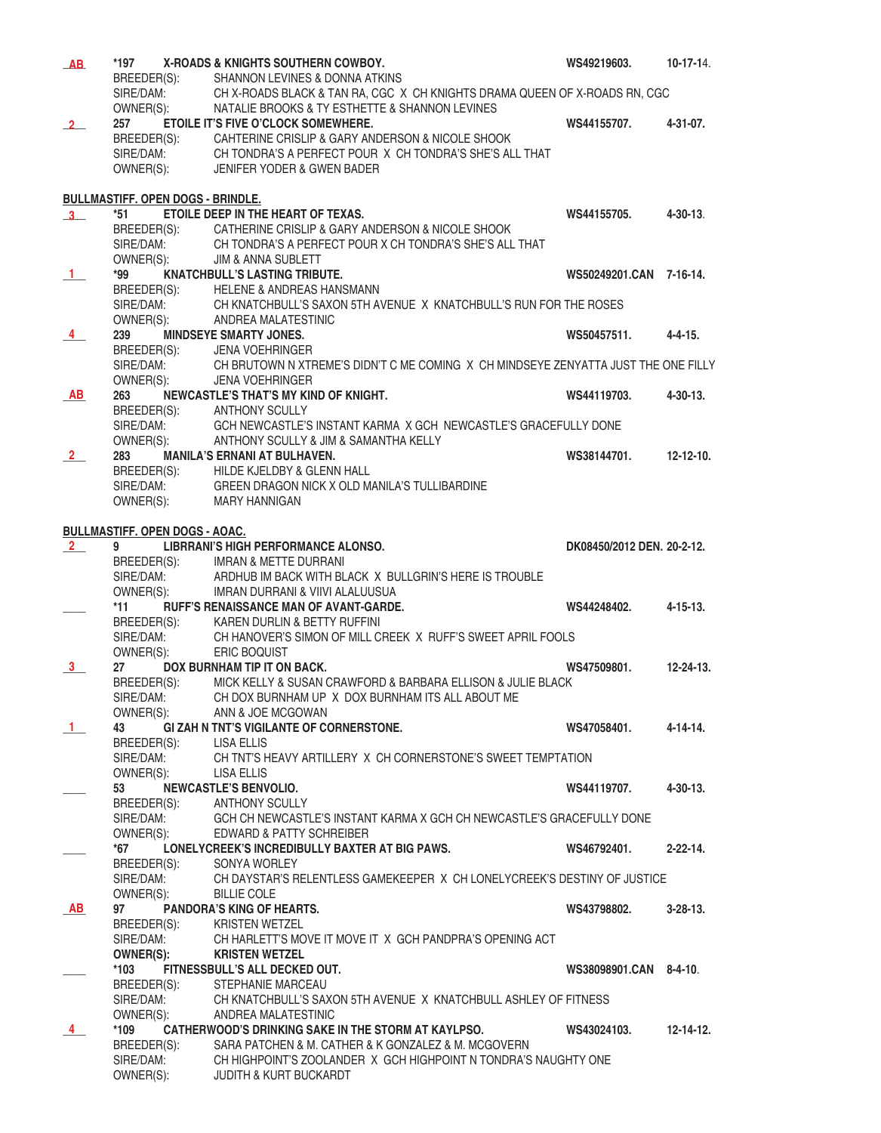| AB             | *197                                     | X-ROADS & KNIGHTS SOUTHERN COWBOY.                                                 | WS49219603.                | $10-17-14.$      |
|----------------|------------------------------------------|------------------------------------------------------------------------------------|----------------------------|------------------|
|                | BREEDER(S):                              | SHANNON LEVINES & DONNA ATKINS                                                     |                            |                  |
|                | SIRE/DAM:                                | CH X-ROADS BLACK & TAN RA, CGC X CH KNIGHTS DRAMA QUEEN OF X-ROADS RN, CGC         |                            |                  |
|                | OWNER(S):                                | NATALIE BROOKS & TY ESTHETTE & SHANNON LEVINES                                     |                            |                  |
|                | 257                                      | ETOILE IT'S FIVE O'CLOCK SOMEWHERE.                                                |                            |                  |
| $\sqrt{2}$     |                                          |                                                                                    | WS44155707.                | 4-31-07.         |
|                | BREEDER(S):                              | CAHTERINE CRISLIP & GARY ANDERSON & NICOLE SHOOK                                   |                            |                  |
|                | SIRE/DAM:                                | CH TONDRA'S A PERFECT POUR X CH TONDRA'S SHE'S ALL THAT                            |                            |                  |
|                | OWNER(S):                                | JENIFER YODER & GWEN BADER                                                         |                            |                  |
|                |                                          |                                                                                    |                            |                  |
|                | <b>BULLMASTIFF. OPEN DOGS - BRINDLE.</b> |                                                                                    |                            |                  |
| $3-$           | *51                                      | ETOILE DEEP IN THE HEART OF TEXAS.                                                 | WS44155705.                | $4 - 30 - 13$ .  |
|                |                                          | BREEDER(S): CATHERINE CRISLIP & GARY ANDERSON & NICOLE SHOOK                       |                            |                  |
|                |                                          |                                                                                    |                            |                  |
|                | SIRE/DAM:                                | CH TONDRA'S A PERFECT POUR X CH TONDRA'S SHE'S ALL THAT                            |                            |                  |
|                | OWNER(S):                                | <b>JIM &amp; ANNA SUBLETT</b>                                                      |                            |                  |
| $\mathbf{1}$   | *99                                      | <b>KNATCHBULL'S LASTING TRIBUTE.</b>                                               | WS50249201.CAN 7-16-14.    |                  |
|                | BREEDER(S):                              | HELENE & ANDREAS HANSMANN                                                          |                            |                  |
|                | SIRE/DAM:                                | CH KNATCHBULL'S SAXON 5TH AVENUE X KNATCHBULL'S RUN FOR THE ROSES                  |                            |                  |
|                | OWNER(S):                                | ANDREA MALATESTINIC                                                                |                            |                  |
| $\overline{4}$ | 239                                      | <b>MINDSEYE SMARTY JONES.</b>                                                      | WS50457511.                | $4 - 4 - 15$ .   |
|                | BREEDER(S):                              | JENA VOEHRINGER                                                                    |                            |                  |
|                | SIRE/DAM:                                | CH BRUTOWN N XTREME'S DIDN'T C ME COMING X CH MINDSEYE ZENYATTA JUST THE ONE FILLY |                            |                  |
|                |                                          |                                                                                    |                            |                  |
|                | OWNER(S):                                | <b>JENA VOEHRINGER</b>                                                             |                            |                  |
| AB             | 263                                      | NEWCASTLE'S THAT'S MY KIND OF KNIGHT.                                              | WS44119703.                | $4 - 30 - 13$ .  |
|                | BREEDER(S): ANTHONY SCULLY               |                                                                                    |                            |                  |
|                | SIRE/DAM:                                | GCH NEWCASTLE'S INSTANT KARMA X GCH NEWCASTLE'S GRACEFULLY DONE                    |                            |                  |
|                | OWNER(S):                                | ANTHONY SCULLY & JIM & SAMANTHA KELLY                                              |                            |                  |
| $\frac{2}{ }$  | 283                                      | <b>MANILA'S ERNANI AT BULHAVEN.</b>                                                | WS38144701.                | $12 - 12 - 10$ . |
|                | BREEDER(S):                              | HILDE KJELDBY & GLENN HALL                                                         |                            |                  |
|                | SIRE/DAM:                                | GREEN DRAGON NICK X OLD MANILA'S TULLIBARDINE                                      |                            |                  |
|                |                                          |                                                                                    |                            |                  |
|                | OWNER(S):                                | MARY HANNIGAN                                                                      |                            |                  |
|                |                                          |                                                                                    |                            |                  |
|                | <b>BULLMASTIFF. OPEN DOGS - AOAC.</b>    |                                                                                    |                            |                  |
| $\frac{2}{2}$  | 9                                        | LIBRRANI'S HIGH PERFORMANCE ALONSO.                                                | DK08450/2012 DEN, 20-2-12. |                  |
|                |                                          | BREEDER(S): IMRAN & METTE DURRANI                                                  |                            |                  |
|                | SIRE/DAM:                                | ARDHUB IM BACK WITH BLACK X BULLGRIN'S HERE IS TROUBLE                             |                            |                  |
|                | OWNER(S):                                | IMRAN DURRANI & VIIVI ALALUUSUA                                                    |                            |                  |
|                | *11                                      | RUFF'S RENAISSANCE MAN OF AVANT-GARDE.                                             | WS44248402.                | $4 - 15 - 13$ .  |
|                | BREEDER(S):                              | KAREN DURLIN & BETTY RUFFINI                                                       |                            |                  |
|                |                                          |                                                                                    |                            |                  |
|                | SIRE/DAM:                                | CH HANOVER'S SIMON OF MILL CREEK X RUFF'S SWEET APRIL FOOLS                        |                            |                  |
|                | OWNER(S):                                | ERIC BOQUIST                                                                       |                            |                  |
| 3 <sup>1</sup> | 27                                       | DOX BURNHAM TIP IT ON BACK.                                                        | WS47509801.                | $12 - 24 - 13$ . |
|                |                                          | BREEDER(S): MICK KELLY & SUSAN CRAWFORD & BARBARA ELLISON & JULIE BLACK            |                            |                  |
|                | SIRE/DAM:                                | CH DOX BURNHAM UP X DOX BURNHAM ITS ALL ABOUT ME                                   |                            |                  |
|                | OWNER(S):                                | ANN & JOE MCGOWAN                                                                  |                            |                  |
| $\mathbf{1}$   | 43                                       | <b>GI ZAH N TNT'S VIGILANTE OF CORNERSTONE.</b>                                    | WS47058401.                | $4 - 14 - 14.$   |
|                | BREEDER(S):                              | LISA ELLIS                                                                         |                            |                  |
|                |                                          | CH TNT'S HEAVY ARTILLERY X CH CORNERSTONE'S SWEET TEMPTATION                       |                            |                  |
|                | SIRE/DAM:                                |                                                                                    |                            |                  |
|                | OWNER(S):                                | LISA ELLIS                                                                         |                            |                  |
|                | 53                                       | <b>NEWCASTLE'S BENVOLIO.</b>                                                       | WS44119707.                | $4 - 30 - 13$ .  |
|                | BREEDER(S):                              | <b>ANTHONY SCULLY</b>                                                              |                            |                  |
|                | SIRE/DAM:                                | GCH CH NEWCASTLE'S INSTANT KARMA X GCH CH NEWCASTLE'S GRACEFULLY DONE              |                            |                  |
|                | OWNER(S):                                | EDWARD & PATTY SCHREIBER                                                           |                            |                  |
|                | *67                                      | LONELYCREEK'S INCREDIBULLY BAXTER AT BIG PAWS.                                     | WS46792401.                | $2 - 22 - 14$ .  |
|                | BREEDER(S):                              | SONYA WORLEY                                                                       |                            |                  |
|                | SIRE/DAM:                                | CH DAYSTAR'S RELENTLESS GAMEKEEPER X CH LONELYCREEK'S DESTINY OF JUSTICE           |                            |                  |
|                |                                          |                                                                                    |                            |                  |
|                | OWNER(S):                                | <b>BILLIE COLE</b>                                                                 |                            |                  |
| <b>AB</b>      | 97                                       | <b>PANDORA'S KING OF HEARTS.</b>                                                   | WS43798802.                | $3-28-13$ .      |
|                | BREEDER(S):                              | KRISTEN WETZEL                                                                     |                            |                  |
|                | SIRE/DAM:                                | CH HARLETT'S MOVE IT MOVE IT X GCH PANDPRA'S OPENING ACT                           |                            |                  |
|                | OWNER(S):                                | <b>KRISTEN WETZEL</b>                                                              |                            |                  |
|                | $*103$                                   | FITNESSBULL'S ALL DECKED OUT.                                                      | WS38098901.CAN 8-4-10.     |                  |
|                | BREEDER(S):                              | STEPHANIE MARCEAU                                                                  |                            |                  |
|                | SIRE/DAM:                                | CH KNATCHBULL'S SAXON 5TH AVENUE X KNATCHBULL ASHLEY OF FITNESS                    |                            |                  |
|                |                                          | ANDREA MALATESTINIC                                                                |                            |                  |
|                | OWNER(S):                                |                                                                                    |                            |                  |
| 4              | *109                                     | CATHERWOOD'S DRINKING SAKE IN THE STORM AT KAYLPSO.                                | WS43024103.                | $12 - 14 - 12$ . |
|                | BREEDER(S):                              | SARA PATCHEN & M. CATHER & K GONZALEZ & M. MCGOVERN                                |                            |                  |
|                | SIRE/DAM:                                | CH HIGHPOINT'S ZOOLANDER X GCH HIGHPOINT N TONDRA'S NAUGHTY ONE                    |                            |                  |
|                | OWNER(S):                                | <b>JUDITH &amp; KURT BUCKARDT</b>                                                  |                            |                  |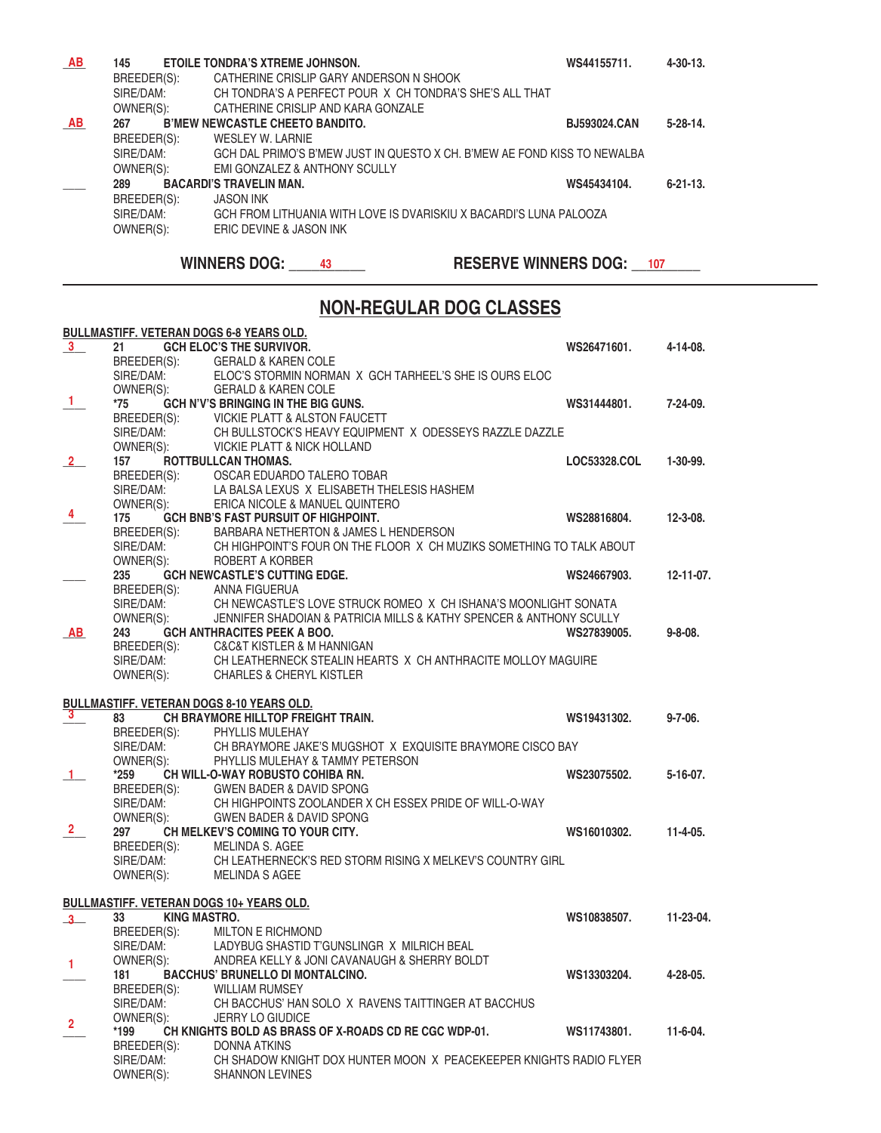| <b>AB</b> | 145         | <b>ETOILE TONDRA'S XTREME JOHNSON.</b>                                   | WS44155711.         | $4 - 30 - 13$ . |
|-----------|-------------|--------------------------------------------------------------------------|---------------------|-----------------|
|           | BREEDER(S): | CATHERINE CRISLIP GARY ANDERSON N SHOOK                                  |                     |                 |
|           | SIRE/DAM:   | CH TONDRA'S A PERFECT POUR X CH TONDRA'S SHE'S ALL THAT                  |                     |                 |
|           | OWNER(S):   | CATHERINE CRISLIP AND KARA GONZALE                                       |                     |                 |
| AB        | 267         | <b>B'MEW NEWCASTLE CHEETO BANDITO.</b>                                   | <b>BJ593024.CAN</b> | $5 - 28 - 14$ . |
|           | BREEDER(S): | WESLEY W. LARNIE                                                         |                     |                 |
|           | SIRF/DAM:   | GCH DAL PRIMO'S B'MEW JUST IN QUESTO X CH. B'MEW AE FOND KISS TO NEWALBA |                     |                 |
|           | OWNER(S):   | <b>EMI GONZALEZ &amp; ANTHONY SCULLY</b>                                 |                     |                 |
|           | 289         | <b>BACARDI'S TRAVELIN MAN.</b>                                           | WS45434104.         | $6 - 21 - 13$ . |
|           | BREEDER(S): | <b>JASON INK</b>                                                         |                     |                 |
|           | SIRE/DAM:   | GCH FROM LITHUANIA WITH LOVE IS DVARISKIU X BACARDI'S LUNA PALOOZA       |                     |                 |
|           | OWNER(S):   | ERIC DEVINE & JASON INK                                                  |                     |                 |
|           |             |                                                                          |                     |                 |

**WINNERS DOG: \_\_\_\_\_\_43 THESERVE WINNERS DOG: \_\_\_\_107** 

# **NON-REGULAR DOG CLASSES**

|                |             | <b>BULLMASTIFF. VETERAN DOGS 6-8 YEARS OLD.</b>                                      |              |                 |
|----------------|-------------|--------------------------------------------------------------------------------------|--------------|-----------------|
| $\frac{3}{2}$  | 21          | <b>GCH ELOC'S THE SURVIVOR.</b>                                                      | WS26471601.  | $4 - 14 - 08$ . |
|                | BREEDER(S): | <b>GERALD &amp; KAREN COLE</b>                                                       |              |                 |
|                | SIRE/DAM:   | ELOC'S STORMIN NORMAN X GCH TARHEEL'S SHE IS OURS ELOC                               |              |                 |
|                | OWNER(S):   | <b>GERALD &amp; KAREN COLE</b>                                                       |              |                 |
| $\mathbf{1}$   | *75         | <b>GCH N'V'S BRINGING IN THE BIG GUNS.</b>                                           | WS31444801.  | $7-24-09$ .     |
|                |             | BREEDER(S): VICKIE PLATT & ALSTON FAUCETT<br>SIRF/DAM: CH BULL STOCK'S HEAVY FOUIPME |              |                 |
|                | SIRE/DAM:   | CH BULLSTOCK'S HEAVY EQUIPMENT X ODESSEYS RAZZLE DAZZLE                              |              |                 |
|                | OWNER(S):   | <b>VICKIE PLATT &amp; NICK HOLLAND</b>                                               |              |                 |
| $\frac{2}{ }$  | 157         | ROTTBULLCAN THOMAS.                                                                  | LOC53328.COL | 1-30-99.        |
|                | BREEDER(S): | OSCAR EDUARDO TALERO TOBAR                                                           |              |                 |
|                | SIRE/DAM:   | LA BALSA LEXUS X ELISABETH THELESIS HASHEM                                           |              |                 |
|                | OWNER(S):   | ERICA NICOLE & MANUEL QUINTERO                                                       |              |                 |
| -4             | 175         | GCH BNB'S FAST PURSUIT OF HIGHPOINT.                                                 | WS28816804.  | $12 - 3 - 08$ . |
|                | BREEDER(S): | BARBARA NETHERTON & JAMES L HENDERSON                                                |              |                 |
|                | SIRE/DAM:   | CH HIGHPOINT'S FOUR ON THE FLOOR X CH MUZIKS SOMETHING TO TALK ABOUT                 |              |                 |
|                | OWNER(S):   | ROBERT A KORBER                                                                      |              |                 |
|                | 235         | <b>GCH NEWCASTLE'S CUTTING EDGE.</b>                                                 | WS24667903.  | 12-11-07.       |
|                | BREEDER(S): | ANNA FIGUERUA                                                                        |              |                 |
|                | SIRE/DAM:   | CH NEWCASTLE'S LOVE STRUCK ROMEO X CH ISHANA'S MOONLIGHT SONATA                      |              |                 |
|                | OWNER(S):   | JENNIFER SHADOIAN & PATRICIA MILLS & KATHY SPENCER & ANTHONY SCULLY                  |              |                 |
| <b>AB</b>      | 243         | <b>GCH ANTHRACITES PEEK A BOO.</b>                                                   | WS27839005.  | $9 - 8 - 08$ .  |
|                | BREEDER(S): | <b>C&amp;C&amp;T KISTLER &amp; M HANNIGAN</b>                                        |              |                 |
|                | SIRE/DAM:   | CH LEATHERNECK STEALIN HEARTS X CH ANTHRACITE MOLLOY MAGUIRE                         |              |                 |
|                | OWNER(S):   | <b>CHARLES &amp; CHERYL KISTLER</b>                                                  |              |                 |
|                |             |                                                                                      |              |                 |
|                |             | <b>BULLMASTIFF. VETERAN DOGS 8-10 YEARS OLD.</b>                                     |              |                 |
| $\mathbf{3}$   | 83          | CH BRAYMORE HILLTOP FREIGHT TRAIN.                                                   | WS19431302.  | $9 - 7 - 06$ .  |
|                | BREEDER(S): | PHYLLIS MULEHAY                                                                      |              |                 |
|                | SIRE/DAM:   | CH BRAYMORE JAKE'S MUGSHOT X EXQUISITE BRAYMORE CISCO BAY                            |              |                 |
|                | OWNER(S):   | PHYLLIS MULEHAY & TAMMY PETERSON                                                     |              |                 |
|                | *259        | CH WILL-O-WAY ROBUSTO COHIBA RN.                                                     | WS23075502.  | $5-16-07$ .     |
|                | BREEDER(S): | <b>GWEN BADER &amp; DAVID SPONG</b>                                                  |              |                 |
|                | SIRE/DAM:   | CH HIGHPOINTS ZOOLANDER X CH ESSEX PRIDE OF WILL-O-WAY                               |              |                 |
|                | OWNER(S):   | <b>GWEN BADER &amp; DAVID SPONG</b>                                                  |              |                 |
| $\mathbf{2}$   | 297         | CH MELKEV'S COMING TO YOUR CITY.                                                     | WS16010302.  | $11 - 4 - 05$ . |
|                | BREEDER(S): | <b>MELINDA S. AGEE</b>                                                               |              |                 |
|                | SIRE/DAM:   | CH LEATHERNECK'S RED STORM RISING X MELKEV'S COUNTRY GIRL                            |              |                 |
|                | OWNER(S):   | <b>MELINDA S AGEE</b>                                                                |              |                 |
|                |             |                                                                                      |              |                 |
|                |             | <b>BULLMASTIFF. VETERAN DOGS 10+ YEARS OLD.</b>                                      |              |                 |
| $3-$           | 33          | <b>KING MASTRO.</b>                                                                  | WS10838507.  | 11-23-04.       |
|                | BREEDER(S): | <b>MILTON E RICHMOND</b>                                                             |              |                 |
|                | SIRE/DAM:   | LADYBUG SHASTID T'GUNSLINGR X MILRICH BEAL                                           |              |                 |
| 1              | OWNER(S):   | ANDREA KELLY & JONI CAVANAUGH & SHERRY BOLDT                                         |              |                 |
|                | 181         | <b>BACCHUS' BRUNELLO DI MONTALCINO.</b>                                              | WS13303204.  | 4-28-05.        |
|                | BREEDER(S): | <b>WILLIAM RUMSEY</b>                                                                |              |                 |
|                | SIRE/DAM:   | CH BACCHUS' HAN SOLO X RAVENS TAITTINGER AT BACCHUS                                  |              |                 |
| $\overline{2}$ | OWNER(S):   | JERRY LO GIUDICE                                                                     |              |                 |
|                | *199        | CH KNIGHTS BOLD AS BRASS OF X-ROADS CD RE CGC WDP-01.                                | WS11743801.  | $11-6-04.$      |
|                | BREEDER(S): | <b>DONNA ATKINS</b>                                                                  |              |                 |
|                | SIRE/DAM:   | CH SHADOW KNIGHT DOX HUNTER MOON X PEACEKEEPER KNIGHTS RADIO FLYER                   |              |                 |
|                | OWNER(S):   | <b>SHANNON LEVINES</b>                                                               |              |                 |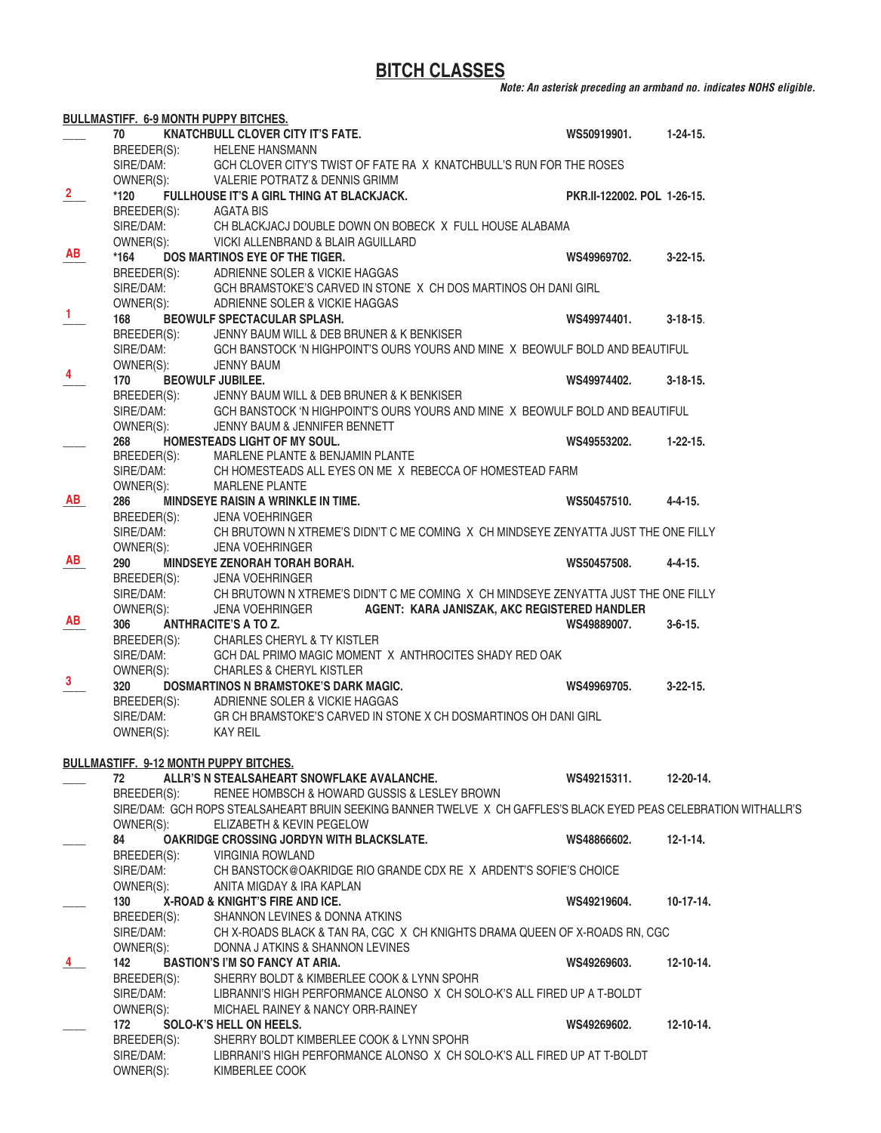**BITCH CLASSES**

*Note: An asterisk preceding an armband no. indicates NOHS eligible.*

|                | <b>BULLMASTIFF. 6-9 MONTH PUPPY BITCHES.</b>  |                                                                                                                   |                             |                  |
|----------------|-----------------------------------------------|-------------------------------------------------------------------------------------------------------------------|-----------------------------|------------------|
|                | 70                                            | <b>KNATCHBULL CLOVER CITY IT'S FATE.</b>                                                                          | WS50919901.                 | $1-24-15.$       |
|                | BREEDER(S):                                   | <b>HELENE HANSMANN</b>                                                                                            |                             |                  |
|                | SIRE/DAM:                                     | GCH CLOVER CITY'S TWIST OF FATE RA X KNATCHBULL'S RUN FOR THE ROSES                                               |                             |                  |
|                | OWNER(S):                                     | VALERIE POTRATZ & DENNIS GRIMM                                                                                    |                             |                  |
| $\overline{2}$ | *120                                          | FULLHOUSE IT'S A GIRL THING AT BLACKJACK.                                                                         | PKR.II-122002. POL 1-26-15. |                  |
|                | BREEDER(S):                                   | AGATA BIS                                                                                                         |                             |                  |
|                | SIRE/DAM:                                     | CH BLACKJACJ DOUBLE DOWN ON BOBECK X FULL HOUSE ALABAMA                                                           |                             |                  |
|                | OWNER(S):                                     | VICKI ALLENBRAND & BLAIR AGUILLARD                                                                                |                             |                  |
| AB             | $*164$                                        | DOS MARTINOS EYE OF THE TIGER.                                                                                    | WS49969702.                 | $3 - 22 - 15$ .  |
|                | BREEDER(S):                                   | ADRIENNE SOLER & VICKIE HAGGAS                                                                                    |                             |                  |
|                |                                               | SIRE/DAM: GCH BRAMSTOKE'S CARVED IN STONE X CH DOS MARTINOS OH DANI GIRL                                          |                             |                  |
|                |                                               | OWNER(S): ADRIENNE SOLER & VICKIE HAGGAS                                                                          |                             |                  |
| 1              | 168                                           | BEOWULF SPECTACULAR SPLASH.                                                                                       | WS49974401.                 | $3 - 18 - 15$ .  |
|                | BREEDER(S):                                   | JENNY BAUM WILL & DEB BRUNER & K BENKISER                                                                         |                             |                  |
|                | SIRE/DAM:                                     | GCH BANSTOCK 'N HIGHPOINT'S OURS YOURS AND MINE X BEOWULF BOLD AND BEAUTIFUL                                      |                             |                  |
|                | OWNER(S):                                     | JENNY BAUM                                                                                                        |                             |                  |
| 4              | 170                                           | <b>BEOWULF JUBILEE.</b>                                                                                           | WS49974402.                 | $3 - 18 - 15$ .  |
|                | BREEDER(S):                                   | JENNY BAUM WILL & DEB BRUNER & K BENKISER                                                                         |                             |                  |
|                | SIRE/DAM:                                     | GCH BANSTOCK 'N HIGHPOINT'S OURS YOURS AND MINE X BEOWULF BOLD AND BEAUTIFUL                                      |                             |                  |
|                | OWNER(S):                                     | JENNY BAUM & JENNIFER BENNETT                                                                                     |                             |                  |
|                | 268                                           | HOMESTEADS LIGHT OF MY SOUL.                                                                                      | WS49553202.                 | $1 - 22 - 15$ .  |
|                | BREEDER(S):                                   | MARLENE PLANTE & BENJAMIN PLANTE                                                                                  |                             |                  |
|                | SIRE/DAM:                                     | CH HOMESTEADS ALL EYES ON ME X REBECCA OF HOMESTEAD FARM                                                          |                             |                  |
|                | OWNER(S):                                     | <b>MARLENE PLANTE</b>                                                                                             |                             |                  |
| AB             | 286                                           | MINDSEYE RAISIN A WRINKLE IN TIME.                                                                                | WS50457510.                 | $4 - 4 - 15$ .   |
|                | BREEDER(S):<br>SIRE/DAM:                      | <b>JENA VOEHRINGER</b>                                                                                            |                             |                  |
|                |                                               | CH BRUTOWN N XTREME'S DIDN'T C ME COMING X CH MINDSEYE ZENYATTA JUST THE ONE FILLY                                |                             |                  |
|                | OWNER(S):                                     | <b>JENA VOEHRINGER</b>                                                                                            |                             |                  |
| AB             | 290                                           | <b>MINDSEYE ZENORAH TORAH BORAH.</b>                                                                              | WS50457508.                 | 4-4-15.          |
|                | BREEDER(S):                                   | <b>JENA VOEHRINGER</b>                                                                                            |                             |                  |
|                | SIRE/DAM:                                     | CH BRUTOWN N XTREME'S DIDN'T C ME COMING X CH MINDSEYE ZENYATTA JUST THE ONE FILLY                                |                             |                  |
|                | OWNER(S):                                     | AGENT: KARA JANISZAK, AKC REGISTERED HANDLER<br><b>JENA VOEHRINGER</b>                                            |                             |                  |
| AB             | 306                                           | <b>ANTHRACITE'S A TO Z.</b>                                                                                       | WS49889007.                 | $3 - 6 - 15$ .   |
|                | BREEDER(S):                                   | <b>CHARLES CHERYL &amp; TY KISTLER</b>                                                                            |                             |                  |
|                | SIRE/DAM:                                     | GCH DAL PRIMO MAGIC MOMENT X ANTHROCITES SHADY RED OAK                                                            |                             |                  |
|                | OWNER(S):                                     | <b>CHARLES &amp; CHERYL KISTLER</b>                                                                               |                             |                  |
| 3              | 320                                           | DOSMARTINOS N BRAMSTOKE'S DARK MAGIC.                                                                             | WS49969705.                 | $3-22-15$ .      |
|                |                                               | BREEDER(S): ADRIENNE SOLER & VICKIE HAGGAS                                                                        |                             |                  |
|                | SIRE/DAM:                                     | GR CH BRAMSTOKE'S CARVED IN STONE X CH DOSMARTINOS OH DANI GIRL                                                   |                             |                  |
|                | OWNER(S):                                     | <b>KAY REIL</b>                                                                                                   |                             |                  |
|                |                                               |                                                                                                                   |                             |                  |
|                | <b>BULLMASTIFF. 9-12 MONTH PUPPY BITCHES.</b> |                                                                                                                   |                             |                  |
|                | 72                                            | ALLR'S N STEALSAHEART SNOWFLAKE AVALANCHE.                                                                        | WS49215311.                 | $12 - 20 - 14$ . |
|                | BREEDER(S):                                   | RENEE HOMBSCH & HOWARD GUSSIS & LESLEY BROWN                                                                      |                             |                  |
|                |                                               | SIRE/DAM: GCH ROPS STEALSAHEART BRUIN SEEKING BANNER TWELVE X CH GAFFLES'S BLACK EYED PEAS CELEBRATION WITHALLR'S |                             |                  |
|                | OWNER(S):                                     | ELIZABETH & KEVIN PEGELOW                                                                                         |                             |                  |
|                | 84                                            | <b>OAKRIDGE CROSSING JORDYN WITH BLACKSLATE.</b>                                                                  | WS48866602.                 | $12 - 1 - 14.$   |
|                | BREEDER(S):                                   | <b>VIRGINIA ROWLAND</b>                                                                                           |                             |                  |
|                | SIRE/DAM:                                     | CH BANSTOCK@OAKRIDGE RIO GRANDE CDX RE X ARDENT'S SOFIE'S CHOICE                                                  |                             |                  |
|                | OWNER(S):                                     | ANITA MIGDAY & IRA KAPLAN                                                                                         |                             |                  |
|                | 130                                           | X-ROAD & KNIGHT'S FIRE AND ICE.                                                                                   | WS49219604.                 | $10-17-14.$      |
|                | BREEDER(S):                                   | SHANNON LEVINES & DONNA ATKINS                                                                                    |                             |                  |
|                | SIRE/DAM:                                     | CH X-ROADS BLACK & TAN RA, CGC X CH KNIGHTS DRAMA QUEEN OF X-ROADS RN, CGC                                        |                             |                  |
|                | OWNER(S):                                     | DONNA J ATKINS & SHANNON LEVINES                                                                                  |                             |                  |
| 4              | 142                                           | <b>BASTION'S I'M SO FANCY AT ARIA.</b>                                                                            | WS49269603.                 | $12 - 10 - 14.$  |
|                | BREEDER(S):                                   | SHERRY BOLDT & KIMBERLEE COOK & LYNN SPOHR                                                                        |                             |                  |
|                | SIRE/DAM:                                     | LIBRANNI'S HIGH PERFORMANCE ALONSO X CH SOLO-K'S ALL FIRED UP A T-BOLDT                                           |                             |                  |
|                | OWNER(S):                                     | MICHAEL RAINEY & NANCY ORR-RAINEY                                                                                 |                             |                  |
|                | 172                                           | SOLO-K'S HELL ON HEELS.                                                                                           | WS49269602.                 | $12 - 10 - 14.$  |
|                | BREEDER(S):                                   | SHERRY BOLDT KIMBERLEE COOK & LYNN SPOHR                                                                          |                             |                  |
|                | SIRE/DAM:                                     | LIBRRANI'S HIGH PERFORMANCE ALONSO X CH SOLO-K'S ALL FIRED UP AT T-BOLDT                                          |                             |                  |
|                | OWNER(S):                                     | KIMBERLEE COOK                                                                                                    |                             |                  |
|                |                                               |                                                                                                                   |                             |                  |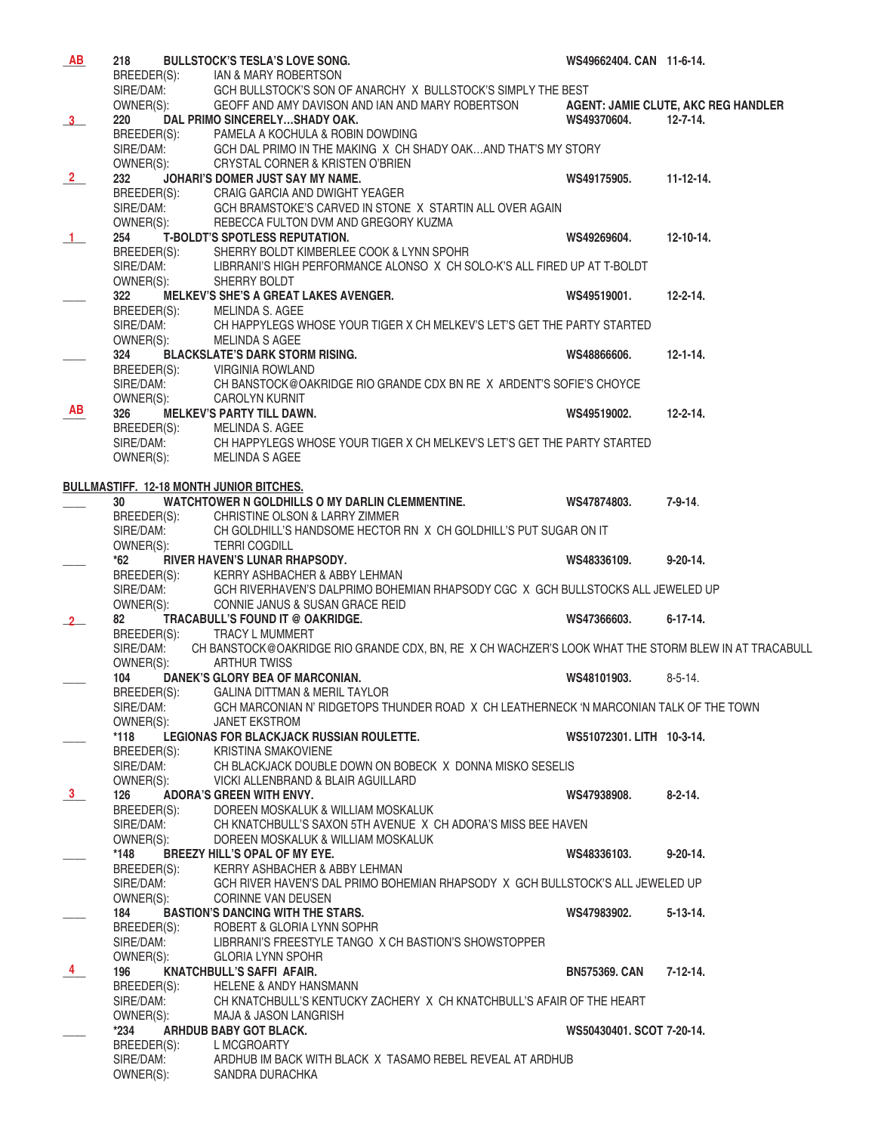| AB             | 218                                             | <b>BULLSTOCK'S TESLA'S LOVE SONG.</b>                                                                                                   | WS49662404. CAN 11-6-14.  |                 |
|----------------|-------------------------------------------------|-----------------------------------------------------------------------------------------------------------------------------------------|---------------------------|-----------------|
|                |                                                 | BREEDER(S): IAN & MARY ROBERTSON                                                                                                        |                           |                 |
|                | SIRE/DAM:                                       | GCH BULLSTOCK'S SON OF ANARCHY X BULLSTOCK'S SIMPLY THE BEST                                                                            |                           |                 |
|                | OWNER(S):                                       | GEOFF AND AMY DAVISON AND IAN AND MARY ROBERTSON AGENT: JAMIE CLUTE, AKC REG HANDLER                                                    |                           |                 |
| 3 <sup>1</sup> | 220                                             | DAL PRIMO SINCERELYSHADY OAK.                                                                                                           | WS49370604.               | $12 - 7 - 14.$  |
|                |                                                 | BREEDER(S): PAMELA A KOCHULA & ROBIN DOWDING                                                                                            |                           |                 |
|                | SIRE/DAM:                                       | GCH DAL PRIMO IN THE MAKING X CH SHADY OAKAND THAT'S MY STORY                                                                           |                           |                 |
|                | OWNER(S):                                       | CRYSTAL CORNER & KRISTEN O'BRIEN                                                                                                        |                           |                 |
| $\frac{2}{ }$  | 232                                             | JOHARI'S DOMER JUST SAY MY NAME.                                                                                                        | WS49175905.               | $11 - 12 - 14.$ |
|                |                                                 | BREEDER(S): CRAIG GARCIA AND DWIGHT YEAGER                                                                                              |                           |                 |
|                |                                                 | SIRE/DAM: GCH BRAMSTOKE'S CARVED IN STONE X STARTIN ALL OVER AGAIN                                                                      |                           |                 |
|                | OWNER(S):                                       | REBECCA FULTON DVM AND GREGORY KUZMA                                                                                                    |                           |                 |
|                | 254                                             | T-BOLDT'S SPOTLESS REPUTATION.                                                                                                          | WS49269604.               | $12 - 10 - 14.$ |
| $\overline{1}$ |                                                 | BREEDER(S): SHERRY BOLDT KIMBERLEE COOK & LYNN SPOHR                                                                                    |                           |                 |
|                |                                                 | SIRE/DAM: LIBRRANI'S HIGH PERFORMANCE ALONSO X CH SOLO-K'S ALL FIRED UP AT T-BOLDT                                                      |                           |                 |
|                |                                                 |                                                                                                                                         |                           |                 |
|                | OWNER(S):                                       | SHERRY BOLDT                                                                                                                            |                           |                 |
|                | 322                                             | <b>MELKEV'S SHE'S A GREAT LAKES AVENGER.</b>                                                                                            | WS49519001.               | $12 - 2 - 14.$  |
|                | BREEDER(S): MELINDA S. AGEE                     |                                                                                                                                         |                           |                 |
|                |                                                 | SIRE/DAM: CH HAPPYLEGS WHOSE YOUR TIGER X CH MELKEV'S LET'S GET THE PARTY STARTED                                                       |                           |                 |
|                | OWNER(S):                                       | MELINDA S AGEE                                                                                                                          |                           |                 |
|                | 324                                             | <b>BLACKSLATE'S DARK STORM RISING.</b>                                                                                                  | WS48866606.               | $12 - 1 - 14.$  |
|                |                                                 | BREEDER(S): VIRGINIA ROWLAND                                                                                                            |                           |                 |
|                | SIRE/DAM:                                       | CH BANSTOCK@OAKRIDGE RIO GRANDE CDX BN RE X ARDENT'S SOFIE'S CHOYCE                                                                     |                           |                 |
|                | OWNER(S):                                       | <b>CAROLYN KURNIT</b>                                                                                                                   |                           |                 |
| AB             | 326                                             | <b>MELKEV'S PARTY TILL DAWN.</b>                                                                                                        | WS49519002.               | $12 - 2 - 14.$  |
|                | BREEDER(S): MELINDA S. AGEE                     |                                                                                                                                         |                           |                 |
|                |                                                 | SIRE/DAM: CH HAPPYLEGS WHOSE YOUR TIGER X CH MELKEV'S LET'S GET THE PARTY STARTED                                                       |                           |                 |
|                | OWNER(S):                                       | MELINDA S AGEE                                                                                                                          |                           |                 |
|                |                                                 |                                                                                                                                         |                           |                 |
|                | <b>BULLMASTIFF. 12-18 MONTH JUNIOR BITCHES.</b> |                                                                                                                                         |                           |                 |
|                | 30                                              | WATCHTOWER N GOLDHILLS O MY DARLIN CLEMMENTINE.                                                                                         | WS47874803.               | $7 - 9 - 14$ .  |
|                | BREEDER(S):                                     | <b>CHRISTINE OLSON &amp; LARRY ZIMMER</b>                                                                                               |                           |                 |
|                | SIRE/DAM:                                       | CH GOLDHILL'S HANDSOME HECTOR RN X CH GOLDHILL'S PUT SUGAR ON IT                                                                        |                           |                 |
|                | OWNER(S):                                       | <b>TERRI COGDILL</b>                                                                                                                    |                           |                 |
|                | $*62$                                           | RIVER HAVEN'S LUNAR RHAPSODY.                                                                                                           | WS48336109.               | $9 - 20 - 14.$  |
|                | BREEDER(S):                                     | KERRY ASHBACHER & ABBY LEHMAN                                                                                                           |                           |                 |
|                |                                                 | GCH RIVERHAVEN'S DALPRIMO BOHEMIAN RHAPSODY CGC X GCH BULLSTOCKS ALL JEWELED UP                                                         |                           |                 |
|                | SIRE/DAM:<br>OWNER(S):                          | CONNIE JANUS & SUSAN GRACE REID                                                                                                         |                           |                 |
| 2              | 82                                              | TRACABULL'S FOUND IT @ OAKRIDGE.                                                                                                        | WS47366603.               | $6 - 17 - 14$ . |
|                | BREEDER(S):                                     | <b>TRACY L MUMMERT</b>                                                                                                                  |                           |                 |
|                |                                                 | SIRE/DAM: CH BANSTOCK@OAKRIDGE RIO GRANDE CDX, BN, RE X CH WACHZER'S LOOK WHAT THE STORM BLEW IN AT TRACABULL<br>OWNER(S): ARTHUR TWISS |                           |                 |
|                |                                                 |                                                                                                                                         |                           |                 |
|                |                                                 | 104 DANEK'S GLORY BEA OF MARCONIAN.                                                                                                     | WS48101903.               | $8 - 5 - 14$    |
|                | BREEDER(S):                                     | <b>GALINA DITTMAN &amp; MERIL TAYLOR</b>                                                                                                |                           |                 |
|                | SIRE/DAM:                                       | GCH MARCONIAN N' RIDGETOPS THUNDER ROAD X CH LEATHERNECK 'N MARCONIAN TALK OF THE TOWN                                                  |                           |                 |
|                | OWNER(S):                                       | <b>JANET EKSTROM</b>                                                                                                                    |                           |                 |
|                | $*118$                                          | LEGIONAS FOR BLACKJACK RUSSIAN ROULETTE.                                                                                                | WS51072301. LITH 10-3-14. |                 |
|                | BREEDER(S):                                     | <b>KRISTINA SMAKOVIENE</b>                                                                                                              |                           |                 |
|                | SIRE/DAM:                                       | CH BLACKJACK DOUBLE DOWN ON BOBECK X DONNA MISKO SESELIS                                                                                |                           |                 |
|                | OWNER(S):                                       | VICKI ALLENBRAND & BLAIR AGUILLARD                                                                                                      |                           |                 |
| $\frac{3}{2}$  |                                                 | <b>ADORA'S GREEN WITH ENVY.</b>                                                                                                         |                           | $8 - 2 - 14$ .  |
|                | 126                                             |                                                                                                                                         | WS47938908.               |                 |
|                | BREEDER(S):                                     | DOREEN MOSKALUK & WILLIAM MOSKALUK                                                                                                      |                           |                 |
|                | SIRE/DAM:                                       | CH KNATCHBULL'S SAXON 5TH AVENUE X CH ADORA'S MISS BEE HAVEN                                                                            |                           |                 |
|                | OWNER(S):                                       | DOREEN MOSKALUK & WILLIAM MOSKALUK                                                                                                      |                           |                 |
|                | *148                                            | BREEZY HILL'S OPAL OF MY EYE.                                                                                                           | WS48336103.               | $9 - 20 - 14.$  |
|                | BREEDER(S):                                     | KERRY ASHBACHER & ABBY LEHMAN                                                                                                           |                           |                 |
|                | SIRE/DAM:                                       | GCH RIVER HAVEN'S DAL PRIMO BOHEMIAN RHAPSODY X GCH BULLSTOCK'S ALL JEWELED UP                                                          |                           |                 |
|                | OWNER(S):                                       | <b>CORINNE VAN DEUSEN</b>                                                                                                               |                           |                 |
|                | 184                                             | <b>BASTION'S DANCING WITH THE STARS.</b>                                                                                                | WS47983902.               | $5 - 13 - 14$ . |
|                | BREEDER(S):                                     | ROBERT & GLORIA LYNN SOPHR                                                                                                              |                           |                 |
|                | SIRE/DAM:                                       | LIBRRANI'S FREESTYLE TANGO X CH BASTION'S SHOWSTOPPER                                                                                   |                           |                 |
|                | OWNER(S):                                       | <b>GLORIA LYNN SPOHR</b>                                                                                                                |                           |                 |
| $\overline{4}$ | 196                                             | KNATCHBULL'S SAFFI AFAIR.                                                                                                               | <b>BN575369, CAN</b>      | $7-12-14.$      |
|                | BREEDER(S):                                     | <b>HELENE &amp; ANDY HANSMANN</b>                                                                                                       |                           |                 |
|                | SIRE/DAM:                                       | CH KNATCHBULL'S KENTUCKY ZACHERY X CH KNATCHBULL'S AFAIR OF THE HEART                                                                   |                           |                 |
|                | OWNER(S):                                       | MAJA & JASON LANGRISH                                                                                                                   |                           |                 |
|                | *234                                            | <b>ARHDUB BABY GOT BLACK.</b>                                                                                                           | WS50430401, SCOT 7-20-14. |                 |
|                | BREEDER(S):                                     | L MCGROARTY                                                                                                                             |                           |                 |
|                | SIRE/DAM:                                       | ARDHUB IM BACK WITH BLACK X TASAMO REBEL REVEAL AT ARDHUB                                                                               |                           |                 |
|                | OWNER(S):                                       | SANDRA DURACHKA                                                                                                                         |                           |                 |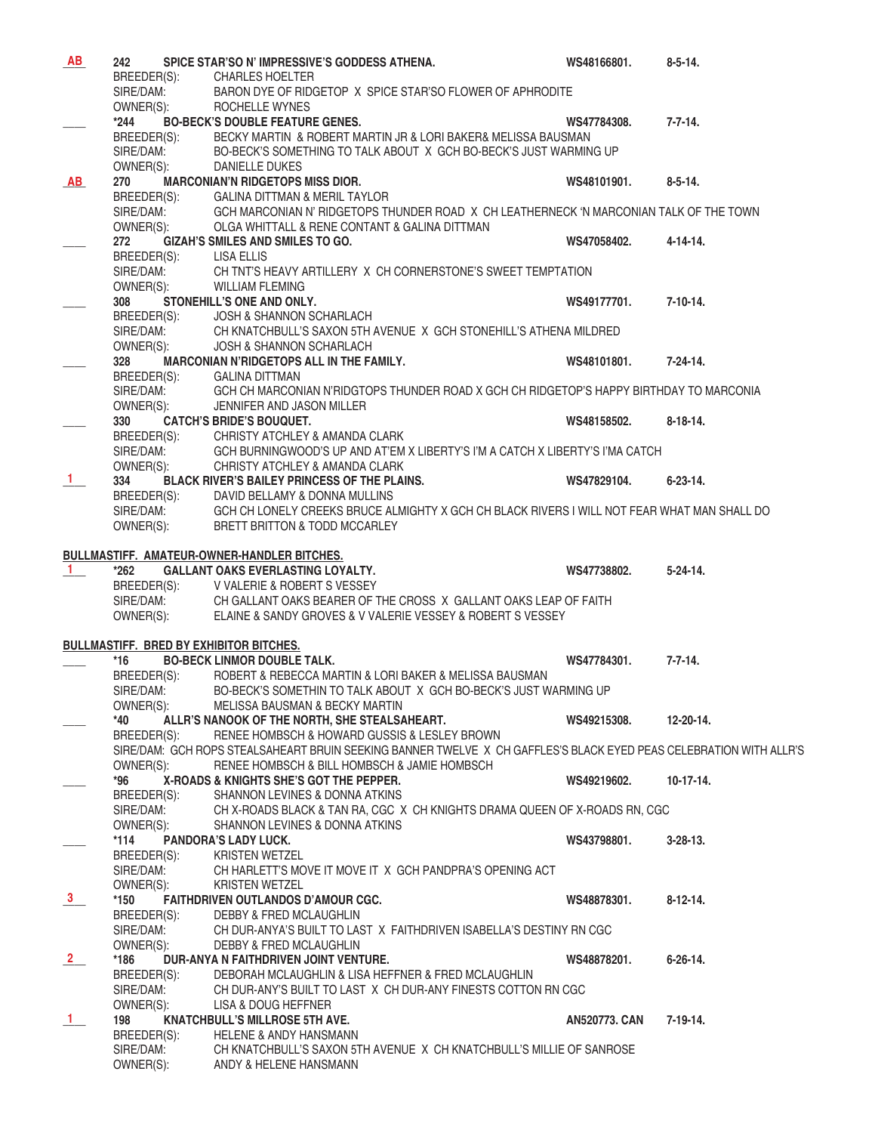| <b>AB</b>     | 242         |                          | SPICE STAR'SO N' IMPRESSIVE'S GODDESS ATHENA.                                                                      | WS48166801.          | $8 - 5 - 14.$   |
|---------------|-------------|--------------------------|--------------------------------------------------------------------------------------------------------------------|----------------------|-----------------|
|               |             | BREEDER(S):              | <b>CHARLES HOELTER</b>                                                                                             |                      |                 |
|               |             | SIRE/DAM:                | BARON DYE OF RIDGETOP X SPICE STAR'SO FLOWER OF APHRODITE                                                          |                      |                 |
|               |             | OWNER(S):                | ROCHELLE WYNES                                                                                                     |                      |                 |
|               | $*244$      |                          | <b>BO-BECK'S DOUBLE FEATURE GENES.</b>                                                                             | WS47784308.          | $7 - 7 - 14.$   |
|               |             |                          | BECKY MARTIN & ROBERT MARTIN JR & LORI BAKER& MELISSA BAUSMAN                                                      |                      |                 |
|               |             | BREEDER(S):<br>SIRE/DAM: | BO-BECK'S SOMETHING TO TALK ABOUT X GCH BO-BECK'S JUST WARMING UP                                                  |                      |                 |
|               |             | OWNER(S):                | DANIELLE DUKES                                                                                                     |                      |                 |
| AB            | 270         |                          | <b>MARCONIAN'N RIDGETOPS MISS DIOR.</b>                                                                            | WS48101901.          | $8 - 5 - 14.$   |
|               | BREEDER(S): |                          | <b>GALINA DITTMAN &amp; MERIL TAYLOR</b>                                                                           |                      |                 |
|               |             | SIRE/DAM:<br>OWNER(S):   | GCH MARCONIAN N' RIDGETOPS THUNDER ROAD X CH LEATHERNECK 'N MARCONIAN TALK OF THE TOWN                             |                      |                 |
|               | OWNER(S):   |                          | OLGA WHITTALL & RENE CONTANT & GALINA DITTMAN                                                                      |                      |                 |
|               | 272         |                          | <b>GIZAH'S SMILES AND SMILES TO GO.</b>                                                                            | WS47058402.          | $4 - 14 - 14.$  |
|               |             |                          | BREEDER(S): LISA ELLIS                                                                                             |                      |                 |
|               |             | SIRE/DAM:                | CH TNT'S HEAVY ARTILLERY X CH CORNERSTONE'S SWEET TEMPTATION                                                       |                      |                 |
|               |             | OWNER(S):                | <b>WILLIAM FLEMING</b>                                                                                             |                      |                 |
|               | 308         |                          | STONEHILL'S ONE AND ONLY.                                                                                          | WS49177701.          | $7-10-14.$      |
|               |             | BREEDER(S):              | JOSH & SHANNON SCHARLACH                                                                                           |                      |                 |
|               |             | SIRE/DAM:                | CH KNATCHBULL'S SAXON 5TH AVENUE X GCH STONEHILL'S ATHENA MILDRED                                                  |                      |                 |
|               | OWNER(S):   |                          | <b>JOSH &amp; SHANNON SCHARLACH</b>                                                                                |                      |                 |
|               | 328         |                          | <b>MARCONIAN N'RIDGETOPS ALL IN THE FAMILY.</b>                                                                    | WS48101801.          | $7 - 24 - 14.$  |
|               |             | BREEDER(S):              | <b>GALINA DITTMAN</b>                                                                                              |                      |                 |
|               |             | SIRE/DAM:                | GCH CH MARCONIAN N'RIDGTOPS THUNDER ROAD X GCH CH RIDGETOP'S HAPPY BIRTHDAY TO MARCONIA                            |                      |                 |
|               |             | OWNER(S):                | JENNIFER AND JASON MILLER                                                                                          |                      |                 |
|               | 330         |                          | <b>CATCH'S BRIDE'S BOUQUET.</b>                                                                                    | WS48158502.          | $8 - 18 - 14$ . |
|               |             | BREEDER(S):              | CHRISTY ATCHLEY & AMANDA CLARK                                                                                     |                      |                 |
|               |             | SIRE/DAM:                | GCH BURNINGWOOD'S UP AND AT'EM X LIBERTY'S I'M A CATCH X LIBERTY'S I'MA CATCH                                      |                      |                 |
|               | OWNER(S):   |                          | CHRISTY ATCHLEY & AMANDA CLARK                                                                                     |                      |                 |
| $\mathbf{1}$  | 334         |                          | BLACK RIVER'S BAILEY PRINCESS OF THE PLAINS.                                                                       | WS47829104.          | $6 - 23 - 14$ . |
|               |             | BREEDER(S):              | DAVID BELLAMY & DONNA MULLINS                                                                                      |                      |                 |
|               |             | SIRE/DAM:                | GCH CH LONELY CREEKS BRUCE ALMIGHTY X GCH CH BLACK RIVERS I WILL NOT FEAR WHAT MAN SHALL DO                        |                      |                 |
|               |             | OWNER(S):                | BRETT BRITTON & TODD MCCARLEY                                                                                      |                      |                 |
|               |             |                          |                                                                                                                    |                      |                 |
|               |             |                          | BULLMASTIFF. AMATEUR-OWNER-HANDLER BITCHES.                                                                        |                      |                 |
| $\mathbf{1}$  | *262        |                          | <b>GALLANT OAKS EVERLASTING LOYALTY.</b>                                                                           | WS47738802.          | $5 - 24 - 14.$  |
|               |             | BREEDER(S):              | V VALERIE & ROBERT S VESSEY                                                                                        |                      |                 |
|               |             | SIRE/DAM:                | CH GALLANT OAKS BEARER OF THE CROSS X GALLANT OAKS LEAP OF FAITH                                                   |                      |                 |
|               | OWNER(S):   |                          | ELAINE & SANDY GROVES & V VALERIE VESSEY & ROBERT S VESSEY                                                         |                      |                 |
|               |             |                          |                                                                                                                    |                      |                 |
|               |             |                          | <b>BULLMASTIFF. BRED BY EXHIBITOR BITCHES.</b>                                                                     |                      |                 |
|               | *16         |                          | <b>BO-BECK LINMOR DOUBLE TALK.</b>                                                                                 | WS47784301.          | $7 - 7 - 14.$   |
|               | BREEDER(S): |                          | ROBERT & REBECCA MARTIN & LORI BAKER & MELISSA BAUSMAN                                                             |                      |                 |
|               | SIRE/DAM:   |                          | BO-BECK'S SOMETHIN TO TALK ABOUT X GCH BO-BECK'S JUST WARMING UP                                                   |                      |                 |
|               | OWNER(S):   |                          | MELISSA BAUSMAN & BECKY MARTIN                                                                                     |                      |                 |
|               | *40         |                          | ALLR'S NANOOK OF THE NORTH, SHE STEALSAHEART.                                                                      | WS49215308.          | 12-20-14.       |
|               | BREEDER(S): |                          | RENEE HOMBSCH & HOWARD GUSSIS & LESLEY BROWN                                                                       |                      |                 |
|               |             |                          | SIRE/DAM: GCH ROPS STEALSAHEART BRUIN SEEKING BANNER TWELVE X CH GAFFLES'S BLACK EYED PEAS CELEBRATION WITH ALLR'S |                      |                 |
|               | OWNER(S):   |                          | RENEE HOMBSCH & BILL HOMBSCH & JAMIE HOMBSCH                                                                       |                      |                 |
|               | *96         |                          | X-ROADS & KNIGHTS SHE'S GOT THE PEPPER.                                                                            | WS49219602.          | $10-17-14.$     |
|               | BREEDER(S): |                          | SHANNON LEVINES & DONNA ATKINS                                                                                     |                      |                 |
|               | SIRE/DAM:   |                          | CH X-ROADS BLACK & TAN RA, CGC X CH KNIGHTS DRAMA QUEEN OF X-ROADS RN, CGC                                         |                      |                 |
|               | OWNER(S):   |                          | SHANNON LEVINES & DONNA ATKINS                                                                                     |                      |                 |
|               | $*114$      |                          | <b>PANDORA'S LADY LUCK.</b>                                                                                        | WS43798801.          | $3-28-13$ .     |
|               | BREEDER(S): |                          | <b>KRISTEN WETZEL</b>                                                                                              |                      |                 |
|               | SIRE/DAM:   |                          | CH HARLETT'S MOVE IT MOVE IT X GCH PANDPRA'S OPENING ACT                                                           |                      |                 |
|               | OWNER(S):   |                          | <b>KRISTEN WETZEL</b>                                                                                              |                      |                 |
| 3             | *150        |                          | <b>FAITHDRIVEN OUTLANDOS D'AMOUR CGC.</b>                                                                          | WS48878301.          | $8-12-14.$      |
|               | BREEDER(S): |                          | DEBBY & FRED MCLAUGHLIN                                                                                            |                      |                 |
|               | SIRE/DAM:   |                          | CH DUR-ANYA'S BUILT TO LAST X FAITHDRIVEN ISABELLA'S DESTINY RN CGC                                                |                      |                 |
|               | OWNER(S):   |                          | <b>DEBBY &amp; FRED MCLAUGHLIN</b>                                                                                 |                      |                 |
| $\frac{2}{ }$ | *186        |                          | DUR-ANYA N FAITHDRIVEN JOINT VENTURE.                                                                              | WS48878201.          | $6 - 26 - 14$ . |
|               | BREEDER(S): |                          | DEBORAH MCLAUGHLIN & LISA HEFFNER & FRED MCLAUGHLIN                                                                |                      |                 |
|               | SIRE/DAM:   |                          | CH DUR-ANY'S BUILT TO LAST X CH DUR-ANY FINESTS COTTON RN CGC                                                      |                      |                 |
|               | OWNER(S):   |                          | LISA & DOUG HEFFNER                                                                                                |                      |                 |
| $\mathbf{1}$  | 198         |                          | KNATCHBULL'S MILLROSE 5TH AVE.                                                                                     | <b>AN520773. CAN</b> | $7-19-14.$      |
|               | BREEDER(S): |                          | <b>HELENE &amp; ANDY HANSMANN</b>                                                                                  |                      |                 |
|               | SIRE/DAM:   |                          | CH KNATCHBULL'S SAXON 5TH AVENUE X CH KNATCHBULL'S MILLIE OF SANROSE                                               |                      |                 |
|               | OWNER(S):   |                          | ANDY & HELENE HANSMANN                                                                                             |                      |                 |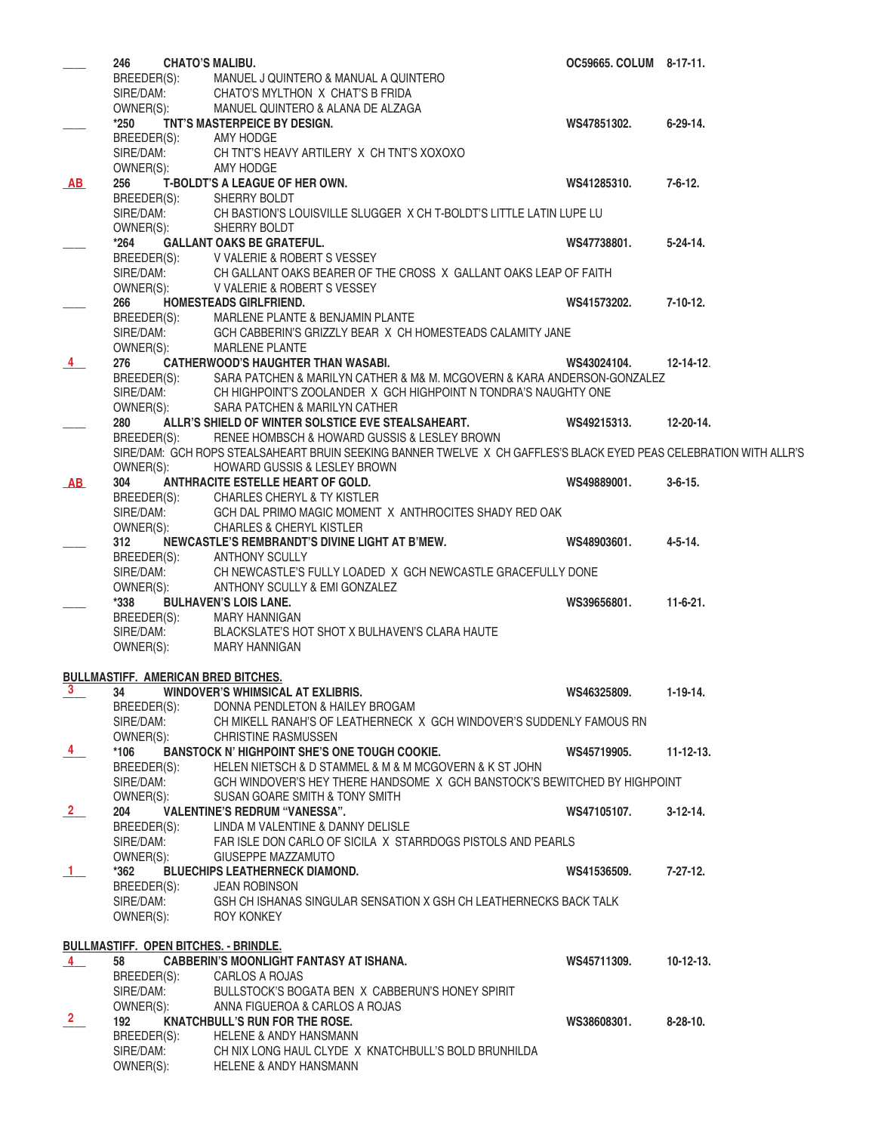|                         | <b>CHATO'S MALIBU.</b><br>246                |                                                                                                                                                                  | OC59665. COLUM 8-17-11. |                  |
|-------------------------|----------------------------------------------|------------------------------------------------------------------------------------------------------------------------------------------------------------------|-------------------------|------------------|
|                         | BREEDER(S):                                  | MANUEL J QUINTERO & MANUAL A QUINTERO                                                                                                                            |                         |                  |
|                         | SIRE/DAM:                                    | CHATO'S MYLTHON X CHAT'S B FRIDA                                                                                                                                 |                         |                  |
|                         | OWNER(S):                                    | MANUEL QUINTERO & ALANA DE ALZAGA                                                                                                                                |                         |                  |
|                         | *250                                         | TNT'S MASTERPEICE BY DESIGN.                                                                                                                                     | WS47851302.             | $6-29-14.$       |
|                         |                                              |                                                                                                                                                                  |                         |                  |
|                         | BREEDER(S):                                  | AMY HODGE                                                                                                                                                        |                         |                  |
|                         | SIRE/DAM:                                    | CH TNT'S HEAVY ARTILERY X CH TNT'S XOXOXO                                                                                                                        |                         |                  |
|                         | OWNER(S):                                    | AMY HODGE                                                                                                                                                        |                         |                  |
| <u>AB</u>               | 256                                          | T-BOLDT'S A LEAGUE OF HER OWN.                                                                                                                                   | WS41285310.             | $7 - 6 - 12.$    |
|                         | BREEDER(S): SHERRY BOLDT                     |                                                                                                                                                                  |                         |                  |
|                         |                                              | SIRE/DAM: CH BASTION'S LOUISVILLE SLUGGER X CH T-BOLDT'S LITTLE LATIN LUPE LU                                                                                    |                         |                  |
|                         |                                              |                                                                                                                                                                  |                         |                  |
|                         | OWNER(S):                                    | SHERRY BOLDT                                                                                                                                                     |                         |                  |
|                         | *264                                         | <b>GALLANT OAKS BE GRATEFUL.</b>                                                                                                                                 | WS47738801.             | $5 - 24 - 14$ .  |
|                         |                                              | BREEDER(S): V VALERIE & ROBERT S VESSEY                                                                                                                          |                         |                  |
|                         |                                              | SIRE/DAM: CH GALLANT OAKS BEARER OF THE CROSS X GALLANT OAKS LEAP OF FAITH                                                                                       |                         |                  |
|                         | OWNER(S):                                    | V VALERIE & ROBERT S VESSEY                                                                                                                                      |                         |                  |
|                         | 266                                          | <b>HOMESTEADS GIRLFRIEND.</b>                                                                                                                                    | WS41573202.             | 7-10-12.         |
|                         |                                              |                                                                                                                                                                  |                         |                  |
|                         | BREEDER(S):                                  | MARLENE PLANTE & BENJAMIN PLANTE                                                                                                                                 |                         |                  |
|                         | SIRE/DAM:                                    | GCH CABBERIN'S GRIZZLY BEAR X CH HOMESTEADS CALAMITY JANE                                                                                                        |                         |                  |
|                         | OWNER(S):                                    | <b>MARLENE PLANTE</b>                                                                                                                                            |                         |                  |
| 4                       | 276                                          | <b>CATHERWOOD'S HAUGHTER THAN WASABI.</b>                                                                                                                        | WS43024104.             | $12 - 14 - 12$ . |
|                         |                                              |                                                                                                                                                                  |                         |                  |
|                         |                                              | BREEDER(S): SARA PATCHEN & MARILYN CATHER & M& M. MCGOVERN & KARA ANDERSON-GONZALEZ<br>SIRE/DAM: CH HIGHPOINT'S ZOOLANDER X GCH HIGHPOINT N TONDRA'S NAUGHTY ONE |                         |                  |
|                         |                                              |                                                                                                                                                                  |                         |                  |
|                         | OWNER(S):                                    | SARA PATCHEN & MARILYN CATHER                                                                                                                                    |                         |                  |
|                         | 280                                          | ALLR'S SHIELD OF WINTER SOLSTICE EVE STEALSAHEART.                                                                                                               | WS49215313.             | 12-20-14.        |
|                         | BREEDER(S):                                  | RENEE HOMBSCH & HOWARD GUSSIS & LESLEY BROWN                                                                                                                     |                         |                  |
|                         |                                              | SIRE/DAM: GCH ROPS STEALSAHEART BRUIN SEEKING BANNER TWELVE X CH GAFFLES'S BLACK EYED PEAS CELEBRATION WITH ALLR'S                                               |                         |                  |
|                         | OWNER(S):                                    | HOWARD GUSSIS & LESLEY BROWN                                                                                                                                     |                         |                  |
|                         |                                              |                                                                                                                                                                  |                         |                  |
| AB                      | 304                                          | ANTHRACITE ESTELLE HEART OF GOLD.                                                                                                                                | WS49889001.             | $3 - 6 - 15$ .   |
|                         |                                              | BREEDER(S): CHARLES CHERYL & TY KISTLER                                                                                                                          |                         |                  |
|                         | SIRE/DAM:                                    | GCH DAL PRIMO MAGIC MOMENT X ANTHROCITES SHADY RED OAK                                                                                                           |                         |                  |
|                         |                                              | OWNER(S): CHARLES & CHERYL KISTLER                                                                                                                               |                         |                  |
|                         | 312                                          | NEWCASTLE'S REMBRANDT'S DIVINE LIGHT AT B'MEW.                                                                                                                   | WS48903601.             | $4 - 5 - 14.$    |
|                         |                                              |                                                                                                                                                                  |                         |                  |
|                         | BREEDER(S):                                  | <b>ANTHONY SCULLY</b>                                                                                                                                            |                         |                  |
|                         | SIRE/DAM:                                    | CH NEWCASTLE'S FULLY LOADED X GCH NEWCASTLE GRACEFULLY DONE                                                                                                      |                         |                  |
|                         | OWNER(S):                                    | ANTHONY SCULLY & EMI GONZALEZ                                                                                                                                    |                         |                  |
|                         | $*338$                                       | <b>BULHAVEN'S LOIS LANE.</b>                                                                                                                                     | WS39656801.             | $11-6-21.$       |
|                         | BREEDER(S):                                  | MARY HANNIGAN                                                                                                                                                    |                         |                  |
|                         |                                              |                                                                                                                                                                  |                         |                  |
|                         | SIRE/DAM:                                    | BLACKSLATE'S HOT SHOT X BULHAVEN'S CLARA HAUTE                                                                                                                   |                         |                  |
|                         | OWNER(S):                                    | MARY HANNIGAN                                                                                                                                                    |                         |                  |
|                         |                                              |                                                                                                                                                                  |                         |                  |
|                         | <b>BULLMASTIFF. AMERICAN BRED BITCHES.</b>   |                                                                                                                                                                  |                         |                  |
| $\mathbf{3}$            | 34                                           | <b>WINDOVER'S WHIMSICAL AT EXLIBRIS.</b>                                                                                                                         | WS46325809.             | $1-19-14.$       |
|                         | BREEDER(S):                                  | DONNA PENDLETON & HAILEY BROGAM                                                                                                                                  |                         |                  |
|                         | SIRE/DAM:                                    | CH MIKELL RANAH'S OF LEATHERNECK X GCH WINDOVER'S SUDDENLY FAMOUS RN                                                                                             |                         |                  |
|                         |                                              |                                                                                                                                                                  |                         |                  |
|                         | OWNER(S):                                    | <b>CHRISTINE RASMUSSEN</b>                                                                                                                                       |                         |                  |
| $\overline{4}$          | $*106$                                       | <b>BANSTOCK N' HIGHPOINT SHE'S ONE TOUGH COOKIE.</b>                                                                                                             | WS45719905.             | $11 - 12 - 13$ . |
|                         | BREEDER(S):                                  | HELEN NIETSCH & D STAMMEL & M & M MCGOVERN & K ST JOHN                                                                                                           |                         |                  |
|                         | SIRE/DAM:                                    | GCH WINDOVER'S HEY THERE HANDSOME X GCH BANSTOCK'S BEWITCHED BY HIGHPOINT                                                                                        |                         |                  |
|                         |                                              |                                                                                                                                                                  |                         |                  |
|                         | OWNER(S):                                    | SUSAN GOARE SMITH & TONY SMITH                                                                                                                                   |                         |                  |
| $\overline{\mathbf{2}}$ | 204                                          | <b>VALENTINE'S REDRUM "VANESSA".</b>                                                                                                                             | WS47105107.             | $3-12-14.$       |
|                         | BREEDER(S):                                  | LINDA M VALENTINE & DANNY DELISLE                                                                                                                                |                         |                  |
|                         | SIRE/DAM:                                    | FAR ISLE DON CARLO OF SICILA X STARRDOGS PISTOLS AND PEARLS                                                                                                      |                         |                  |
|                         | OWNER(S):                                    | GIUSEPPE MAZZAMUTO                                                                                                                                               |                         |                  |
| $\overline{1}$          | *362                                         | <b>BLUECHIPS LEATHERNECK DIAMOND.</b>                                                                                                                            | WS41536509.             | $7 - 27 - 12$ .  |
|                         |                                              |                                                                                                                                                                  |                         |                  |
|                         | BREEDER(S):                                  | <b>JEAN ROBINSON</b>                                                                                                                                             |                         |                  |
|                         | SIRE/DAM:                                    | GSH CH ISHANAS SINGULAR SENSATION X GSH CH LEATHERNECKS BACK TALK                                                                                                |                         |                  |
|                         | OWNER(S):                                    | <b>ROY KONKEY</b>                                                                                                                                                |                         |                  |
|                         |                                              |                                                                                                                                                                  |                         |                  |
|                         | <b>BULLMASTIFF. OPEN BITCHES. - BRINDLE.</b> |                                                                                                                                                                  |                         |                  |
| $\overline{4}$          | 58                                           | <b>CABBERIN'S MOONLIGHT FANTASY AT ISHANA.</b>                                                                                                                   | WS45711309.             | $10-12-13.$      |
|                         |                                              |                                                                                                                                                                  |                         |                  |
|                         | BREEDER(S):                                  | CARLOS A ROJAS                                                                                                                                                   |                         |                  |
|                         | SIRE/DAM:                                    | BULLSTOCK'S BOGATA BEN X CABBERUN'S HONEY SPIRIT                                                                                                                 |                         |                  |
|                         | OWNER(S):                                    | ANNA FIGUEROA & CARLOS A ROJAS                                                                                                                                   |                         |                  |
| $\mathbf{2}$            | 192                                          | <b>KNATCHBULL'S RUN FOR THE ROSE.</b>                                                                                                                            | WS38608301.             | $8-28-10.$       |
|                         | BREEDER(S):                                  | <b>HELENE &amp; ANDY HANSMANN</b>                                                                                                                                |                         |                  |
|                         |                                              |                                                                                                                                                                  |                         |                  |
|                         | SIRE/DAM:                                    | CH NIX LONG HAUL CLYDE X KNATCHBULL'S BOLD BRUNHILDA                                                                                                             |                         |                  |
|                         | OWNER(S):                                    | <b>HELENE &amp; ANDY HANSMANN</b>                                                                                                                                |                         |                  |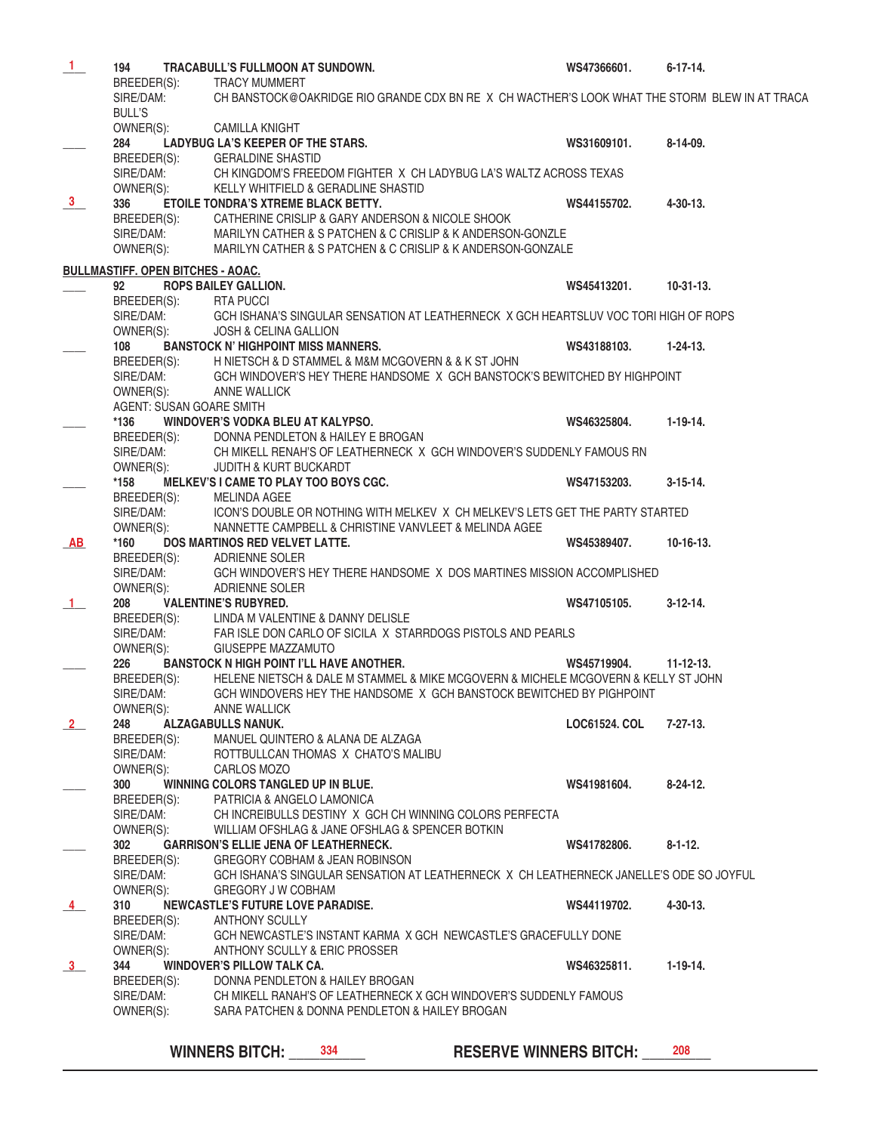| $\mathbf{1}$   | 194                                                 | <b>TRACABULL'S FULLMOON AT SUNDOWN.</b>                                                                             | WS47366601.                   | $6 - 17 - 14.$   |
|----------------|-----------------------------------------------------|---------------------------------------------------------------------------------------------------------------------|-------------------------------|------------------|
|                | BREEDER(S):                                         | TRACY MUMMERT                                                                                                       |                               |                  |
|                | SIRE/DAM:                                           | CH BANSTOCK@OAKRIDGE RIO GRANDE CDX BN RE X CH WACTHER'S LOOK WHAT THE STORM BLEW IN AT TRACA                       |                               |                  |
|                | <b>BULL'S</b>                                       |                                                                                                                     |                               |                  |
|                | OWNER(S):                                           | <b>CAMILLA KNIGHT</b>                                                                                               |                               |                  |
|                | 284                                                 | LADYBUG LA'S KEEPER OF THE STARS.                                                                                   | WS31609101.                   | $8-14-09.$       |
|                | BREEDER(S):                                         | <b>GERALDINE SHASTID</b>                                                                                            |                               |                  |
|                | SIRE/DAM:                                           | CH KINGDOM'S FREEDOM FIGHTER X CH LADYBUG LA'S WALTZ ACROSS TEXAS                                                   |                               |                  |
|                | OWNER(S):                                           | KELLY WHITFIELD & GERADLINE SHASTID                                                                                 |                               |                  |
| 3 <sub>1</sub> | 336                                                 | ETOILE TONDRA'S XTREME BLACK BETTY.                                                                                 | WS44155702.                   | $4 - 30 - 13$ .  |
|                | BREEDER(S):                                         | CATHERINE CRISLIP & GARY ANDERSON & NICOLE SHOOK                                                                    |                               |                  |
|                | SIRE/DAM:                                           | MARILYN CATHER & S PATCHEN & C CRISLIP & K ANDERSON-GONZLE                                                          |                               |                  |
|                | OWNER(S):                                           | MARILYN CATHER & S PATCHEN & C CRISLIP & K ANDERSON-GONZALE                                                         |                               |                  |
|                | <b>BULLMASTIFF. OPEN BITCHES - AOAC.</b>            |                                                                                                                     |                               |                  |
|                | 92                                                  | <b>ROPS BAILEY GALLION.</b>                                                                                         | WS45413201.                   | $10-31-13.$      |
|                | BREEDER(S):                                         | <b>RTA PUCCI</b>                                                                                                    |                               |                  |
|                | SIRE/DAM:                                           | GCH ISHANA'S SINGULAR SENSATION AT LEATHERNECK X GCH HEARTSLUV VOC TORI HIGH OF ROPS                                |                               |                  |
|                | OWNER(S):                                           | <b>JOSH &amp; CELINA GALLION</b>                                                                                    |                               |                  |
|                | 108                                                 | <b>BANSTOCK N' HIGHPOINT MISS MANNERS.</b>                                                                          | WS43188103.                   | $1 - 24 - 13$ .  |
|                |                                                     | BREEDER(S): H NIETSCH & D STAMMEL & M&M MCGOVERN & & K ST JOHN                                                      |                               |                  |
|                | SIRE/DAM:                                           | GCH WINDOVER'S HEY THERE HANDSOME X GCH BANSTOCK'S BEWITCHED BY HIGHPOINT                                           |                               |                  |
|                | OWNER(S):                                           | <b>ANNE WALLICK</b>                                                                                                 |                               |                  |
|                | AGENT: SUSAN GOARE SMITH                            |                                                                                                                     |                               |                  |
|                | *136                                                | WINDOVER'S VODKA BLEU AT KALYPSO.                                                                                   | WS46325804.                   | $1-19-14.$       |
|                |                                                     | BREEDER(S): DONNA PENDLETON & HAILEY E BROGAN                                                                       |                               |                  |
|                |                                                     | SIRE/DAM: CH MIKELL RENAH'S OF LEATHERNECK X GCH WINDOVER'S SUDDENLY FAMOUS RN                                      |                               |                  |
|                | OWNER(S):                                           | <b>JUDITH &amp; KURT BUCKARDT</b>                                                                                   |                               |                  |
|                | *158                                                | MELKEV'S I CAME TO PLAY TOO BOYS CGC.                                                                               | WS47153203.                   | $3-15-14.$       |
|                |                                                     |                                                                                                                     |                               |                  |
|                | BREEDER(S): MELINDA AGEE<br>SIRE/DAM: ICON'S DOUBLE | ICON'S DOUBLE OR NOTHING WITH MELKEV X CH MELKEV'S LETS GET THE PARTY STARTED                                       |                               |                  |
|                | OWNER(S):                                           | NANNETTE CAMPBELL & CHRISTINE VANVLEET & MELINDA AGEE                                                               |                               |                  |
| AB             | *160                                                | DOS MARTINOS RED VELVET LATTE.                                                                                      | WS45389407.                   | $10-16-13.$      |
|                |                                                     | BREEDER(S): ADRIENNE SOLER                                                                                          |                               |                  |
|                | SIRE/DAM:                                           | GCH WINDOVER'S HEY THERE HANDSOME X DOS MARTINES MISSION ACCOMPLISHED                                               |                               |                  |
|                | OWNER(S):                                           | ADRIENNE SOLER                                                                                                      |                               |                  |
| $\mathbf{1}$   | 208                                                 | <b>VALENTINE'S RUBYRED.</b>                                                                                         | WS47105105.                   | $3-12-14.$       |
|                |                                                     | BREEDER(S): LINDA M VALENTINE & DANNY DELISLE                                                                       |                               |                  |
|                | SIRE/DAM:                                           | FAR ISLE DON CARLO OF SICILA X STARRDOGS PISTOLS AND PEARLS                                                         |                               |                  |
|                | OWNER(S):                                           | GIUSEPPE MAZZAMUTO                                                                                                  |                               |                  |
|                | 226                                                 | <b>BANSTOCK N HIGH POINT I'LL HAVE ANOTHER.</b>                                                                     | WS45719904.                   | $11 - 12 - 13$ . |
|                | BREEDER(S):                                         | HELENE NIETSCH & DALE M STAMMEL & MIKE MCGOVERN & MICHELE MCGOVERN & KELLY ST JOHN                                  |                               |                  |
|                | SIRE/DAM:                                           | GCH WINDOVERS HEY THE HANDSOME X GCH BANSTOCK BEWITCHED BY PIGHPOINT                                                |                               |                  |
|                | OWNER(S):                                           | ANNE WALLICK                                                                                                        |                               |                  |
| $\overline{2}$ | 248                                                 | ALZAGABULLS NANUK.                                                                                                  | LOC61524, COL                 | $7 - 27 - 13$ .  |
|                | BREEDER(S):                                         | MANUEL QUINTERO & ALANA DE ALZAGA                                                                                   |                               |                  |
|                | SIRE/DAM:                                           | ROTTBULLCAN THOMAS X CHATO'S MALIBU                                                                                 |                               |                  |
|                | OWNER(S):                                           | CARLOS MOZO                                                                                                         |                               |                  |
|                | 300                                                 | WINNING COLORS TANGLED UP IN BLUE.                                                                                  | WS41981604.                   | $8 - 24 - 12$ .  |
|                | BREEDER(S):                                         | PATRICIA & ANGELO LAMONICA                                                                                          |                               |                  |
|                | SIRE/DAM:                                           | CH INCREIBULLS DESTINY X GCH CH WINNING COLORS PERFECTA                                                             |                               |                  |
|                | OWNER(S):                                           | WILLIAM OFSHLAG & JANE OFSHLAG & SPENCER BOTKIN                                                                     |                               |                  |
|                | 302                                                 | <b>GARRISON'S ELLIE JENA OF LEATHERNECK.</b>                                                                        | WS41782806.                   | $8 - 1 - 12$ .   |
|                | BREEDER(S):                                         | <b>GREGORY COBHAM &amp; JEAN ROBINSON</b>                                                                           |                               |                  |
|                | SIRE/DAM:                                           | GCH ISHANA'S SINGULAR SENSATION AT LEATHERNECK X CH LEATHERNECK JANELLE'S ODE SO JOYFUL                             |                               |                  |
|                | OWNER(S):                                           | GREGORY J W COBHAM                                                                                                  |                               |                  |
| $\overline{4}$ | 310                                                 | <b>NEWCASTLE'S FUTURE LOVE PARADISE.</b>                                                                            | WS44119702.                   | $4 - 30 - 13$ .  |
|                | BREEDER(S):                                         | <b>ANTHONY SCULLY</b>                                                                                               |                               |                  |
|                | SIRE/DAM:                                           | GCH NEWCASTLE'S INSTANT KARMA X GCH NEWCASTLE'S GRACEFULLY DONE                                                     |                               |                  |
|                | OWNER(S):                                           | ANTHONY SCULLY & ERIC PROSSER                                                                                       |                               |                  |
| 3              | 344                                                 | <b>WINDOVER'S PILLOW TALK CA.</b>                                                                                   | WS46325811.                   | $1-19-14.$       |
|                | BREEDER(S):                                         | DONNA PENDLETON & HAILEY BROGAN                                                                                     |                               |                  |
|                | SIRE/DAM:<br>OWNER(S):                              | CH MIKELL RANAH'S OF LEATHERNECK X GCH WINDOVER'S SUDDENLY FAMOUS<br>SARA PATCHEN & DONNA PENDLETON & HAILEY BROGAN |                               |                  |
|                |                                                     |                                                                                                                     |                               |                  |
|                |                                                     |                                                                                                                     |                               |                  |
|                |                                                     | 334<br><b>WINNERS BITCH:</b>                                                                                        | <b>RESERVE WINNERS BITCH:</b> | 208              |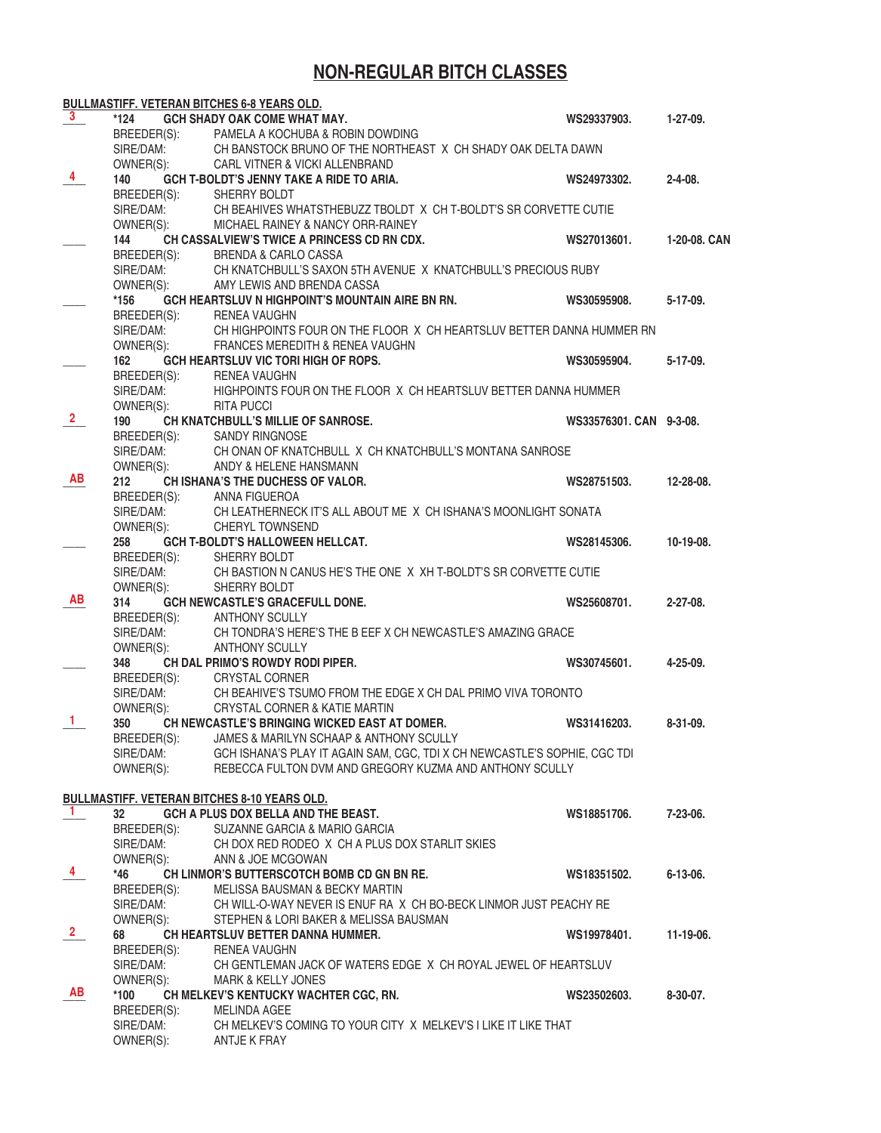# **NON-REGULAR BITCH CLASSES**

|                |                          | BULLMASTIFF. VETERAN BITCHES 6-8 YEARS OLD.                               |                         |                 |
|----------------|--------------------------|---------------------------------------------------------------------------|-------------------------|-----------------|
| 3.             | *124                     | <b>GCH SHADY OAK COME WHAT MAY.</b>                                       | WS29337903.             | $1-27-09.$      |
|                | BREEDER(S):              | PAMELA A KOCHUBA & ROBIN DOWDING                                          |                         |                 |
|                | SIRE/DAM:                | CH BANSTOCK BRUNO OF THE NORTHEAST X CH SHADY OAK DELTA DAWN              |                         |                 |
|                | OWNER(S):                | <b>CARL VITNER &amp; VICKI ALLENBRAND</b>                                 |                         |                 |
| 4              | 140                      | <b>GCH T-BOLDT'S JENNY TAKE A RIDE TO ARIA.</b>                           | WS24973302.             | $2 - 4 - 08$ .  |
|                | BREEDER(S):              | SHERRY BOLDT                                                              |                         |                 |
|                | SIRE/DAM:                | CH BEAHIVES WHATSTHEBUZZ TBOLDT X CH T-BOLDT'S SR CORVETTE CUTIE          |                         |                 |
|                | OWNER(S):                | MICHAEL RAINEY & NANCY ORR-RAINEY                                         |                         |                 |
|                | 144                      | CH CASSALVIEW'S TWICE A PRINCESS CD RN CDX.                               | WS27013601.             | 1-20-08. CAN    |
|                | BREEDER(S):              | <b>BRENDA &amp; CARLO CASSA</b>                                           |                         |                 |
|                | SIRE/DAM:                | CH KNATCHBULL'S SAXON 5TH AVENUE X KNATCHBULL'S PRECIOUS RUBY             |                         |                 |
|                | OWNER(S):                | AMY LEWIS AND BRENDA CASSA                                                |                         |                 |
|                | *156                     | GCH HEARTSLUV N HIGHPOINT'S MOUNTAIN AIRE BN RN.                          | WS30595908.             | $5-17-09.$      |
|                | BREEDER(S):              | RENEA VAUGHN                                                              |                         |                 |
|                | SIRE/DAM:                | CH HIGHPOINTS FOUR ON THE FLOOR X CH HEARTSLUV BETTER DANNA HUMMER RN     |                         |                 |
|                | OWNER(S):                | FRANCES MEREDITH & RENEA VAUGHN                                           |                         |                 |
|                | 162                      | GCH HEARTSLUV VIC TORI HIGH OF ROPS.                                      | WS30595904.             | $5-17-09.$      |
|                | BREEDER(S):              | <b>RENEA VAUGHN</b>                                                       |                         |                 |
|                | SIRE/DAM:                | HIGHPOINTS FOUR ON THE FLOOR X CH HEARTSLUV BETTER DANNA HUMMER           |                         |                 |
|                | OWNER(S):                | <b>RITA PUCCI</b>                                                         |                         |                 |
| $\mathbf{2}$   | 190                      | CH KNATCHBULL'S MILLIE OF SANROSE.                                        | WS33576301. CAN 9-3-08. |                 |
|                | BREEDER(S):              |                                                                           |                         |                 |
|                | SIRE/DAM:                | SANDY RINGNOSE<br>CH ONAN OF KNATCHBULL X CH KNATCHBULL'S MONTANA SANROSE |                         |                 |
|                |                          |                                                                           |                         |                 |
| AB             | OWNER(S):                | ANDY & HELENE HANSMANN                                                    |                         |                 |
|                | 212                      | <b>CHISHANA'S THE DUCHESS OF VALOR.</b>                                   | WS28751503.             | 12-28-08.       |
|                | BREEDER(S):              | ANNA FIGUEROA                                                             |                         |                 |
|                | SIRE/DAM:                | CH LEATHERNECK IT'S ALL ABOUT ME X CH ISHANA'S MOONLIGHT SONATA           |                         |                 |
|                | OWNER(S):                | <b>CHERYL TOWNSEND</b>                                                    |                         |                 |
|                | 258                      | <b>GCH T-BOLDT'S HALLOWEEN HELLCAT.</b>                                   | WS28145306.             | 10-19-08.       |
|                | BREEDER(S):              | SHERRY BOLDT                                                              |                         |                 |
|                | SIRE/DAM:                | CH BASTION N CANUS HE'S THE ONE X XH T-BOLDT'S SR CORVETTE CUTIE          |                         |                 |
| AB             | OWNER(S):                | SHERRY BOLDT                                                              |                         |                 |
|                | 314                      | GCH NEWCASTLE'S GRACEFULL DONE.                                           | WS25608701.             | $2 - 27 - 08$ . |
|                |                          | BREEDER(S): ANTHONY SCULLY                                                |                         |                 |
|                | SIRE/DAM:                | CH TONDRA'S HERE'S THE B EEF X CH NEWCASTLE'S AMAZING GRACE               |                         |                 |
|                | OWNER(S):                | <b>ANTHONY SCULLY</b>                                                     |                         |                 |
|                | 348                      | CH DAL PRIMO'S ROWDY RODI PIPER.                                          | WS30745601.             | 4-25-09.        |
|                | BREEDER(S):<br>SIRE/DAM: | <b>CRYSTAL CORNER</b>                                                     |                         |                 |
|                |                          | CH BEAHIVE'S TSUMO FROM THE EDGE X CH DAL PRIMO VIVA TORONTO              |                         |                 |
| 1              | OWNER(S):                | CRYSTAL CORNER & KATIE MARTIN                                             |                         |                 |
|                | 350                      | CH NEWCASTLE'S BRINGING WICKED EAST AT DOMER.                             | WS31416203.             | 8-31-09.        |
|                | BREEDER(S):              | JAMES & MARILYN SCHAAP & ANTHONY SCULLY                                   |                         |                 |
|                | SIRE/DAM:                | GCH ISHANA'S PLAY IT AGAIN SAM, CGC, TDI X CH NEWCASTLE'S SOPHIE, CGC TDI |                         |                 |
|                | OWNER(S):                | REBECCA FULTON DVM AND GREGORY KUZMA AND ANTHONY SCULLY                   |                         |                 |
|                |                          |                                                                           |                         |                 |
| $\mathbf{1}$   |                          | <b>BULLMASTIFF. VETERAN BITCHES 8-10 YEARS OLD.</b>                       |                         |                 |
|                | 32                       | GCH A PLUS DOX BELLA AND THE BEAST.                                       | WS18851706.             | $7-23-06$ .     |
|                | BREEDER(S):              | SUZANNE GARCIA & MARIO GARCIA                                             |                         |                 |
|                | SIRE/DAM:                | CH DOX RED RODEO X CH A PLUS DOX STARLIT SKIES                            |                         |                 |
| $\overline{4}$ | OWNER(S):                | ANN & JOE MCGOWAN                                                         |                         |                 |
|                | *46                      | CH LINMOR'S BUTTERSCOTCH BOMB CD GN BN RE.                                | WS18351502.             | 6-13-06.        |
|                | BREEDER(S):              | MELISSA BAUSMAN & BECKY MARTIN                                            |                         |                 |
|                | SIRE/DAM:                | CH WILL-O-WAY NEVER IS ENUF RA X CH BO-BECK LINMOR JUST PEACHY RE         |                         |                 |
|                | OWNER(S):                | STEPHEN & LORI BAKER & MELISSA BAUSMAN                                    |                         |                 |
| $\overline{2}$ | 68                       | CH HEARTSLUV BETTER DANNA HUMMER.                                         | WS19978401.             | 11-19-06.       |
|                |                          | BREEDER(S): RENEA VAUGHN                                                  |                         |                 |
|                | SIRE/DAM:                | CH GENTLEMAN JACK OF WATERS EDGE X CH ROYAL JEWEL OF HEARTSLUV            |                         |                 |
| AB             | OWNER(S):                | MARK & KELLY JONES                                                        |                         |                 |
|                | *100                     | CH MELKEV'S KENTUCKY WACHTER CGC, RN.                                     | WS23502603.             | $8-30-07$ .     |
|                | BREEDER(S):              | MELINDA AGEE                                                              |                         |                 |
|                | SIRE/DAM:                | CH MELKEV'S COMING TO YOUR CITY X MELKEV'S I LIKE IT LIKE THAT            |                         |                 |
|                | OWNER(S):                | ANTJE K FRAY                                                              |                         |                 |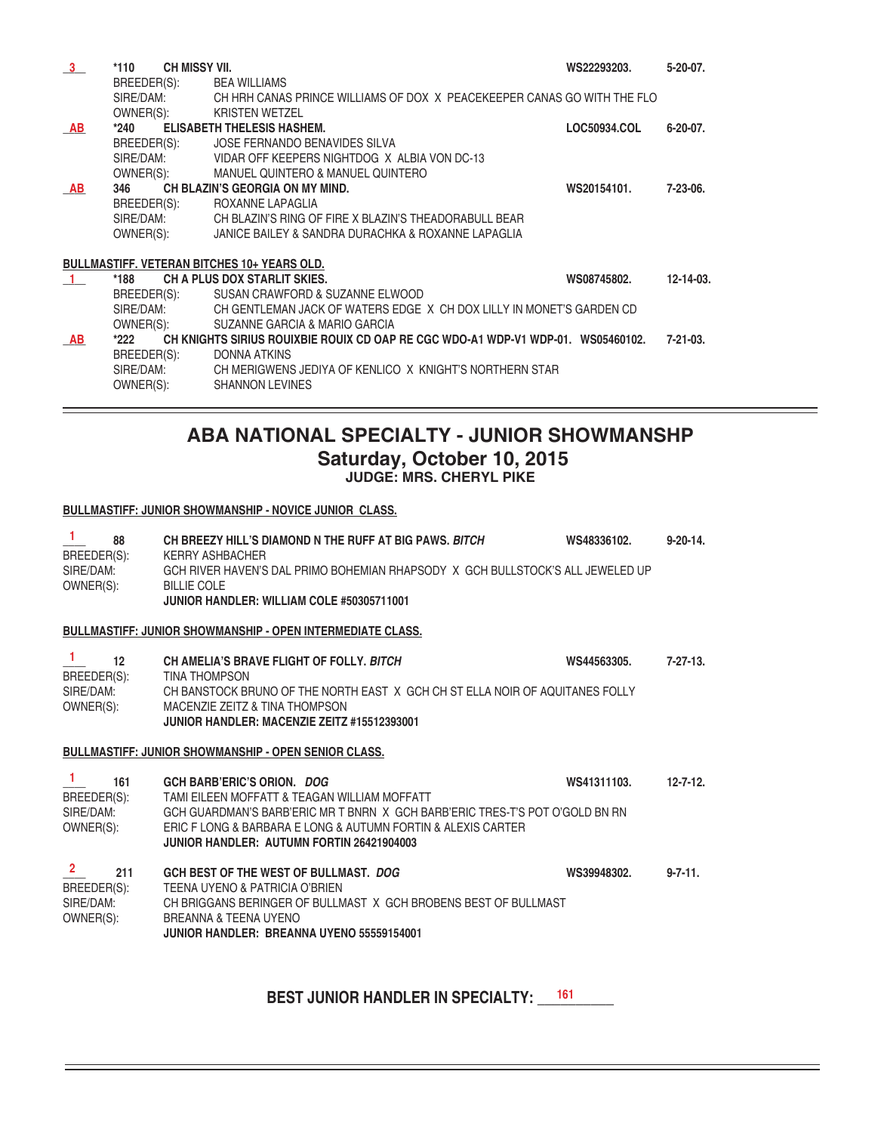| 3              | CH MISSY VII.<br>$*110$  |                                                                                  | WS22293203.  | $5-20-07$ .      |
|----------------|--------------------------|----------------------------------------------------------------------------------|--------------|------------------|
|                | BREEDER(S): BEA WILLIAMS |                                                                                  |              |                  |
|                | SIRE/DAM:                | CH HRH CANAS PRINCE WILLIAMS OF DOX X PEACEKEEPER CANAS GO WITH THE FLO          |              |                  |
|                | OWNER(S):                | <b>KRISTEN WETZEL</b>                                                            |              |                  |
| AB             | $*240$                   | <b>ELISABETH THELESIS HASHEM.</b>                                                | LOC50934.COL | $6-20-07$ .      |
|                | BREEDER(S):              | JOSE FERNANDO BENAVIDES SILVA                                                    |              |                  |
|                | SIRE/DAM:                | VIDAR OFF KEEPERS NIGHTDOG X ALBIA VON DC-13                                     |              |                  |
|                | OWNER(S):                | MANUEL QUINTERO & MANUEL QUINTERO                                                |              |                  |
| AB             | 346                      | CH BLAZIN'S GEORGIA ON MY MIND.                                                  | WS20154101.  | $7-23-06.$       |
|                | BREEDER(S):              | ROXANNE LAPAGLIA                                                                 |              |                  |
|                | SIRE/DAM:                | CH BLAZIN'S RING OF FIRE X BLAZIN'S THEADORABULL BEAR                            |              |                  |
|                | OWNER(S):                | JANICE BAILEY & SANDRA DURACHKA & ROXANNE LAPAGLIA                               |              |                  |
|                |                          | <b>BULLMASTIFF, VETERAN BITCHES 10+ YEARS OLD.</b>                               |              |                  |
| $\overline{1}$ | *188                     | CH A PLUS DOX STARLIT SKIES.                                                     | WS08745802.  | $12 - 14 - 03$ . |
|                | BREEDER(S):              | SUSAN CRAWFORD & SUZANNE ELWOOD                                                  |              |                  |
|                | SIRE/DAM:                | CH GENTLEMAN JACK OF WATERS EDGE X CH DOX LILLY IN MONET'S GARDEN CD             |              |                  |
|                | OWNER(S):                | SUZANNE GARCIA & MARIO GARCIA                                                    |              |                  |
| AB             | *222                     | CH KNIGHTS SIRIUS ROUIXBIE ROUIX CD OAP RE CGC WDO-A1 WDP-V1 WDP-01. WS05460102. |              | $7 - 21 - 03$ .  |
|                | BREEDER(S):              | DONNA ATKINS                                                                     |              |                  |
|                | SIRE/DAM:                | CH MERIGWENS JEDIYA OF KENLICO X KNIGHT'S NORTHERN STAR                          |              |                  |
|                | OWNER(S):                | <b>SHANNON LEVINES</b>                                                           |              |                  |
|                |                          |                                                                                  |              |                  |

# **ABA NATIONAL SPECIALTY - JUNIOR SHOWMANSHP Saturday, October 10, 2015 JUDGE: MRS. CHERYL PIKE**

#### **BULLMASTIFF: JUNIOR SHOWMANSHIP - NOVICE JUNIOR CLASS.**

**1**

| л.<br>88<br>BREEDER(S):<br>SIRE/DAM:<br>OWNER(S):            | CH BREEZY HILL'S DIAMOND N THE RUFF AT BIG PAWS. BITCH<br><b>KERRY ASHBACHER</b><br>GCH RIVER HAVEN'S DAL PRIMO BOHEMIAN RHAPSODY X GCH BULLSTOCK'S ALL JEWELED UP<br><b>BILLIE COLE</b><br>JUNIOR HANDLER: WILLIAM COLE #50305711001                                          | WS48336102. | $9 - 20 - 14$ . |
|--------------------------------------------------------------|--------------------------------------------------------------------------------------------------------------------------------------------------------------------------------------------------------------------------------------------------------------------------------|-------------|-----------------|
|                                                              | <b>BULLMASTIFF: JUNIOR SHOWMANSHIP - OPEN INTERMEDIATE CLASS.</b>                                                                                                                                                                                                              |             |                 |
| $\mathbf{1}$<br>12<br>BREEDER(S):<br>SIRE/DAM:<br>OWNER(S):  | CH AMELIA'S BRAVE FLIGHT OF FOLLY, BITCH<br><b>TINA THOMPSON</b><br>CH BANSTOCK BRUNO OF THE NORTH EAST X GCH CH ST ELLA NOIR OF AQUITANES FOLLY<br>MACENZIE ZEITZ & TINA THOMPSON<br>JUNIOR HANDLER: MACENZIE ZEITZ #15512393001                                              | WS44563305. | $7-27-13.$      |
|                                                              | <b>BULLMASTIFF: JUNIOR SHOWMANSHIP - OPEN SENIOR CLASS.</b>                                                                                                                                                                                                                    |             |                 |
| $\mathbf{1}$<br>161<br>BREEDER(S):<br>SIRE/DAM:<br>OWNER(S): | <b>GCH BARB'ERIC'S ORION. DOG</b><br>TAMI EILEEN MOFFATT & TEAGAN WILLIAM MOFFATT<br>GCH GUARDMAN'S BARB'ERIC MR T BNRN X GCH BARB'ERIC TRES-T'S POT O'GOLD BN RN<br>ERIC F LONG & BARBARA E LONG & AUTUMN FORTIN & ALEXIS CARTER<br>JUNIOR HANDLER: AUTUMN FORTIN 26421904003 | WS41311103. | $12 - 7 - 12$ . |
| $\mathbf{2}$<br>211<br>BREEDER(S):<br>SIRE/DAM:<br>OWNER(S): | GCH BEST OF THE WEST OF BULLMAST. DOG<br>TEENA UYENO & PATRICIA O'BRIEN<br>CH BRIGGANS BERINGER OF BULLMAST X GCH BROBENS BEST OF BULLMAST<br>BREANNA & TEENA UYENO<br>JUNIOR HANDLER: BREANNA UYENO 55559154001                                                               | WS39948302. | $9 - 7 - 11$ .  |

BEST JUNIOR HANDLER IN SPECIALTY: \_\_\_<sup>\_\_\_\_\_\_</sup>\_\_\_\_\_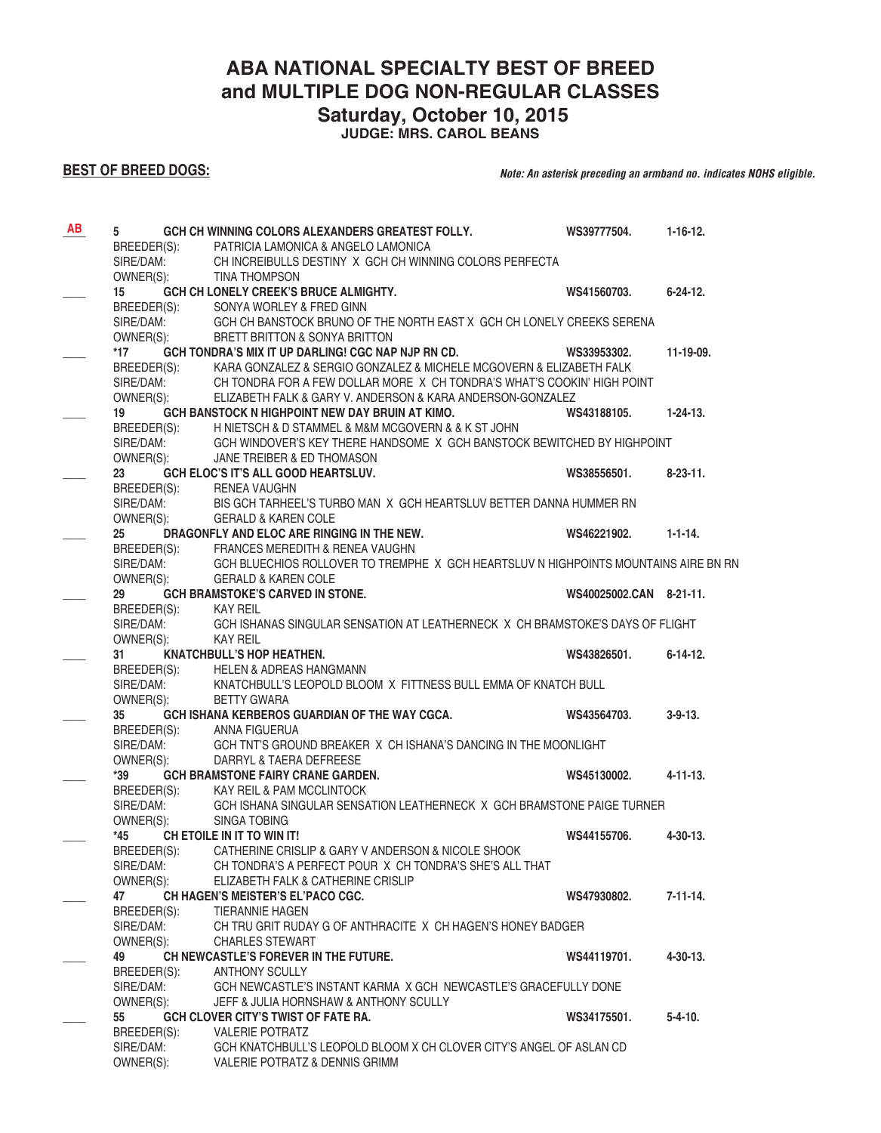**ABA NATIONAL SPECIALTY BEST OF BREED** 

**and MULTIPLE DOG NON-REGULAR CLASSES** 

 **Saturday, October 10, 2015**

**JUDGE: MRS. CAROL BEANS**

## **BEST OF BREED DOGS:**

#### *Note: An asterisk preceding an armband no. indicates NOHS eligible.*

| AB | 5                        | GCH CH WINNING COLORS ALEXANDERS GREATEST FOLLY.                                                          | WS39777504.             | $1 - 16 - 12$ . |
|----|--------------------------|-----------------------------------------------------------------------------------------------------------|-------------------------|-----------------|
|    | BREEDER(S):              | PATRICIA LAMONICA & ANGELO LAMONICA                                                                       |                         |                 |
|    | SIRE/DAM:                | CH INCREIBULLS DESTINY X GCH CH WINNING COLORS PERFECTA                                                   |                         |                 |
|    | OWNER(S):                | <b>TINA THOMPSON</b>                                                                                      |                         |                 |
|    | 15                       | GCH CH LONELY CREEK'S BRUCE ALMIGHTY.                                                                     | WS41560703.             | $6 - 24 - 12$ . |
|    |                          | BREEDER(S): SONYA WORLEY & FRED GINN                                                                      |                         |                 |
|    | SIRE/DAM:                | GCH CH BANSTOCK BRUNO OF THE NORTH EAST X GCH CH LONELY CREEKS SERENA                                     |                         |                 |
|    | OWNER(S):                | BRETT BRITTON & SONYA BRITTON                                                                             |                         |                 |
|    | *17                      | GCH TONDRA'S MIX IT UP DARLING! CGC NAP NJP RN CD.                                                        | WS33953302.             | 11-19-09.       |
|    |                          | BREEDER(S): KARA GONZALEZ & SERGIO GONZALEZ & MICHELE MCGOVERN & ELIZABETH FALK                           |                         |                 |
|    | SIRE/DAM:                | CH TONDRA FOR A FEW DOLLAR MORE X CH TONDRA'S WHAT'S COOKIN' HIGH POINT                                   |                         |                 |
|    | OWNER(S):                | ELIZABETH FALK & GARY V. ANDERSON & KARA ANDERSON-GONZALEZ                                                |                         |                 |
|    | 19                       | GCH BANSTOCK N HIGHPOINT NEW DAY BRUIN AT KIMO.                                                           | WS43188105.             | $1 - 24 - 13$ . |
|    | BREEDER(S):              | H NIETSCH & D STAMMEL & M&M MCGOVERN & & K ST JOHN                                                        |                         |                 |
|    | SIRE/DAM:                | GCH WINDOVER'S KEY THERE HANDSOME X GCH BANSTOCK BEWITCHED BY HIGHPOINT                                   |                         |                 |
|    | OWNER(S):                | JANE TREIBER & ED THOMASON                                                                                |                         |                 |
|    | 23                       | GCH ELOC'S IT'S ALL GOOD HEARTSLUV.                                                                       | WS38556501.             | $8-23-11.$      |
|    |                          | BREEDER(S): RENEA VAUGHN                                                                                  |                         |                 |
|    | SIRE/DAM:                | BIS GCH TARHEEL'S TURBO MAN X GCH HEARTSLUV BETTER DANNA HUMMER RN                                        |                         |                 |
|    | OWNER(S):                | <b>GERALD &amp; KAREN COLE</b>                                                                            |                         |                 |
|    | 25 <sub>2</sub>          | DRAGONFLY AND ELOC ARE RINGING IN THE NEW.                                                                | WS46221902.             | $1 - 1 - 14.$   |
|    | BREEDER(S):              | FRANCES MEREDITH & RENEA VAUGHN                                                                           |                         |                 |
|    | SIRE/DAM:                | GCH BLUECHIOS ROLLOVER TO TREMPHE X GCH HEARTSLUV N HIGHPOINTS MOUNTAINS AIRE BN RN                       |                         |                 |
|    | OWNER(S):                | <b>GERALD &amp; KAREN COLE</b>                                                                            |                         |                 |
|    | 29                       | <b>GCH BRAMSTOKE'S CARVED IN STONE.</b>                                                                   | WS40025002.CAN 8-21-11. |                 |
|    | BREEDER(S):<br>SIRE/DAM: | KAY REIL<br>GCH ISHANAS SINGULAR SENSATION AT LEATHERNECK X CH BRAMSTOKE'S DAYS OF FLIGHT                 |                         |                 |
|    | OWNER(S):                | <b>KAY REIL</b>                                                                                           |                         |                 |
|    | 31                       | <b>KNATCHBULL'S HOP HEATHEN.</b>                                                                          | WS43826501.             | $6 - 14 - 12$ . |
|    |                          | BREEDER(S): HELEN & ADREAS HANGMANN                                                                       |                         |                 |
|    | SIRE/DAM:                | KNATCHBULL'S LEOPOLD BLOOM X FITTNESS BULL EMMA OF KNATCH BULL                                            |                         |                 |
|    | OWNER(S):                | <b>BETTY GWARA</b>                                                                                        |                         |                 |
|    | 35                       | GCH ISHANA KERBEROS GUARDIAN OF THE WAY CGCA.                                                             | WS43564703.             | $3 - 9 - 13$ .  |
|    | BREEDER(S):              | ANNA FIGUERUA                                                                                             |                         |                 |
|    | SIRE/DAM:                | GCH TNT'S GROUND BREAKER X CH ISHANA'S DANCING IN THE MOONLIGHT                                           |                         |                 |
|    | OWNER(S):                | DARRYL & TAERA DEFREESE                                                                                   |                         |                 |
|    | *39                      | <b>GCH BRAMSTONE FAIRY CRANE GARDEN.</b>                                                                  | WS45130002.             | $4 - 11 - 13$ . |
|    | BREEDER(S):              | KAY REIL & PAM MCCLINTOCK                                                                                 |                         |                 |
|    | SIRE/DAM:                | GCH ISHANA SINGULAR SENSATION LEATHERNECK X GCH BRAMSTONE PAIGE TURNER                                    |                         |                 |
|    | OWNER(S):                | SINGA TOBING                                                                                              |                         |                 |
|    | *45                      | CH ETOILE IN IT TO WIN IT!                                                                                | WS44155706.             | $4 - 30 - 13$ . |
|    | BREEDER(S):              | CATHERINE CRISLIP & GARY V ANDERSON & NICOLE SHOOK                                                        |                         |                 |
|    | SIRE/DAM:                | CH TONDRA'S A PERFECT POUR X CH TONDRA'S SHE'S ALL THAT                                                   |                         |                 |
|    | OWNER(S):                | ELIZABETH FALK & CATHERINE CRISLIP                                                                        |                         |                 |
|    | 47                       | CH HAGEN'S MEISTER'S EL'PACO CGC.                                                                         | WS47930802.             | $7 - 11 - 14.$  |
|    | BREEDER(S):              | <b>TIERANNIE HAGEN</b>                                                                                    |                         |                 |
|    | SIRE/DAM:                | CH TRU GRIT RUDAY G OF ANTHRACITE X CH HAGEN'S HONEY BADGER                                               |                         |                 |
|    | OWNER(S):                | <b>CHARLES STEWART</b>                                                                                    |                         |                 |
|    | 49                       | CH NEWCASTLE'S FOREVER IN THE FUTURE.                                                                     | WS44119701.             | 4-30-13.        |
|    | BREEDER(S):              | <b>ANTHONY SCULLY</b>                                                                                     |                         |                 |
|    | SIRE/DAM:<br>OWNER(S):   | GCH NEWCASTLE'S INSTANT KARMA X GCH NEWCASTLE'S GRACEFULLY DONE<br>JEFF & JULIA HORNSHAW & ANTHONY SCULLY |                         |                 |
|    | 55                       | GCH CLOVER CITY'S TWIST OF FATE RA.                                                                       | WS34175501.             | 5-4-10.         |
|    | BREEDER(S):              | <b>VALERIE POTRATZ</b>                                                                                    |                         |                 |
|    | SIRE/DAM:                | GCH KNATCHBULL'S LEOPOLD BLOOM X CH CLOVER CITY'S ANGEL OF ASLAN CD                                       |                         |                 |
|    | OWNER(S):                | VALERIE POTRATZ & DENNIS GRIMM                                                                            |                         |                 |
|    |                          |                                                                                                           |                         |                 |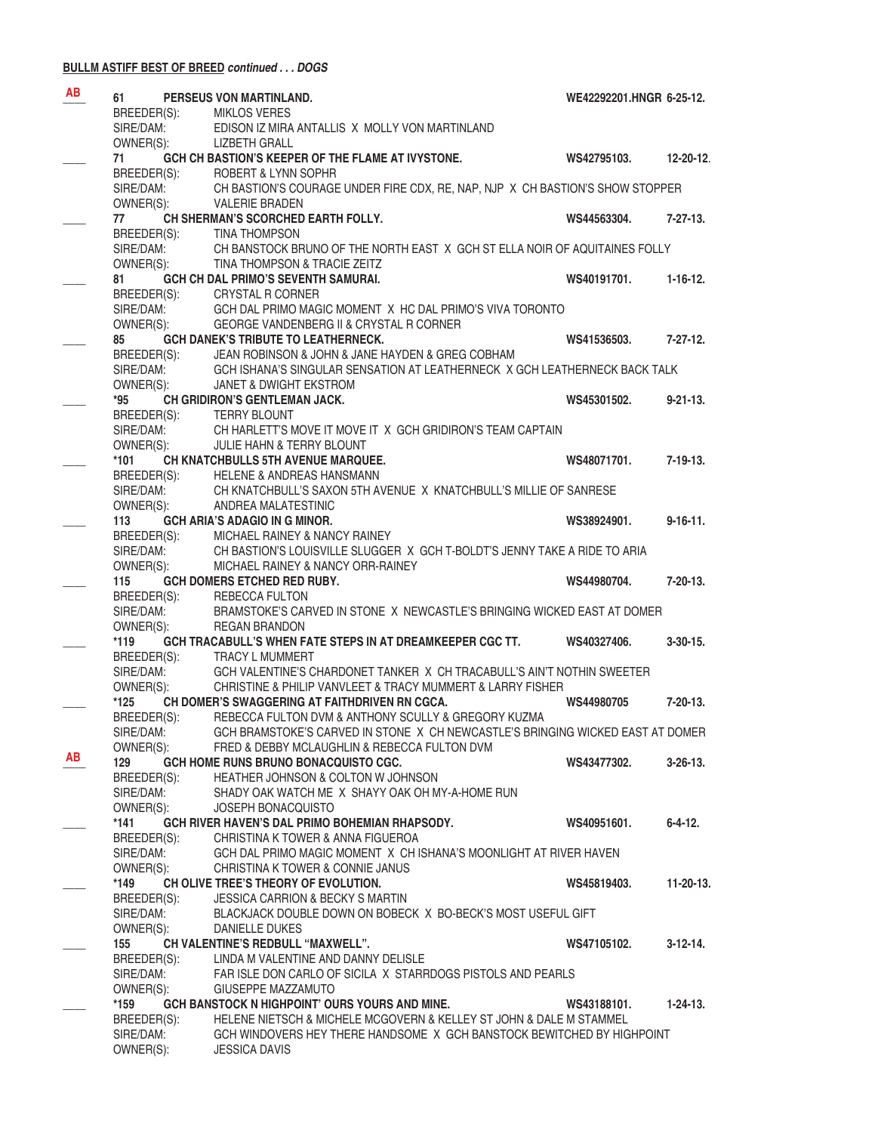#### **BULLM ASTIFF BEST OF BREED** *continued . . . DOGS*

| <b>AB</b> | 61                       | PERSEUS VON MARTINLAND.                                                                                                        | WE42292201.HNGR 6-25-12. |                 |
|-----------|--------------------------|--------------------------------------------------------------------------------------------------------------------------------|--------------------------|-----------------|
|           | BREEDER(S):              | <b>MIKLOS VERES</b>                                                                                                            |                          |                 |
|           | SIRE/DAM:                | EDISON IZ MIRA ANTALLIS X MOLLY VON MARTINLAND                                                                                 |                          |                 |
|           | OWNER(S):                | <b>LIZBETH GRALL</b>                                                                                                           |                          |                 |
|           | 71                       | GCH CH BASTION'S KEEPER OF THE FLAME AT IVYSTONE.                                                                              | WS42795103.              | 12-20-12.       |
|           | BREEDER(S):<br>SIRE/DAM: | ROBERT & LYNN SOPHR<br>CH BASTION'S COURAGE UNDER FIRE CDX, RE, NAP, NJP X CH BASTION'S SHOW STOPPER                           |                          |                 |
|           | OWNER(S):                | <b>VALERIE BRADEN</b>                                                                                                          |                          |                 |
|           | 77                       | CH SHERMAN'S SCORCHED EARTH FOLLY.                                                                                             | WS44563304.              | 7-27-13.        |
|           | BREEDER(S):              | <b>TINA THOMPSON</b>                                                                                                           |                          |                 |
|           | SIRE/DAM:                | CH BANSTOCK BRUNO OF THE NORTH EAST X GCH ST ELLA NOIR OF AQUITAINES FOLLY                                                     |                          |                 |
|           | OWNER(S):                | TINA THOMPSON & TRACIE ZEITZ                                                                                                   |                          |                 |
|           | 81                       | <b>GCH CH DAL PRIMO'S SEVENTH SAMURAI.</b>                                                                                     | WS40191701.              | $1 - 16 - 12$ . |
|           |                          | BREEDER(S): CRYSTAL R CORNER                                                                                                   |                          |                 |
|           | SIRE/DAM:                | GCH DAL PRIMO MAGIC MOMENT X HC DAL PRIMO'S VIVA TORONTO                                                                       |                          |                 |
|           | OWNER(S):                | GEORGE VANDENBERG II & CRYSTAL R CORNER                                                                                        |                          |                 |
|           | 85                       | <b>GCH DANEK'S TRIBUTE TO LEATHERNECK.</b>                                                                                     | WS41536503.              | $7 - 27 - 12$ . |
|           | BREEDER(S):              | JEAN ROBINSON & JOHN & JANE HAYDEN & GREG COBHAM<br>GCH ISHANA'S SINGULAR SENSATION AT LEATHERNECK X GCH LEATHERNECK BACK TALK |                          |                 |
|           | SIRE/DAM:<br>OWNER(S):   | <b>JANET &amp; DWIGHT EKSTROM</b>                                                                                              |                          |                 |
|           | *95                      | CH GRIDIRON'S GENTLEMAN JACK.                                                                                                  | WS45301502.              | $9 - 21 - 13$ . |
|           | BREEDER(S):              | <b>TERRY BLOUNT</b>                                                                                                            |                          |                 |
|           | SIRE/DAM:                | CH HARLETT'S MOVE IT MOVE IT X GCH GRIDIRON'S TEAM CAPTAIN                                                                     |                          |                 |
|           | OWNER(S):                | JULIE HAHN & TERRY BLOUNT                                                                                                      |                          |                 |
|           | $*101$                   | <b>CH KNATCHBULLS 5TH AVENUE MARQUEE.</b>                                                                                      | WS48071701.              | $7 - 19 - 13.$  |
|           | BREEDER(S):              | HELENE & ANDREAS HANSMANN                                                                                                      |                          |                 |
|           | SIRE/DAM:                | CH KNATCHBULL'S SAXON 5TH AVENUE X KNATCHBULL'S MILLIE OF SANRESE                                                              |                          |                 |
|           | OWNER(S):                | ANDREA MALATESTINIC                                                                                                            |                          |                 |
|           | 113                      | <b>GCH ARIA'S ADAGIO IN G MINOR.</b>                                                                                           | WS38924901.              | $9 - 16 - 11.$  |
|           | BREEDER(S):              | MICHAEL RAINEY & NANCY RAINEY                                                                                                  |                          |                 |
|           | SIRE/DAM:                | CH BASTION'S LOUISVILLE SLUGGER X GCH T-BOLDT'S JENNY TAKE A RIDE TO ARIA                                                      |                          |                 |
|           | OWNER(S):                | MICHAEL RAINEY & NANCY ORR-RAINEY                                                                                              |                          |                 |
|           | 115                      | GCH DOMERS ETCHED RED RUBY.                                                                                                    | WS44980704.              | 7-20-13.        |
|           | BREEDER(S):              | REBECCA FULTON                                                                                                                 |                          |                 |
|           | SIRE/DAM:                | BRAMSTOKE'S CARVED IN STONE X NEWCASTLE'S BRINGING WICKED EAST AT DOMER                                                        |                          |                 |
|           | OWNER(S):                | <b>REGAN BRANDON</b>                                                                                                           |                          |                 |
|           | $*119$                   | GCH TRACABULL'S WHEN FATE STEPS IN AT DREAMKEEPER CGC TT.                                                                      | WS40327406.              | $3-30-15$ .     |
|           | BREEDER(S):              | <b>TRACY L MUMMERT</b>                                                                                                         |                          |                 |
|           | SIRE/DAM:                | GCH VALENTINE'S CHARDONET TANKER X CH TRACABULL'S AIN'T NOTHIN SWEETER                                                         |                          |                 |
|           | OWNER(S):                | CHRISTINE & PHILIP VANVLEET & TRACY MUMMERT & LARRY FISHER                                                                     |                          |                 |
|           | *125                     | CH DOMER'S SWAGGERING AT FAITHDRIVEN RN CGCA.<br>REBECCA FULTON DVM & ANTHONY SCULLY & GREGORY KUZMA                           | WS44980705               | $7-20-13.$      |
|           | BREEDER(S):              | GCH BRAMSTOKE'S CARVED IN STONE X CH NEWCASTLE'S BRINGING WICKED EAST AT DOMER                                                 |                          |                 |
|           | SIRE/DAM:<br>OWNER(S):   | FRED & DEBBY MCLAUGHLIN & REBECCA FULTON DVM                                                                                   |                          |                 |
| AB        | 129                      | GCH HOME RUNS BRUNO BONACQUISTO CGC.                                                                                           | WS43477302.              | $3 - 26 - 13$ . |
|           | BREEDER(S):              | HEATHER JOHNSON & COLTON W JOHNSON                                                                                             |                          |                 |
|           | SIRE/DAM:                | SHADY OAK WATCH ME X SHAYY OAK OH MY-A-HOME RUN                                                                                |                          |                 |
|           | OWNER(S):                | <b>JOSEPH BONACQUISTO</b>                                                                                                      |                          |                 |
|           | *141                     | GCH RIVER HAVEN'S DAL PRIMO BOHEMIAN RHAPSODY.                                                                                 | WS40951601.              | $6 - 4 - 12$ .  |
|           | BREEDER(S):              | CHRISTINA K TOWER & ANNA FIGUEROA                                                                                              |                          |                 |
|           | SIRE/DAM:                | GCH DAL PRIMO MAGIC MOMENT X CH ISHANA'S MOONLIGHT AT RIVER HAVEN                                                              |                          |                 |
|           | OWNER(S):                | CHRISTINA K TOWER & CONNIE JANUS                                                                                               |                          |                 |
|           | *149                     | CH OLIVE TREE'S THEORY OF EVOLUTION.                                                                                           | WS45819403.              | 11-20-13.       |
|           | BREEDER(S):              | <b>JESSICA CARRION &amp; BECKY S MARTIN</b>                                                                                    |                          |                 |
|           | SIRE/DAM:                | BLACKJACK DOUBLE DOWN ON BOBECK X BO-BECK'S MOST USEFUL GIFT                                                                   |                          |                 |
|           | OWNER(S):                | DANIELLE DUKES                                                                                                                 |                          |                 |
|           | 155                      | CH VALENTINE'S REDBULL "MAXWELL".                                                                                              | WS47105102.              | $3-12-14$ .     |
|           | BREEDER(S):              | LINDA M VALENTINE AND DANNY DELISLE                                                                                            |                          |                 |
|           | SIRE/DAM:                | FAR ISLE DON CARLO OF SICILA X STARRDOGS PISTOLS AND PEARLS                                                                    |                          |                 |
|           | OWNER(S):                | GIUSEPPE MAZZAMUTO                                                                                                             |                          |                 |
|           | *159                     | GCH BANSTOCK N HIGHPOINT' OURS YOURS AND MINE.                                                                                 | WS43188101.              | $1-24-13.$      |
|           | BREEDER(S):              | HELENE NIETSCH & MICHELE MCGOVERN & KELLEY ST JOHN & DALE M STAMMEL                                                            |                          |                 |
|           | SIRE/DAM:                | GCH WINDOVERS HEY THERE HANDSOME X GCH BANSTOCK BEWITCHED BY HIGHPOINT                                                         |                          |                 |
|           | OWNER(S):                | <b>JESSICA DAVIS</b>                                                                                                           |                          |                 |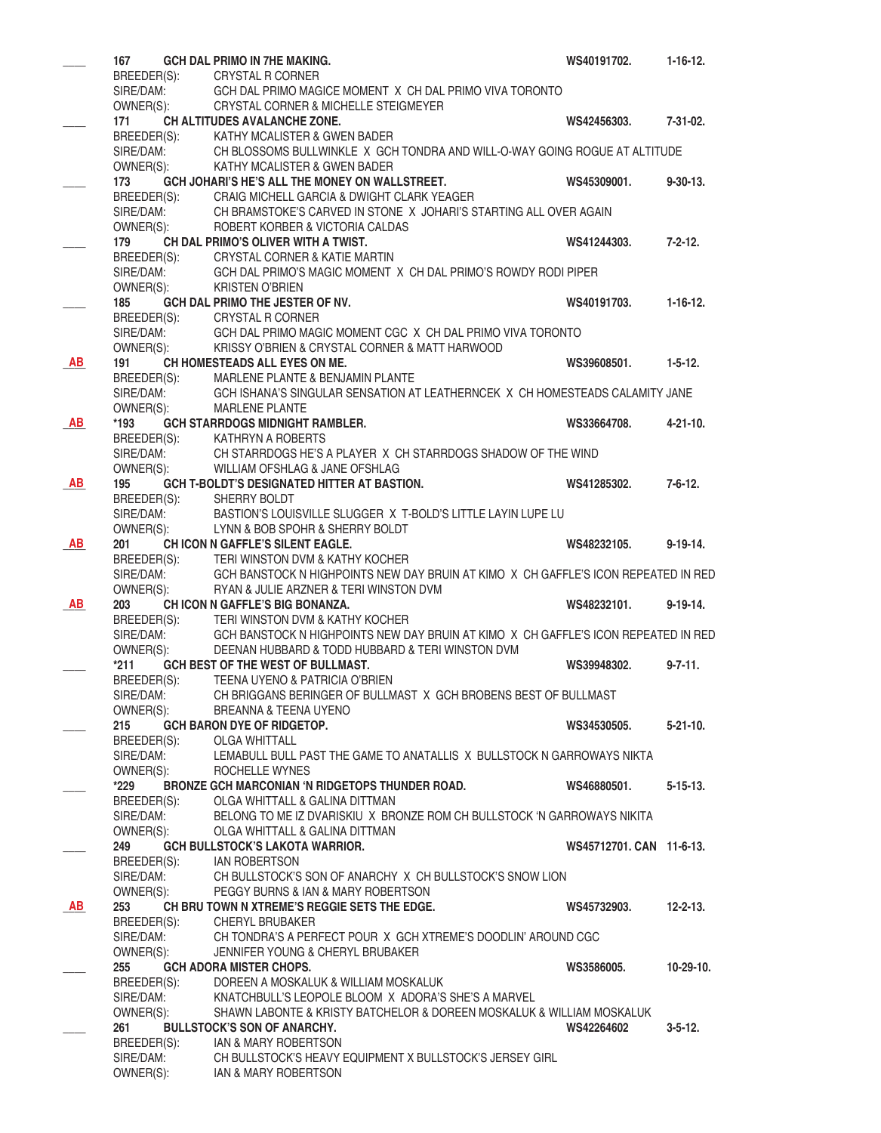|           | 167                      | <b>GCH DAL PRIMO IN 7HE MAKING.</b>                                                                                                    | WS40191702.              | $1 - 16 - 12.$  |
|-----------|--------------------------|----------------------------------------------------------------------------------------------------------------------------------------|--------------------------|-----------------|
|           |                          | BREEDER(S): CRYSTAL R CORNER<br>SIRE/DAM: GCH DAL PRIMO MAG                                                                            |                          |                 |
|           | OWNER(S):                | GCH DAL PRIMO MAGICE MOMENT X CH DAL PRIMO VIVA TORONTO                                                                                |                          |                 |
|           | 171                      | CRYSTAL CORNER & MICHELLE STEIGMEYER<br>CH ALTITUDES AVALANCHE ZONE.                                                                   | WS42456303.              | 7-31-02.        |
|           |                          | BREEDER(S): KATHY MCALISTER & GWEN BADER                                                                                               |                          |                 |
|           | SIRE/DAM:                | CH BLOSSOMS BULLWINKLE X GCH TONDRA AND WILL-O-WAY GOING ROGUE AT ALTITUDE                                                             |                          |                 |
|           | OWNER(S):                | KATHY MCALISTER & GWEN BADER                                                                                                           |                          |                 |
|           | 173                      | GCH JOHARI'S HE'S ALL THE MONEY ON WALLSTREET.                                                                                         | WS45309001.              | $9 - 30 - 13$ . |
|           | BREEDER(S):              | CRAIG MICHELL GARCIA & DWIGHT CLARK YEAGER                                                                                             |                          |                 |
|           | SIRE/DAM:                | CH BRAMSTOKE'S CARVED IN STONE X JOHARI'S STARTING ALL OVER AGAIN                                                                      |                          |                 |
|           | OWNER(S):<br>179         | ROBERT KORBER & VICTORIA CALDAS<br>CH DAL PRIMO'S OLIVER WITH A TWIST.                                                                 | WS41244303.              | $7 - 2 - 12$ .  |
|           |                          | BREEDER(S): CRYSTAL CORNER & KATIE MARTIN                                                                                              |                          |                 |
|           | SIRE/DAM:                | GCH DAL PRIMO'S MAGIC MOMENT X CH DAL PRIMO'S ROWDY RODI PIPER                                                                         |                          |                 |
|           | OWNER(S):                | <b>KRISTEN O'BRIEN</b>                                                                                                                 |                          |                 |
|           | 185                      | GCH DAL PRIMO THE JESTER OF NV.                                                                                                        | WS40191703.              | $1 - 16 - 12$ . |
|           |                          | BREEDER(S): CRYSTAL R CORNER                                                                                                           |                          |                 |
|           | SIRE/DAM:                | GCH DAL PRIMO MAGIC MOMENT CGC X CH DAL PRIMO VIVA TORONTO                                                                             |                          |                 |
|           | OWNER(S):                | KRISSY O'BRIEN & CRYSTAL CORNER & MATT HARWOOD                                                                                         |                          |                 |
| AB        | 191                      | CH HOMESTEADS ALL EYES ON ME.<br>MARLENE PLANTE & BENJAMIN PLANTE                                                                      | WS39608501.              | $1 - 5 - 12$ .  |
|           | BREEDER(S):<br>SIRE/DAM: | GCH ISHANA'S SINGULAR SENSATION AT LEATHERNCEK X CH HOMESTEADS CALAMITY JANE                                                           |                          |                 |
|           | OWNER(S):                | <b>MARLENE PLANTE</b>                                                                                                                  |                          |                 |
| AB        | *193                     | <b>GCH STARRDOGS MIDNIGHT RAMBLER.</b>                                                                                                 | WS33664708.              | $4 - 21 - 10$ . |
|           |                          | BREEDER(S): KATHRYN A ROBERTS                                                                                                          |                          |                 |
|           | SIRE/DAM:                | CH STARRDOGS HE'S A PLAYER X CH STARRDOGS SHADOW OF THE WIND                                                                           |                          |                 |
|           | OWNER(S):                | WILLIAM OFSHLAG & JANE OFSHLAG                                                                                                         |                          |                 |
| <b>AB</b> | 195                      | GCH T-BOLDT'S DESIGNATED HITTER AT BASTION.                                                                                            | WS41285302.              | $7 - 6 - 12.$   |
|           | BREEDER(S):<br>SIRE/DAM: | SHERRY BOLDT<br>BASTION'S LOUISVILLE SLUGGER X T-BOLD'S LITTLE LAYIN LUPE LU                                                           |                          |                 |
|           | OWNER(S):                | LYNN & BOB SPOHR & SHERRY BOLDT                                                                                                        |                          |                 |
| AB        | 201                      | CH ICON N GAFFLE'S SILENT EAGLE.                                                                                                       | WS48232105.              | $9-19-14.$      |
|           |                          | BREEDER(S): TERI WINSTON DVM & KATHY KOCHER                                                                                            |                          |                 |
|           |                          | SIRE/DAM: GCH BANSTOCK N HIGHPOINTS NEW DAY BRUIN AT KIMO X CH GAFFLE'S ICON REPEATED IN RED                                           |                          |                 |
|           | OWNER(S):                | RYAN & JULIE ARZNER & TERI WINSTON DVM                                                                                                 |                          |                 |
| <b>AB</b> | 203                      | CH ICON N GAFFLE'S BIG BONANZA.                                                                                                        | WS48232101.              | $9-19-14.$      |
|           |                          | BREEDER(S): TERI WINSTON DVM & KATHY KOCHER                                                                                            |                          |                 |
|           | SIRE/DAM:<br>OWNER(S):   | GCH BANSTOCK N HIGHPOINTS NEW DAY BRUIN AT KIMO X CH GAFFLE'S ICON REPEATED IN RED<br>DEENAN HUBBARD & TODD HUBBARD & TERI WINSTON DVM |                          |                 |
|           |                          | *211 GCH BEST OF THE WEST OF BULLMAST.                                                                                                 | WS39948302.              | $9 - 7 - 11$ .  |
|           |                          | BREEDER(S): TEENA UYENO & PATRICIA O'BRIEN                                                                                             |                          |                 |
|           | SIRE/DAM:                | CH BRIGGANS BERINGER OF BULLMAST X GCH BROBENS BEST OF BULLMAST                                                                        |                          |                 |
|           | OWNER(S):                | BREANNA & TEENA UYENO                                                                                                                  |                          |                 |
|           | 215                      | <b>GCH BARON DYE OF RIDGETOP.</b>                                                                                                      | WS34530505.              | $5-21-10.$      |
|           | BREEDER(S):              | <b>OLGA WHITTALL</b>                                                                                                                   |                          |                 |
|           | SIRE/DAM:                | LEMABULL BULL PAST THE GAME TO ANATALLIS X BULLSTOCK N GARROWAYS NIKTA<br>ROCHELLE WYNES                                               |                          |                 |
|           | OWNER(S):<br>*229        | <b>BRONZE GCH MARCONIAN 'N RIDGETOPS THUNDER ROAD.</b>                                                                                 | WS46880501.              | $5 - 15 - 13$ . |
|           | BREEDER(S):              | OLGA WHITTALL & GALINA DITTMAN                                                                                                         |                          |                 |
|           | SIRE/DAM:                | BELONG TO ME IZ DVARISKIU X BRONZE ROM CH BULLSTOCK 'N GARROWAYS NIKITA                                                                |                          |                 |
|           | OWNER(S):                | OLGA WHITTALL & GALINA DITTMAN                                                                                                         |                          |                 |
|           | 249                      | <b>GCH BULLSTOCK'S LAKOTA WARRIOR.</b>                                                                                                 | WS45712701, CAN 11-6-13. |                 |
|           | BREEDER(S):              | <b>IAN ROBERTSON</b>                                                                                                                   |                          |                 |
|           | SIRE/DAM:                | CH BULLSTOCK'S SON OF ANARCHY X CH BULLSTOCK'S SNOW LION                                                                               |                          |                 |
| AB        | OWNER(S):<br>253         | PEGGY BURNS & IAN & MARY ROBERTSON<br>CH BRU TOWN N XTREME'S REGGIE SETS THE EDGE.                                                     | WS45732903.              | $12 - 2 - 13$ . |
|           | BREEDER(S):              | <b>CHERYL BRUBAKER</b>                                                                                                                 |                          |                 |
|           | SIRE/DAM:                | CH TONDRA'S A PERFECT POUR X GCH XTREME'S DOODLIN' AROUND CGC                                                                          |                          |                 |
|           | OWNER(S):                | JENNIFER YOUNG & CHERYL BRUBAKER                                                                                                       |                          |                 |
|           | 255                      | <b>GCH ADORA MISTER CHOPS.</b>                                                                                                         | WS3586005.               | $10 - 29 - 10.$ |
|           | BREEDER(S):              | DOREEN A MOSKALUK & WILLIAM MOSKALUK                                                                                                   |                          |                 |
|           | SIRE/DAM:                | KNATCHBULL'S LEOPOLE BLOOM X ADORA'S SHE'S A MARVEL                                                                                    |                          |                 |
|           | OWNER(S):                | SHAWN LABONTE & KRISTY BATCHELOR & DOREEN MOSKALUK & WILLIAM MOSKALUK                                                                  |                          |                 |
|           | 261                      | <b>BULLSTOCK'S SON OF ANARCHY.</b><br>IAN & MARY ROBERTSON                                                                             | WS42264602               | $3 - 5 - 12$ .  |
|           | BREEDER(S):<br>SIRE/DAM: | CH BULLSTOCK'S HEAVY EQUIPMENT X BULLSTOCK'S JERSEY GIRL                                                                               |                          |                 |
|           | OWNER(S):                | IAN & MARY ROBERTSON                                                                                                                   |                          |                 |
|           |                          |                                                                                                                                        |                          |                 |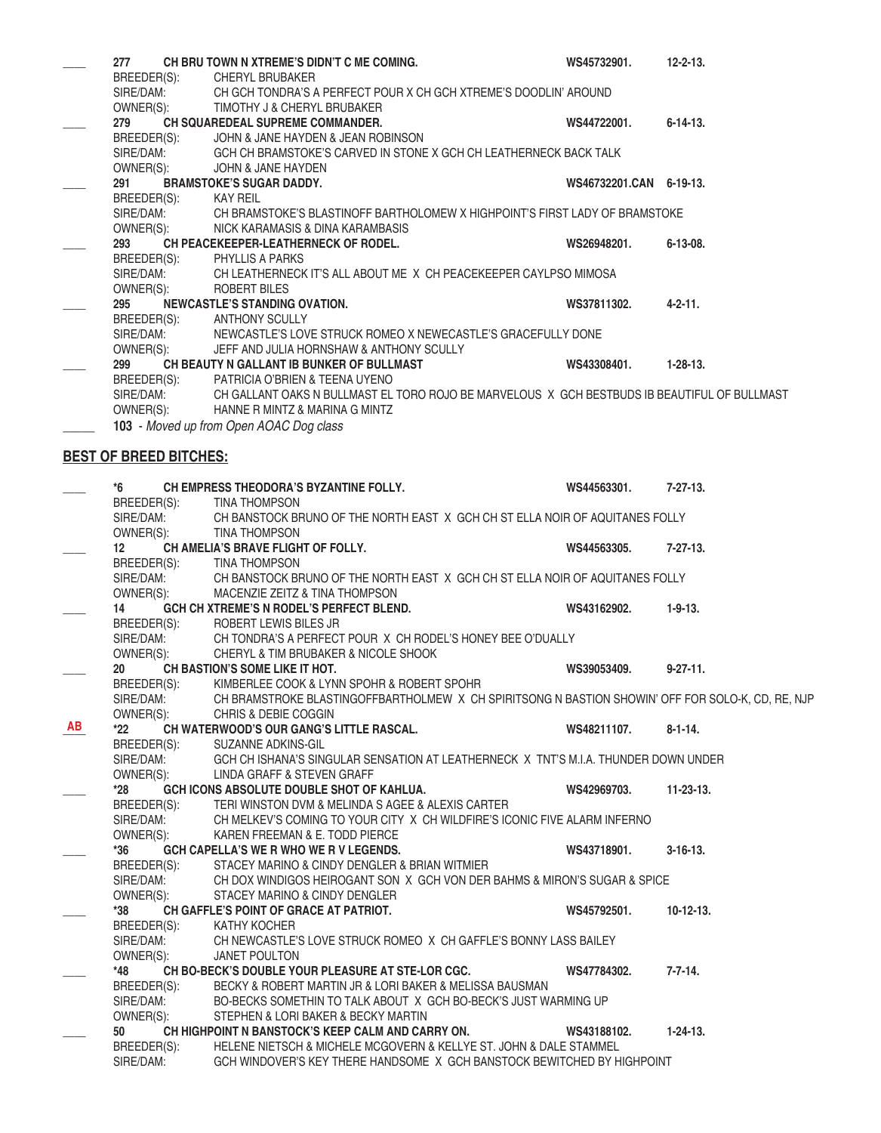| 277                           | CH BRU TOWN N XTREME'S DIDN'T C ME COMING.                                                   | WS45732901.             | $12 - 2 - 13$ . |
|-------------------------------|----------------------------------------------------------------------------------------------|-------------------------|-----------------|
| BREEDER(S):                   | CHERYL BRUBAKER                                                                              |                         |                 |
| SIRE/DAM:                     | CH GCH TONDRA'S A PERFECT POUR X CH GCH XTREME'S DOODLIN' AROUND                             |                         |                 |
| OWNER(S):                     | TIMOTHY J & CHERYL BRUBAKER                                                                  |                         |                 |
| 279                           | <b>CH SQUAREDEAL SUPREME COMMANDER.</b>                                                      | WS44722001.             | $6 - 14 - 13$ . |
| BREEDER(S):                   | JOHN & JANE HAYDEN & JEAN ROBINSON                                                           |                         |                 |
| SIRE/DAM:                     | GCH CH BRAMSTOKE'S CARVED IN STONE X GCH CH LEATHERNECK BACK TALK                            |                         |                 |
| OWNER(S):                     | JOHN & JANE HAYDEN                                                                           |                         |                 |
| 291                           | <b>BRAMSTOKE'S SUGAR DADDY.</b>                                                              | WS46732201.CAN 6-19-13. |                 |
| BREEDER(S):                   | <b>KAY REIL</b>                                                                              |                         |                 |
| SIRE/DAM:                     | CH BRAMSTOKE'S BLASTINOFF BARTHOLOMEW X HIGHPOINT'S FIRST LADY OF BRAMSTOKE                  |                         |                 |
| OWNER(S):                     | NICK KARAMASIS & DINA KARAMBASIS                                                             |                         |                 |
| 293                           | <b>CH PEACEKEEPER-LEATHERNECK OF RODEL.</b>                                                  | WS26948201.             | $6 - 13 - 08$ . |
| BREEDER(S):                   | <b>PHYLLIS A PARKS</b>                                                                       |                         |                 |
| SIRE/DAM:                     | CH LEATHERNECK IT'S ALL ABOUT ME X CH PEACEKEEPER CAYLPSO MIMOSA                             |                         |                 |
| OWNER(S):                     | ROBERT BILES                                                                                 |                         |                 |
| 295                           | NEWCASTLE'S STANDING OVATION.                                                                | WS37811302.             | $4 - 2 - 11$ .  |
| BREEDER(S):                   | <b>ANTHONY SCULLY</b>                                                                        |                         |                 |
| SIRE/DAM:                     | NEWCASTLE'S LOVE STRUCK ROMEO X NEWECASTLE'S GRACEFULLY DONE                                 |                         |                 |
| OWNER(S):                     | JEFF AND JULIA HORNSHAW & ANTHONY SCULLY                                                     |                         |                 |
| 299                           | CH BEAUTY N GALLANT IB BUNKER OF BULLMAST                                                    | WS43308401.             | $1 - 28 - 13$ . |
| BREEDER(S):                   | PATRICIA O'BRIEN & TEENA UYENO                                                               |                         |                 |
| SIRE/DAM:                     | CH GALLANT OAKS N BULLMAST EL TORO ROJO BE MARVELOUS X GCH BESTBUDS IB BEAUTIFUL OF BULLMAST |                         |                 |
| OWNER(S):                     | HANNE R MINTZ & MARINA G MINTZ                                                               |                         |                 |
|                               | 103 - Moved up from Open AOAC Dog class                                                      |                         |                 |
|                               |                                                                                              |                         |                 |
| <b>BEST OF BREED BITCHES:</b> |                                                                                              |                         |                 |
|                               |                                                                                              |                         |                 |
| $*$ $\sim$                    | CU EMBRECC TUEORORA'S BYZANTINE FOLLY                                                        | <b>MCAACCOOOA</b>       | 70719           |

**\_\_\_\_ \*6 CH EMPRESS THEODORA'S BYZANTINE FOLLY. WS44563301. 7-27-13.** BREEDER(S): TINA THOMPSON SIRE/DAM: CH BANSTOCK BRUNO OF THE NORTH EAST X GCH CH ST ELLA NOIR OF AQUITANES FOLLY OWNER(S): TINA THOMPSON **\_\_\_\_ 12 CH AMELIA'S BRAVE FLIGHT OF FOLLY. WS44563305. 7-27-13.** BREEDER(S): TINA THOMPSON SIRE/DAM: CH BANSTOCK BRUNO OF THE NORTH EAST X GCH CH ST ELLA NOIR OF AQUITANES FOLLY OWNER(S): MACENZIE ZEITZ & TINA THOMPSON **\_\_\_\_ 14 GCH CH XTREME'S N RODEL'S PERFECT BLEND. WS43162902. 1-9-13.** BREEDER(S): ROBERT LEWIS BILES JR SIRE/DAM: CH TONDRA'S A PERFECT POUR X CH RODEL'S HONEY BEE O'DUALLY OWNER(S): CHERYL & TIM BRUBAKER & NICOLE SHOOK **\_\_\_\_ 20 CH BASTION'S SOME LIKE IT HOT. WS39053409. 9-27-11.** BREEDER(S): KIMBERLEE COOK & LYNN SPOHR & ROBERT SPOHR SIRE/DAM: CH BRAMSTROKE BLASTINGOFFBARTHOLMEW X CH SPIRITSONG N BASTION SHOWIN' OFF FOR SOLO-K, CD, RE, NJP OWNER(S): CHRIS & DEBIE COGGIN **\_\_\_\_ \*22 CH WATERWOOD'S OUR GANG'S LITTLE RASCAL. WS48211107. 8-1-14.** BREEDER(S): SUZANNE ADKINS-GIL SIRE/DAM: GCH CH ISHANA'S SINGULAR SENSATION AT LEATHERNECK X TNT'S M.I.A. THUNDER DOWN UNDER OWNER(S): LINDA GRAFF & STEVEN GRAFF LINDA GRAFF & STEVEN GRAFF **\_\_\_\_ \*28 GCH ICONS ABSOLUTE DOUBLE SHOT OF KAHLUA. WS42969703. 11-23-13.** BREEDER(S): TERI WINSTON DVM & MELINDA S AGEE & ALEXIS CARTER SIRE/DAM: CH MELKEV'S COMING TO YOUR CITY X CH WILDFIRE'S ICONIC FIVE ALARM INFERNO OWNER(S): KAREN FREEMAN & E. TODD PIERCE **\_\_\_\_ \*36 GCH CAPELLA'S WE R WHO WE R V LEGENDS. WS43718901. 3-16-13.** BREEDER(S): STACEY MARINO & CINDY DENGLER & BRIAN WITMIER SIRE/DAM: CH DOX WINDIGOS HEIROGANT SON X GCH VON DER BAHMS & MIRON'S SUGAR & SPICE OWNER(S): STACEY MARINO & CINDY DENGLER STACEY MARINO & CINDY DENGLER **\_\_\_\_ \*38 CH GAFFLE'S POINT OF GRACE AT PATRIOT. WS45792501. 10-12-13.** BREEDER(S): KATHY KOCHER SIRE/DAM: CH NEWCASTLE'S LOVE STRUCK ROMEO X CH GAFFLE'S BONNY LASS BAILEY OWNER(S): JANET POULTON **\_\_\_\_ \*48 CH BO-BECK'S DOUBLE YOUR PLEASURE AT STE-LOR CGC. WS47784302. 7-7-14.** BREEDER(S): BECKY & ROBERT MARTIN JR & LORI BAKER & MELISSA BAUSMAN SIRE/DAM: BO-BECKS SOMETHIN TO TALK ABOUT X GCH BO-BECK'S JUST WARMING UP OWNER(S): STEPHEN & LORI BAKER & BECKY MARTIN **\_\_\_\_ 50 CH HIGHPOINT N BANSTOCK'S KEEP CALM AND CARRY ON. WS43188102. 1-24-13.** BREEDER(S): HELENE NIETSCH & MICHELE MCGOVERN & KELLYE ST. JOHN & DALE STAMMEL SIRE/DAM: GCH WINDOVER'S KEY THERE HANDSOME X GCH BANSTOCK BEWITCHED BY HIGHPOINT **AB**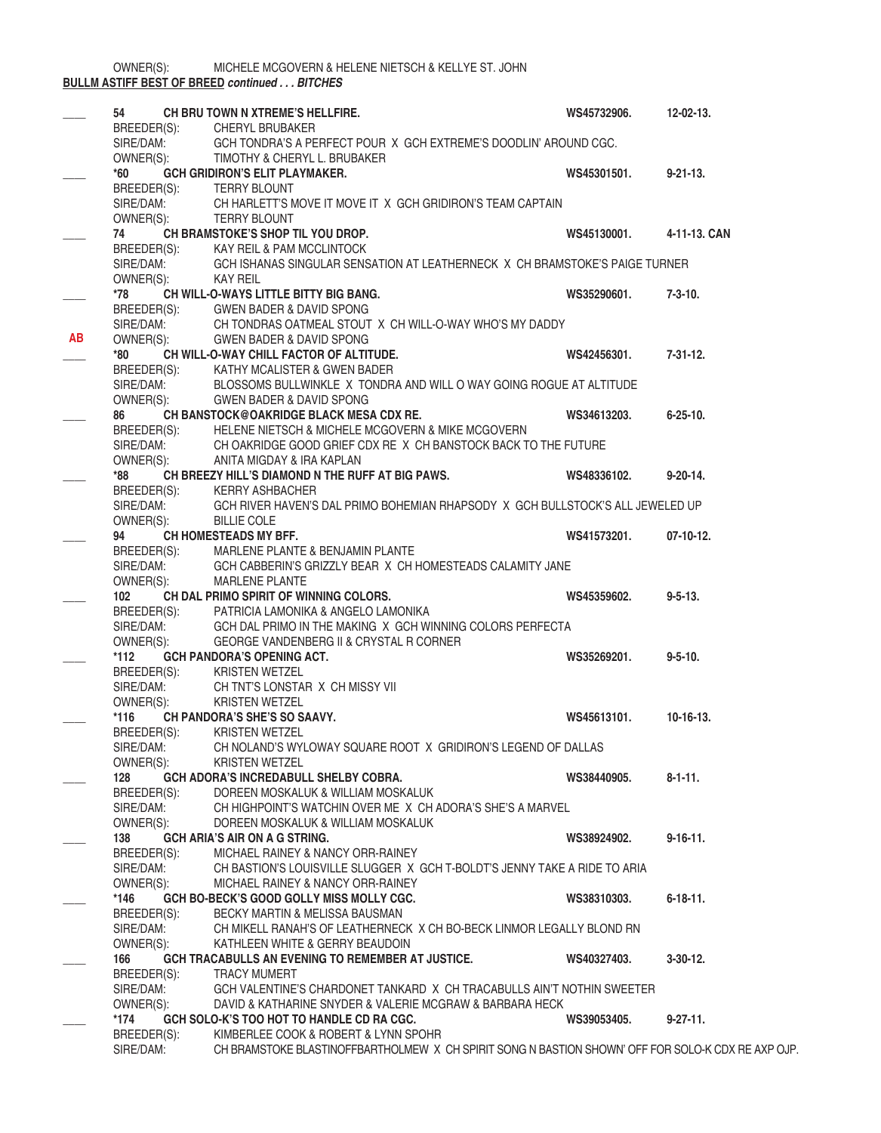MICHELE MCGOVERN & HELENE NIETSCH & KELLYE ST. JOHN **BULLM ASTIFF BEST OF BREED** *continued . . . BITCHES*

|           | 54                                                   | CH BRU TOWN N XTREME'S HELLFIRE.                                                                   | WS45732906. | $12 - 02 - 13$ . |
|-----------|------------------------------------------------------|----------------------------------------------------------------------------------------------------|-------------|------------------|
|           | BREEDER(S):                                          | <b>CHERYL BRUBAKER</b>                                                                             |             |                  |
|           | SIRE/DAM:                                            | GCH TONDRA'S A PERFECT POUR X GCH EXTREME'S DOODLIN' AROUND CGC.                                   |             |                  |
|           | OWNER(S):                                            | TIMOTHY & CHERYL L. BRUBAKER                                                                       |             |                  |
|           | *60                                                  | <b>GCH GRIDIRON'S ELIT PLAYMAKER.</b>                                                              | WS45301501. | $9 - 21 - 13$ .  |
|           | BREEDER(S): TERRY BLOUNT<br>SIRE/DAM: CH HARLETT'S M |                                                                                                    |             |                  |
|           |                                                      | CH HARLETT'S MOVE IT MOVE IT X GCH GRIDIRON'S TEAM CAPTAIN                                         |             |                  |
|           | OWNER(S):                                            | <b>TERRY BLOUNT</b>                                                                                |             |                  |
|           | 74 —                                                 | CH BRAMSTOKE'S SHOP TIL YOU DROP.                                                                  | WS45130001. | 4-11-13. CAN     |
|           | BREEDER(S):                                          | KAY REIL & PAM MCCLINTOCK                                                                          |             |                  |
|           | SIRE/DAM:                                            | GCH ISHANAS SINGULAR SENSATION AT LEATHERNECK X CH BRAMSTOKE'S PAIGE TURNER                        |             |                  |
|           | OWNER(S):                                            | <b>KAY REIL</b>                                                                                    |             |                  |
|           | *78                                                  | CH WILL-O-WAYS LITTLE BITTY BIG BANG.                                                              | WS35290601. | $7 - 3 - 10.$    |
|           | BREEDER(S):                                          | <b>GWEN BADER &amp; DAVID SPONG</b>                                                                |             |                  |
|           | SIRE/DAM:                                            | CH TONDRAS OATMEAL STOUT X CH WILL-O-WAY WHO'S MY DADDY                                            |             |                  |
| <b>AB</b> | OWNER(S):                                            | <b>GWEN BADER &amp; DAVID SPONG</b>                                                                |             |                  |
|           | *80                                                  | CH WILL-O-WAY CHILL FACTOR OF ALTITUDE.                                                            | WS42456301. | $7 - 31 - 12$ .  |
|           | BREEDER(S):                                          | KATHY MCALISTER & GWEN BADER                                                                       |             |                  |
|           | SIRE/DAM:                                            | BLOSSOMS BULLWINKLE X TONDRA AND WILL O WAY GOING ROGUE AT ALTITUDE                                |             |                  |
|           | OWNER(S):                                            | <b>GWEN BADER &amp; DAVID SPONG</b>                                                                |             |                  |
|           | 86                                                   | CH BANSTOCK@OAKRIDGE BLACK MESA CDX RE.                                                            | WS34613203. | $6 - 25 - 10.$   |
|           | BREEDER(S):                                          | HELENE NIETSCH & MICHELE MCGOVERN & MIKE MCGOVERN                                                  |             |                  |
|           | SIRE/DAM:                                            | CH OAKRIDGE GOOD GRIEF CDX RE X CH BANSTOCK BACK TO THE FUTURE                                     |             |                  |
|           | OWNER(S):                                            | ANITA MIGDAY & IRA KAPLAN                                                                          |             |                  |
|           | *88                                                  | CH BREEZY HILL'S DIAMOND N THE RUFF AT BIG PAWS.                                                   | WS48336102. | $9-20-14.$       |
|           |                                                      | KERRY ASHBACHER                                                                                    |             |                  |
|           | BREEDER(S):<br>SIRE/DAM:                             | GCH RIVER HAVEN'S DAL PRIMO BOHEMIAN RHAPSODY X GCH BULLSTOCK'S ALL JEWELED UP                     |             |                  |
|           | OWNER(S):                                            | <b>BILLIE COLE</b>                                                                                 |             |                  |
|           | 94                                                   | CH HOMESTEADS MY BFF.                                                                              | WS41573201. | $07-10-12.$      |
|           | BREEDER(S):                                          | MARLENE PLANTE & BENJAMIN PLANTE                                                                   |             |                  |
|           | SIRE/DAM:                                            | GCH CABBERIN'S GRIZZLY BEAR X CH HOMESTEADS CALAMITY JANE                                          |             |                  |
|           | OWNER(S):                                            | <b>MARLENE PLANTE</b>                                                                              |             |                  |
|           | 102                                                  | CH DAL PRIMO SPIRIT OF WINNING COLORS.                                                             | WS45359602. | $9 - 5 - 13$ .   |
|           | BREEDER(S):                                          | PATRICIA LAMONIKA & ANGELO LAMONIKA                                                                |             |                  |
|           | SIRE/DAM:                                            | GCH DAL PRIMO IN THE MAKING X GCH WINNING COLORS PERFECTA                                          |             |                  |
|           | OWNER(S):                                            | GEORGE VANDENBERG II & CRYSTAL R CORNER                                                            |             |                  |
|           | $*112$                                               | <b>GCH PANDORA'S OPENING ACT.</b>                                                                  | WS35269201. | $9 - 5 - 10$ .   |
|           | BREEDER(S):                                          | <b>KRISTEN WETZEL</b>                                                                              |             |                  |
|           | SIRE/DAM:                                            | CH TNT'S LONSTAR X CH MISSY VII                                                                    |             |                  |
|           | OWNER(S):                                            | <b>KRISTEN WETZEL</b>                                                                              |             |                  |
|           | $*116$                                               | <b>CH PANDORA'S SHE'S SO SAAVY.</b>                                                                | WS45613101. | $10-16-13.$      |
|           | BREEDER(S):                                          | <b>KRISTEN WETZEL</b>                                                                              |             |                  |
|           | SIRE/DAM:                                            | CH NOLAND'S WYLOWAY SQUARE ROOT X GRIDIRON'S LEGEND OF DALLAS                                      |             |                  |
|           | OWNER(S):                                            | <b>KRISTEN WETZEL</b>                                                                              |             |                  |
|           | 128                                                  | <b>GCH ADORA'S INCREDABULL SHELBY COBRA.</b>                                                       | WS38440905. | $8 - 1 - 11$ .   |
|           | BREEDER(S):                                          | DOREEN MOSKALUK & WILLIAM MOSKALUK                                                                 |             |                  |
|           | SIRE/DAM:                                            | CH HIGHPOINT'S WATCHIN OVER ME X CH ADORA'S SHE'S A MARVEL                                         |             |                  |
|           | OWNER(S):                                            | DOREEN MOSKALUK & WILLIAM MOSKALUK                                                                 |             |                  |
|           | 138                                                  | <b>GCH ARIA'S AIR ON A G STRING.</b>                                                               | WS38924902. | $9-16-11.$       |
|           | BREEDER(S):                                          | MICHAEL RAINEY & NANCY ORR-RAINEY                                                                  |             |                  |
|           | SIRE/DAM:                                            | CH BASTION'S LOUISVILLE SLUGGER X GCH T-BOLDT'S JENNY TAKE A RIDE TO ARIA                          |             |                  |
|           | OWNER(S):                                            | MICHAEL RAINEY & NANCY ORR-RAINEY                                                                  |             |                  |
|           | *146                                                 | GCH BO-BECK'S GOOD GOLLY MISS MOLLY CGC.                                                           | WS38310303. | $6 - 18 - 11$ .  |
|           | BREEDER(S):                                          | BECKY MARTIN & MELISSA BAUSMAN                                                                     |             |                  |
|           | SIRE/DAM:                                            | CH MIKELL RANAH'S OF LEATHERNECK X CH BO-BECK LINMOR LEGALLY BLOND RN                              |             |                  |
|           | OWNER(S):                                            | KATHLEEN WHITE & GERRY BEAUDOIN                                                                    |             |                  |
|           | 166                                                  | GCH TRACABULLS AN EVENING TO REMEMBER AT JUSTICE.                                                  | WS40327403. | $3-30-12$ .      |
|           | BREEDER(S):                                          | <b>TRACY MUMERT</b>                                                                                |             |                  |
|           | SIRE/DAM:                                            | GCH VALENTINE'S CHARDONET TANKARD X CH TRACABULLS AIN'T NOTHIN SWEETER                             |             |                  |
|           | OWNER(S):                                            | DAVID & KATHARINE SNYDER & VALERIE MCGRAW & BARBARA HECK                                           |             |                  |
|           | *174                                                 | GCH SOLO-K'S TOO HOT TO HANDLE CD RA CGC.                                                          | WS39053405. | $9 - 27 - 11$ .  |
|           | BREEDER(S):                                          | KIMBERLEE COOK & ROBERT & LYNN SPOHR                                                               |             |                  |
|           | SIRE/DAM:                                            | CH BRAMSTOKE BLASTINOFFBARTHOLMEW X CH SPIRIT SONG N BASTION SHOWN' OFF FOR SOLO-K CDX RE AXP OJP. |             |                  |
|           |                                                      |                                                                                                    |             |                  |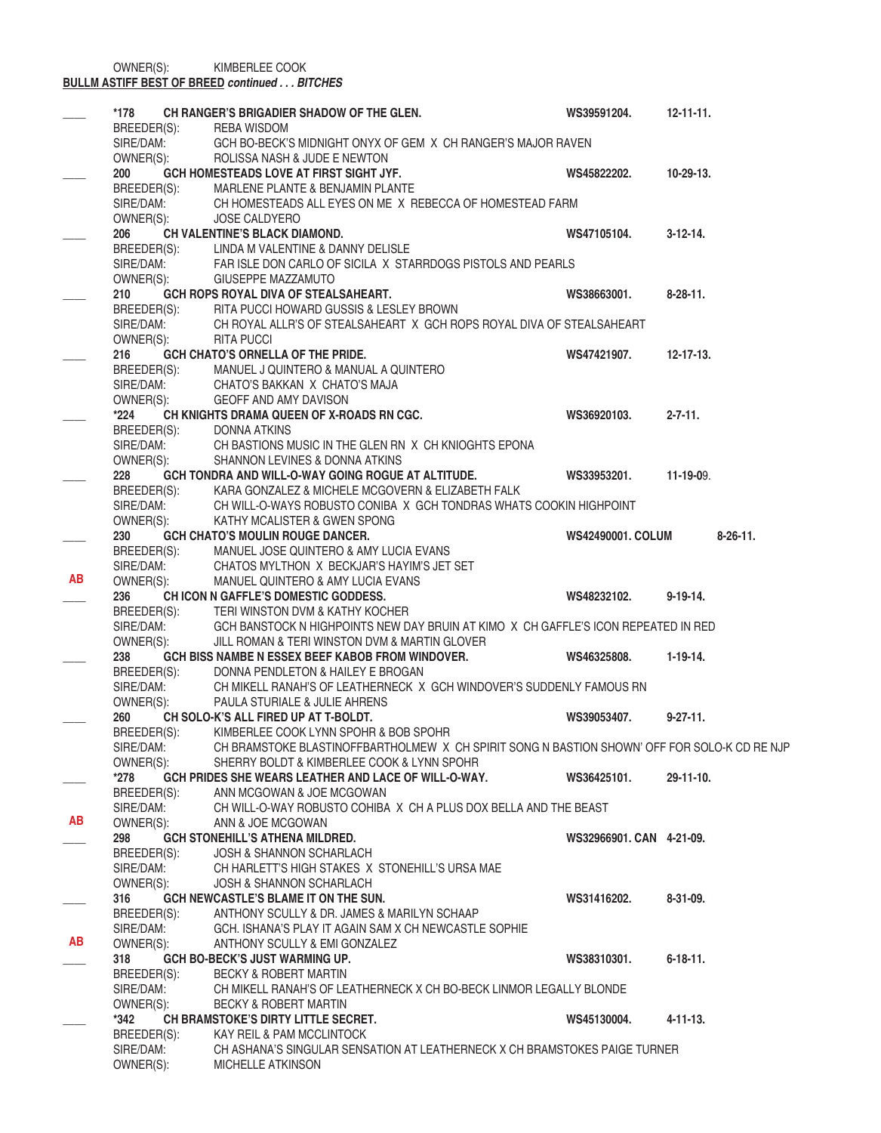OWNER(S): KIMBERLEE COOK

#### **BULLM ASTIFF BEST OF BREED** *continued . . . BITCHES*

|           | *178                     | CH RANGER'S BRIGADIER SHADOW OF THE GLEN.                                                                                   | WS39591204.              | $12 - 11 - 11$ . |
|-----------|--------------------------|-----------------------------------------------------------------------------------------------------------------------------|--------------------------|------------------|
|           | BREEDER(S):              | REBA WISDOM                                                                                                                 |                          |                  |
|           | SIRE/DAM:                | GCH BO-BECK'S MIDNIGHT ONYX OF GEM X CH RANGER'S MAJOR RAVEN                                                                |                          |                  |
|           | OWNER(S):                | ROLISSA NASH & JUDE E NEWTON                                                                                                |                          |                  |
|           | 200                      | GCH HOMESTEADS LOVE AT FIRST SIGHT JYF.                                                                                     | WS45822202.              | 10-29-13.        |
|           | BREEDER(S):<br>SIRE/DAM: | MARLENE PLANTE & BENJAMIN PLANTE                                                                                            |                          |                  |
|           |                          | CH HOMESTEADS ALL EYES ON ME X REBECCA OF HOMESTEAD FARM                                                                    |                          |                  |
|           | OWNER(S):                | <b>JOSE CALDYERO</b>                                                                                                        |                          |                  |
|           | 206                      | <b>CH VALENTINE'S BLACK DIAMOND.</b>                                                                                        | WS47105104.              | $3-12-14$ .      |
|           | BREEDER(S):              | LINDA M VALENTINE & DANNY DELISLE                                                                                           |                          |                  |
|           | SIRE/DAM:                | FAR ISLE DON CARLO OF SICILA X STARRDOGS PISTOLS AND PEARLS                                                                 |                          |                  |
|           | OWNER(S):                | GIUSEPPE MAZZAMUTO                                                                                                          |                          |                  |
|           | 210                      | GCH ROPS ROYAL DIVA OF STEALSAHEART.                                                                                        | WS38663001.              | $8-28-11.$       |
|           | BREEDER(S):              | RITA PUCCI HOWARD GUSSIS & LESLEY BROWN                                                                                     |                          |                  |
|           | SIRE/DAM:                | CH ROYAL ALLR'S OF STEALSAHEART X GCH ROPS ROYAL DIVA OF STEALSAHEART                                                       |                          |                  |
|           | OWNER(S):                | <b>RITA PUCCI</b>                                                                                                           |                          |                  |
|           | 216                      | <b>GCH CHATO'S ORNELLA OF THE PRIDE.</b>                                                                                    | WS47421907.              | $12 - 17 - 13$ . |
|           | BREEDER(S):              | MANUEL J QUINTERO & MANUAL A QUINTERO                                                                                       |                          |                  |
|           | SIRE/DAM:                | CHATO'S BAKKAN X CHATO'S MAJA                                                                                               |                          |                  |
|           | OWNER(S):                | GEOFF AND AMY DAVISON                                                                                                       |                          |                  |
|           | $*224$                   | CH KNIGHTS DRAMA QUEEN OF X-ROADS RN CGC.                                                                                   | WS36920103.              | $2 - 7 - 11$ .   |
|           | BREEDER(S):              | DONNA ATKINS                                                                                                                |                          |                  |
|           | SIRE/DAM:                | CH BASTIONS MUSIC IN THE GLEN RN X CH KNIOGHTS EPONA                                                                        |                          |                  |
|           | OWNER(S):                | SHANNON LEVINES & DONNA ATKINS                                                                                              |                          |                  |
|           | 228                      | GCH TONDRA AND WILL-O-WAY GOING ROGUE AT ALTITUDE.                                                                          | WS33953201.              | 11-19-09.        |
|           |                          | BREEDER(S): KARA GONZALEZ & MICHELE MCGOVERN & ELIZABETH FALK<br>SIRE/DAM: CH WILL-O-WAYS ROBUSTO CONIBA X GCH TONDRAS WHAT |                          |                  |
|           | OWNER(S):                | CH WILL-O-WAYS ROBUSTO CONIBA X GCH TONDRAS WHATS COOKIN HIGHPOINT                                                          |                          |                  |
|           |                          | KATHY MCALISTER & GWEN SPONG                                                                                                |                          |                  |
|           | 230                      | <b>GCH CHATO'S MOULIN ROUGE DANCER.</b>                                                                                     | <b>WS42490001. COLUM</b> | $8-26-11.$       |
|           | BREEDER(S):              | MANUEL JOSE QUINTERO & AMY LUCIA EVANS                                                                                      |                          |                  |
| AB        | SIRE/DAM:                | CHATOS MYLTHON X BECKJAR'S HAYIM'S JET SET                                                                                  |                          |                  |
|           | OWNER(S):                | MANUEL QUINTERO & AMY LUCIA EVANS                                                                                           | WS48232102.              | $9-19-14.$       |
|           | 236                      | CHICON N GAFFLE'S DOMESTIC GODDESS.<br>TERI WINSTON DVM & KATHY KOCHER                                                      |                          |                  |
|           | BREEDER(S):<br>SIRE/DAM: | GCH BANSTOCK N HIGHPOINTS NEW DAY BRUIN AT KIMO X CH GAFFLE'S ICON REPEATED IN RED                                          |                          |                  |
|           | OWNER(S):                | JILL ROMAN & TERI WINSTON DVM & MARTIN GLOVER                                                                               |                          |                  |
|           | 238                      | GCH BISS NAMBE N ESSEX BEEF KABOB FROM WINDOVER.                                                                            | WS46325808.              | $1-19-14.$       |
|           | BREEDER(S):              | DONNA PENDLETON & HAILEY E BROGAN                                                                                           |                          |                  |
|           | SIRE/DAM:                | CH MIKELL RANAH'S OF LEATHERNECK X GCH WINDOVER'S SUDDENLY FAMOUS RN                                                        |                          |                  |
|           | OWNER(S):                | PAULA STURIALE & JULIE AHRENS                                                                                               |                          |                  |
|           | 260                      | CH SOLO-K'S ALL FIRED UP AT T-BOLDT.                                                                                        | WS39053407.              | $9 - 27 - 11$ .  |
|           |                          | BREEDER(S): KIMBERLEE COOK LYNN SPOHR & BOB SPOHR                                                                           |                          |                  |
|           | SIRE/DAM:                | CH BRAMSTOKE BLASTINOFFBARTHOLMEW X CH SPIRIT SONG N BASTION SHOWN' OFF FOR SOLO-K CD RE NJP                                |                          |                  |
|           | OWNER(S):                | SHERRY BOLDT & KIMBERLEE COOK & LYNN SPOHR                                                                                  |                          |                  |
|           | *278                     | GCH PRIDES SHE WEARS LEATHER AND LACE OF WILL-O-WAY.                                                                        | WS36425101.              | 29-11-10.        |
|           | BREEDER(S):              | ANN MCGOWAN & JOE MCGOWAN                                                                                                   |                          |                  |
|           | SIRE/DAM:                | CH WILL-O-WAY ROBUSTO COHIBA X CH A PLUS DOX BELLA AND THE BEAST                                                            |                          |                  |
| AB        | OWNER(S):                | ANN & JOE MCGOWAN                                                                                                           |                          |                  |
|           | 298                      | <b>GCH STONEHILL'S ATHENA MILDRED.</b>                                                                                      | WS32966901. CAN 4-21-09. |                  |
|           | BREEDER(S):              | <b>JOSH &amp; SHANNON SCHARLACH</b>                                                                                         |                          |                  |
|           | SIRE/DAM:                | CH HARLETT'S HIGH STAKES X STONEHILL'S URSA MAE                                                                             |                          |                  |
|           | OWNER(S):                | <b>JOSH &amp; SHANNON SCHARLACH</b>                                                                                         |                          |                  |
|           | 316                      | GCH NEWCASTLE'S BLAME IT ON THE SUN.                                                                                        | WS31416202.              | $8 - 31 - 09$ .  |
|           | BREEDER(S):              | ANTHONY SCULLY & DR. JAMES & MARILYN SCHAAP                                                                                 |                          |                  |
|           | SIRE/DAM:                | GCH. ISHANA'S PLAY IT AGAIN SAM X CH NEWCASTLE SOPHIE                                                                       |                          |                  |
| <b>AB</b> | OWNER(S):                | ANTHONY SCULLY & EMI GONZALEZ                                                                                               |                          |                  |
|           | 318                      | GCH BO-BECK'S JUST WARMING UP.                                                                                              | WS38310301.              | $6 - 18 - 11$ .  |
|           | BREEDER(S):              | <b>BECKY &amp; ROBERT MARTIN</b>                                                                                            |                          |                  |
|           | SIRE/DAM:                | CH MIKELL RANAH'S OF LEATHERNECK X CH BO-BECK LINMOR LEGALLY BLONDE                                                         |                          |                  |
|           | OWNER(S):                | <b>BECKY &amp; ROBERT MARTIN</b>                                                                                            |                          |                  |
|           | *342                     | CH BRAMSTOKE'S DIRTY LITTLE SECRET.                                                                                         | WS45130004.              | $4 - 11 - 13$ .  |
|           | BREEDER(S):              | KAY REIL & PAM MCCLINTOCK                                                                                                   |                          |                  |
|           | SIRE/DAM:                | CH ASHANA'S SINGULAR SENSATION AT LEATHERNECK X CH BRAMSTOKES PAIGE TURNER                                                  |                          |                  |
|           | OWNER(S):                | <b>MICHELLE ATKINSON</b>                                                                                                    |                          |                  |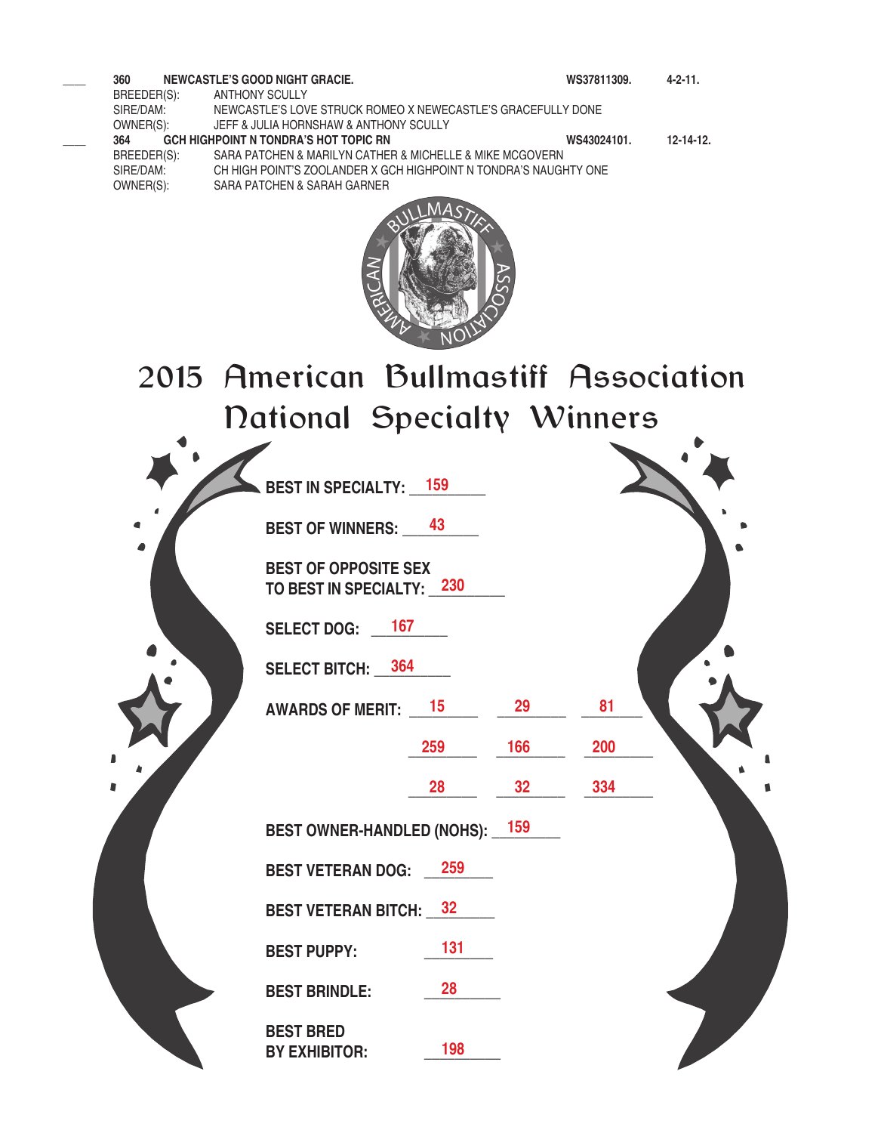**\_\_\_\_ 360 NEWCASTLE'S GOOD NIGHT GRACIE. WS37811309. 4-2-11.** ANTHONY SCULLY SIRE/DAM: NEWCASTLE'S LOVE STRUCK ROMEO X NEWECASTLE'S GRACEFULLY DONE OWNER(S): JEFF & JULIA HORNSHAW & ANTHONY SCULLY OWNER(S): JEFF & JULIA HORNSHAW & ANTHONY SCULLY<br>364 **GCH HIGHPOINT N TONDRA'S HOT TOPIC RN \_\_\_\_ 364 GCH HIGHPOINT N TONDRA'S HOT TOPIC RN WS43024101. 12-14-12.** BREEDER(S): SARA PATCHEN & MARILYN CATHER & MICHELLE & MIKE MCGOVERN<br>SIRE/DAM: CH HIGH POINT'S ZOOLANDER X GCH HIGHPOINT N TONDRA'S NAUGH CH HIGH POINT'S ZOOLANDER X GCH HIGHPOINT N TONDRA'S NAUGHTY ONE OWNER(S): SARA PATCHEN & SARAH GARNER



2015 American Bullmastiff Association National Specialty Winners

|   | <b>BEST IN SPECIALTY: 159</b>                            |     |                 |     |  |
|---|----------------------------------------------------------|-----|-----------------|-----|--|
|   | <b>BEST OF WINNERS:</b> 43                               |     |                 |     |  |
|   | <b>BEST OF OPPOSITE SEX</b><br>TO BEST IN SPECIALTY: 230 |     |                 |     |  |
|   | SELECT DOG: _ 167                                        |     |                 |     |  |
|   | SELECT BITCH: 364                                        |     |                 |     |  |
|   | <b>AWARDS OF MERIT: 15</b>                               |     | 29              | 81  |  |
|   |                                                          | 259 | 166             | 200 |  |
| ∎ |                                                          | 28  | 32 <sub>2</sub> | 334 |  |
|   | BEST OWNER-HANDLED (NOHS): 159                           |     |                 |     |  |
|   | <b>BEST VETERAN DOG:</b> 259                             |     |                 |     |  |
|   | <b>BEST VETERAN BITCH: 32</b>                            |     |                 |     |  |
|   | <b>BEST PUPPY:</b>                                       | 131 |                 |     |  |
|   | <b>BEST BRINDLE:</b>                                     | 28  |                 |     |  |
|   | <b>BEST BRED</b><br><b>BY EXHIBITOR:</b>                 | 198 |                 |     |  |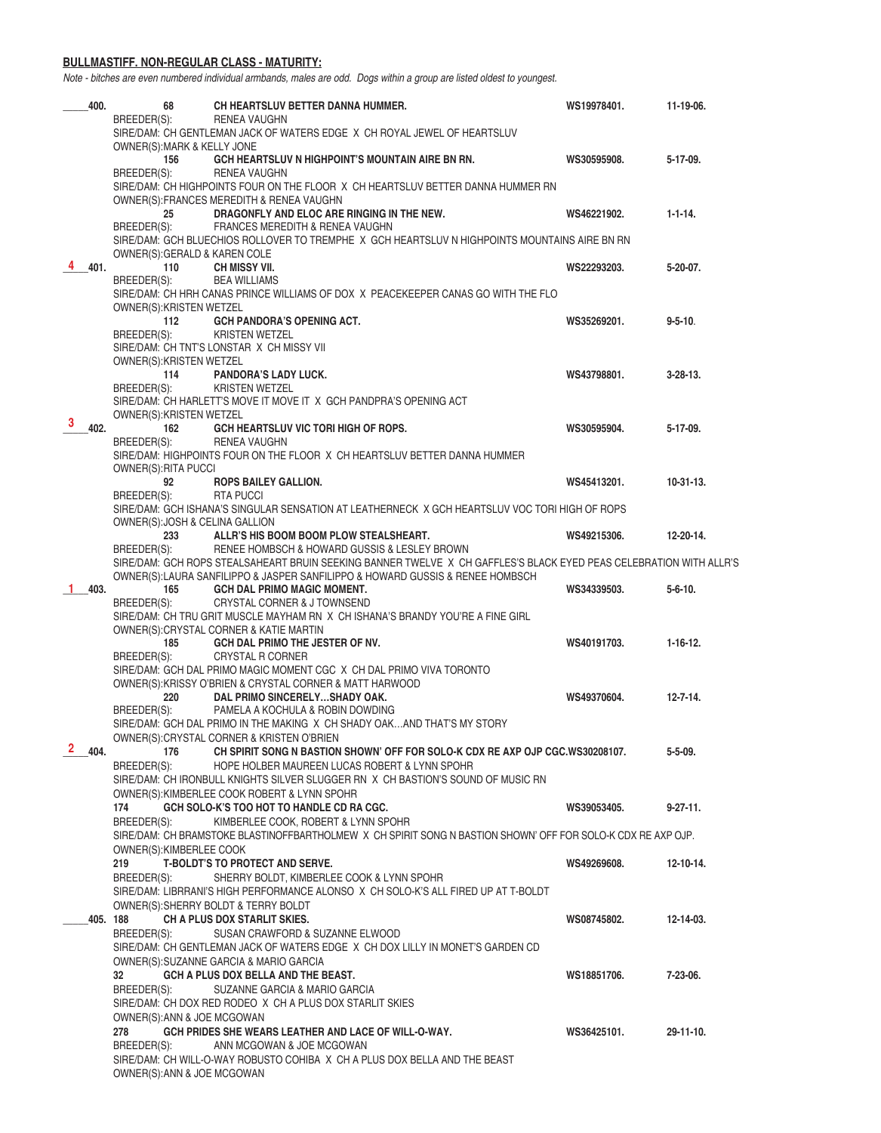#### **BULLMASTIFF. NON-REGULAR CLASS - MATURITY:**

*Note - bitches are even numbered individual armbands, males are odd. Dogs within a group are listed oldest to youngest.*

| 400.          | 68                                                                                                                                       | CH HEARTSLUV BETTER DANNA HUMMER.                                                                                                                                                                    | WS19978401. | 11-19-06.        |  |  |
|---------------|------------------------------------------------------------------------------------------------------------------------------------------|------------------------------------------------------------------------------------------------------------------------------------------------------------------------------------------------------|-------------|------------------|--|--|
|               | BREEDER(S):                                                                                                                              | RENEA VAUGHN<br>SIRE/DAM: CH GENTLEMAN JACK OF WATERS EDGE X CH ROYAL JEWEL OF HEARTSLUV                                                                                                             |             |                  |  |  |
|               | OWNER(S): MARK & KELLY JONE<br>156                                                                                                       | GCH HEARTSLUV N HIGHPOINT'S MOUNTAIN AIRE BN RN.                                                                                                                                                     | WS30595908. | $5-17-09.$       |  |  |
|               | BREEDER(S):                                                                                                                              | <b>RENEA VAUGHN</b>                                                                                                                                                                                  |             |                  |  |  |
|               |                                                                                                                                          | SIRE/DAM: CH HIGHPOINTS FOUR ON THE FLOOR X CH HEARTSLUV BETTER DANNA HUMMER RN<br>OWNER(S): FRANCES MEREDITH & RENEA VAUGHN                                                                         |             |                  |  |  |
|               | 25                                                                                                                                       | DRAGONFLY AND ELOC ARE RINGING IN THE NEW.                                                                                                                                                           | WS46221902. | $1 - 1 - 14.$    |  |  |
|               | BREEDER(S):                                                                                                                              | FRANCES MEREDITH & RENEA VAUGHN<br>SIRE/DAM: GCH BLUECHIOS ROLLOVER TO TREMPHE X GCH HEARTSLUV N HIGHPOINTS MOUNTAINS AIRE BN RN                                                                     |             |                  |  |  |
|               | OWNER(S): GERALD & KAREN COLE                                                                                                            |                                                                                                                                                                                                      |             |                  |  |  |
| 4 401.        | 110<br>BREEDER(S):                                                                                                                       | CH MISSY VII.<br><b>BEA WILLIAMS</b>                                                                                                                                                                 | WS22293203. | $5-20-07$ .      |  |  |
|               |                                                                                                                                          | SIRE/DAM: CH HRH CANAS PRINCE WILLIAMS OF DOX X PEACEKEEPER CANAS GO WITH THE FLO                                                                                                                    |             |                  |  |  |
|               | OWNER(S): KRISTEN WETZEL<br>112                                                                                                          | <b>GCH PANDORA'S OPENING ACT.</b>                                                                                                                                                                    | WS35269201. | $9 - 5 - 10$ .   |  |  |
|               | BREEDER(S):                                                                                                                              | <b>KRISTEN WETZEL</b>                                                                                                                                                                                |             |                  |  |  |
|               | OWNER(S): KRISTEN WETZEL                                                                                                                 | SIRE/DAM: CH TNT'S LONSTAR X CH MISSY VII                                                                                                                                                            |             |                  |  |  |
|               | 114<br>BREEDER(S):                                                                                                                       | <b>PANDORA'S LADY LUCK.</b><br><b>KRISTEN WETZEL</b>                                                                                                                                                 | WS43798801. | $3 - 28 - 13$ .  |  |  |
|               |                                                                                                                                          | SIRE/DAM: CH HARLETT'S MOVE IT MOVE IT X GCH PANDPRA'S OPENING ACT                                                                                                                                   |             |                  |  |  |
| з<br>402.     | OWNER(S): KRISTEN WETZEL<br>162                                                                                                          | GCH HEARTSLUV VIC TORI HIGH OF ROPS.                                                                                                                                                                 | WS30595904. | $5-17-09.$       |  |  |
|               | BREEDER(S):                                                                                                                              | <b>RENEA VAUGHN</b>                                                                                                                                                                                  |             |                  |  |  |
|               | OWNER(S): RITA PUCCI                                                                                                                     | SIRE/DAM: HIGHPOINTS FOUR ON THE FLOOR X CH HEARTSLUV BETTER DANNA HUMMER                                                                                                                            |             |                  |  |  |
|               | 92                                                                                                                                       | <b>ROPS BAILEY GALLION.</b>                                                                                                                                                                          | WS45413201. | $10-31-13.$      |  |  |
|               | BREEDER(S):                                                                                                                              | RTA PUCCI<br>SIRE/DAM: GCH ISHANA'S SINGULAR SENSATION AT LEATHERNECK X GCH HEARTSLUV VOC TORI HIGH OF ROPS                                                                                          |             |                  |  |  |
|               | OWNER(S): JOSH & CELINA GALLION<br>233                                                                                                   | ALLR'S HIS BOOM BOOM PLOW STEALSHEART.                                                                                                                                                               | WS49215306. | 12-20-14.        |  |  |
|               | BREEDER(S):                                                                                                                              | RENEE HOMBSCH & HOWARD GUSSIS & LESLEY BROWN                                                                                                                                                         |             |                  |  |  |
|               |                                                                                                                                          | SIRE/DAM: GCH ROPS STEALSAHEART BRUIN SEEKING BANNER TWELVE X CH GAFFLES'S BLACK EYED PEAS CELEBRATION WITH ALLR'S<br>OWNER(S): LAURA SANFILIPPO & JASPER SANFILIPPO & HOWARD GUSSIS & RENEE HOMBSCH |             |                  |  |  |
| 403.          | 165                                                                                                                                      | <b>GCH DAL PRIMO MAGIC MOMENT.</b>                                                                                                                                                                   | WS34339503. | $5 - 6 - 10.$    |  |  |
|               | BREEDER(S):                                                                                                                              | CRYSTAL CORNER & J TOWNSEND<br>SIRE/DAM: CH TRU GRIT MUSCLE MAYHAM RN X CH ISHANA'S BRANDY YOU'RE A FINE GIRL                                                                                        |             |                  |  |  |
|               |                                                                                                                                          | OWNER(S):CRYSTAL CORNER & KATIE MARTIN                                                                                                                                                               |             |                  |  |  |
|               | 185<br>BREEDER(S):                                                                                                                       | GCH DAL PRIMO THE JESTER OF NV.<br><b>CRYSTAL R CORNER</b>                                                                                                                                           | WS40191703. | $1 - 16 - 12$ .  |  |  |
|               |                                                                                                                                          | SIRE/DAM: GCH DAL PRIMO MAGIC MOMENT CGC X CH DAL PRIMO VIVA TORONTO                                                                                                                                 |             |                  |  |  |
|               | 220                                                                                                                                      | OWNER(S): KRISSY O'BRIEN & CRYSTAL CORNER & MATT HARWOOD<br>DAL PRIMO SINCERELYSHADY OAK.                                                                                                            | WS49370604. | $12 - 7 - 14.$   |  |  |
|               | BREEDER(S):                                                                                                                              | PAMELA A KOCHULA & ROBIN DOWDING<br>SIRE/DAM: GCH DAL PRIMO IN THE MAKING X CH SHADY OAKAND THAT'S MY STORY                                                                                          |             |                  |  |  |
|               |                                                                                                                                          | OWNER(S): CRYSTAL CORNER & KRISTEN O'BRIEN                                                                                                                                                           |             |                  |  |  |
| $2\quad 404.$ | 176<br>BREEDER(S):                                                                                                                       | CH SPIRIT SONG N BASTION SHOWN' OFF FOR SOLO-K CDX RE AXP OJP CGC.WS30208107.<br>HOPE HOLBER MAUREEN LUCAS ROBERT & LYNN SPOHR                                                                       |             | $5 - 5 - 09.$    |  |  |
|               |                                                                                                                                          | SIRE/DAM: CH IRONBULL KNIGHTS SILVER SLUGGER RN X CH BASTION'S SOUND OF MUSIC RN                                                                                                                     |             |                  |  |  |
|               | 174                                                                                                                                      | OWNER(S): KIMBERLEE COOK ROBERT & LYNN SPOHR<br>GCH SOLO-K'S TOO HOT TO HANDLE CD RA CGC.                                                                                                            | WS39053405. | $9 - 27 - 11$ .  |  |  |
|               | BREEDER(S):                                                                                                                              | KIMBERLEE COOK, ROBERT & LYNN SPOHR                                                                                                                                                                  |             |                  |  |  |
|               | SIRE/DAM: CH BRAMSTOKE BLASTINOFFBARTHOLMEW X CH SPIRIT SONG N BASTION SHOWN' OFF FOR SOLO-K CDX RE AXP OJP.<br>OWNER(S): KIMBERLEE COOK |                                                                                                                                                                                                      |             |                  |  |  |
|               | 219                                                                                                                                      | <b>T-BOLDT'S TO PROTECT AND SERVE.</b>                                                                                                                                                               | WS49269608. | $12 - 10 - 14.$  |  |  |
|               | BREEDER(S):                                                                                                                              | SHERRY BOLDT, KIMBERLEE COOK & LYNN SPOHR<br>SIRE/DAM: LIBRRANI'S HIGH PERFORMANCE ALONSO X CH SOLO-K'S ALL FIRED UP AT T-BOLDT                                                                      |             |                  |  |  |
|               |                                                                                                                                          | OWNER(S): SHERRY BOLDT & TERRY BOLDT                                                                                                                                                                 |             |                  |  |  |
|               | 405, 188<br>BREEDER(S):                                                                                                                  | CH A PLUS DOX STARLIT SKIES.<br>SUSAN CRAWFORD & SUZANNE ELWOOD                                                                                                                                      | WS08745802. | 12-14-03.        |  |  |
|               |                                                                                                                                          | SIRE/DAM: CH GENTLEMAN JACK OF WATERS EDGE X CH DOX LILLY IN MONET'S GARDEN CD                                                                                                                       |             |                  |  |  |
|               | 32                                                                                                                                       | OWNER(S): SUZANNE GARCIA & MARIO GARCIA<br>GCH A PLUS DOX BELLA AND THE BEAST.                                                                                                                       | WS18851706. | 7-23-06.         |  |  |
|               | BREEDER(S):                                                                                                                              | SUZANNE GARCIA & MARIO GARCIA                                                                                                                                                                        |             |                  |  |  |
|               | OWNER(S): ANN & JOE MCGOWAN                                                                                                              | SIRE/DAM: CH DOX RED RODEO X CH A PLUS DOX STARLIT SKIES                                                                                                                                             |             |                  |  |  |
|               | 278                                                                                                                                      | GCH PRIDES SHE WEARS LEATHER AND LACE OF WILL-O-WAY.                                                                                                                                                 | WS36425101. | $29 - 11 - 10$ . |  |  |
|               | BREEDER(S):                                                                                                                              | ANN MCGOWAN & JOE MCGOWAN<br>SIRE/DAM: CH WILL-O-WAY ROBUSTO COHIBA X CH A PLUS DOX BELLA AND THE BEAST                                                                                              |             |                  |  |  |
|               | OWNER(S): ANN & JOE MCGOWAN                                                                                                              |                                                                                                                                                                                                      |             |                  |  |  |